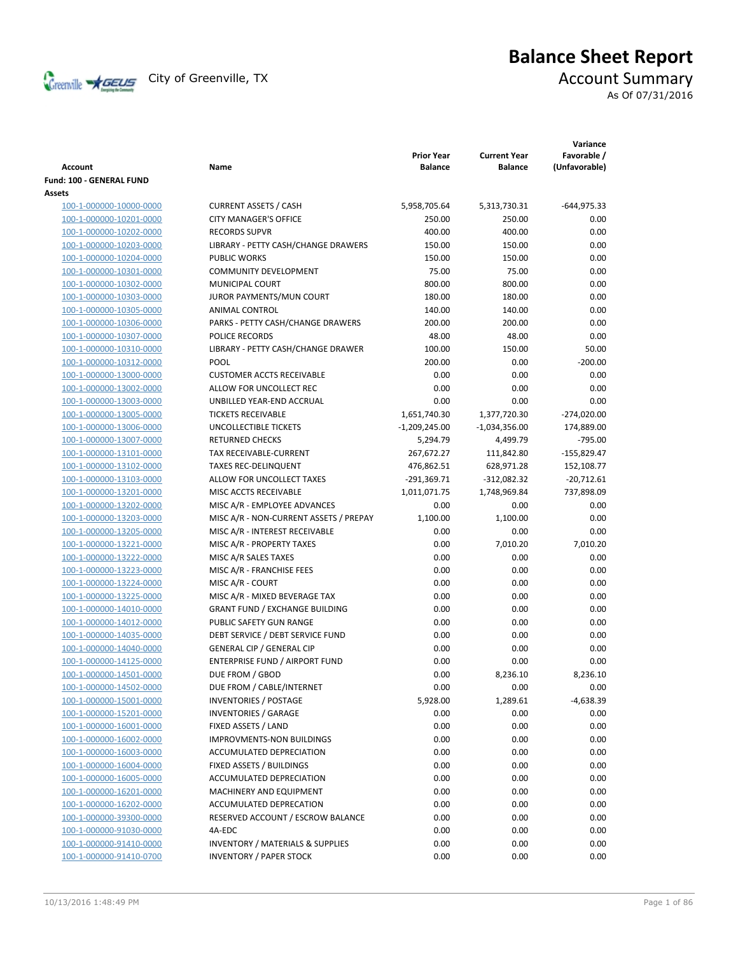

# **Balance Sheet Report**

As Of 07/31/2016

| Account                                            | Name                                                        | <b>Prior Year</b><br><b>Balance</b> | <b>Current Year</b><br><b>Balance</b> | Variance<br>Favorable /<br>(Unfavorable) |
|----------------------------------------------------|-------------------------------------------------------------|-------------------------------------|---------------------------------------|------------------------------------------|
| <b>Fund: 100 - GENERAL FUND</b>                    |                                                             |                                     |                                       |                                          |
| Assets                                             |                                                             |                                     |                                       |                                          |
| 100-1-000000-10000-0000                            | <b>CURRENT ASSETS / CASH</b>                                | 5,958,705.64                        | 5,313,730.31                          | $-644,975.33$                            |
| 100-1-000000-10201-0000                            | <b>CITY MANAGER'S OFFICE</b>                                | 250.00                              | 250.00                                | 0.00                                     |
| 100-1-000000-10202-0000                            | <b>RECORDS SUPVR</b>                                        | 400.00                              | 400.00                                | 0.00                                     |
| 100-1-000000-10203-0000                            | LIBRARY - PETTY CASH/CHANGE DRAWERS                         | 150.00                              | 150.00                                | 0.00                                     |
| 100-1-000000-10204-0000                            | <b>PUBLIC WORKS</b>                                         | 150.00                              | 150.00                                | 0.00                                     |
| 100-1-000000-10301-0000                            | <b>COMMUNITY DEVELOPMENT</b>                                | 75.00                               | 75.00                                 | 0.00                                     |
| 100-1-000000-10302-0000                            | MUNICIPAL COURT                                             | 800.00                              | 800.00                                | 0.00                                     |
| 100-1-000000-10303-0000                            | JUROR PAYMENTS/MUN COURT                                    | 180.00                              | 180.00                                | 0.00                                     |
| 100-1-000000-10305-0000                            | ANIMAL CONTROL                                              | 140.00                              | 140.00                                | 0.00                                     |
| 100-1-000000-10306-0000                            | PARKS - PETTY CASH/CHANGE DRAWERS                           | 200.00                              | 200.00                                | 0.00                                     |
| 100-1-000000-10307-0000                            | POLICE RECORDS                                              | 48.00                               | 48.00                                 | 0.00                                     |
| 100-1-000000-10310-0000                            | LIBRARY - PETTY CASH/CHANGE DRAWER                          | 100.00                              | 150.00                                | 50.00                                    |
| 100-1-000000-10312-0000                            | <b>POOL</b>                                                 | 200.00                              | 0.00                                  | $-200.00$                                |
| 100-1-000000-13000-0000                            | <b>CUSTOMER ACCTS RECEIVABLE</b>                            | 0.00                                | 0.00                                  | 0.00                                     |
| 100-1-000000-13002-0000                            | ALLOW FOR UNCOLLECT REC                                     | 0.00                                | 0.00                                  | 0.00                                     |
| 100-1-000000-13003-0000                            | UNBILLED YEAR-END ACCRUAL                                   | 0.00                                | 0.00                                  | 0.00                                     |
| 100-1-000000-13005-0000                            | <b>TICKETS RECEIVABLE</b>                                   | 1,651,740.30                        | 1,377,720.30                          | $-274,020.00$                            |
| 100-1-000000-13006-0000                            | UNCOLLECTIBLE TICKETS                                       | $-1,209,245.00$                     | $-1,034,356.00$                       | 174,889.00                               |
| 100-1-000000-13007-0000                            | <b>RETURNED CHECKS</b>                                      | 5,294.79                            | 4,499.79                              | $-795.00$                                |
| 100-1-000000-13101-0000                            | <b>TAX RECEIVABLE-CURRENT</b>                               | 267,672.27                          | 111,842.80                            | -155,829.47                              |
| 100-1-000000-13102-0000                            | <b>TAXES REC-DELINQUENT</b>                                 | 476,862.51                          | 628,971.28                            | 152,108.77                               |
| 100-1-000000-13103-0000                            | ALLOW FOR UNCOLLECT TAXES                                   | $-291,369.71$                       | $-312,082.32$                         | $-20,712.61$                             |
| 100-1-000000-13201-0000                            | MISC ACCTS RECEIVABLE                                       | 1,011,071.75                        | 1,748,969.84                          | 737,898.09                               |
| 100-1-000000-13202-0000                            | MISC A/R - EMPLOYEE ADVANCES                                | 0.00                                | 0.00                                  | 0.00                                     |
| 100-1-000000-13203-0000                            | MISC A/R - NON-CURRENT ASSETS / PREPAY                      | 1,100.00                            | 1,100.00                              | 0.00                                     |
| 100-1-000000-13205-0000                            | MISC A/R - INTEREST RECEIVABLE                              | 0.00                                | 0.00                                  | 0.00                                     |
| 100-1-000000-13221-0000                            | MISC A/R - PROPERTY TAXES                                   | 0.00                                | 7,010.20                              | 7,010.20                                 |
| 100-1-000000-13222-0000                            | MISC A/R SALES TAXES                                        | 0.00                                | 0.00                                  | 0.00                                     |
| 100-1-000000-13223-0000                            | MISC A/R - FRANCHISE FEES                                   | 0.00                                | 0.00                                  | 0.00                                     |
| 100-1-000000-13224-0000                            | MISC A/R - COURT                                            | 0.00                                | 0.00                                  | 0.00                                     |
| 100-1-000000-13225-0000                            | MISC A/R - MIXED BEVERAGE TAX                               | 0.00                                | 0.00                                  | 0.00                                     |
| 100-1-000000-14010-0000                            | <b>GRANT FUND / EXCHANGE BUILDING</b>                       | 0.00                                | 0.00                                  | 0.00                                     |
| 100-1-000000-14012-0000                            | PUBLIC SAFETY GUN RANGE                                     | 0.00                                | 0.00                                  | 0.00                                     |
| 100-1-000000-14035-0000                            | DEBT SERVICE / DEBT SERVICE FUND                            | 0.00                                | 0.00                                  | 0.00                                     |
| 100-1-000000-14040-0000                            | <b>GENERAL CIP / GENERAL CIP</b>                            | 0.00                                | 0.00                                  | 0.00                                     |
| 100-1-000000-14125-0000                            | <b>ENTERPRISE FUND / AIRPORT FUND</b>                       | 0.00                                | 0.00                                  | 0.00                                     |
| 100-1-000000-14501-0000                            | DUE FROM / GBOD                                             | 0.00                                | 8,236.10                              | 8,236.10                                 |
| 100-1-000000-14502-0000                            | DUE FROM / CABLE/INTERNET                                   | 0.00                                | 0.00                                  | 0.00                                     |
| 100-1-000000-15001-0000                            | <b>INVENTORIES / POSTAGE</b><br><b>INVENTORIES / GARAGE</b> | 5,928.00                            | 1,289.61                              | -4,638.39                                |
| 100-1-000000-15201-0000                            |                                                             | 0.00                                | 0.00                                  | 0.00                                     |
| 100-1-000000-16001-0000                            | FIXED ASSETS / LAND                                         | 0.00                                | 0.00                                  | 0.00                                     |
| 100-1-000000-16002-0000<br>100-1-000000-16003-0000 | <b>IMPROVMENTS-NON BUILDINGS</b>                            | 0.00                                | 0.00                                  | 0.00                                     |
| 100-1-000000-16004-0000                            | ACCUMULATED DEPRECIATION<br>FIXED ASSETS / BUILDINGS        | 0.00<br>0.00                        | 0.00<br>0.00                          | 0.00<br>0.00                             |
| 100-1-000000-16005-0000                            | ACCUMULATED DEPRECIATION                                    |                                     |                                       |                                          |
| 100-1-000000-16201-0000                            | MACHINERY AND EQUIPMENT                                     | 0.00<br>0.00                        | 0.00<br>0.00                          | 0.00<br>0.00                             |
| 100-1-000000-16202-0000                            | ACCUMULATED DEPRECATION                                     | 0.00                                | 0.00                                  | 0.00                                     |
| 100-1-000000-39300-0000                            | RESERVED ACCOUNT / ESCROW BALANCE                           | 0.00                                | 0.00                                  | 0.00                                     |
| 100-1-000000-91030-0000                            | 4A-EDC                                                      | 0.00                                | 0.00                                  | 0.00                                     |
| 100-1-000000-91410-0000                            | <b>INVENTORY / MATERIALS &amp; SUPPLIES</b>                 | 0.00                                | 0.00                                  | 0.00                                     |
| 100-1-000000-91410-0700                            | <b>INVENTORY / PAPER STOCK</b>                              | 0.00                                | 0.00                                  | 0.00                                     |
|                                                    |                                                             |                                     |                                       |                                          |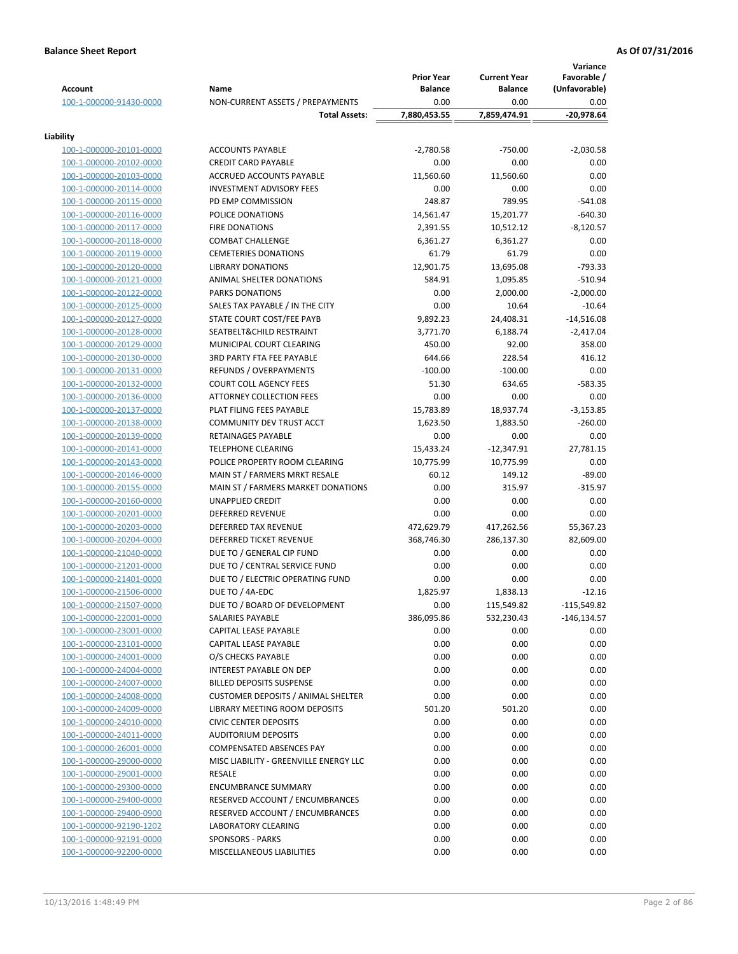| <b>Account</b>                                     | Name                                                           | <b>Prior Year</b><br><b>Balance</b> | <b>Current Year</b><br>Balance | Variance<br>Favorable /<br>(Unfavorable) |
|----------------------------------------------------|----------------------------------------------------------------|-------------------------------------|--------------------------------|------------------------------------------|
| 100-1-000000-91430-0000                            | NON-CURRENT ASSETS / PREPAYMENTS                               | 0.00                                | 0.00                           | 0.00                                     |
|                                                    | <b>Total Assets:</b>                                           | 7,880,453.55                        | 7,859,474.91                   | $-20,978.64$                             |
|                                                    |                                                                |                                     |                                |                                          |
| Liability                                          | <b>ACCOUNTS PAYABLE</b>                                        |                                     | $-750.00$                      |                                          |
| 100-1-000000-20101-0000<br>100-1-000000-20102-0000 | <b>CREDIT CARD PAYABLE</b>                                     | $-2,780.58$<br>0.00                 | 0.00                           | $-2,030.58$<br>0.00                      |
| 100-1-000000-20103-0000                            | ACCRUED ACCOUNTS PAYABLE                                       | 11,560.60                           | 11,560.60                      | 0.00                                     |
| 100-1-000000-20114-0000                            | <b>INVESTMENT ADVISORY FEES</b>                                | 0.00                                | 0.00                           | 0.00                                     |
| 100-1-000000-20115-0000                            | PD EMP COMMISSION                                              | 248.87                              | 789.95                         | $-541.08$                                |
| 100-1-000000-20116-0000                            | POLICE DONATIONS                                               | 14,561.47                           | 15,201.77                      | $-640.30$                                |
| 100-1-000000-20117-0000                            | <b>FIRE DONATIONS</b>                                          | 2,391.55                            | 10,512.12                      | $-8,120.57$                              |
| 100-1-000000-20118-0000                            | <b>COMBAT CHALLENGE</b>                                        | 6,361.27                            | 6,361.27                       | 0.00                                     |
| 100-1-000000-20119-0000                            | <b>CEMETERIES DONATIONS</b>                                    | 61.79                               | 61.79                          | 0.00                                     |
| 100-1-000000-20120-0000                            | <b>LIBRARY DONATIONS</b>                                       | 12,901.75                           | 13,695.08                      | $-793.33$                                |
| 100-1-000000-20121-0000                            | ANIMAL SHELTER DONATIONS                                       | 584.91                              | 1,095.85                       | $-510.94$                                |
| 100-1-000000-20122-0000                            | <b>PARKS DONATIONS</b>                                         | 0.00                                | 2,000.00                       | $-2,000.00$                              |
| 100-1-000000-20125-0000                            | SALES TAX PAYABLE / IN THE CITY                                | 0.00                                | 10.64                          | $-10.64$                                 |
| 100-1-000000-20127-0000                            | STATE COURT COST/FEE PAYB                                      | 9,892.23                            | 24,408.31                      | $-14,516.08$                             |
| 100-1-000000-20128-0000                            | SEATBELT&CHILD RESTRAINT                                       | 3,771.70                            | 6,188.74                       | $-2,417.04$                              |
| 100-1-000000-20129-0000                            | MUNICIPAL COURT CLEARING                                       | 450.00                              | 92.00                          | 358.00                                   |
| 100-1-000000-20130-0000                            | <b>3RD PARTY FTA FEE PAYABLE</b>                               | 644.66                              | 228.54                         | 416.12                                   |
| 100-1-000000-20131-0000                            | REFUNDS / OVERPAYMENTS                                         | $-100.00$                           | $-100.00$                      | 0.00                                     |
| 100-1-000000-20132-0000                            | <b>COURT COLL AGENCY FEES</b>                                  | 51.30                               | 634.65                         | $-583.35$                                |
| 100-1-000000-20136-0000                            | <b>ATTORNEY COLLECTION FEES</b>                                | 0.00                                | 0.00                           | 0.00                                     |
| 100-1-000000-20137-0000                            | PLAT FILING FEES PAYABLE                                       | 15,783.89                           | 18,937.74                      | $-3,153.85$                              |
| 100-1-000000-20138-0000                            | COMMUNITY DEV TRUST ACCT                                       | 1,623.50                            | 1,883.50                       | $-260.00$                                |
| 100-1-000000-20139-0000                            | RETAINAGES PAYABLE                                             | 0.00                                | 0.00                           | 0.00                                     |
| 100-1-000000-20141-0000                            | <b>TELEPHONE CLEARING</b>                                      | 15,433.24                           | $-12,347.91$                   | 27,781.15                                |
| 100-1-000000-20143-0000<br>100-1-000000-20146-0000 | POLICE PROPERTY ROOM CLEARING<br>MAIN ST / FARMERS MRKT RESALE | 10,775.99<br>60.12                  | 10,775.99<br>149.12            | 0.00<br>$-89.00$                         |
| 100-1-000000-20155-0000                            | MAIN ST / FARMERS MARKET DONATIONS                             | 0.00                                | 315.97                         | $-315.97$                                |
| 100-1-000000-20160-0000                            | UNAPPLIED CREDIT                                               | 0.00                                | 0.00                           | 0.00                                     |
| 100-1-000000-20201-0000                            | <b>DEFERRED REVENUE</b>                                        | 0.00                                | 0.00                           | 0.00                                     |
| 100-1-000000-20203-0000                            | <b>DEFERRED TAX REVENUE</b>                                    | 472,629.79                          | 417,262.56                     | 55,367.23                                |
| 100-1-000000-20204-0000                            | DEFERRED TICKET REVENUE                                        | 368,746.30                          | 286,137.30                     | 82,609.00                                |
| 100-1-000000-21040-0000                            | DUE TO / GENERAL CIP FUND                                      | 0.00                                | 0.00                           | 0.00                                     |
| 100-1-000000-21201-0000                            | DUE TO / CENTRAL SERVICE FUND                                  | 0.00                                | 0.00                           | 0.00                                     |
| 100-1-000000-21401-0000                            | DUE TO / ELECTRIC OPERATING FUND                               | 0.00                                | 0.00                           | 0.00                                     |
| 100-1-000000-21506-0000                            | DUE TO / 4A-EDC                                                | 1,825.97                            | 1,838.13                       | $-12.16$                                 |
| 100-1-000000-21507-0000                            | DUE TO / BOARD OF DEVELOPMENT                                  | 0.00                                | 115,549.82                     | $-115,549.82$                            |
| 100-1-000000-22001-0000                            | SALARIES PAYABLE                                               | 386,095.86                          | 532,230.43                     | $-146, 134.57$                           |
| 100-1-000000-23001-0000                            | CAPITAL LEASE PAYABLE                                          | 0.00                                | 0.00                           | 0.00                                     |
| 100-1-000000-23101-0000                            | CAPITAL LEASE PAYABLE                                          | 0.00                                | 0.00                           | 0.00                                     |
| 100-1-000000-24001-0000                            | O/S CHECKS PAYABLE                                             | 0.00                                | 0.00                           | 0.00                                     |
| 100-1-000000-24004-0000                            | INTEREST PAYABLE ON DEP                                        | 0.00                                | 0.00                           | 0.00                                     |
| 100-1-000000-24007-0000                            | <b>BILLED DEPOSITS SUSPENSE</b>                                | 0.00                                | 0.00                           | 0.00                                     |
| 100-1-000000-24008-0000                            | <b>CUSTOMER DEPOSITS / ANIMAL SHELTER</b>                      | 0.00                                | 0.00                           | 0.00                                     |
| 100-1-000000-24009-0000                            | LIBRARY MEETING ROOM DEPOSITS                                  | 501.20                              | 501.20                         | 0.00                                     |
| 100-1-000000-24010-0000                            | <b>CIVIC CENTER DEPOSITS</b>                                   | 0.00                                | 0.00                           | 0.00                                     |
| 100-1-000000-24011-0000                            | <b>AUDITORIUM DEPOSITS</b>                                     | 0.00                                | 0.00                           | 0.00                                     |
| 100-1-000000-26001-0000                            | <b>COMPENSATED ABSENCES PAY</b>                                | 0.00                                | 0.00                           | 0.00                                     |
| 100-1-000000-29000-0000                            | MISC LIABILITY - GREENVILLE ENERGY LLC                         | 0.00                                | 0.00                           | 0.00                                     |
| 100-1-000000-29001-0000<br>100-1-000000-29300-0000 | RESALE<br><b>ENCUMBRANCE SUMMARY</b>                           | 0.00<br>0.00                        | 0.00<br>0.00                   | 0.00<br>0.00                             |
| 100-1-000000-29400-0000                            | RESERVED ACCOUNT / ENCUMBRANCES                                | 0.00                                | 0.00                           | 0.00                                     |
| 100-1-000000-29400-0900                            | RESERVED ACCOUNT / ENCUMBRANCES                                | 0.00                                | 0.00                           | 0.00                                     |
| 100-1-000000-92190-1202                            | LABORATORY CLEARING                                            | 0.00                                | 0.00                           | 0.00                                     |
| 100-1-000000-92191-0000                            | <b>SPONSORS - PARKS</b>                                        | 0.00                                | 0.00                           | 0.00                                     |
| 100-1-000000-92200-0000                            | MISCELLANEOUS LIABILITIES                                      | 0.00                                | 0.00                           | 0.00                                     |
|                                                    |                                                                |                                     |                                |                                          |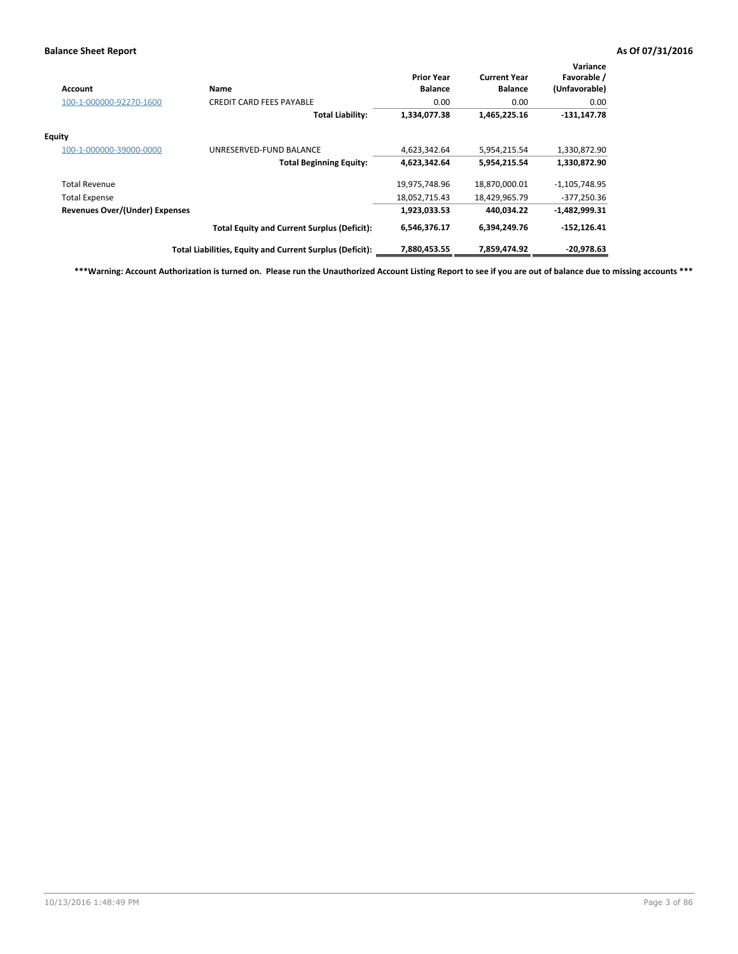| Account                               | Name                                                     | <b>Prior Year</b><br><b>Balance</b> | <b>Current Year</b><br><b>Balance</b> | Variance<br>Favorable /<br>(Unfavorable) |
|---------------------------------------|----------------------------------------------------------|-------------------------------------|---------------------------------------|------------------------------------------|
| 100-1-000000-92270-1600               | <b>CREDIT CARD FEES PAYABLE</b>                          | 0.00                                | 0.00                                  | 0.00                                     |
|                                       | <b>Total Liability:</b>                                  | 1,334,077.38                        | 1,465,225.16                          | $-131,147.78$                            |
| Equity                                |                                                          |                                     |                                       |                                          |
| 100-1-000000-39000-0000               | UNRESERVED-FUND BALANCE                                  | 4,623,342.64                        | 5,954,215.54                          | 1,330,872.90                             |
|                                       | <b>Total Beginning Equity:</b>                           | 4,623,342.64                        | 5,954,215.54                          | 1,330,872.90                             |
| <b>Total Revenue</b>                  |                                                          | 19,975,748.96                       | 18,870,000.01                         | $-1,105,748.95$                          |
| <b>Total Expense</b>                  |                                                          | 18,052,715.43                       | 18,429,965.79                         | $-377,250.36$                            |
| <b>Revenues Over/(Under) Expenses</b> |                                                          | 1,923,033.53                        | 440,034.22                            | $-1,482,999.31$                          |
|                                       | <b>Total Equity and Current Surplus (Deficit):</b>       | 6,546,376.17                        | 6,394,249.76                          | $-152, 126.41$                           |
|                                       | Total Liabilities, Equity and Current Surplus (Deficit): | 7,880,453.55                        | 7,859,474.92                          | $-20.978.63$                             |

**\*\*\*Warning: Account Authorization is turned on. Please run the Unauthorized Account Listing Report to see if you are out of balance due to missing accounts \*\*\***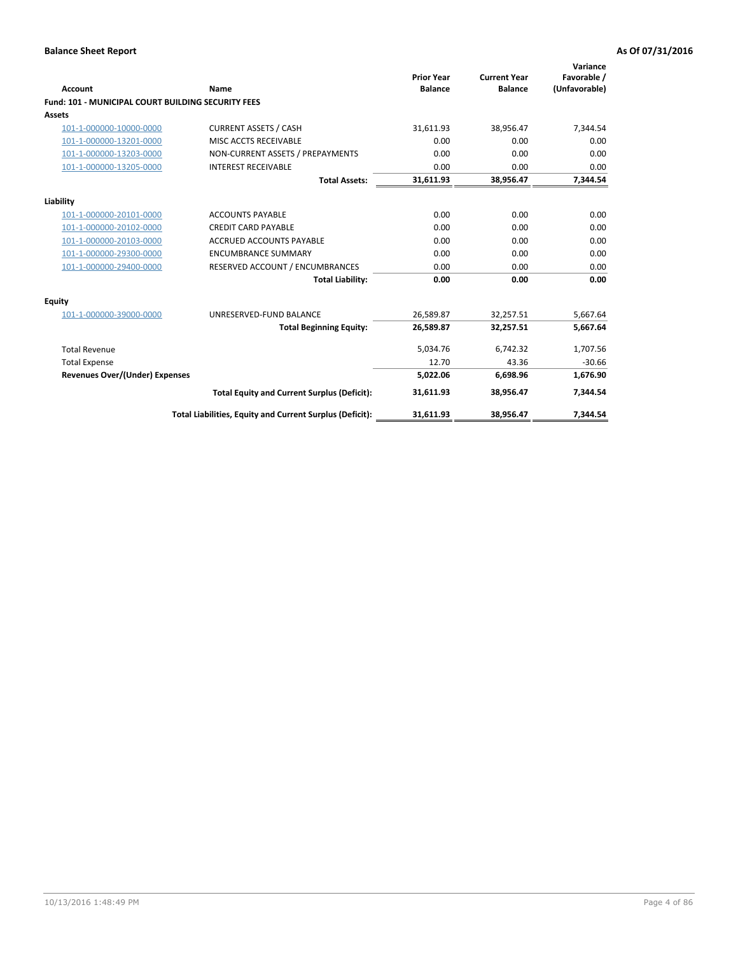| Account                                                   | Name                                                     | <b>Prior Year</b><br><b>Balance</b> | <b>Current Year</b><br><b>Balance</b> | Variance<br>Favorable /<br>(Unfavorable) |
|-----------------------------------------------------------|----------------------------------------------------------|-------------------------------------|---------------------------------------|------------------------------------------|
| <b>Fund: 101 - MUNICIPAL COURT BUILDING SECURITY FEES</b> |                                                          |                                     |                                       |                                          |
| <b>Assets</b>                                             |                                                          |                                     |                                       |                                          |
| 101-1-000000-10000-0000                                   | <b>CURRENT ASSETS / CASH</b>                             | 31,611.93                           | 38,956.47                             | 7,344.54                                 |
| 101-1-000000-13201-0000                                   | MISC ACCTS RECEIVABLE                                    | 0.00                                | 0.00                                  | 0.00                                     |
| 101-1-000000-13203-0000                                   | NON-CURRENT ASSETS / PREPAYMENTS                         | 0.00                                | 0.00                                  | 0.00                                     |
| 101-1-000000-13205-0000                                   | <b>INTEREST RECEIVABLE</b>                               | 0.00                                | 0.00                                  | 0.00                                     |
|                                                           | <b>Total Assets:</b>                                     | 31,611.93                           | 38,956.47                             | 7,344.54                                 |
| Liability                                                 |                                                          |                                     |                                       |                                          |
| 101-1-000000-20101-0000                                   | <b>ACCOUNTS PAYABLE</b>                                  | 0.00                                | 0.00                                  | 0.00                                     |
| 101-1-000000-20102-0000                                   | <b>CREDIT CARD PAYABLE</b>                               | 0.00                                | 0.00                                  | 0.00                                     |
| 101-1-000000-20103-0000                                   | <b>ACCRUED ACCOUNTS PAYABLE</b>                          | 0.00                                | 0.00                                  | 0.00                                     |
| 101-1-000000-29300-0000                                   | <b>ENCUMBRANCE SUMMARY</b>                               | 0.00                                | 0.00                                  | 0.00                                     |
| 101-1-000000-29400-0000                                   | RESERVED ACCOUNT / ENCUMBRANCES                          | 0.00                                | 0.00                                  | 0.00                                     |
|                                                           | <b>Total Liability:</b>                                  | 0.00                                | 0.00                                  | 0.00                                     |
| <b>Equity</b>                                             |                                                          |                                     |                                       |                                          |
| 101-1-000000-39000-0000                                   | UNRESERVED-FUND BALANCE                                  | 26,589.87                           | 32,257.51                             | 5,667.64                                 |
|                                                           | <b>Total Beginning Equity:</b>                           | 26,589.87                           | 32,257.51                             | 5,667.64                                 |
| <b>Total Revenue</b>                                      |                                                          | 5,034.76                            | 6,742.32                              | 1,707.56                                 |
| <b>Total Expense</b>                                      |                                                          | 12.70                               | 43.36                                 | $-30.66$                                 |
| <b>Revenues Over/(Under) Expenses</b>                     |                                                          | 5,022.06                            | 6,698.96                              | 1,676.90                                 |
|                                                           | <b>Total Equity and Current Surplus (Deficit):</b>       | 31,611.93                           | 38,956.47                             | 7.344.54                                 |
|                                                           | Total Liabilities, Equity and Current Surplus (Deficit): | 31,611.93                           | 38,956.47                             | 7,344.54                                 |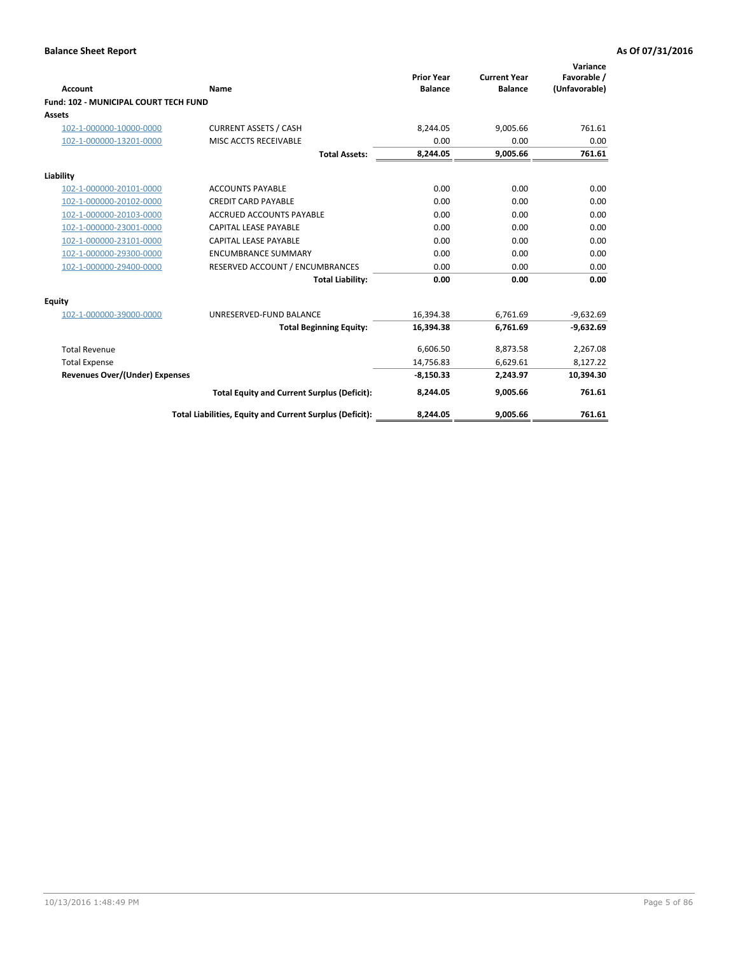|                                              |                                                          |                                     |                                       | Variance                     |
|----------------------------------------------|----------------------------------------------------------|-------------------------------------|---------------------------------------|------------------------------|
| <b>Account</b>                               | <b>Name</b>                                              | <b>Prior Year</b><br><b>Balance</b> | <b>Current Year</b><br><b>Balance</b> | Favorable /<br>(Unfavorable) |
| <b>Fund: 102 - MUNICIPAL COURT TECH FUND</b> |                                                          |                                     |                                       |                              |
| <b>Assets</b>                                |                                                          |                                     |                                       |                              |
| 102-1-000000-10000-0000                      | <b>CURRENT ASSETS / CASH</b>                             | 8,244.05                            | 9,005.66                              | 761.61                       |
| 102-1-000000-13201-0000                      | MISC ACCTS RECEIVABLE                                    | 0.00                                | 0.00                                  | 0.00                         |
|                                              | <b>Total Assets:</b>                                     | 8,244.05                            | 9,005.66                              | 761.61                       |
| Liability                                    |                                                          |                                     |                                       |                              |
| 102-1-000000-20101-0000                      | <b>ACCOUNTS PAYABLE</b>                                  | 0.00                                | 0.00                                  | 0.00                         |
| 102-1-000000-20102-0000                      | <b>CREDIT CARD PAYABLE</b>                               | 0.00                                | 0.00                                  | 0.00                         |
| 102-1-000000-20103-0000                      | <b>ACCRUED ACCOUNTS PAYABLE</b>                          | 0.00                                | 0.00                                  | 0.00                         |
| 102-1-000000-23001-0000                      | <b>CAPITAL LEASE PAYABLE</b>                             | 0.00                                | 0.00                                  | 0.00                         |
| 102-1-000000-23101-0000                      | CAPITAL LEASE PAYABLE                                    | 0.00                                | 0.00                                  | 0.00                         |
| 102-1-000000-29300-0000                      | <b>ENCUMBRANCE SUMMARY</b>                               | 0.00                                | 0.00                                  | 0.00                         |
| 102-1-000000-29400-0000                      | RESERVED ACCOUNT / ENCUMBRANCES                          | 0.00                                | 0.00                                  | 0.00                         |
|                                              | <b>Total Liability:</b>                                  | 0.00                                | 0.00                                  | 0.00                         |
| Equity                                       |                                                          |                                     |                                       |                              |
| 102-1-000000-39000-0000                      | UNRESERVED-FUND BALANCE                                  | 16,394.38                           | 6,761.69                              | $-9,632.69$                  |
|                                              | <b>Total Beginning Equity:</b>                           | 16,394.38                           | 6,761.69                              | $-9,632.69$                  |
| <b>Total Revenue</b>                         |                                                          | 6,606.50                            | 8,873.58                              | 2,267.08                     |
| <b>Total Expense</b>                         |                                                          | 14,756.83                           | 6,629.61                              | 8,127.22                     |
| Revenues Over/(Under) Expenses               |                                                          | $-8,150.33$                         | 2,243.97                              | 10,394.30                    |
|                                              | <b>Total Equity and Current Surplus (Deficit):</b>       | 8,244.05                            | 9,005.66                              | 761.61                       |
|                                              | Total Liabilities, Equity and Current Surplus (Deficit): | 8,244.05                            | 9,005.66                              | 761.61                       |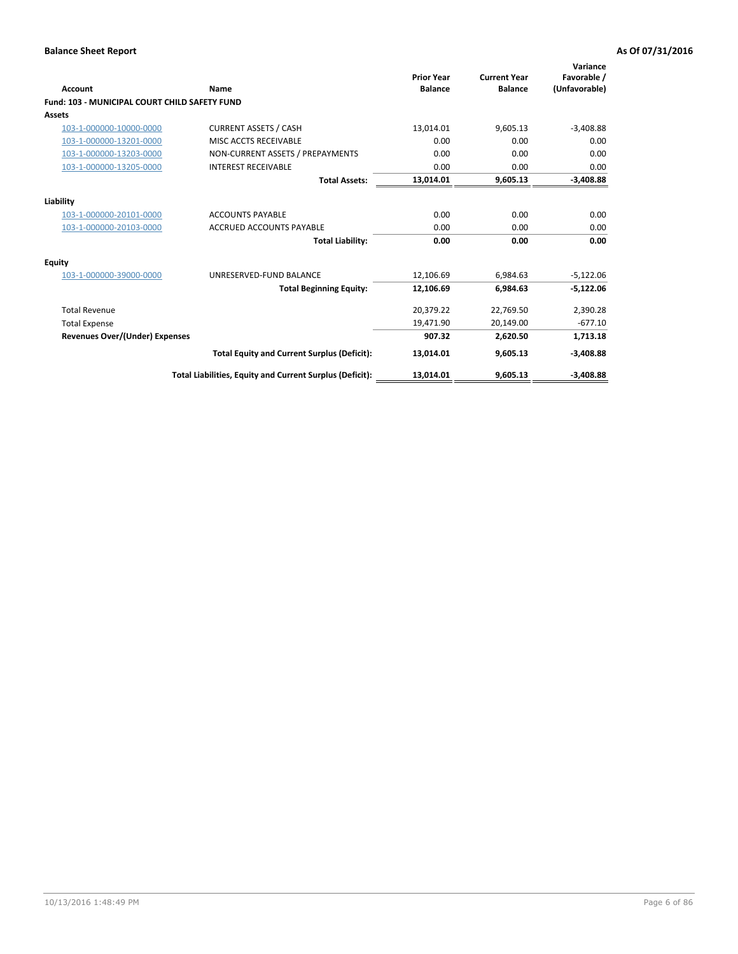| <b>Account</b>                                       | Name                                                     | <b>Prior Year</b><br><b>Balance</b> | <b>Current Year</b><br><b>Balance</b> | Variance<br>Favorable /<br>(Unfavorable) |
|------------------------------------------------------|----------------------------------------------------------|-------------------------------------|---------------------------------------|------------------------------------------|
| <b>Fund: 103 - MUNICIPAL COURT CHILD SAFETY FUND</b> |                                                          |                                     |                                       |                                          |
| <b>Assets</b>                                        |                                                          |                                     |                                       |                                          |
| 103-1-000000-10000-0000                              | <b>CURRENT ASSETS / CASH</b>                             | 13,014.01                           | 9,605.13                              | $-3,408.88$                              |
| 103-1-000000-13201-0000                              | MISC ACCTS RECEIVABLE                                    | 0.00                                | 0.00                                  | 0.00                                     |
| 103-1-000000-13203-0000                              | NON-CURRENT ASSETS / PREPAYMENTS                         | 0.00                                | 0.00                                  | 0.00                                     |
| 103-1-000000-13205-0000                              | <b>INTEREST RECEIVABLE</b>                               | 0.00                                | 0.00                                  | 0.00                                     |
|                                                      | <b>Total Assets:</b>                                     | 13,014.01                           | 9,605.13                              | $-3,408.88$                              |
| Liability                                            |                                                          |                                     |                                       |                                          |
| 103-1-000000-20101-0000                              | <b>ACCOUNTS PAYABLE</b>                                  | 0.00                                | 0.00                                  | 0.00                                     |
| 103-1-000000-20103-0000                              | <b>ACCRUED ACCOUNTS PAYABLE</b>                          | 0.00                                | 0.00                                  | 0.00                                     |
|                                                      | <b>Total Liability:</b>                                  | 0.00                                | 0.00                                  | 0.00                                     |
| <b>Equity</b>                                        |                                                          |                                     |                                       |                                          |
| 103-1-000000-39000-0000                              | UNRESERVED-FUND BALANCE                                  | 12,106.69                           | 6,984.63                              | $-5,122.06$                              |
|                                                      | <b>Total Beginning Equity:</b>                           | 12,106.69                           | 6,984.63                              | $-5,122.06$                              |
| <b>Total Revenue</b>                                 |                                                          | 20,379.22                           | 22,769.50                             | 2,390.28                                 |
| <b>Total Expense</b>                                 |                                                          | 19,471.90                           | 20,149.00                             | $-677.10$                                |
| Revenues Over/(Under) Expenses                       |                                                          | 907.32                              | 2,620.50                              | 1,713.18                                 |
|                                                      | <b>Total Equity and Current Surplus (Deficit):</b>       | 13,014.01                           | 9,605.13                              | $-3,408.88$                              |
|                                                      | Total Liabilities, Equity and Current Surplus (Deficit): | 13,014.01                           | 9,605.13                              | $-3,408.88$                              |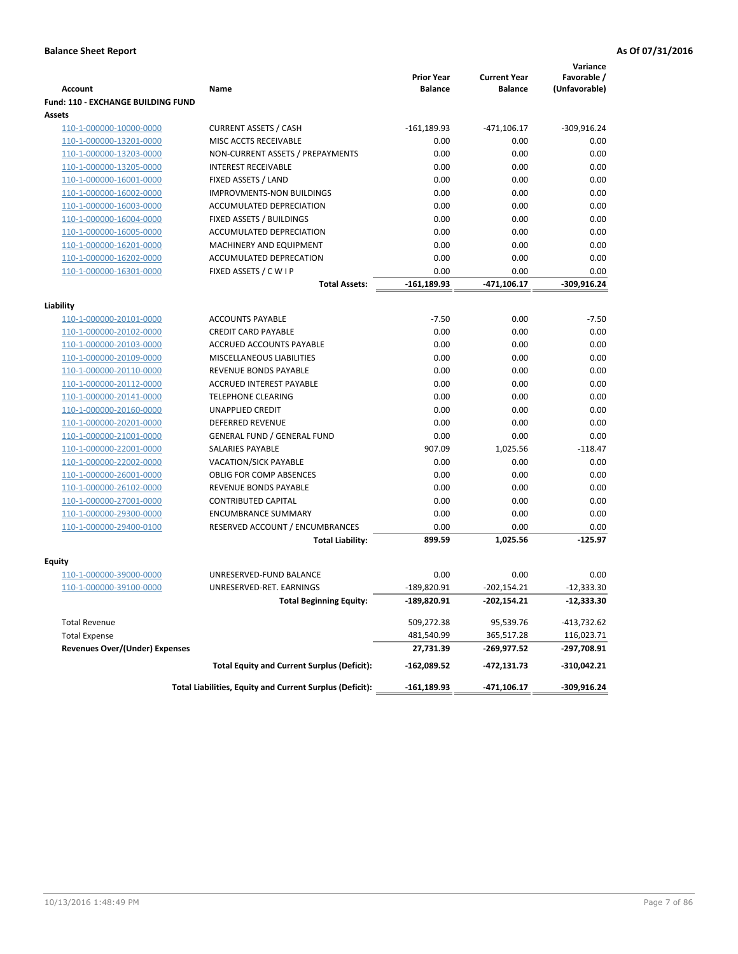|                                           |                                                          | <b>Prior Year</b> | <b>Current Year</b> | Variance<br>Favorable / |
|-------------------------------------------|----------------------------------------------------------|-------------------|---------------------|-------------------------|
| <b>Account</b>                            | Name                                                     | <b>Balance</b>    | <b>Balance</b>      | (Unfavorable)           |
| <b>Fund: 110 - EXCHANGE BUILDING FUND</b> |                                                          |                   |                     |                         |
| Assets                                    |                                                          |                   |                     |                         |
| 110-1-000000-10000-0000                   | <b>CURRENT ASSETS / CASH</b>                             | $-161,189.93$     | $-471,106.17$       | $-309,916.24$           |
| 110-1-000000-13201-0000                   | MISC ACCTS RECEIVABLE                                    | 0.00              | 0.00                | 0.00                    |
| 110-1-000000-13203-0000                   | NON-CURRENT ASSETS / PREPAYMENTS                         | 0.00              | 0.00                | 0.00                    |
| 110-1-000000-13205-0000                   | <b>INTEREST RECEIVABLE</b>                               | 0.00              | 0.00                | 0.00                    |
| 110-1-000000-16001-0000                   | FIXED ASSETS / LAND                                      | 0.00              | 0.00                | 0.00                    |
| 110-1-000000-16002-0000                   | <b>IMPROVMENTS-NON BUILDINGS</b>                         | 0.00              | 0.00                | 0.00                    |
| 110-1-000000-16003-0000                   | ACCUMULATED DEPRECIATION                                 | 0.00              | 0.00                | 0.00                    |
| 110-1-000000-16004-0000                   | FIXED ASSETS / BUILDINGS                                 | 0.00              | 0.00                | 0.00                    |
| 110-1-000000-16005-0000                   | ACCUMULATED DEPRECIATION                                 | 0.00              | 0.00                | 0.00                    |
| 110-1-000000-16201-0000                   | MACHINERY AND EQUIPMENT                                  | 0.00              | 0.00                | 0.00                    |
| 110-1-000000-16202-0000                   | ACCUMULATED DEPRECATION                                  | 0.00              | 0.00                | 0.00                    |
| 110-1-000000-16301-0000                   | FIXED ASSETS / C W I P                                   | 0.00              | 0.00                | 0.00                    |
|                                           | Total Assets:                                            | $-161,189.93$     | -471,106.17         | $-309,916.24$           |
| Liability                                 |                                                          |                   |                     |                         |
| 110-1-000000-20101-0000                   | <b>ACCOUNTS PAYABLE</b>                                  | $-7.50$           | 0.00                | $-7.50$                 |
| 110-1-000000-20102-0000                   | <b>CREDIT CARD PAYABLE</b>                               | 0.00              | 0.00                | 0.00                    |
| 110-1-000000-20103-0000                   | ACCRUED ACCOUNTS PAYABLE                                 | 0.00              | 0.00                | 0.00                    |
| 110-1-000000-20109-0000                   | MISCELLANEOUS LIABILITIES                                | 0.00              | 0.00                | 0.00                    |
| 110-1-000000-20110-0000                   | <b>REVENUE BONDS PAYABLE</b>                             | 0.00              | 0.00                | 0.00                    |
| 110-1-000000-20112-0000                   | <b>ACCRUED INTEREST PAYABLE</b>                          | 0.00              | 0.00                | 0.00                    |
| 110-1-000000-20141-0000                   | <b>TELEPHONE CLEARING</b>                                | 0.00              | 0.00                | 0.00                    |
| 110-1-000000-20160-0000                   | <b>UNAPPLIED CREDIT</b>                                  | 0.00              | 0.00                | 0.00                    |
| 110-1-000000-20201-0000                   | <b>DEFERRED REVENUE</b>                                  | 0.00              | 0.00                | 0.00                    |
| 110-1-000000-21001-0000                   | <b>GENERAL FUND / GENERAL FUND</b>                       | 0.00              | 0.00                | 0.00                    |
| 110-1-000000-22001-0000                   | <b>SALARIES PAYABLE</b>                                  | 907.09            | 1,025.56            | $-118.47$               |
| 110-1-000000-22002-0000                   | <b>VACATION/SICK PAYABLE</b>                             | 0.00              | 0.00                | 0.00                    |
| 110-1-000000-26001-0000                   | <b>OBLIG FOR COMP ABSENCES</b>                           | 0.00              | 0.00                | 0.00                    |
| 110-1-000000-26102-0000                   | REVENUE BONDS PAYABLE                                    | 0.00              | 0.00                | 0.00                    |
| 110-1-000000-27001-0000                   | <b>CONTRIBUTED CAPITAL</b>                               | 0.00              | 0.00                | 0.00                    |
| 110-1-000000-29300-0000                   | <b>ENCUMBRANCE SUMMARY</b>                               | 0.00              | 0.00                | 0.00                    |
| 110-1-000000-29400-0100                   | RESERVED ACCOUNT / ENCUMBRANCES                          | 0.00              | 0.00                | 0.00                    |
|                                           | <b>Total Liability:</b>                                  | 899.59            | 1,025.56            | $-125.97$               |
|                                           |                                                          |                   |                     |                         |
| Fquity                                    |                                                          |                   |                     |                         |
| 110-1-000000-39000-0000                   | UNRESERVED-FUND BALANCE                                  | 0.00              | 0.00                | 0.00                    |
| 110-1-000000-39100-0000                   | UNRESERVED-RET. EARNINGS                                 | $-189,820.91$     | $-202,154.21$       | $-12,333.30$            |
|                                           | <b>Total Beginning Equity:</b>                           | -189,820.91       | -202,154.21         | -12,333.30              |
| <b>Total Revenue</b>                      |                                                          | 509,272.38        | 95,539.76           | -413,732.62             |
| <b>Total Expense</b>                      |                                                          | 481,540.99        | 365,517.28          | 116,023.71              |
| <b>Revenues Over/(Under) Expenses</b>     |                                                          | 27,731.39         | -269,977.52         | -297,708.91             |
|                                           | <b>Total Equity and Current Surplus (Deficit):</b>       | -162,089.52       | -472,131.73         | -310,042.21             |
|                                           | Total Liabilities, Equity and Current Surplus (Deficit): | $-161,189.93$     | -471,106.17         | $-309,916.24$           |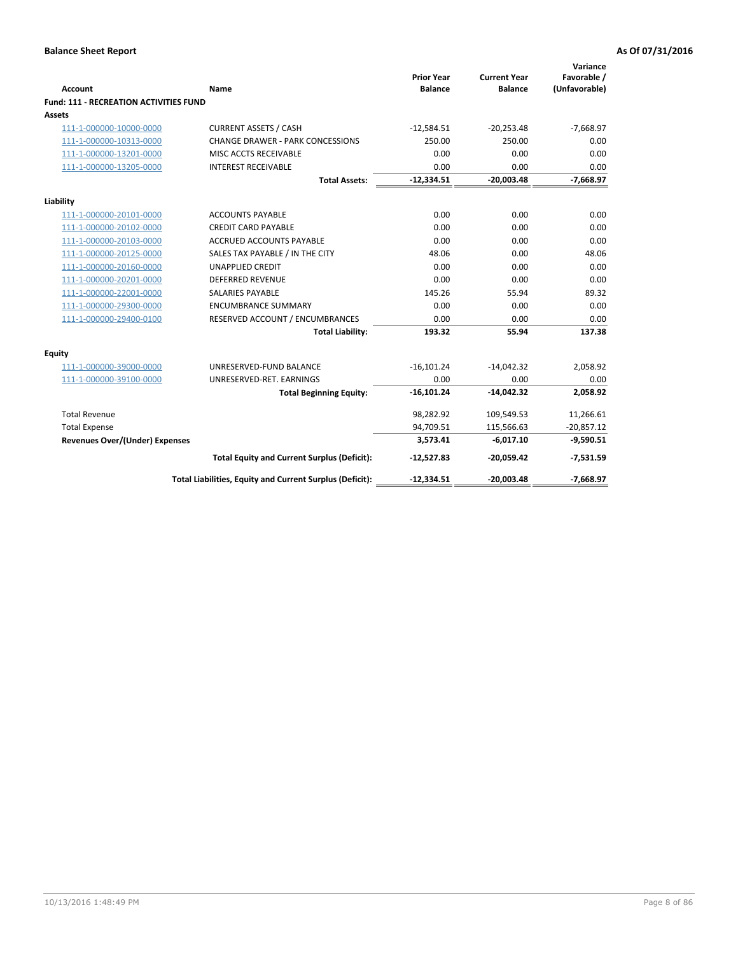| <b>Account</b>                                | Name                                                     | <b>Prior Year</b><br><b>Balance</b> | <b>Current Year</b><br><b>Balance</b> | Variance<br>Favorable /<br>(Unfavorable) |
|-----------------------------------------------|----------------------------------------------------------|-------------------------------------|---------------------------------------|------------------------------------------|
| <b>Fund: 111 - RECREATION ACTIVITIES FUND</b> |                                                          |                                     |                                       |                                          |
| Assets                                        |                                                          |                                     |                                       |                                          |
| 111-1-000000-10000-0000                       | <b>CURRENT ASSETS / CASH</b>                             | $-12,584.51$                        | $-20,253.48$                          | $-7,668.97$                              |
| 111-1-000000-10313-0000                       | <b>CHANGE DRAWER - PARK CONCESSIONS</b>                  | 250.00                              | 250.00                                | 0.00                                     |
| 111-1-000000-13201-0000                       | MISC ACCTS RECEIVABLE                                    | 0.00                                | 0.00                                  | 0.00                                     |
| 111-1-000000-13205-0000                       | <b>INTEREST RECEIVABLE</b>                               | 0.00                                | 0.00                                  | 0.00                                     |
|                                               | <b>Total Assets:</b>                                     | $-12,334.51$                        | $-20,003.48$                          | $-7,668.97$                              |
| Liability                                     |                                                          |                                     |                                       |                                          |
| 111-1-000000-20101-0000                       | <b>ACCOUNTS PAYABLE</b>                                  | 0.00                                | 0.00                                  | 0.00                                     |
| 111-1-000000-20102-0000                       | <b>CREDIT CARD PAYABLE</b>                               | 0.00                                | 0.00                                  | 0.00                                     |
| 111-1-000000-20103-0000                       | ACCRUED ACCOUNTS PAYABLE                                 | 0.00                                | 0.00                                  | 0.00                                     |
| 111-1-000000-20125-0000                       | SALES TAX PAYABLE / IN THE CITY                          | 48.06                               | 0.00                                  | 48.06                                    |
| 111-1-000000-20160-0000                       | <b>UNAPPLIED CREDIT</b>                                  | 0.00                                | 0.00                                  | 0.00                                     |
| 111-1-000000-20201-0000                       | <b>DEFERRED REVENUE</b>                                  | 0.00                                | 0.00                                  | 0.00                                     |
| 111-1-000000-22001-0000                       | <b>SALARIES PAYABLE</b>                                  | 145.26                              | 55.94                                 | 89.32                                    |
| 111-1-000000-29300-0000                       | <b>ENCUMBRANCE SUMMARY</b>                               | 0.00                                | 0.00                                  | 0.00                                     |
| 111-1-000000-29400-0100                       | RESERVED ACCOUNT / ENCUMBRANCES                          | 0.00                                | 0.00                                  | 0.00                                     |
|                                               | <b>Total Liability:</b>                                  | 193.32                              | 55.94                                 | 137.38                                   |
| Equity                                        |                                                          |                                     |                                       |                                          |
| 111-1-000000-39000-0000                       | UNRESERVED-FUND BALANCE                                  | $-16,101.24$                        | $-14,042.32$                          | 2,058.92                                 |
| 111-1-000000-39100-0000                       | UNRESERVED-RET. EARNINGS                                 | 0.00                                | 0.00                                  | 0.00                                     |
|                                               | <b>Total Beginning Equity:</b>                           | $-16,101.24$                        | $-14,042.32$                          | 2,058.92                                 |
| <b>Total Revenue</b>                          |                                                          | 98,282.92                           | 109,549.53                            | 11,266.61                                |
| <b>Total Expense</b>                          |                                                          | 94,709.51                           | 115,566.63                            | $-20,857.12$                             |
| <b>Revenues Over/(Under) Expenses</b>         |                                                          | 3,573.41                            | $-6,017.10$                           | $-9,590.51$                              |
|                                               | <b>Total Equity and Current Surplus (Deficit):</b>       | $-12,527.83$                        | $-20,059.42$                          | $-7,531.59$                              |
|                                               | Total Liabilities, Equity and Current Surplus (Deficit): | $-12,334.51$                        | $-20,003.48$                          | $-7,668.97$                              |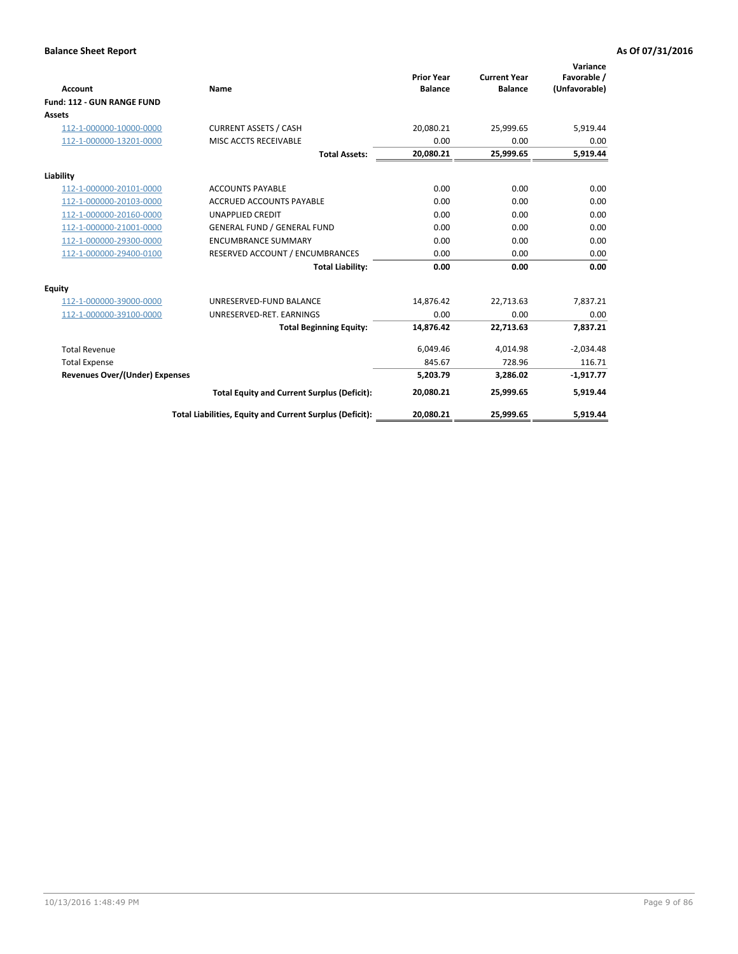|                                       |                                                          |                                     |                                       | Variance                     |
|---------------------------------------|----------------------------------------------------------|-------------------------------------|---------------------------------------|------------------------------|
| <b>Account</b>                        | Name                                                     | <b>Prior Year</b><br><b>Balance</b> | <b>Current Year</b><br><b>Balance</b> | Favorable /<br>(Unfavorable) |
| Fund: 112 - GUN RANGE FUND            |                                                          |                                     |                                       |                              |
| <b>Assets</b>                         |                                                          |                                     |                                       |                              |
| 112-1-000000-10000-0000               | <b>CURRENT ASSETS / CASH</b>                             | 20,080.21                           | 25,999.65                             | 5,919.44                     |
| 112-1-000000-13201-0000               | MISC ACCTS RECEIVABLE                                    | 0.00                                | 0.00                                  | 0.00                         |
|                                       | <b>Total Assets:</b>                                     | 20,080.21                           | 25,999.65                             | 5,919.44                     |
| Liability                             |                                                          |                                     |                                       |                              |
| 112-1-000000-20101-0000               | <b>ACCOUNTS PAYABLE</b>                                  | 0.00                                | 0.00                                  | 0.00                         |
| 112-1-000000-20103-0000               | <b>ACCRUED ACCOUNTS PAYABLE</b>                          | 0.00                                | 0.00                                  | 0.00                         |
| 112-1-000000-20160-0000               | <b>UNAPPLIED CREDIT</b>                                  | 0.00                                | 0.00                                  | 0.00                         |
| 112-1-000000-21001-0000               | <b>GENERAL FUND / GENERAL FUND</b>                       | 0.00                                | 0.00                                  | 0.00                         |
| 112-1-000000-29300-0000               | <b>ENCUMBRANCE SUMMARY</b>                               | 0.00                                | 0.00                                  | 0.00                         |
| 112-1-000000-29400-0100               | RESERVED ACCOUNT / ENCUMBRANCES                          | 0.00                                | 0.00                                  | 0.00                         |
|                                       | <b>Total Liability:</b>                                  | 0.00                                | 0.00                                  | 0.00                         |
| <b>Equity</b>                         |                                                          |                                     |                                       |                              |
| 112-1-000000-39000-0000               | UNRESERVED-FUND BALANCE                                  | 14,876.42                           | 22,713.63                             | 7,837.21                     |
| 112-1-000000-39100-0000               | UNRESERVED-RET. EARNINGS                                 | 0.00                                | 0.00                                  | 0.00                         |
|                                       | <b>Total Beginning Equity:</b>                           | 14.876.42                           | 22,713.63                             | 7,837.21                     |
| <b>Total Revenue</b>                  |                                                          | 6,049.46                            | 4,014.98                              | $-2,034.48$                  |
| <b>Total Expense</b>                  |                                                          | 845.67                              | 728.96                                | 116.71                       |
| <b>Revenues Over/(Under) Expenses</b> |                                                          | 5,203.79                            | 3,286.02                              | $-1,917.77$                  |
|                                       | <b>Total Equity and Current Surplus (Deficit):</b>       | 20,080.21                           | 25,999.65                             | 5,919.44                     |
|                                       | Total Liabilities, Equity and Current Surplus (Deficit): | 20,080.21                           | 25,999.65                             | 5,919.44                     |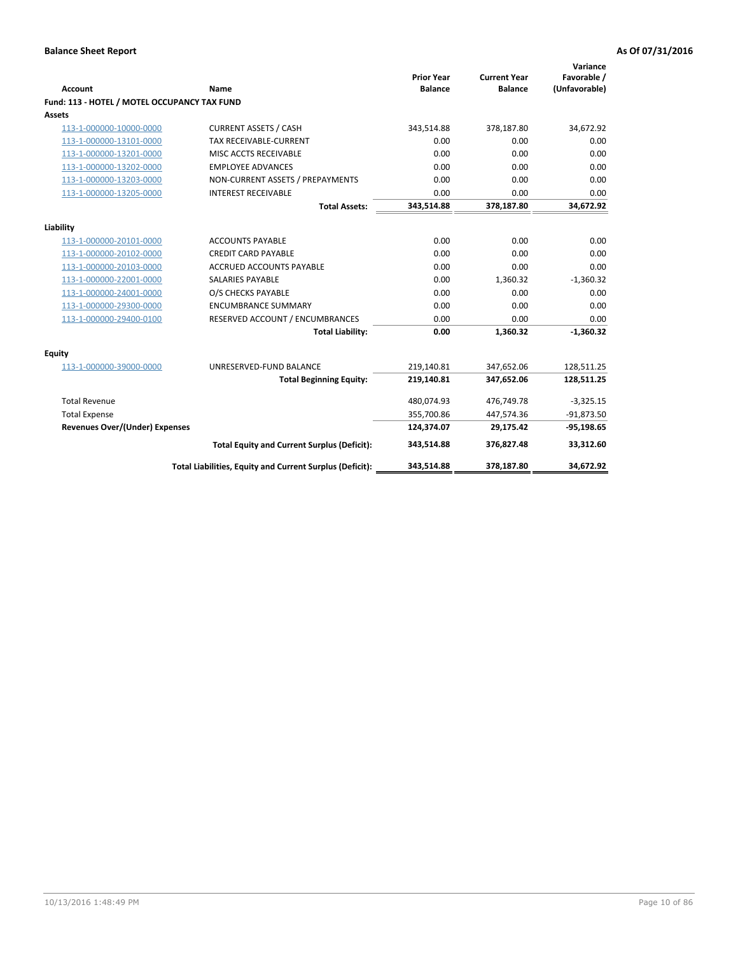| <b>Account</b>                               | <b>Name</b>                                              | <b>Prior Year</b><br><b>Balance</b> | <b>Current Year</b><br><b>Balance</b> | Variance<br>Favorable /<br>(Unfavorable) |
|----------------------------------------------|----------------------------------------------------------|-------------------------------------|---------------------------------------|------------------------------------------|
| Fund: 113 - HOTEL / MOTEL OCCUPANCY TAX FUND |                                                          |                                     |                                       |                                          |
| Assets                                       |                                                          |                                     |                                       |                                          |
| 113-1-000000-10000-0000                      | <b>CURRENT ASSETS / CASH</b>                             | 343,514.88                          | 378,187.80                            | 34,672.92                                |
| 113-1-000000-13101-0000                      | TAX RECEIVABLE-CURRENT                                   | 0.00                                | 0.00                                  | 0.00                                     |
| 113-1-000000-13201-0000                      | MISC ACCTS RECEIVABLE                                    | 0.00                                | 0.00                                  | 0.00                                     |
| 113-1-000000-13202-0000                      | <b>EMPLOYEE ADVANCES</b>                                 | 0.00                                | 0.00                                  | 0.00                                     |
| 113-1-000000-13203-0000                      | NON-CURRENT ASSETS / PREPAYMENTS                         | 0.00                                | 0.00                                  | 0.00                                     |
| 113-1-000000-13205-0000                      | <b>INTEREST RECEIVABLE</b>                               | 0.00                                | 0.00                                  | 0.00                                     |
|                                              | <b>Total Assets:</b>                                     | 343,514.88                          | 378,187.80                            | 34,672.92                                |
|                                              |                                                          |                                     |                                       |                                          |
| Liability                                    |                                                          |                                     |                                       |                                          |
| 113-1-000000-20101-0000                      | <b>ACCOUNTS PAYABLE</b>                                  | 0.00                                | 0.00                                  | 0.00                                     |
| 113-1-000000-20102-0000                      | <b>CREDIT CARD PAYABLE</b>                               | 0.00                                | 0.00                                  | 0.00                                     |
| 113-1-000000-20103-0000                      | <b>ACCRUED ACCOUNTS PAYABLE</b>                          | 0.00                                | 0.00                                  | 0.00                                     |
| 113-1-000000-22001-0000                      | <b>SALARIES PAYABLE</b>                                  | 0.00                                | 1,360.32                              | $-1,360.32$                              |
| 113-1-000000-24001-0000                      | O/S CHECKS PAYABLE                                       | 0.00                                | 0.00                                  | 0.00                                     |
| 113-1-000000-29300-0000                      | <b>ENCUMBRANCE SUMMARY</b>                               | 0.00                                | 0.00                                  | 0.00                                     |
| 113-1-000000-29400-0100                      | RESERVED ACCOUNT / ENCUMBRANCES                          | 0.00                                | 0.00                                  | 0.00                                     |
|                                              | <b>Total Liability:</b>                                  | 0.00                                | 1,360.32                              | $-1,360.32$                              |
| <b>Equity</b>                                |                                                          |                                     |                                       |                                          |
| 113-1-000000-39000-0000                      | UNRESERVED-FUND BALANCE                                  | 219,140.81                          | 347,652.06                            | 128,511.25                               |
|                                              | <b>Total Beginning Equity:</b>                           | 219,140.81                          | 347,652.06                            | 128,511.25                               |
| <b>Total Revenue</b>                         |                                                          | 480,074.93                          | 476,749.78                            | $-3,325.15$                              |
| <b>Total Expense</b>                         |                                                          | 355,700.86                          | 447,574.36                            | $-91,873.50$                             |
| <b>Revenues Over/(Under) Expenses</b>        |                                                          | 124,374.07                          | 29,175.42                             | $-95,198.65$                             |
|                                              | <b>Total Equity and Current Surplus (Deficit):</b>       | 343,514.88                          | 376,827.48                            | 33,312.60                                |
|                                              | Total Liabilities, Equity and Current Surplus (Deficit): | 343,514.88                          | 378,187.80                            | 34.672.92                                |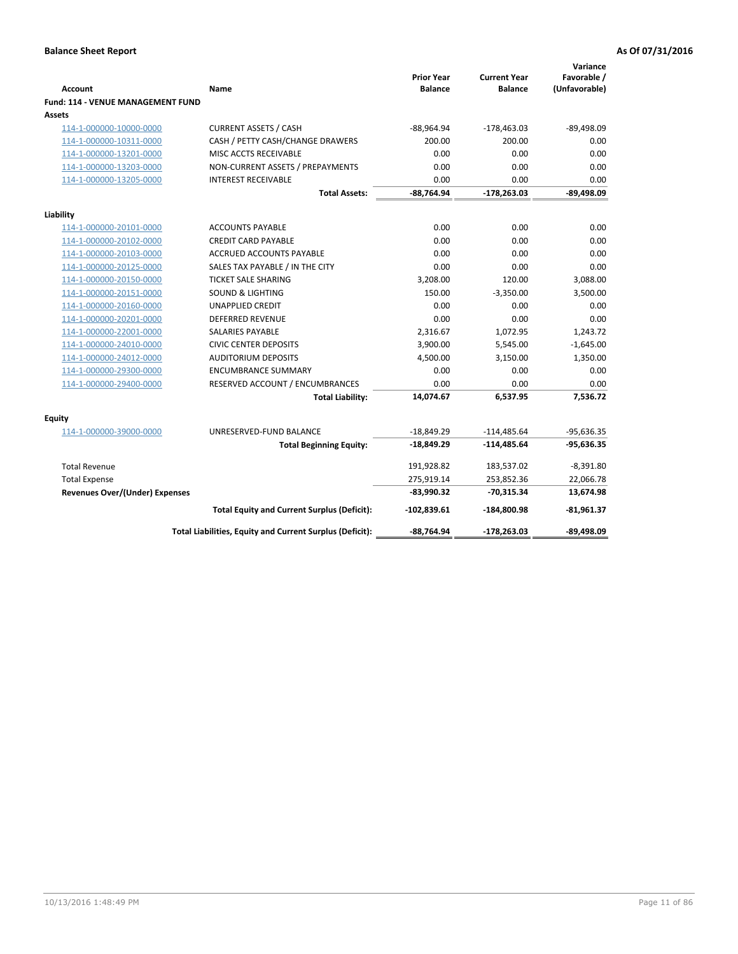| <b>Account</b>                              | Name                                                     | <b>Prior Year</b><br><b>Balance</b> | <b>Current Year</b><br><b>Balance</b> | Variance<br>Favorable /<br>(Unfavorable) |
|---------------------------------------------|----------------------------------------------------------|-------------------------------------|---------------------------------------|------------------------------------------|
| Fund: 114 - VENUE MANAGEMENT FUND<br>Assets |                                                          |                                     |                                       |                                          |
| 114-1-000000-10000-0000                     | <b>CURRENT ASSETS / CASH</b>                             | $-88,964.94$                        | $-178,463.03$                         | $-89,498.09$                             |
| 114-1-000000-10311-0000                     | CASH / PETTY CASH/CHANGE DRAWERS                         | 200.00                              | 200.00                                | 0.00                                     |
| 114-1-000000-13201-0000                     | MISC ACCTS RECEIVABLE                                    | 0.00                                | 0.00                                  | 0.00                                     |
| 114-1-000000-13203-0000                     | NON-CURRENT ASSETS / PREPAYMENTS                         | 0.00                                | 0.00                                  | 0.00                                     |
| 114-1-000000-13205-0000                     | <b>INTEREST RECEIVABLE</b>                               | 0.00                                | 0.00                                  | 0.00                                     |
|                                             | <b>Total Assets:</b>                                     | $-88,764.94$                        | -178,263.03                           | $-89,498.09$                             |
|                                             |                                                          |                                     |                                       |                                          |
| Liability                                   |                                                          |                                     |                                       |                                          |
| 114-1-000000-20101-0000                     | <b>ACCOUNTS PAYABLE</b>                                  | 0.00                                | 0.00                                  | 0.00                                     |
| 114-1-000000-20102-0000                     | <b>CREDIT CARD PAYABLE</b>                               | 0.00                                | 0.00                                  | 0.00                                     |
| 114-1-000000-20103-0000                     | <b>ACCRUED ACCOUNTS PAYABLE</b>                          | 0.00                                | 0.00                                  | 0.00                                     |
| 114-1-000000-20125-0000                     | SALES TAX PAYABLE / IN THE CITY                          | 0.00                                | 0.00                                  | 0.00                                     |
| 114-1-000000-20150-0000                     | <b>TICKET SALE SHARING</b>                               | 3,208.00                            | 120.00                                | 3,088.00                                 |
| 114-1-000000-20151-0000                     | <b>SOUND &amp; LIGHTING</b>                              | 150.00                              | $-3,350.00$                           | 3,500.00                                 |
| 114-1-000000-20160-0000                     | <b>UNAPPLIED CREDIT</b>                                  | 0.00                                | 0.00                                  | 0.00                                     |
| 114-1-000000-20201-0000                     | <b>DEFERRED REVENUE</b>                                  | 0.00                                | 0.00                                  | 0.00                                     |
| 114-1-000000-22001-0000                     | <b>SALARIES PAYABLE</b>                                  | 2,316.67                            | 1,072.95                              | 1,243.72                                 |
| 114-1-000000-24010-0000                     | <b>CIVIC CENTER DEPOSITS</b>                             | 3,900.00                            | 5,545.00                              | $-1,645.00$                              |
| 114-1-000000-24012-0000                     | <b>AUDITORIUM DEPOSITS</b>                               | 4,500.00                            | 3,150.00                              | 1,350.00                                 |
| 114-1-000000-29300-0000                     | <b>ENCUMBRANCE SUMMARY</b>                               | 0.00                                | 0.00                                  | 0.00                                     |
| 114-1-000000-29400-0000                     | RESERVED ACCOUNT / ENCUMBRANCES                          | 0.00                                | 0.00                                  | 0.00                                     |
|                                             | <b>Total Liability:</b>                                  | 14,074.67                           | 6,537.95                              | 7,536.72                                 |
| Equity                                      |                                                          |                                     |                                       |                                          |
| 114-1-000000-39000-0000                     | UNRESERVED-FUND BALANCE                                  | $-18,849.29$                        | $-114,485.64$                         | $-95,636.35$                             |
|                                             | <b>Total Beginning Equity:</b>                           | -18,849.29                          | $-114,485.64$                         | $-95,636.35$                             |
| <b>Total Revenue</b>                        |                                                          | 191,928.82                          | 183,537.02                            | $-8,391.80$                              |
| <b>Total Expense</b>                        |                                                          | 275,919.14                          | 253,852.36                            | 22,066.78                                |
| <b>Revenues Over/(Under) Expenses</b>       |                                                          | $-83,990.32$                        | $-70,315.34$                          | 13,674.98                                |
|                                             | <b>Total Equity and Current Surplus (Deficit):</b>       | -102,839.61                         | -184,800.98                           | $-81,961.37$                             |
|                                             | Total Liabilities, Equity and Current Surplus (Deficit): | -88,764.94                          | -178,263.03                           | -89,498.09                               |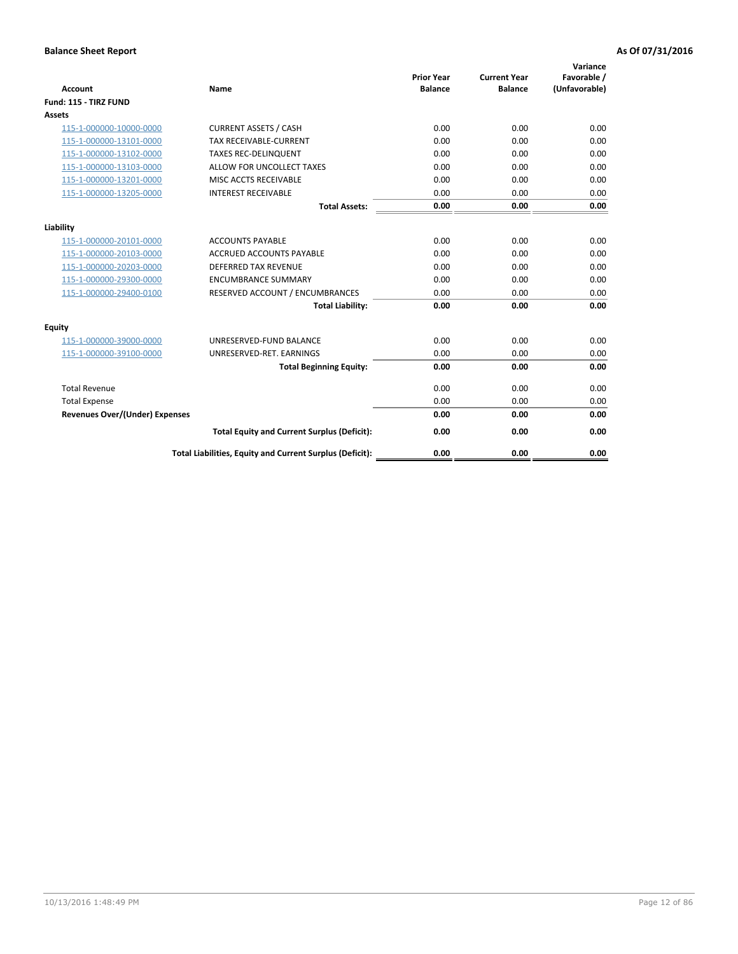| <b>Account</b>                        | Name                                                     | <b>Prior Year</b><br><b>Balance</b> | <b>Current Year</b><br><b>Balance</b> | Variance<br>Favorable /<br>(Unfavorable) |
|---------------------------------------|----------------------------------------------------------|-------------------------------------|---------------------------------------|------------------------------------------|
| Fund: 115 - TIRZ FUND                 |                                                          |                                     |                                       |                                          |
| Assets                                |                                                          |                                     |                                       |                                          |
| 115-1-000000-10000-0000               | <b>CURRENT ASSETS / CASH</b>                             | 0.00                                | 0.00                                  | 0.00                                     |
| 115-1-000000-13101-0000               | <b>TAX RECEIVABLE-CURRENT</b>                            | 0.00                                | 0.00                                  | 0.00                                     |
| 115-1-000000-13102-0000               | <b>TAXES REC-DELINQUENT</b>                              | 0.00                                | 0.00                                  | 0.00                                     |
| 115-1-000000-13103-0000               | ALLOW FOR UNCOLLECT TAXES                                | 0.00                                | 0.00                                  | 0.00                                     |
| 115-1-000000-13201-0000               | MISC ACCTS RECEIVABLE                                    | 0.00                                | 0.00                                  | 0.00                                     |
| 115-1-000000-13205-0000               | <b>INTEREST RECEIVABLE</b>                               | 0.00                                | 0.00                                  | 0.00                                     |
|                                       | <b>Total Assets:</b>                                     | 0.00                                | 0.00                                  | 0.00                                     |
| Liability                             |                                                          |                                     |                                       |                                          |
| 115-1-000000-20101-0000               | <b>ACCOUNTS PAYABLE</b>                                  | 0.00                                | 0.00                                  | 0.00                                     |
| 115-1-000000-20103-0000               | <b>ACCRUED ACCOUNTS PAYABLE</b>                          | 0.00                                | 0.00                                  | 0.00                                     |
| 115-1-000000-20203-0000               | <b>DEFERRED TAX REVENUE</b>                              | 0.00                                | 0.00                                  | 0.00                                     |
| 115-1-000000-29300-0000               | <b>ENCUMBRANCE SUMMARY</b>                               | 0.00                                | 0.00                                  | 0.00                                     |
| 115-1-000000-29400-0100               | RESERVED ACCOUNT / ENCUMBRANCES                          | 0.00                                | 0.00                                  | 0.00                                     |
|                                       | <b>Total Liability:</b>                                  | 0.00                                | 0.00                                  | 0.00                                     |
| Equity                                |                                                          |                                     |                                       |                                          |
| 115-1-000000-39000-0000               | UNRESERVED-FUND BALANCE                                  | 0.00                                | 0.00                                  | 0.00                                     |
| 115-1-000000-39100-0000               | UNRESERVED-RET. EARNINGS                                 | 0.00                                | 0.00                                  | 0.00                                     |
|                                       | <b>Total Beginning Equity:</b>                           | 0.00                                | 0.00                                  | 0.00                                     |
| <b>Total Revenue</b>                  |                                                          | 0.00                                | 0.00                                  | 0.00                                     |
| <b>Total Expense</b>                  |                                                          | 0.00                                | 0.00                                  | 0.00                                     |
| <b>Revenues Over/(Under) Expenses</b> |                                                          | 0.00                                | 0.00                                  | 0.00                                     |
|                                       | <b>Total Equity and Current Surplus (Deficit):</b>       | 0.00                                | 0.00                                  | 0.00                                     |
|                                       | Total Liabilities, Equity and Current Surplus (Deficit): | 0.00                                | 0.00                                  | 0.00                                     |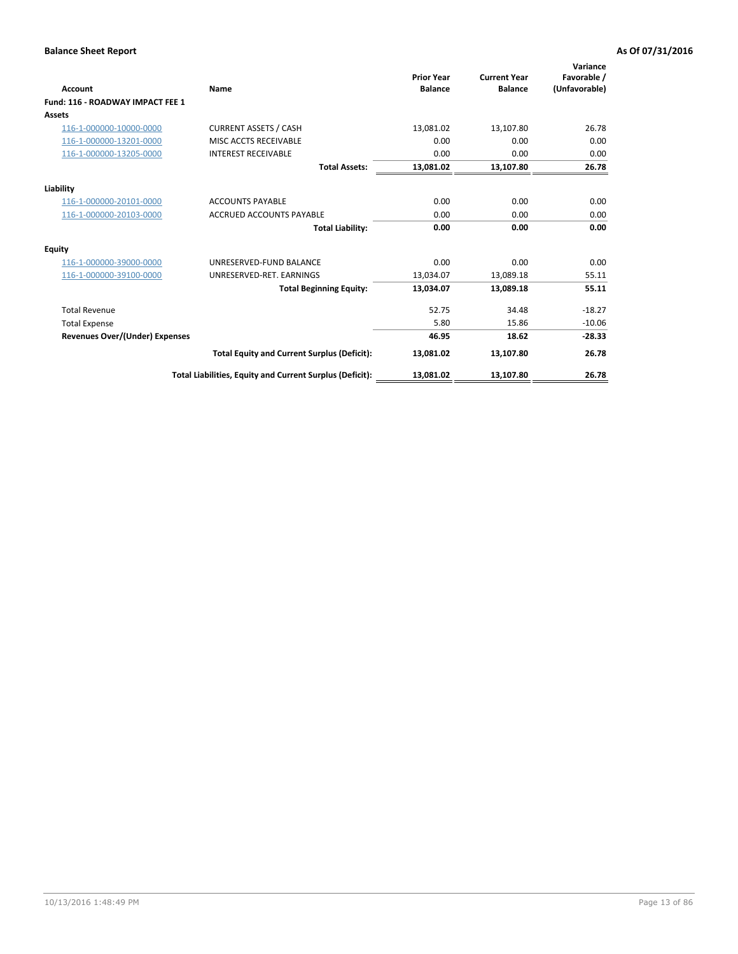| <b>Account</b>                        | Name                                                     | <b>Prior Year</b><br><b>Balance</b> | <b>Current Year</b><br><b>Balance</b> | Variance<br>Favorable /<br>(Unfavorable) |
|---------------------------------------|----------------------------------------------------------|-------------------------------------|---------------------------------------|------------------------------------------|
| Fund: 116 - ROADWAY IMPACT FEE 1      |                                                          |                                     |                                       |                                          |
| Assets                                |                                                          |                                     |                                       |                                          |
| 116-1-000000-10000-0000               | <b>CURRENT ASSETS / CASH</b>                             | 13,081.02                           | 13,107.80                             | 26.78                                    |
| 116-1-000000-13201-0000               | MISC ACCTS RECEIVABLE                                    | 0.00                                | 0.00                                  | 0.00                                     |
| 116-1-000000-13205-0000               | <b>INTEREST RECEIVABLE</b>                               | 0.00                                | 0.00                                  | 0.00                                     |
|                                       | <b>Total Assets:</b>                                     | 13,081.02                           | 13,107.80                             | 26.78                                    |
| Liability                             |                                                          |                                     |                                       |                                          |
| 116-1-000000-20101-0000               | <b>ACCOUNTS PAYABLE</b>                                  | 0.00                                | 0.00                                  | 0.00                                     |
| 116-1-000000-20103-0000               | <b>ACCRUED ACCOUNTS PAYABLE</b>                          | 0.00                                | 0.00                                  | 0.00                                     |
|                                       | <b>Total Liability:</b>                                  | 0.00                                | 0.00                                  | 0.00                                     |
| Equity                                |                                                          |                                     |                                       |                                          |
| 116-1-000000-39000-0000               | UNRESERVED-FUND BALANCE                                  | 0.00                                | 0.00                                  | 0.00                                     |
| 116-1-000000-39100-0000               | UNRESERVED-RET. EARNINGS                                 | 13,034.07                           | 13,089.18                             | 55.11                                    |
|                                       | <b>Total Beginning Equity:</b>                           | 13,034.07                           | 13,089.18                             | 55.11                                    |
| <b>Total Revenue</b>                  |                                                          | 52.75                               | 34.48                                 | $-18.27$                                 |
| <b>Total Expense</b>                  |                                                          | 5.80                                | 15.86                                 | $-10.06$                                 |
| <b>Revenues Over/(Under) Expenses</b> |                                                          | 46.95                               | 18.62                                 | $-28.33$                                 |
|                                       | <b>Total Equity and Current Surplus (Deficit):</b>       | 13,081.02                           | 13,107.80                             | 26.78                                    |
|                                       | Total Liabilities, Equity and Current Surplus (Deficit): | 13,081.02                           | 13,107.80                             | 26.78                                    |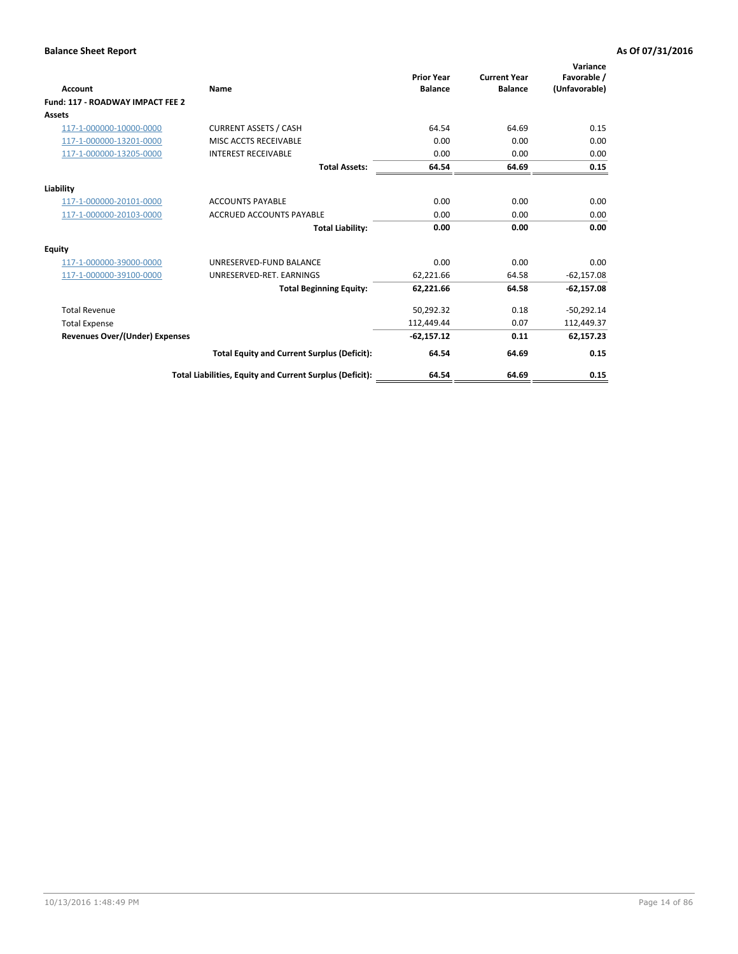| <b>Account</b>                        | Name                                                     | <b>Prior Year</b><br><b>Balance</b> | <b>Current Year</b><br><b>Balance</b> | Variance<br>Favorable /<br>(Unfavorable) |
|---------------------------------------|----------------------------------------------------------|-------------------------------------|---------------------------------------|------------------------------------------|
| Fund: 117 - ROADWAY IMPACT FEE 2      |                                                          |                                     |                                       |                                          |
| Assets                                |                                                          |                                     |                                       |                                          |
| 117-1-000000-10000-0000               | <b>CURRENT ASSETS / CASH</b>                             | 64.54                               | 64.69                                 | 0.15                                     |
| 117-1-000000-13201-0000               | MISC ACCTS RECEIVABLE                                    | 0.00                                | 0.00                                  | 0.00                                     |
| 117-1-000000-13205-0000               | <b>INTEREST RECEIVABLE</b>                               | 0.00                                | 0.00                                  | 0.00                                     |
|                                       | <b>Total Assets:</b>                                     | 64.54                               | 64.69                                 | 0.15                                     |
| Liability                             |                                                          |                                     |                                       |                                          |
| 117-1-000000-20101-0000               | <b>ACCOUNTS PAYABLE</b>                                  | 0.00                                | 0.00                                  | 0.00                                     |
| 117-1-000000-20103-0000               | <b>ACCRUED ACCOUNTS PAYABLE</b>                          | 0.00                                | 0.00                                  | 0.00                                     |
|                                       | <b>Total Liability:</b>                                  | 0.00                                | 0.00                                  | 0.00                                     |
| Equity                                |                                                          |                                     |                                       |                                          |
| 117-1-000000-39000-0000               | UNRESERVED-FUND BALANCE                                  | 0.00                                | 0.00                                  | 0.00                                     |
| 117-1-000000-39100-0000               | UNRESERVED-RET. EARNINGS                                 | 62,221.66                           | 64.58                                 | $-62,157.08$                             |
|                                       | <b>Total Beginning Equity:</b>                           | 62,221.66                           | 64.58                                 | $-62,157.08$                             |
| <b>Total Revenue</b>                  |                                                          | 50,292.32                           | 0.18                                  | $-50,292.14$                             |
| <b>Total Expense</b>                  |                                                          | 112,449.44                          | 0.07                                  | 112,449.37                               |
| <b>Revenues Over/(Under) Expenses</b> |                                                          | $-62,157.12$                        | 0.11                                  | 62,157.23                                |
|                                       | <b>Total Equity and Current Surplus (Deficit):</b>       | 64.54                               | 64.69                                 | 0.15                                     |
|                                       | Total Liabilities, Equity and Current Surplus (Deficit): | 64.54                               | 64.69                                 | 0.15                                     |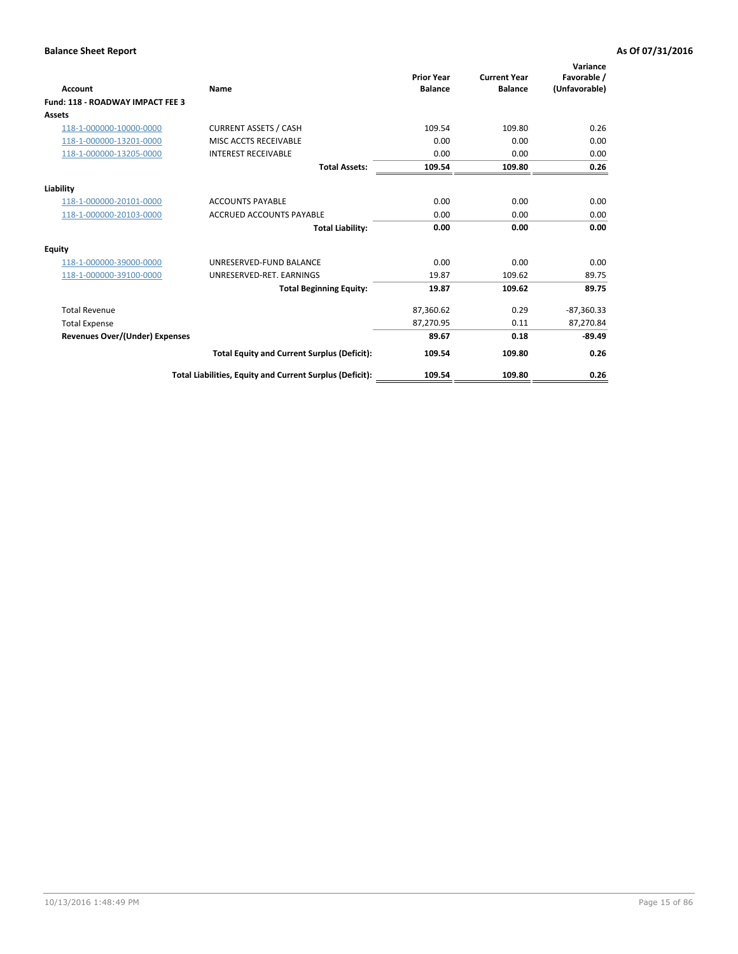| <b>Account</b>                        | Name                                                     | <b>Prior Year</b><br><b>Balance</b> | <b>Current Year</b><br><b>Balance</b> | Variance<br>Favorable /<br>(Unfavorable) |
|---------------------------------------|----------------------------------------------------------|-------------------------------------|---------------------------------------|------------------------------------------|
| Fund: 118 - ROADWAY IMPACT FEE 3      |                                                          |                                     |                                       |                                          |
| Assets                                |                                                          |                                     |                                       |                                          |
| 118-1-000000-10000-0000               | <b>CURRENT ASSETS / CASH</b>                             | 109.54                              | 109.80                                | 0.26                                     |
| 118-1-000000-13201-0000               | MISC ACCTS RECEIVABLE                                    | 0.00                                | 0.00                                  | 0.00                                     |
| 118-1-000000-13205-0000               | <b>INTEREST RECEIVABLE</b>                               | 0.00                                | 0.00                                  | 0.00                                     |
|                                       | <b>Total Assets:</b>                                     | 109.54                              | 109.80                                | 0.26                                     |
| Liability                             |                                                          |                                     |                                       |                                          |
| 118-1-000000-20101-0000               | <b>ACCOUNTS PAYABLE</b>                                  | 0.00                                | 0.00                                  | 0.00                                     |
| 118-1-000000-20103-0000               | <b>ACCRUED ACCOUNTS PAYABLE</b>                          | 0.00                                | 0.00                                  | 0.00                                     |
|                                       | <b>Total Liability:</b>                                  | 0.00                                | 0.00                                  | 0.00                                     |
| Equity                                |                                                          |                                     |                                       |                                          |
| 118-1-000000-39000-0000               | UNRESERVED-FUND BALANCE                                  | 0.00                                | 0.00                                  | 0.00                                     |
| 118-1-000000-39100-0000               | UNRESERVED-RET. EARNINGS                                 | 19.87                               | 109.62                                | 89.75                                    |
|                                       | <b>Total Beginning Equity:</b>                           | 19.87                               | 109.62                                | 89.75                                    |
| <b>Total Revenue</b>                  |                                                          | 87,360.62                           | 0.29                                  | $-87,360.33$                             |
| <b>Total Expense</b>                  |                                                          | 87,270.95                           | 0.11                                  | 87,270.84                                |
| <b>Revenues Over/(Under) Expenses</b> |                                                          | 89.67                               | 0.18                                  | $-89.49$                                 |
|                                       | <b>Total Equity and Current Surplus (Deficit):</b>       | 109.54                              | 109.80                                | 0.26                                     |
|                                       | Total Liabilities, Equity and Current Surplus (Deficit): | 109.54                              | 109.80                                | 0.26                                     |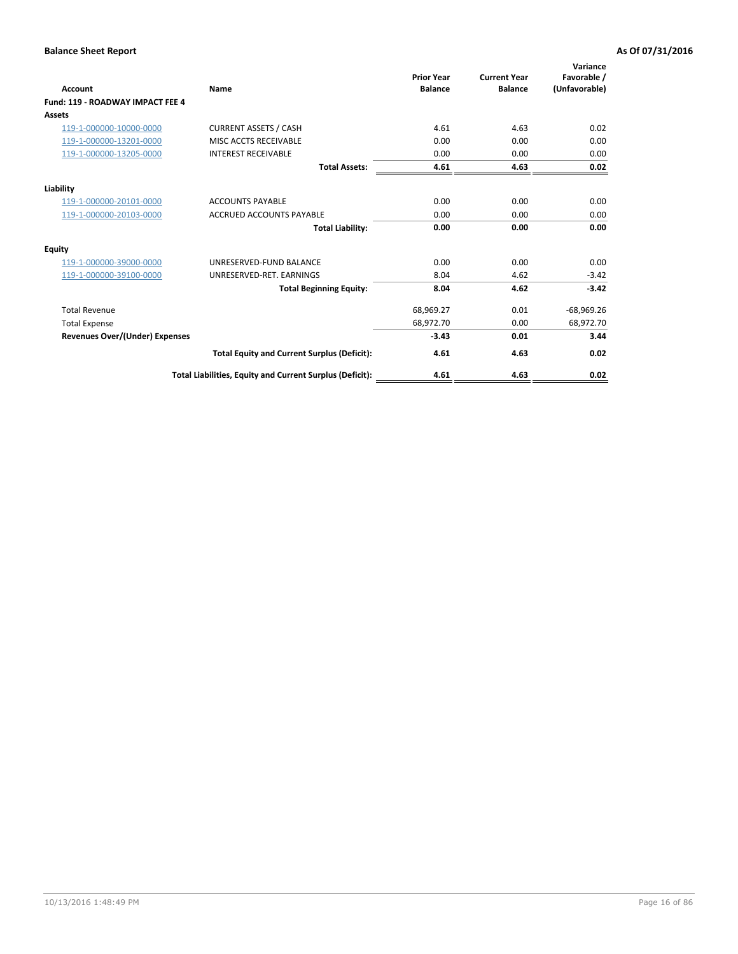| <b>Account</b>                        | Name                                                     | <b>Prior Year</b><br><b>Balance</b> | <b>Current Year</b><br><b>Balance</b> | Variance<br>Favorable /<br>(Unfavorable) |
|---------------------------------------|----------------------------------------------------------|-------------------------------------|---------------------------------------|------------------------------------------|
| Fund: 119 - ROADWAY IMPACT FEE 4      |                                                          |                                     |                                       |                                          |
| Assets                                |                                                          |                                     |                                       |                                          |
| 119-1-000000-10000-0000               | <b>CURRENT ASSETS / CASH</b>                             | 4.61                                | 4.63                                  | 0.02                                     |
| 119-1-000000-13201-0000               | MISC ACCTS RECEIVABLE                                    | 0.00                                | 0.00                                  | 0.00                                     |
| 119-1-000000-13205-0000               | <b>INTEREST RECEIVABLE</b>                               | 0.00                                | 0.00                                  | 0.00                                     |
|                                       | <b>Total Assets:</b>                                     | 4.61                                | 4.63                                  | 0.02                                     |
| Liability                             |                                                          |                                     |                                       |                                          |
| 119-1-000000-20101-0000               | <b>ACCOUNTS PAYABLE</b>                                  | 0.00                                | 0.00                                  | 0.00                                     |
| 119-1-000000-20103-0000               | <b>ACCRUED ACCOUNTS PAYABLE</b>                          | 0.00                                | 0.00                                  | 0.00                                     |
|                                       | <b>Total Liability:</b>                                  | 0.00                                | 0.00                                  | 0.00                                     |
| Equity                                |                                                          |                                     |                                       |                                          |
| 119-1-000000-39000-0000               | UNRESERVED-FUND BALANCE                                  | 0.00                                | 0.00                                  | 0.00                                     |
| 119-1-000000-39100-0000               | UNRESERVED-RET. EARNINGS                                 | 8.04                                | 4.62                                  | $-3.42$                                  |
|                                       | <b>Total Beginning Equity:</b>                           | 8.04                                | 4.62                                  | $-3.42$                                  |
| <b>Total Revenue</b>                  |                                                          | 68,969.27                           | 0.01                                  | $-68,969.26$                             |
| <b>Total Expense</b>                  |                                                          | 68,972.70                           | 0.00                                  | 68,972.70                                |
| <b>Revenues Over/(Under) Expenses</b> |                                                          | $-3.43$                             | 0.01                                  | 3.44                                     |
|                                       | <b>Total Equity and Current Surplus (Deficit):</b>       | 4.61                                | 4.63                                  | 0.02                                     |
|                                       | Total Liabilities, Equity and Current Surplus (Deficit): | 4.61                                | 4.63                                  | 0.02                                     |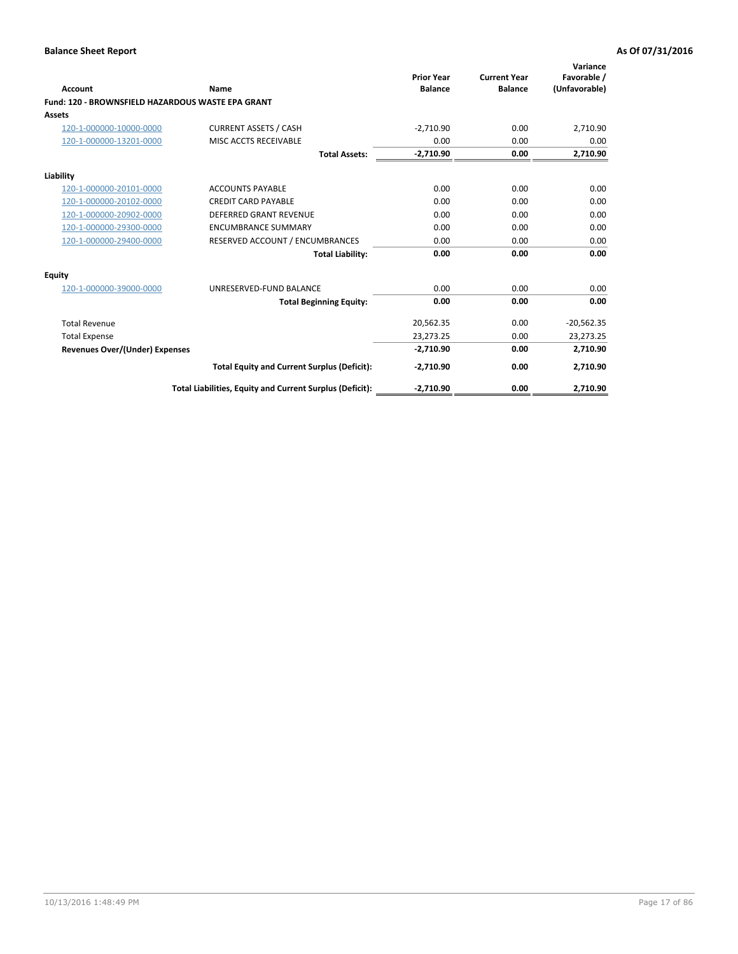| <b>Account</b>                                    | Name                                                     | <b>Prior Year</b><br><b>Balance</b> | <b>Current Year</b><br><b>Balance</b> | Variance<br>Favorable /<br>(Unfavorable) |
|---------------------------------------------------|----------------------------------------------------------|-------------------------------------|---------------------------------------|------------------------------------------|
| Fund: 120 - BROWNSFIELD HAZARDOUS WASTE EPA GRANT |                                                          |                                     |                                       |                                          |
| Assets                                            |                                                          |                                     |                                       |                                          |
| 120-1-000000-10000-0000                           | <b>CURRENT ASSETS / CASH</b>                             | $-2,710.90$                         | 0.00                                  | 2,710.90                                 |
| 120-1-000000-13201-0000                           | MISC ACCTS RECEIVABLE                                    | 0.00                                | 0.00                                  | 0.00                                     |
|                                                   | <b>Total Assets:</b>                                     | $-2,710.90$                         | 0.00                                  | 2,710.90                                 |
| Liability                                         |                                                          |                                     |                                       |                                          |
| 120-1-000000-20101-0000                           | <b>ACCOUNTS PAYABLE</b>                                  | 0.00                                | 0.00                                  | 0.00                                     |
| 120-1-000000-20102-0000                           | <b>CREDIT CARD PAYABLE</b>                               | 0.00                                | 0.00                                  | 0.00                                     |
| 120-1-000000-20902-0000                           | <b>DEFERRED GRANT REVENUE</b>                            | 0.00                                | 0.00                                  | 0.00                                     |
| 120-1-000000-29300-0000                           | <b>ENCUMBRANCE SUMMARY</b>                               | 0.00                                | 0.00                                  | 0.00                                     |
| 120-1-000000-29400-0000                           | RESERVED ACCOUNT / ENCUMBRANCES                          | 0.00                                | 0.00                                  | 0.00                                     |
|                                                   | <b>Total Liability:</b>                                  | 0.00                                | 0.00                                  | 0.00                                     |
| Equity                                            |                                                          |                                     |                                       |                                          |
| 120-1-000000-39000-0000                           | UNRESERVED-FUND BALANCE                                  | 0.00                                | 0.00                                  | 0.00                                     |
|                                                   | <b>Total Beginning Equity:</b>                           | 0.00                                | 0.00                                  | 0.00                                     |
| <b>Total Revenue</b>                              |                                                          | 20,562.35                           | 0.00                                  | $-20,562.35$                             |
| <b>Total Expense</b>                              |                                                          | 23,273.25                           | 0.00                                  | 23,273.25                                |
| <b>Revenues Over/(Under) Expenses</b>             |                                                          | $-2,710.90$                         | 0.00                                  | 2,710.90                                 |
|                                                   | <b>Total Equity and Current Surplus (Deficit):</b>       | $-2,710.90$                         | 0.00                                  | 2,710.90                                 |
|                                                   | Total Liabilities, Equity and Current Surplus (Deficit): | $-2,710.90$                         | 0.00                                  | 2,710.90                                 |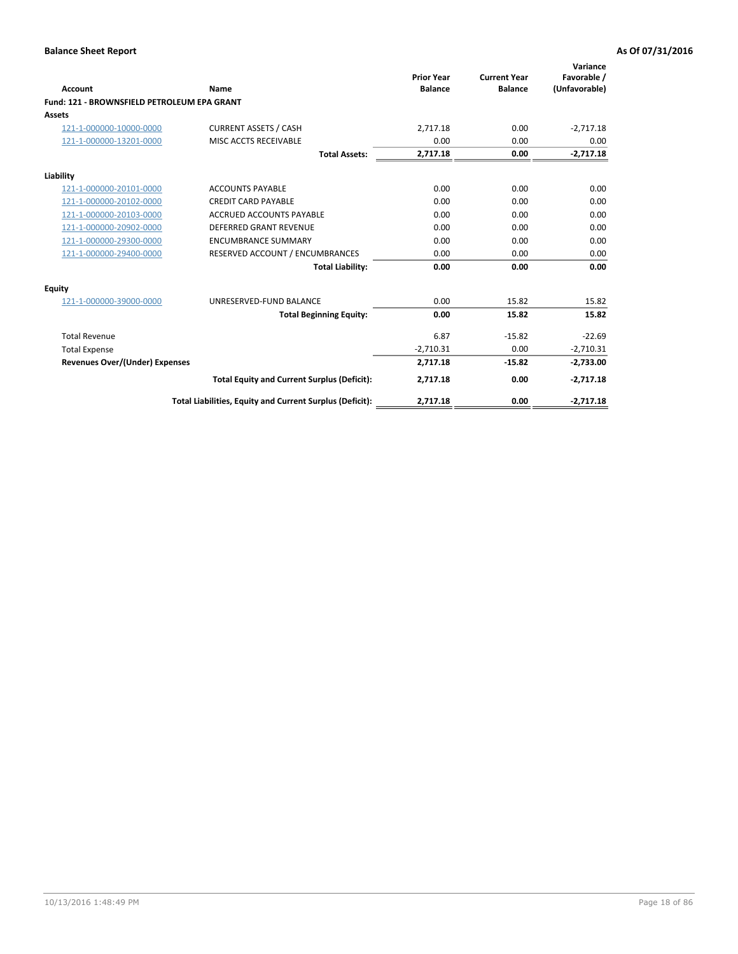| <b>Account</b>                              | Name                                                     | <b>Prior Year</b><br><b>Balance</b> | <b>Current Year</b><br><b>Balance</b> | Variance<br>Favorable /<br>(Unfavorable) |
|---------------------------------------------|----------------------------------------------------------|-------------------------------------|---------------------------------------|------------------------------------------|
| Fund: 121 - BROWNSFIELD PETROLEUM EPA GRANT |                                                          |                                     |                                       |                                          |
| <b>Assets</b>                               |                                                          |                                     |                                       |                                          |
| 121-1-000000-10000-0000                     | <b>CURRENT ASSETS / CASH</b>                             | 2,717.18                            | 0.00                                  | $-2,717.18$                              |
| 121-1-000000-13201-0000                     | <b>MISC ACCTS RECEIVABLE</b>                             | 0.00                                | 0.00                                  | 0.00                                     |
|                                             | <b>Total Assets:</b>                                     | 2,717.18                            | 0.00                                  | $-2,717.18$                              |
| Liability                                   |                                                          |                                     |                                       |                                          |
| 121-1-000000-20101-0000                     | <b>ACCOUNTS PAYABLE</b>                                  | 0.00                                | 0.00                                  | 0.00                                     |
| 121-1-000000-20102-0000                     | <b>CREDIT CARD PAYABLE</b>                               | 0.00                                | 0.00                                  | 0.00                                     |
| 121-1-000000-20103-0000                     | <b>ACCRUED ACCOUNTS PAYABLE</b>                          | 0.00                                | 0.00                                  | 0.00                                     |
| 121-1-000000-20902-0000                     | <b>DEFERRED GRANT REVENUE</b>                            | 0.00                                | 0.00                                  | 0.00                                     |
| 121-1-000000-29300-0000                     | <b>ENCUMBRANCE SUMMARY</b>                               | 0.00                                | 0.00                                  | 0.00                                     |
| 121-1-000000-29400-0000                     | RESERVED ACCOUNT / ENCUMBRANCES                          | 0.00                                | 0.00                                  | 0.00                                     |
|                                             | <b>Total Liability:</b>                                  | 0.00                                | 0.00                                  | 0.00                                     |
| <b>Equity</b>                               |                                                          |                                     |                                       |                                          |
| 121-1-000000-39000-0000                     | UNRESERVED-FUND BALANCE                                  | 0.00                                | 15.82                                 | 15.82                                    |
|                                             | <b>Total Beginning Equity:</b>                           | 0.00                                | 15.82                                 | 15.82                                    |
| <b>Total Revenue</b>                        |                                                          | 6.87                                | $-15.82$                              | $-22.69$                                 |
| <b>Total Expense</b>                        |                                                          | $-2,710.31$                         | 0.00                                  | $-2,710.31$                              |
| <b>Revenues Over/(Under) Expenses</b>       |                                                          | 2,717.18                            | $-15.82$                              | $-2,733.00$                              |
|                                             | <b>Total Equity and Current Surplus (Deficit):</b>       | 2,717.18                            | 0.00                                  | $-2,717.18$                              |
|                                             | Total Liabilities, Equity and Current Surplus (Deficit): | 2,717.18                            | 0.00                                  | $-2,717.18$                              |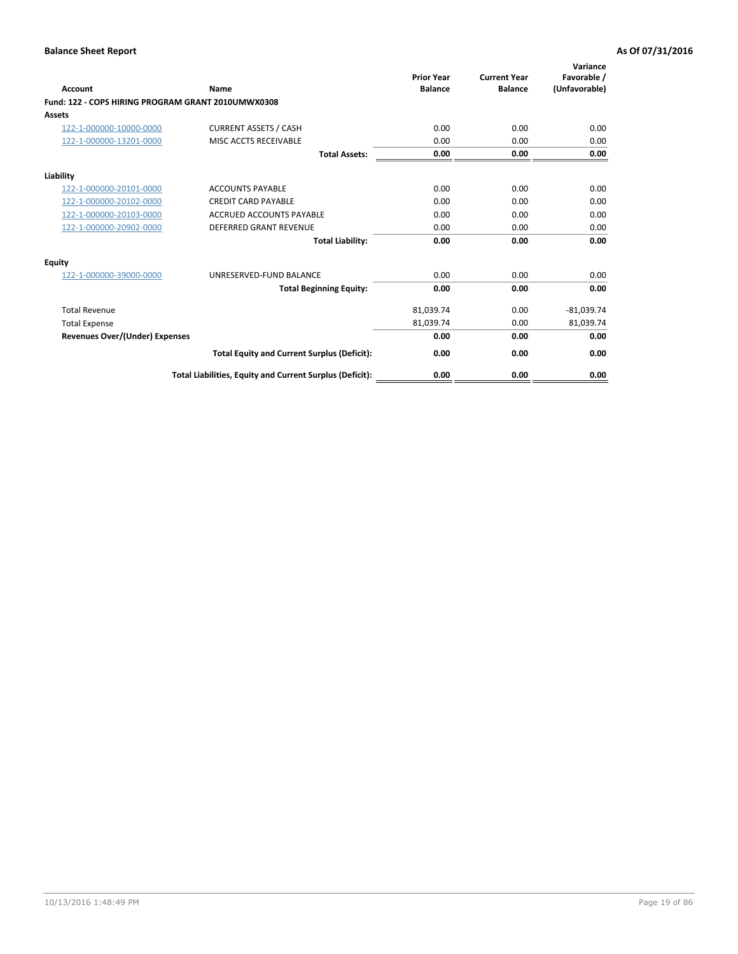| <b>Account</b>                                     | Name                                                     | <b>Prior Year</b><br><b>Balance</b> | <b>Current Year</b><br><b>Balance</b> | Variance<br>Favorable /<br>(Unfavorable) |
|----------------------------------------------------|----------------------------------------------------------|-------------------------------------|---------------------------------------|------------------------------------------|
| Fund: 122 - COPS HIRING PROGRAM GRANT 2010UMWX0308 |                                                          |                                     |                                       |                                          |
| Assets                                             |                                                          |                                     |                                       |                                          |
| 122-1-000000-10000-0000                            | <b>CURRENT ASSETS / CASH</b>                             | 0.00                                | 0.00                                  | 0.00                                     |
| 122-1-000000-13201-0000                            | MISC ACCTS RECEIVABLE                                    | 0.00                                | 0.00                                  | 0.00                                     |
|                                                    | <b>Total Assets:</b>                                     | 0.00                                | 0.00                                  | 0.00                                     |
| Liability                                          |                                                          |                                     |                                       |                                          |
| 122-1-000000-20101-0000                            | <b>ACCOUNTS PAYABLE</b>                                  | 0.00                                | 0.00                                  | 0.00                                     |
| 122-1-000000-20102-0000                            | <b>CREDIT CARD PAYABLE</b>                               | 0.00                                | 0.00                                  | 0.00                                     |
| 122-1-000000-20103-0000                            | <b>ACCRUED ACCOUNTS PAYABLE</b>                          | 0.00                                | 0.00                                  | 0.00                                     |
| 122-1-000000-20902-0000                            | <b>DEFERRED GRANT REVENUE</b>                            | 0.00                                | 0.00                                  | 0.00                                     |
|                                                    | <b>Total Liability:</b>                                  | 0.00                                | 0.00                                  | 0.00                                     |
| Equity                                             |                                                          |                                     |                                       |                                          |
| 122-1-000000-39000-0000                            | UNRESERVED-FUND BALANCE                                  | 0.00                                | 0.00                                  | 0.00                                     |
|                                                    | <b>Total Beginning Equity:</b>                           | 0.00                                | 0.00                                  | 0.00                                     |
| <b>Total Revenue</b>                               |                                                          | 81,039.74                           | 0.00                                  | $-81,039.74$                             |
| <b>Total Expense</b>                               |                                                          | 81,039.74                           | 0.00                                  | 81,039.74                                |
| <b>Revenues Over/(Under) Expenses</b>              |                                                          | 0.00                                | 0.00                                  | 0.00                                     |
|                                                    | <b>Total Equity and Current Surplus (Deficit):</b>       | 0.00                                | 0.00                                  | 0.00                                     |
|                                                    | Total Liabilities, Equity and Current Surplus (Deficit): | 0.00                                | 0.00                                  | 0.00                                     |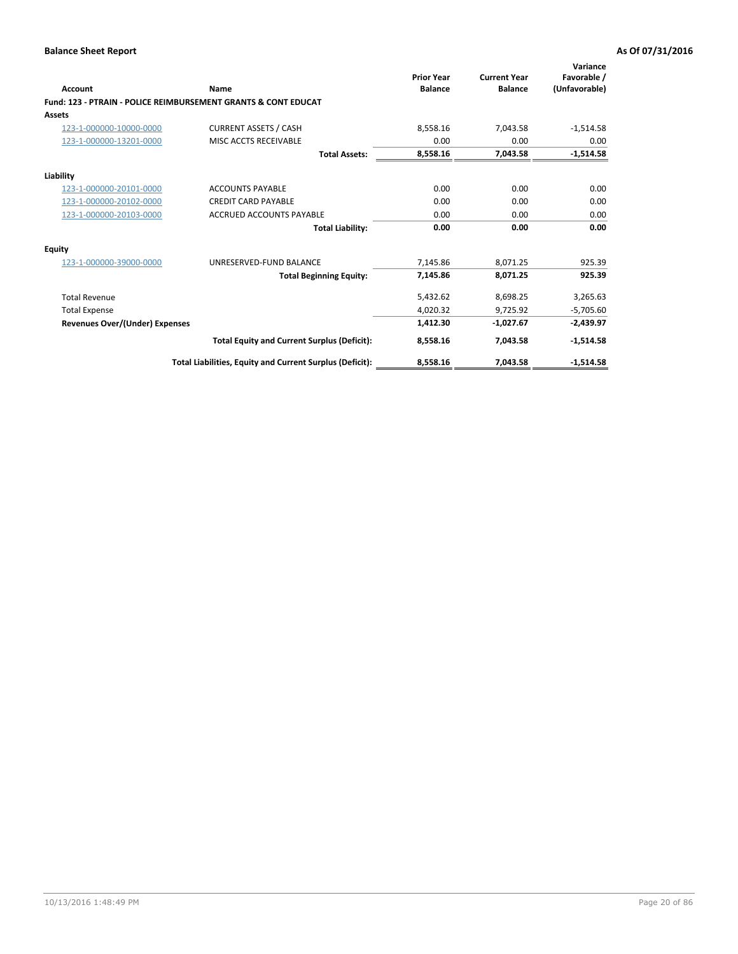| Account                        | Name                                                           | <b>Prior Year</b><br><b>Balance</b> | <b>Current Year</b><br><b>Balance</b> | Variance<br>Favorable /<br>(Unfavorable) |
|--------------------------------|----------------------------------------------------------------|-------------------------------------|---------------------------------------|------------------------------------------|
|                                | Fund: 123 - PTRAIN - POLICE REIMBURSEMENT GRANTS & CONT EDUCAT |                                     |                                       |                                          |
| Assets                         |                                                                |                                     |                                       |                                          |
| 123-1-000000-10000-0000        | <b>CURRENT ASSETS / CASH</b>                                   | 8.558.16                            | 7,043.58                              | $-1,514.58$                              |
| 123-1-000000-13201-0000        | MISC ACCTS RECEIVABLE                                          | 0.00                                | 0.00                                  | 0.00                                     |
|                                | <b>Total Assets:</b>                                           | 8,558.16                            | 7,043.58                              | $-1,514.58$                              |
| Liability                      |                                                                |                                     |                                       |                                          |
| 123-1-000000-20101-0000        | <b>ACCOUNTS PAYABLE</b>                                        | 0.00                                | 0.00                                  | 0.00                                     |
| 123-1-000000-20102-0000        | <b>CREDIT CARD PAYABLE</b>                                     | 0.00                                | 0.00                                  | 0.00                                     |
| 123-1-000000-20103-0000        | <b>ACCRUED ACCOUNTS PAYABLE</b>                                | 0.00                                | 0.00                                  | 0.00                                     |
|                                | <b>Total Liability:</b>                                        | 0.00                                | 0.00                                  | 0.00                                     |
| Equity                         |                                                                |                                     |                                       |                                          |
| 123-1-000000-39000-0000        | UNRESERVED-FUND BALANCE                                        | 7,145.86                            | 8,071.25                              | 925.39                                   |
|                                | <b>Total Beginning Equity:</b>                                 | 7,145.86                            | 8,071.25                              | 925.39                                   |
| <b>Total Revenue</b>           |                                                                | 5,432.62                            | 8,698.25                              | 3,265.63                                 |
| <b>Total Expense</b>           |                                                                | 4,020.32                            | 9,725.92                              | $-5,705.60$                              |
| Revenues Over/(Under) Expenses |                                                                | 1,412.30                            | $-1,027.67$                           | $-2,439.97$                              |
|                                | <b>Total Equity and Current Surplus (Deficit):</b>             | 8,558.16                            | 7,043.58                              | $-1,514.58$                              |
|                                | Total Liabilities, Equity and Current Surplus (Deficit):       | 8,558.16                            | 7,043.58                              | $-1,514.58$                              |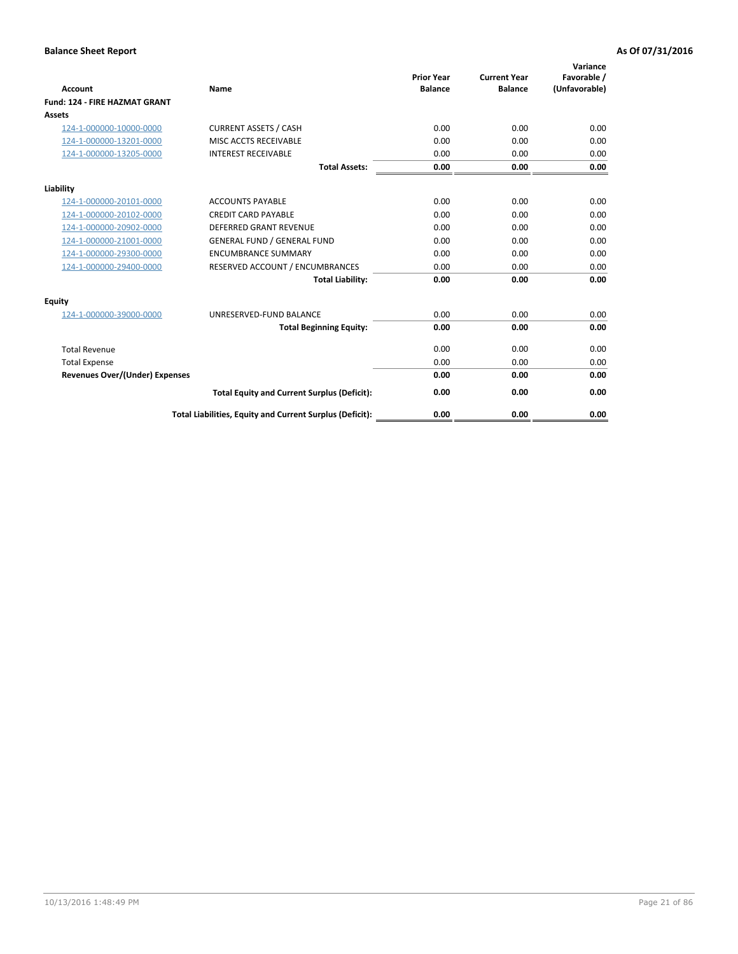| <b>Account</b>                        | Name                                                     | <b>Prior Year</b><br><b>Balance</b> | <b>Current Year</b><br><b>Balance</b> | Variance<br>Favorable /<br>(Unfavorable) |
|---------------------------------------|----------------------------------------------------------|-------------------------------------|---------------------------------------|------------------------------------------|
| <b>Fund: 124 - FIRE HAZMAT GRANT</b>  |                                                          |                                     |                                       |                                          |
| Assets                                |                                                          |                                     |                                       |                                          |
| 124-1-000000-10000-0000               | <b>CURRENT ASSETS / CASH</b>                             | 0.00                                | 0.00                                  | 0.00                                     |
| 124-1-000000-13201-0000               | MISC ACCTS RECEIVABLE                                    | 0.00                                | 0.00                                  | 0.00                                     |
| 124-1-000000-13205-0000               | <b>INTEREST RECEIVABLE</b>                               | 0.00                                | 0.00                                  | 0.00                                     |
|                                       | <b>Total Assets:</b>                                     | 0.00                                | 0.00                                  | 0.00                                     |
| Liability                             |                                                          |                                     |                                       |                                          |
| 124-1-000000-20101-0000               | <b>ACCOUNTS PAYABLE</b>                                  | 0.00                                | 0.00                                  | 0.00                                     |
| 124-1-000000-20102-0000               | <b>CREDIT CARD PAYABLE</b>                               | 0.00                                | 0.00                                  | 0.00                                     |
| 124-1-000000-20902-0000               | <b>DEFERRED GRANT REVENUE</b>                            | 0.00                                | 0.00                                  | 0.00                                     |
| 124-1-000000-21001-0000               | <b>GENERAL FUND / GENERAL FUND</b>                       | 0.00                                | 0.00                                  | 0.00                                     |
| 124-1-000000-29300-0000               | <b>ENCUMBRANCE SUMMARY</b>                               | 0.00                                | 0.00                                  | 0.00                                     |
| 124-1-000000-29400-0000               | RESERVED ACCOUNT / ENCUMBRANCES                          | 0.00                                | 0.00                                  | 0.00                                     |
|                                       | <b>Total Liability:</b>                                  | 0.00                                | 0.00                                  | 0.00                                     |
| Equity                                |                                                          |                                     |                                       |                                          |
| 124-1-000000-39000-0000               | UNRESERVED-FUND BALANCE                                  | 0.00                                | 0.00                                  | 0.00                                     |
|                                       | <b>Total Beginning Equity:</b>                           | 0.00                                | 0.00                                  | 0.00                                     |
| <b>Total Revenue</b>                  |                                                          | 0.00                                | 0.00                                  | 0.00                                     |
| <b>Total Expense</b>                  |                                                          | 0.00                                | 0.00                                  | 0.00                                     |
| <b>Revenues Over/(Under) Expenses</b> |                                                          | 0.00                                | 0.00                                  | 0.00                                     |
|                                       | <b>Total Equity and Current Surplus (Deficit):</b>       | 0.00                                | 0.00                                  | 0.00                                     |
|                                       | Total Liabilities, Equity and Current Surplus (Deficit): | 0.00                                | 0.00                                  | 0.00                                     |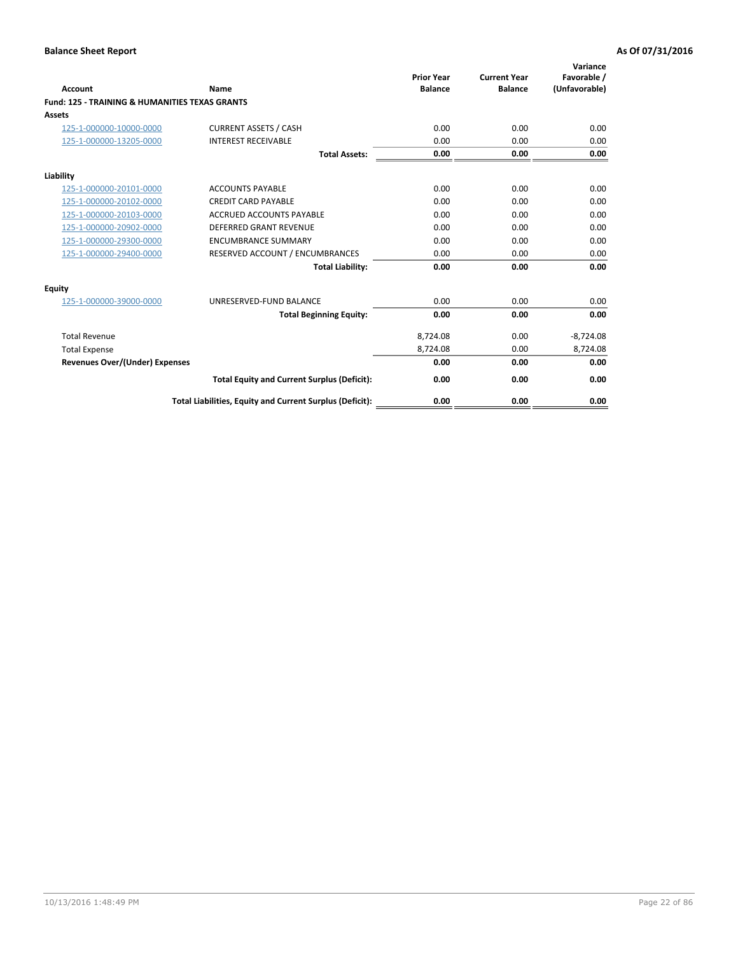| Account                                                   | Name                                                     | <b>Prior Year</b><br><b>Balance</b> | <b>Current Year</b><br><b>Balance</b> | Variance<br>Favorable /<br>(Unfavorable) |
|-----------------------------------------------------------|----------------------------------------------------------|-------------------------------------|---------------------------------------|------------------------------------------|
| <b>Fund: 125 - TRAINING &amp; HUMANITIES TEXAS GRANTS</b> |                                                          |                                     |                                       |                                          |
| <b>Assets</b>                                             |                                                          |                                     |                                       |                                          |
| 125-1-000000-10000-0000                                   | <b>CURRENT ASSETS / CASH</b>                             | 0.00                                | 0.00                                  | 0.00                                     |
| 125-1-000000-13205-0000                                   | <b>INTEREST RECEIVABLE</b>                               | 0.00                                | 0.00                                  | 0.00                                     |
|                                                           | <b>Total Assets:</b>                                     | 0.00                                | 0.00                                  | 0.00                                     |
|                                                           |                                                          |                                     |                                       |                                          |
| Liability                                                 |                                                          |                                     |                                       |                                          |
| 125-1-000000-20101-0000                                   | <b>ACCOUNTS PAYABLE</b>                                  | 0.00                                | 0.00                                  | 0.00                                     |
| 125-1-000000-20102-0000                                   | <b>CREDIT CARD PAYABLE</b>                               | 0.00                                | 0.00                                  | 0.00                                     |
| 125-1-000000-20103-0000                                   | <b>ACCRUED ACCOUNTS PAYABLE</b>                          | 0.00                                | 0.00                                  | 0.00                                     |
| 125-1-000000-20902-0000                                   | <b>DEFERRED GRANT REVENUE</b>                            | 0.00                                | 0.00                                  | 0.00                                     |
| 125-1-000000-29300-0000                                   | <b>ENCUMBRANCE SUMMARY</b>                               | 0.00                                | 0.00                                  | 0.00                                     |
| 125-1-000000-29400-0000                                   | RESERVED ACCOUNT / ENCUMBRANCES                          | 0.00                                | 0.00                                  | 0.00                                     |
|                                                           | <b>Total Liability:</b>                                  | 0.00                                | 0.00                                  | 0.00                                     |
| <b>Equity</b>                                             |                                                          |                                     |                                       |                                          |
| 125-1-000000-39000-0000                                   | UNRESERVED-FUND BALANCE                                  | 0.00                                | 0.00                                  | 0.00                                     |
|                                                           | <b>Total Beginning Equity:</b>                           | 0.00                                | 0.00                                  | 0.00                                     |
| <b>Total Revenue</b>                                      |                                                          | 8,724.08                            | 0.00                                  | $-8,724.08$                              |
| <b>Total Expense</b>                                      |                                                          | 8,724.08                            | 0.00                                  | 8,724.08                                 |
| <b>Revenues Over/(Under) Expenses</b>                     |                                                          | 0.00                                | 0.00                                  | 0.00                                     |
|                                                           | <b>Total Equity and Current Surplus (Deficit):</b>       | 0.00                                | 0.00                                  | 0.00                                     |
|                                                           | Total Liabilities, Equity and Current Surplus (Deficit): | 0.00                                | 0.00                                  | 0.00                                     |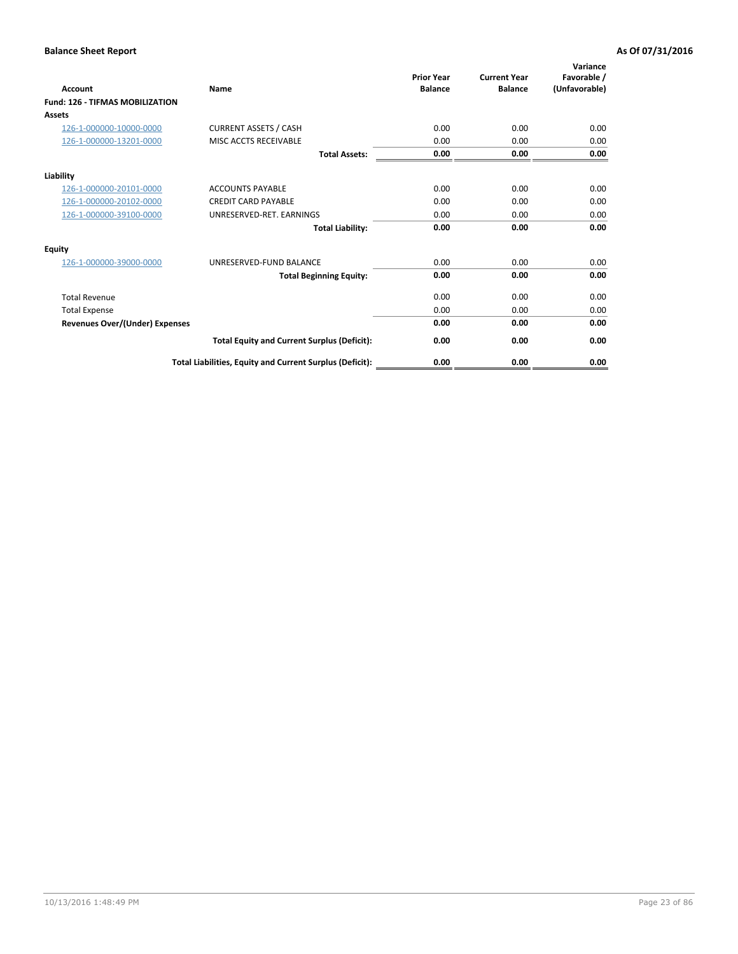| <b>Account</b>                         | Name                                                     | <b>Prior Year</b><br><b>Balance</b> | <b>Current Year</b><br><b>Balance</b> | Variance<br>Favorable /<br>(Unfavorable) |
|----------------------------------------|----------------------------------------------------------|-------------------------------------|---------------------------------------|------------------------------------------|
| <b>Fund: 126 - TIFMAS MOBILIZATION</b> |                                                          |                                     |                                       |                                          |
| Assets                                 |                                                          |                                     |                                       |                                          |
| 126-1-000000-10000-0000                | <b>CURRENT ASSETS / CASH</b>                             | 0.00                                | 0.00                                  | 0.00                                     |
| 126-1-000000-13201-0000                | MISC ACCTS RECEIVABLE                                    | 0.00                                | 0.00                                  | 0.00                                     |
|                                        | <b>Total Assets:</b>                                     | 0.00                                | 0.00                                  | 0.00                                     |
| Liability                              |                                                          |                                     |                                       |                                          |
| 126-1-000000-20101-0000                | <b>ACCOUNTS PAYABLE</b>                                  | 0.00                                | 0.00                                  | 0.00                                     |
| 126-1-000000-20102-0000                | <b>CREDIT CARD PAYABLE</b>                               | 0.00                                | 0.00                                  | 0.00                                     |
| 126-1-000000-39100-0000                | UNRESERVED-RET. EARNINGS                                 | 0.00                                | 0.00                                  | 0.00                                     |
|                                        | <b>Total Liability:</b>                                  | 0.00                                | 0.00                                  | 0.00                                     |
| Equity                                 |                                                          |                                     |                                       |                                          |
| 126-1-000000-39000-0000                | UNRESERVED-FUND BALANCE                                  | 0.00                                | 0.00                                  | 0.00                                     |
|                                        | <b>Total Beginning Equity:</b>                           | 0.00                                | 0.00                                  | 0.00                                     |
| <b>Total Revenue</b>                   |                                                          | 0.00                                | 0.00                                  | 0.00                                     |
| <b>Total Expense</b>                   |                                                          | 0.00                                | 0.00                                  | 0.00                                     |
| Revenues Over/(Under) Expenses         |                                                          | 0.00                                | 0.00                                  | 0.00                                     |
|                                        | <b>Total Equity and Current Surplus (Deficit):</b>       | 0.00                                | 0.00                                  | 0.00                                     |
|                                        | Total Liabilities, Equity and Current Surplus (Deficit): | 0.00                                | 0.00                                  | 0.00                                     |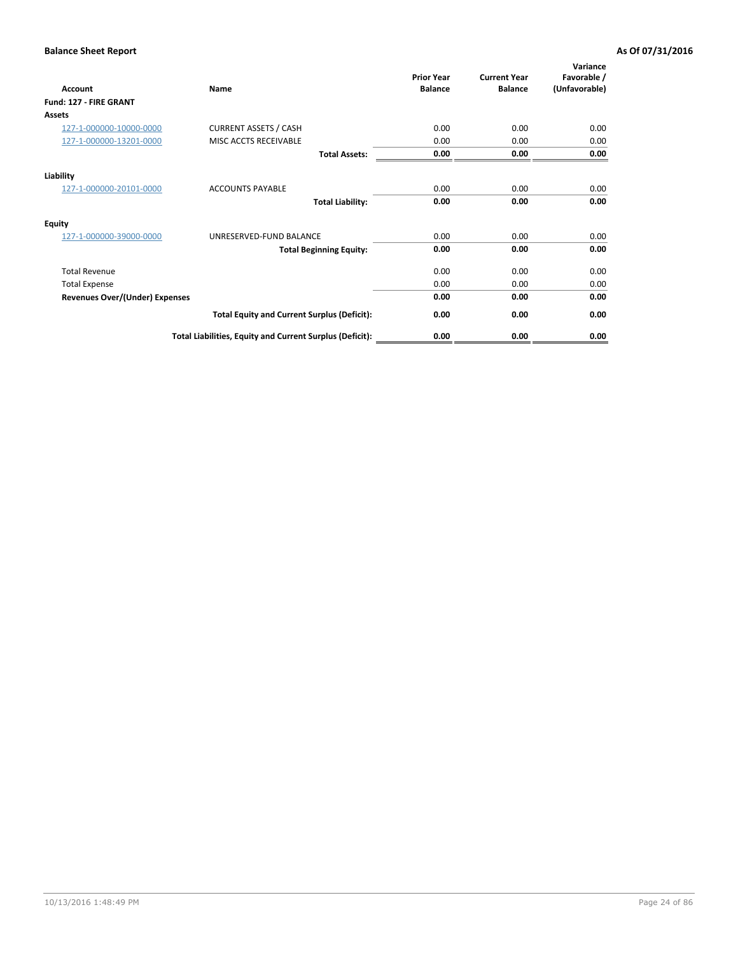| Account                               | Name                                                     | <b>Prior Year</b><br><b>Balance</b> | <b>Current Year</b><br><b>Balance</b> | Variance<br>Favorable /<br>(Unfavorable) |
|---------------------------------------|----------------------------------------------------------|-------------------------------------|---------------------------------------|------------------------------------------|
| Fund: 127 - FIRE GRANT                |                                                          |                                     |                                       |                                          |
| Assets                                |                                                          |                                     |                                       |                                          |
| 127-1-000000-10000-0000               | <b>CURRENT ASSETS / CASH</b>                             | 0.00                                | 0.00                                  | 0.00                                     |
| 127-1-000000-13201-0000               | MISC ACCTS RECEIVABLE                                    | 0.00                                | 0.00                                  | 0.00                                     |
|                                       | <b>Total Assets:</b>                                     | 0.00                                | 0.00                                  | 0.00                                     |
| Liability                             |                                                          |                                     |                                       |                                          |
| 127-1-000000-20101-0000               | <b>ACCOUNTS PAYABLE</b>                                  | 0.00                                | 0.00                                  | 0.00                                     |
|                                       | <b>Total Liability:</b>                                  | 0.00                                | 0.00                                  | 0.00                                     |
| <b>Equity</b>                         |                                                          |                                     |                                       |                                          |
| 127-1-000000-39000-0000               | UNRESERVED-FUND BALANCE                                  | 0.00                                | 0.00                                  | 0.00                                     |
|                                       | <b>Total Beginning Equity:</b>                           | 0.00                                | 0.00                                  | 0.00                                     |
| <b>Total Revenue</b>                  |                                                          | 0.00                                | 0.00                                  | 0.00                                     |
| <b>Total Expense</b>                  |                                                          | 0.00                                | 0.00                                  | 0.00                                     |
| <b>Revenues Over/(Under) Expenses</b> |                                                          | 0.00                                | 0.00                                  | 0.00                                     |
|                                       | <b>Total Equity and Current Surplus (Deficit):</b>       | 0.00                                | 0.00                                  | 0.00                                     |
|                                       | Total Liabilities, Equity and Current Surplus (Deficit): | 0.00                                | 0.00                                  | 0.00                                     |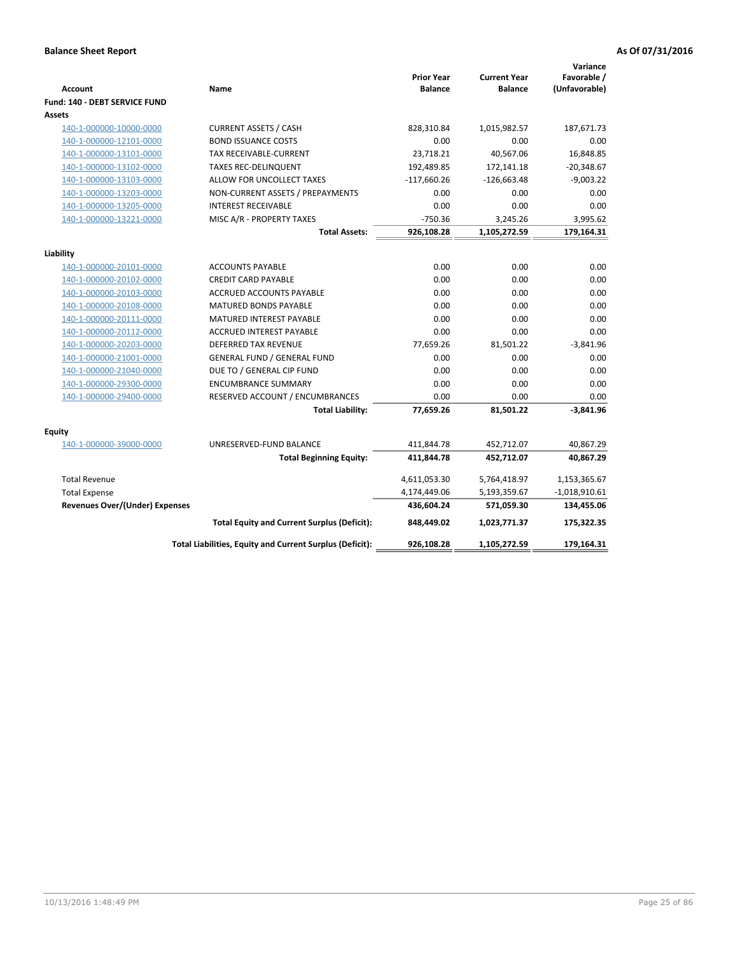| <b>Account</b>                        | Name                                                     | <b>Prior Year</b><br><b>Balance</b> | <b>Current Year</b><br><b>Balance</b> | Variance<br>Favorable /<br>(Unfavorable) |
|---------------------------------------|----------------------------------------------------------|-------------------------------------|---------------------------------------|------------------------------------------|
| Fund: 140 - DEBT SERVICE FUND         |                                                          |                                     |                                       |                                          |
| <b>Assets</b>                         |                                                          |                                     |                                       |                                          |
| 140-1-000000-10000-0000               | <b>CURRENT ASSETS / CASH</b>                             | 828,310.84                          | 1,015,982.57                          | 187,671.73                               |
| 140-1-000000-12101-0000               | <b>BOND ISSUANCE COSTS</b>                               | 0.00                                | 0.00                                  | 0.00                                     |
| 140-1-000000-13101-0000               | <b>TAX RECEIVABLE-CURRENT</b>                            | 23,718.21                           | 40,567.06                             | 16,848.85                                |
| 140-1-000000-13102-0000               | <b>TAXES REC-DELINQUENT</b>                              | 192,489.85                          | 172,141.18                            | $-20,348.67$                             |
| 140-1-000000-13103-0000               | ALLOW FOR UNCOLLECT TAXES                                | $-117,660.26$                       | $-126,663.48$                         | $-9,003.22$                              |
| 140-1-000000-13203-0000               | NON-CURRENT ASSETS / PREPAYMENTS                         | 0.00                                | 0.00                                  | 0.00                                     |
| 140-1-000000-13205-0000               | <b>INTEREST RECEIVABLE</b>                               | 0.00                                | 0.00                                  | 0.00                                     |
| 140-1-000000-13221-0000               | MISC A/R - PROPERTY TAXES                                | $-750.36$                           | 3,245.26                              | 3,995.62                                 |
|                                       | <b>Total Assets:</b>                                     | 926,108.28                          | 1,105,272.59                          | 179,164.31                               |
| Liability                             |                                                          |                                     |                                       |                                          |
| 140-1-000000-20101-0000               | <b>ACCOUNTS PAYABLE</b>                                  | 0.00                                | 0.00                                  | 0.00                                     |
| 140-1-000000-20102-0000               | <b>CREDIT CARD PAYABLE</b>                               | 0.00                                | 0.00                                  | 0.00                                     |
| 140-1-000000-20103-0000               | ACCRUED ACCOUNTS PAYABLE                                 | 0.00                                | 0.00                                  | 0.00                                     |
| 140-1-000000-20108-0000               | <b>MATURED BONDS PAYABLE</b>                             | 0.00                                | 0.00                                  | 0.00                                     |
| 140-1-000000-20111-0000               | MATURED INTEREST PAYABLE                                 | 0.00                                | 0.00                                  | 0.00                                     |
| 140-1-000000-20112-0000               | <b>ACCRUED INTEREST PAYABLE</b>                          | 0.00                                | 0.00                                  | 0.00                                     |
| 140-1-000000-20203-0000               | <b>DEFERRED TAX REVENUE</b>                              | 77,659.26                           | 81,501.22                             | $-3,841.96$                              |
| 140-1-000000-21001-0000               | <b>GENERAL FUND / GENERAL FUND</b>                       | 0.00                                | 0.00                                  | 0.00                                     |
| 140-1-000000-21040-0000               | DUE TO / GENERAL CIP FUND                                | 0.00                                | 0.00                                  | 0.00                                     |
| 140-1-000000-29300-0000               | <b>ENCUMBRANCE SUMMARY</b>                               | 0.00                                | 0.00                                  | 0.00                                     |
| 140-1-000000-29400-0000               | RESERVED ACCOUNT / ENCUMBRANCES                          | 0.00                                | 0.00                                  | 0.00                                     |
|                                       | <b>Total Liability:</b>                                  | 77,659.26                           | 81,501.22                             | $-3,841.96$                              |
| <b>Equity</b>                         |                                                          |                                     |                                       |                                          |
| 140-1-000000-39000-0000               | UNRESERVED-FUND BALANCE                                  | 411,844.78                          | 452,712.07                            | 40,867.29                                |
|                                       | <b>Total Beginning Equity:</b>                           | 411,844.78                          | 452,712.07                            | 40,867.29                                |
|                                       |                                                          |                                     |                                       |                                          |
| <b>Total Revenue</b>                  |                                                          | 4,611,053.30                        | 5,764,418.97                          | 1,153,365.67                             |
| <b>Total Expense</b>                  |                                                          | 4,174,449.06                        | 5,193,359.67                          | $-1,018,910.61$                          |
| <b>Revenues Over/(Under) Expenses</b> |                                                          | 436,604.24                          | 571,059.30                            | 134,455.06                               |
|                                       | <b>Total Equity and Current Surplus (Deficit):</b>       | 848,449.02                          | 1,023,771.37                          | 175,322.35                               |
|                                       | Total Liabilities, Equity and Current Surplus (Deficit): | 926,108.28                          | 1,105,272.59                          | 179,164.31                               |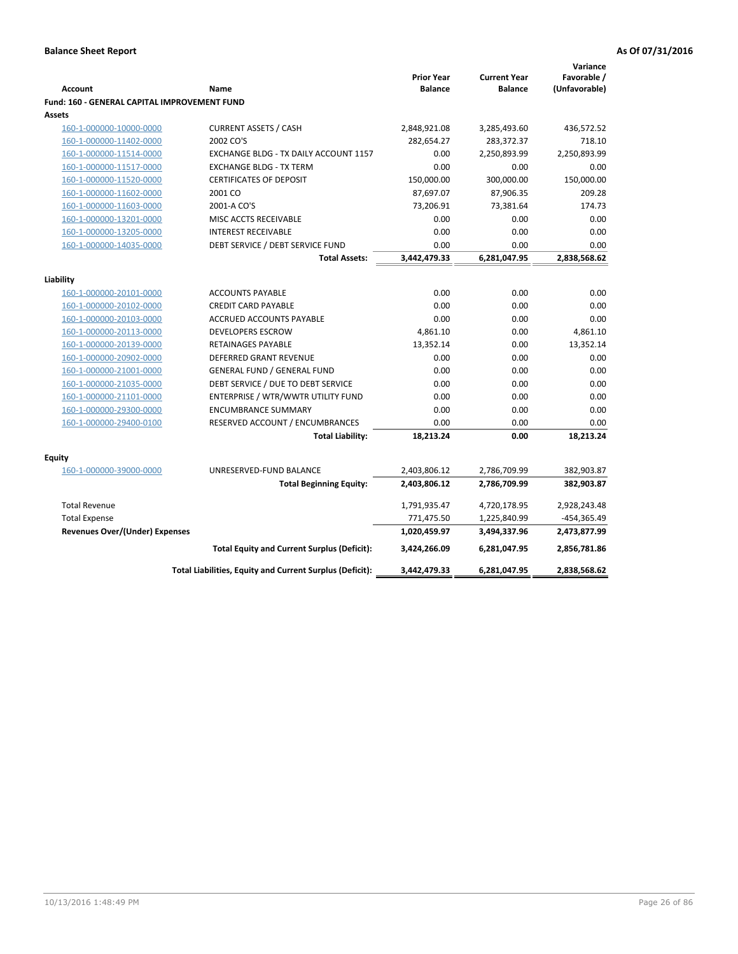| Favorable /<br><b>Prior Year</b><br><b>Current Year</b><br>(Unfavorable)<br><b>Account</b><br><b>Balance</b><br><b>Balance</b><br>Name<br><b>Fund: 160 - GENERAL CAPITAL IMPROVEMENT FUND</b><br>Assets<br><b>CURRENT ASSETS / CASH</b><br>160-1-000000-10000-0000<br>2,848,921.08<br>3,285,493.60<br>436,572.52<br>2002 CO'S<br>282,654.27<br>718.10<br>160-1-000000-11402-0000<br>283,372.37<br>2,250,893.99<br>160-1-000000-11514-0000<br>EXCHANGE BLDG - TX DAILY ACCOUNT 1157<br>0.00<br>2,250,893.99<br>0.00<br>160-1-000000-11517-0000<br><b>EXCHANGE BLDG - TX TERM</b><br>0.00<br>0.00<br>150,000.00<br>160-1-000000-11520-0000<br><b>CERTIFICATES OF DEPOSIT</b><br>150,000.00<br>300,000.00<br>2001 CO<br>87,697.07<br>87,906.35<br>209.28<br>160-1-000000-11602-0000<br>160-1-000000-11603-0000<br>73,206.91<br>73,381.64<br>174.73<br>2001-A CO'S<br>0.00<br>0.00<br>0.00<br>160-1-000000-13201-0000<br>MISC ACCTS RECEIVABLE<br>0.00<br>160-1-000000-13205-0000<br><b>INTEREST RECEIVABLE</b><br>0.00<br>0.00<br>0.00<br>0.00<br>160-1-000000-14035-0000<br>DEBT SERVICE / DEBT SERVICE FUND<br>0.00<br>3,442,479.33<br><b>Total Assets:</b><br>6,281,047.95<br>2,838,568.62<br>Liability<br>0.00<br>0.00<br>0.00<br>160-1-000000-20101-0000<br><b>ACCOUNTS PAYABLE</b><br>0.00<br>0.00<br>0.00<br>160-1-000000-20102-0000<br><b>CREDIT CARD PAYABLE</b><br>0.00<br>160-1-000000-20103-0000<br><b>ACCRUED ACCOUNTS PAYABLE</b><br>0.00<br>0.00<br>0.00<br>4,861.10<br><b>DEVELOPERS ESCROW</b><br>4,861.10<br>160-1-000000-20113-0000<br>160-1-000000-20139-0000<br>RETAINAGES PAYABLE<br>13,352.14<br>0.00<br>13,352.14<br>0.00<br><b>DEFERRED GRANT REVENUE</b><br>0.00<br>0.00<br>160-1-000000-20902-0000<br><b>GENERAL FUND / GENERAL FUND</b><br>0.00<br>0.00<br>160-1-000000-21001-0000<br>0.00<br>DEBT SERVICE / DUE TO DEBT SERVICE<br>0.00<br>0.00<br>160-1-000000-21035-0000<br>0.00<br>0.00<br>160-1-000000-21101-0000<br>ENTERPRISE / WTR/WWTR UTILITY FUND<br>0.00<br>0.00<br>0.00<br><b>ENCUMBRANCE SUMMARY</b><br>0.00<br>0.00<br>160-1-000000-29300-0000<br>160-1-000000-29400-0100<br>RESERVED ACCOUNT / ENCUMBRANCES<br>0.00<br>0.00<br>0.00<br>18,213.24<br>18,213.24<br><b>Total Liability:</b><br>0.00<br>Equity<br>160-1-000000-39000-0000<br>UNRESERVED-FUND BALANCE<br>2,403,806.12<br>2,786,709.99<br>382,903.87<br>2,403,806.12<br>2,786,709.99<br>382,903.87<br><b>Total Beginning Equity:</b><br>1,791,935.47<br><b>Total Revenue</b><br>4,720,178.95<br>2,928,243.48<br>771,475.50<br><b>Total Expense</b><br>1,225,840.99<br>-454,365.49<br>Revenues Over/(Under) Expenses<br>1,020,459.97<br>2,473,877.99<br>3,494,337.96<br>2,856,781.86<br><b>Total Equity and Current Surplus (Deficit):</b><br>3,424,266.09<br>6,281,047.95<br>2,838,568.62<br>Total Liabilities, Equity and Current Surplus (Deficit):<br>3,442,479.33<br>6,281,047.95 |  |  | Variance |
|------------------------------------------------------------------------------------------------------------------------------------------------------------------------------------------------------------------------------------------------------------------------------------------------------------------------------------------------------------------------------------------------------------------------------------------------------------------------------------------------------------------------------------------------------------------------------------------------------------------------------------------------------------------------------------------------------------------------------------------------------------------------------------------------------------------------------------------------------------------------------------------------------------------------------------------------------------------------------------------------------------------------------------------------------------------------------------------------------------------------------------------------------------------------------------------------------------------------------------------------------------------------------------------------------------------------------------------------------------------------------------------------------------------------------------------------------------------------------------------------------------------------------------------------------------------------------------------------------------------------------------------------------------------------------------------------------------------------------------------------------------------------------------------------------------------------------------------------------------------------------------------------------------------------------------------------------------------------------------------------------------------------------------------------------------------------------------------------------------------------------------------------------------------------------------------------------------------------------------------------------------------------------------------------------------------------------------------------------------------------------------------------------------------------------------------------------------------------------------------------------------------------------------------------------------------------------------------------------------------------------------------------------------------------------------------------------------------------------------------------------------------------------------------------------------------------------------------------------------------------------------------|--|--|----------|
|                                                                                                                                                                                                                                                                                                                                                                                                                                                                                                                                                                                                                                                                                                                                                                                                                                                                                                                                                                                                                                                                                                                                                                                                                                                                                                                                                                                                                                                                                                                                                                                                                                                                                                                                                                                                                                                                                                                                                                                                                                                                                                                                                                                                                                                                                                                                                                                                                                                                                                                                                                                                                                                                                                                                                                                                                                                                                          |  |  |          |
|                                                                                                                                                                                                                                                                                                                                                                                                                                                                                                                                                                                                                                                                                                                                                                                                                                                                                                                                                                                                                                                                                                                                                                                                                                                                                                                                                                                                                                                                                                                                                                                                                                                                                                                                                                                                                                                                                                                                                                                                                                                                                                                                                                                                                                                                                                                                                                                                                                                                                                                                                                                                                                                                                                                                                                                                                                                                                          |  |  |          |
|                                                                                                                                                                                                                                                                                                                                                                                                                                                                                                                                                                                                                                                                                                                                                                                                                                                                                                                                                                                                                                                                                                                                                                                                                                                                                                                                                                                                                                                                                                                                                                                                                                                                                                                                                                                                                                                                                                                                                                                                                                                                                                                                                                                                                                                                                                                                                                                                                                                                                                                                                                                                                                                                                                                                                                                                                                                                                          |  |  |          |
|                                                                                                                                                                                                                                                                                                                                                                                                                                                                                                                                                                                                                                                                                                                                                                                                                                                                                                                                                                                                                                                                                                                                                                                                                                                                                                                                                                                                                                                                                                                                                                                                                                                                                                                                                                                                                                                                                                                                                                                                                                                                                                                                                                                                                                                                                                                                                                                                                                                                                                                                                                                                                                                                                                                                                                                                                                                                                          |  |  |          |
|                                                                                                                                                                                                                                                                                                                                                                                                                                                                                                                                                                                                                                                                                                                                                                                                                                                                                                                                                                                                                                                                                                                                                                                                                                                                                                                                                                                                                                                                                                                                                                                                                                                                                                                                                                                                                                                                                                                                                                                                                                                                                                                                                                                                                                                                                                                                                                                                                                                                                                                                                                                                                                                                                                                                                                                                                                                                                          |  |  |          |
|                                                                                                                                                                                                                                                                                                                                                                                                                                                                                                                                                                                                                                                                                                                                                                                                                                                                                                                                                                                                                                                                                                                                                                                                                                                                                                                                                                                                                                                                                                                                                                                                                                                                                                                                                                                                                                                                                                                                                                                                                                                                                                                                                                                                                                                                                                                                                                                                                                                                                                                                                                                                                                                                                                                                                                                                                                                                                          |  |  |          |
|                                                                                                                                                                                                                                                                                                                                                                                                                                                                                                                                                                                                                                                                                                                                                                                                                                                                                                                                                                                                                                                                                                                                                                                                                                                                                                                                                                                                                                                                                                                                                                                                                                                                                                                                                                                                                                                                                                                                                                                                                                                                                                                                                                                                                                                                                                                                                                                                                                                                                                                                                                                                                                                                                                                                                                                                                                                                                          |  |  |          |
|                                                                                                                                                                                                                                                                                                                                                                                                                                                                                                                                                                                                                                                                                                                                                                                                                                                                                                                                                                                                                                                                                                                                                                                                                                                                                                                                                                                                                                                                                                                                                                                                                                                                                                                                                                                                                                                                                                                                                                                                                                                                                                                                                                                                                                                                                                                                                                                                                                                                                                                                                                                                                                                                                                                                                                                                                                                                                          |  |  |          |
|                                                                                                                                                                                                                                                                                                                                                                                                                                                                                                                                                                                                                                                                                                                                                                                                                                                                                                                                                                                                                                                                                                                                                                                                                                                                                                                                                                                                                                                                                                                                                                                                                                                                                                                                                                                                                                                                                                                                                                                                                                                                                                                                                                                                                                                                                                                                                                                                                                                                                                                                                                                                                                                                                                                                                                                                                                                                                          |  |  |          |
|                                                                                                                                                                                                                                                                                                                                                                                                                                                                                                                                                                                                                                                                                                                                                                                                                                                                                                                                                                                                                                                                                                                                                                                                                                                                                                                                                                                                                                                                                                                                                                                                                                                                                                                                                                                                                                                                                                                                                                                                                                                                                                                                                                                                                                                                                                                                                                                                                                                                                                                                                                                                                                                                                                                                                                                                                                                                                          |  |  |          |
|                                                                                                                                                                                                                                                                                                                                                                                                                                                                                                                                                                                                                                                                                                                                                                                                                                                                                                                                                                                                                                                                                                                                                                                                                                                                                                                                                                                                                                                                                                                                                                                                                                                                                                                                                                                                                                                                                                                                                                                                                                                                                                                                                                                                                                                                                                                                                                                                                                                                                                                                                                                                                                                                                                                                                                                                                                                                                          |  |  |          |
|                                                                                                                                                                                                                                                                                                                                                                                                                                                                                                                                                                                                                                                                                                                                                                                                                                                                                                                                                                                                                                                                                                                                                                                                                                                                                                                                                                                                                                                                                                                                                                                                                                                                                                                                                                                                                                                                                                                                                                                                                                                                                                                                                                                                                                                                                                                                                                                                                                                                                                                                                                                                                                                                                                                                                                                                                                                                                          |  |  |          |
|                                                                                                                                                                                                                                                                                                                                                                                                                                                                                                                                                                                                                                                                                                                                                                                                                                                                                                                                                                                                                                                                                                                                                                                                                                                                                                                                                                                                                                                                                                                                                                                                                                                                                                                                                                                                                                                                                                                                                                                                                                                                                                                                                                                                                                                                                                                                                                                                                                                                                                                                                                                                                                                                                                                                                                                                                                                                                          |  |  |          |
|                                                                                                                                                                                                                                                                                                                                                                                                                                                                                                                                                                                                                                                                                                                                                                                                                                                                                                                                                                                                                                                                                                                                                                                                                                                                                                                                                                                                                                                                                                                                                                                                                                                                                                                                                                                                                                                                                                                                                                                                                                                                                                                                                                                                                                                                                                                                                                                                                                                                                                                                                                                                                                                                                                                                                                                                                                                                                          |  |  |          |
|                                                                                                                                                                                                                                                                                                                                                                                                                                                                                                                                                                                                                                                                                                                                                                                                                                                                                                                                                                                                                                                                                                                                                                                                                                                                                                                                                                                                                                                                                                                                                                                                                                                                                                                                                                                                                                                                                                                                                                                                                                                                                                                                                                                                                                                                                                                                                                                                                                                                                                                                                                                                                                                                                                                                                                                                                                                                                          |  |  |          |
|                                                                                                                                                                                                                                                                                                                                                                                                                                                                                                                                                                                                                                                                                                                                                                                                                                                                                                                                                                                                                                                                                                                                                                                                                                                                                                                                                                                                                                                                                                                                                                                                                                                                                                                                                                                                                                                                                                                                                                                                                                                                                                                                                                                                                                                                                                                                                                                                                                                                                                                                                                                                                                                                                                                                                                                                                                                                                          |  |  |          |
|                                                                                                                                                                                                                                                                                                                                                                                                                                                                                                                                                                                                                                                                                                                                                                                                                                                                                                                                                                                                                                                                                                                                                                                                                                                                                                                                                                                                                                                                                                                                                                                                                                                                                                                                                                                                                                                                                                                                                                                                                                                                                                                                                                                                                                                                                                                                                                                                                                                                                                                                                                                                                                                                                                                                                                                                                                                                                          |  |  |          |
|                                                                                                                                                                                                                                                                                                                                                                                                                                                                                                                                                                                                                                                                                                                                                                                                                                                                                                                                                                                                                                                                                                                                                                                                                                                                                                                                                                                                                                                                                                                                                                                                                                                                                                                                                                                                                                                                                                                                                                                                                                                                                                                                                                                                                                                                                                                                                                                                                                                                                                                                                                                                                                                                                                                                                                                                                                                                                          |  |  |          |
|                                                                                                                                                                                                                                                                                                                                                                                                                                                                                                                                                                                                                                                                                                                                                                                                                                                                                                                                                                                                                                                                                                                                                                                                                                                                                                                                                                                                                                                                                                                                                                                                                                                                                                                                                                                                                                                                                                                                                                                                                                                                                                                                                                                                                                                                                                                                                                                                                                                                                                                                                                                                                                                                                                                                                                                                                                                                                          |  |  |          |
|                                                                                                                                                                                                                                                                                                                                                                                                                                                                                                                                                                                                                                                                                                                                                                                                                                                                                                                                                                                                                                                                                                                                                                                                                                                                                                                                                                                                                                                                                                                                                                                                                                                                                                                                                                                                                                                                                                                                                                                                                                                                                                                                                                                                                                                                                                                                                                                                                                                                                                                                                                                                                                                                                                                                                                                                                                                                                          |  |  |          |
|                                                                                                                                                                                                                                                                                                                                                                                                                                                                                                                                                                                                                                                                                                                                                                                                                                                                                                                                                                                                                                                                                                                                                                                                                                                                                                                                                                                                                                                                                                                                                                                                                                                                                                                                                                                                                                                                                                                                                                                                                                                                                                                                                                                                                                                                                                                                                                                                                                                                                                                                                                                                                                                                                                                                                                                                                                                                                          |  |  |          |
|                                                                                                                                                                                                                                                                                                                                                                                                                                                                                                                                                                                                                                                                                                                                                                                                                                                                                                                                                                                                                                                                                                                                                                                                                                                                                                                                                                                                                                                                                                                                                                                                                                                                                                                                                                                                                                                                                                                                                                                                                                                                                                                                                                                                                                                                                                                                                                                                                                                                                                                                                                                                                                                                                                                                                                                                                                                                                          |  |  |          |
|                                                                                                                                                                                                                                                                                                                                                                                                                                                                                                                                                                                                                                                                                                                                                                                                                                                                                                                                                                                                                                                                                                                                                                                                                                                                                                                                                                                                                                                                                                                                                                                                                                                                                                                                                                                                                                                                                                                                                                                                                                                                                                                                                                                                                                                                                                                                                                                                                                                                                                                                                                                                                                                                                                                                                                                                                                                                                          |  |  |          |
|                                                                                                                                                                                                                                                                                                                                                                                                                                                                                                                                                                                                                                                                                                                                                                                                                                                                                                                                                                                                                                                                                                                                                                                                                                                                                                                                                                                                                                                                                                                                                                                                                                                                                                                                                                                                                                                                                                                                                                                                                                                                                                                                                                                                                                                                                                                                                                                                                                                                                                                                                                                                                                                                                                                                                                                                                                                                                          |  |  |          |
|                                                                                                                                                                                                                                                                                                                                                                                                                                                                                                                                                                                                                                                                                                                                                                                                                                                                                                                                                                                                                                                                                                                                                                                                                                                                                                                                                                                                                                                                                                                                                                                                                                                                                                                                                                                                                                                                                                                                                                                                                                                                                                                                                                                                                                                                                                                                                                                                                                                                                                                                                                                                                                                                                                                                                                                                                                                                                          |  |  |          |
|                                                                                                                                                                                                                                                                                                                                                                                                                                                                                                                                                                                                                                                                                                                                                                                                                                                                                                                                                                                                                                                                                                                                                                                                                                                                                                                                                                                                                                                                                                                                                                                                                                                                                                                                                                                                                                                                                                                                                                                                                                                                                                                                                                                                                                                                                                                                                                                                                                                                                                                                                                                                                                                                                                                                                                                                                                                                                          |  |  |          |
|                                                                                                                                                                                                                                                                                                                                                                                                                                                                                                                                                                                                                                                                                                                                                                                                                                                                                                                                                                                                                                                                                                                                                                                                                                                                                                                                                                                                                                                                                                                                                                                                                                                                                                                                                                                                                                                                                                                                                                                                                                                                                                                                                                                                                                                                                                                                                                                                                                                                                                                                                                                                                                                                                                                                                                                                                                                                                          |  |  |          |
|                                                                                                                                                                                                                                                                                                                                                                                                                                                                                                                                                                                                                                                                                                                                                                                                                                                                                                                                                                                                                                                                                                                                                                                                                                                                                                                                                                                                                                                                                                                                                                                                                                                                                                                                                                                                                                                                                                                                                                                                                                                                                                                                                                                                                                                                                                                                                                                                                                                                                                                                                                                                                                                                                                                                                                                                                                                                                          |  |  |          |
|                                                                                                                                                                                                                                                                                                                                                                                                                                                                                                                                                                                                                                                                                                                                                                                                                                                                                                                                                                                                                                                                                                                                                                                                                                                                                                                                                                                                                                                                                                                                                                                                                                                                                                                                                                                                                                                                                                                                                                                                                                                                                                                                                                                                                                                                                                                                                                                                                                                                                                                                                                                                                                                                                                                                                                                                                                                                                          |  |  |          |
|                                                                                                                                                                                                                                                                                                                                                                                                                                                                                                                                                                                                                                                                                                                                                                                                                                                                                                                                                                                                                                                                                                                                                                                                                                                                                                                                                                                                                                                                                                                                                                                                                                                                                                                                                                                                                                                                                                                                                                                                                                                                                                                                                                                                                                                                                                                                                                                                                                                                                                                                                                                                                                                                                                                                                                                                                                                                                          |  |  |          |
|                                                                                                                                                                                                                                                                                                                                                                                                                                                                                                                                                                                                                                                                                                                                                                                                                                                                                                                                                                                                                                                                                                                                                                                                                                                                                                                                                                                                                                                                                                                                                                                                                                                                                                                                                                                                                                                                                                                                                                                                                                                                                                                                                                                                                                                                                                                                                                                                                                                                                                                                                                                                                                                                                                                                                                                                                                                                                          |  |  |          |
|                                                                                                                                                                                                                                                                                                                                                                                                                                                                                                                                                                                                                                                                                                                                                                                                                                                                                                                                                                                                                                                                                                                                                                                                                                                                                                                                                                                                                                                                                                                                                                                                                                                                                                                                                                                                                                                                                                                                                                                                                                                                                                                                                                                                                                                                                                                                                                                                                                                                                                                                                                                                                                                                                                                                                                                                                                                                                          |  |  |          |
|                                                                                                                                                                                                                                                                                                                                                                                                                                                                                                                                                                                                                                                                                                                                                                                                                                                                                                                                                                                                                                                                                                                                                                                                                                                                                                                                                                                                                                                                                                                                                                                                                                                                                                                                                                                                                                                                                                                                                                                                                                                                                                                                                                                                                                                                                                                                                                                                                                                                                                                                                                                                                                                                                                                                                                                                                                                                                          |  |  |          |
|                                                                                                                                                                                                                                                                                                                                                                                                                                                                                                                                                                                                                                                                                                                                                                                                                                                                                                                                                                                                                                                                                                                                                                                                                                                                                                                                                                                                                                                                                                                                                                                                                                                                                                                                                                                                                                                                                                                                                                                                                                                                                                                                                                                                                                                                                                                                                                                                                                                                                                                                                                                                                                                                                                                                                                                                                                                                                          |  |  |          |
|                                                                                                                                                                                                                                                                                                                                                                                                                                                                                                                                                                                                                                                                                                                                                                                                                                                                                                                                                                                                                                                                                                                                                                                                                                                                                                                                                                                                                                                                                                                                                                                                                                                                                                                                                                                                                                                                                                                                                                                                                                                                                                                                                                                                                                                                                                                                                                                                                                                                                                                                                                                                                                                                                                                                                                                                                                                                                          |  |  |          |
|                                                                                                                                                                                                                                                                                                                                                                                                                                                                                                                                                                                                                                                                                                                                                                                                                                                                                                                                                                                                                                                                                                                                                                                                                                                                                                                                                                                                                                                                                                                                                                                                                                                                                                                                                                                                                                                                                                                                                                                                                                                                                                                                                                                                                                                                                                                                                                                                                                                                                                                                                                                                                                                                                                                                                                                                                                                                                          |  |  |          |
|                                                                                                                                                                                                                                                                                                                                                                                                                                                                                                                                                                                                                                                                                                                                                                                                                                                                                                                                                                                                                                                                                                                                                                                                                                                                                                                                                                                                                                                                                                                                                                                                                                                                                                                                                                                                                                                                                                                                                                                                                                                                                                                                                                                                                                                                                                                                                                                                                                                                                                                                                                                                                                                                                                                                                                                                                                                                                          |  |  |          |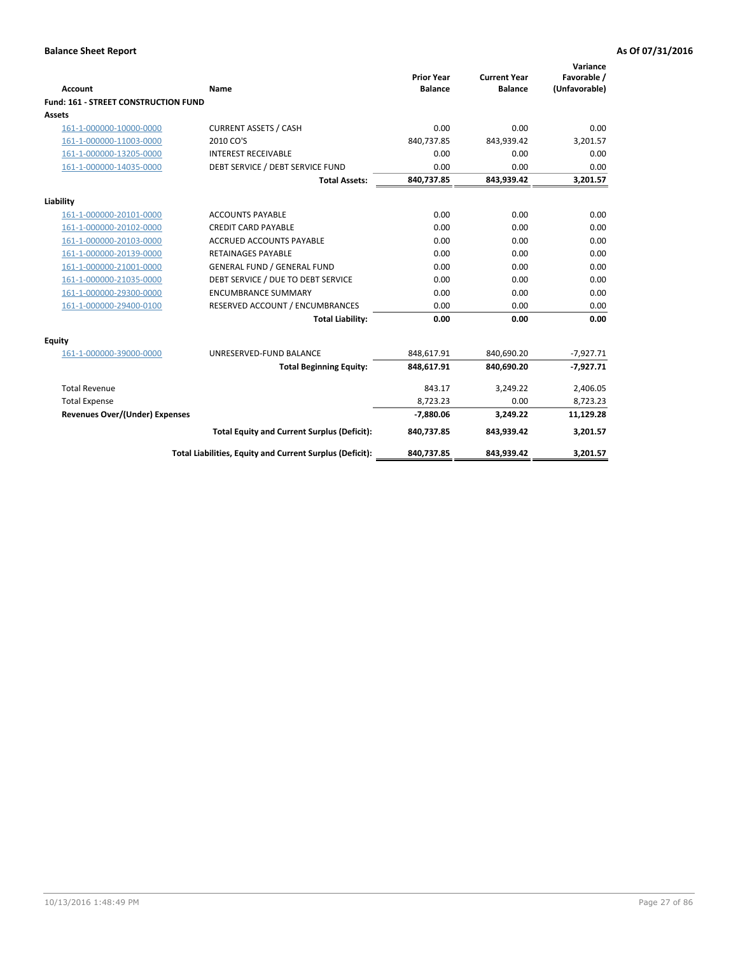| <b>Account</b>                        | <b>Name</b>                                              | <b>Prior Year</b><br><b>Balance</b> | <b>Current Year</b><br><b>Balance</b> | Variance<br>Favorable /<br>(Unfavorable) |
|---------------------------------------|----------------------------------------------------------|-------------------------------------|---------------------------------------|------------------------------------------|
| Fund: 161 - STREET CONSTRUCTION FUND  |                                                          |                                     |                                       |                                          |
| Assets                                |                                                          |                                     |                                       |                                          |
| 161-1-000000-10000-0000               | <b>CURRENT ASSETS / CASH</b>                             | 0.00                                | 0.00                                  | 0.00                                     |
| 161-1-000000-11003-0000               | 2010 CO'S                                                | 840,737.85                          | 843,939.42                            | 3,201.57                                 |
| 161-1-000000-13205-0000               | <b>INTEREST RECEIVABLE</b>                               | 0.00                                | 0.00                                  | 0.00                                     |
| 161-1-000000-14035-0000               | DEBT SERVICE / DEBT SERVICE FUND                         | 0.00                                | 0.00                                  | 0.00                                     |
|                                       | <b>Total Assets:</b>                                     | 840,737.85                          | 843,939.42                            | 3,201.57                                 |
| Liability                             |                                                          |                                     |                                       |                                          |
| 161-1-000000-20101-0000               | <b>ACCOUNTS PAYABLE</b>                                  | 0.00                                | 0.00                                  | 0.00                                     |
| 161-1-000000-20102-0000               | <b>CREDIT CARD PAYABLE</b>                               | 0.00                                | 0.00                                  | 0.00                                     |
| 161-1-000000-20103-0000               | <b>ACCRUED ACCOUNTS PAYABLE</b>                          | 0.00                                | 0.00                                  | 0.00                                     |
| 161-1-000000-20139-0000               | <b>RETAINAGES PAYABLE</b>                                | 0.00                                | 0.00                                  | 0.00                                     |
| 161-1-000000-21001-0000               | <b>GENERAL FUND / GENERAL FUND</b>                       | 0.00                                | 0.00                                  | 0.00                                     |
| 161-1-000000-21035-0000               | DEBT SERVICE / DUE TO DEBT SERVICE                       | 0.00                                | 0.00                                  | 0.00                                     |
| 161-1-000000-29300-0000               | <b>ENCUMBRANCE SUMMARY</b>                               | 0.00                                | 0.00                                  | 0.00                                     |
| 161-1-000000-29400-0100               | RESERVED ACCOUNT / ENCUMBRANCES                          | 0.00                                | 0.00                                  | 0.00                                     |
|                                       | <b>Total Liability:</b>                                  | 0.00                                | 0.00                                  | 0.00                                     |
| <b>Equity</b>                         |                                                          |                                     |                                       |                                          |
| 161-1-000000-39000-0000               | UNRESERVED-FUND BALANCE                                  | 848,617.91                          | 840,690.20                            | $-7,927.71$                              |
|                                       | <b>Total Beginning Equity:</b>                           | 848,617.91                          | 840,690.20                            | $-7,927.71$                              |
| <b>Total Revenue</b>                  |                                                          | 843.17                              | 3,249.22                              | 2,406.05                                 |
| <b>Total Expense</b>                  |                                                          | 8,723.23                            | 0.00                                  | 8,723.23                                 |
| <b>Revenues Over/(Under) Expenses</b> |                                                          | $-7,880.06$                         | 3,249.22                              | 11,129.28                                |
|                                       | <b>Total Equity and Current Surplus (Deficit):</b>       | 840,737.85                          | 843,939.42                            | 3,201.57                                 |
|                                       | Total Liabilities, Equity and Current Surplus (Deficit): | 840,737.85                          | 843,939.42                            | 3,201.57                                 |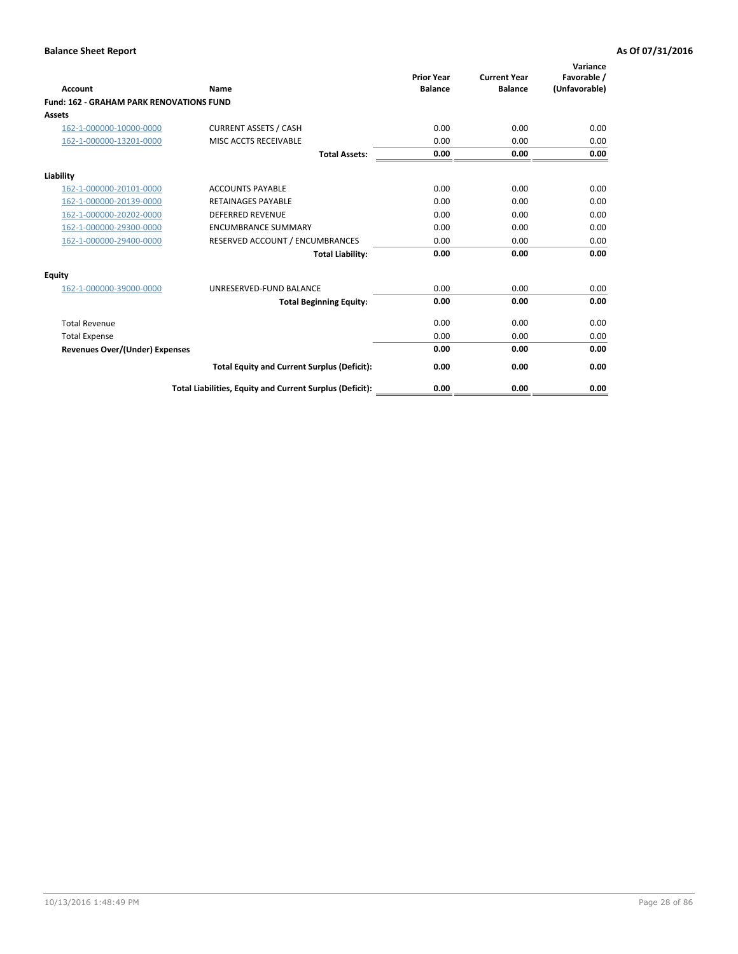| Account                                         | Name                                                     | <b>Prior Year</b><br><b>Balance</b> | <b>Current Year</b><br><b>Balance</b> | Variance<br>Favorable /<br>(Unfavorable) |
|-------------------------------------------------|----------------------------------------------------------|-------------------------------------|---------------------------------------|------------------------------------------|
| <b>Fund: 162 - GRAHAM PARK RENOVATIONS FUND</b> |                                                          |                                     |                                       |                                          |
| <b>Assets</b>                                   |                                                          |                                     |                                       |                                          |
| 162-1-000000-10000-0000                         | <b>CURRENT ASSETS / CASH</b>                             | 0.00                                | 0.00                                  | 0.00                                     |
| 162-1-000000-13201-0000                         | MISC ACCTS RECEIVABLE                                    | 0.00                                | 0.00                                  | 0.00                                     |
|                                                 | <b>Total Assets:</b>                                     | 0.00                                | 0.00                                  | 0.00                                     |
| Liability                                       |                                                          |                                     |                                       |                                          |
| 162-1-000000-20101-0000                         | <b>ACCOUNTS PAYABLE</b>                                  | 0.00                                | 0.00                                  | 0.00                                     |
| 162-1-000000-20139-0000                         | <b>RETAINAGES PAYABLE</b>                                | 0.00                                | 0.00                                  | 0.00                                     |
| 162-1-000000-20202-0000                         | <b>DEFERRED REVENUE</b>                                  | 0.00                                | 0.00                                  | 0.00                                     |
| 162-1-000000-29300-0000                         | <b>ENCUMBRANCE SUMMARY</b>                               | 0.00                                | 0.00                                  | 0.00                                     |
| 162-1-000000-29400-0000                         | RESERVED ACCOUNT / ENCUMBRANCES                          | 0.00                                | 0.00                                  | 0.00                                     |
|                                                 | <b>Total Liability:</b>                                  | 0.00                                | 0.00                                  | 0.00                                     |
| Equity                                          |                                                          |                                     |                                       |                                          |
| 162-1-000000-39000-0000                         | UNRESERVED-FUND BALANCE                                  | 0.00                                | 0.00                                  | 0.00                                     |
|                                                 | <b>Total Beginning Equity:</b>                           | 0.00                                | 0.00                                  | 0.00                                     |
| <b>Total Revenue</b>                            |                                                          | 0.00                                | 0.00                                  | 0.00                                     |
| <b>Total Expense</b>                            |                                                          | 0.00                                | 0.00                                  | 0.00                                     |
| <b>Revenues Over/(Under) Expenses</b>           |                                                          | 0.00                                | 0.00                                  | 0.00                                     |
|                                                 | <b>Total Equity and Current Surplus (Deficit):</b>       | 0.00                                | 0.00                                  | 0.00                                     |
|                                                 | Total Liabilities, Equity and Current Surplus (Deficit): | 0.00                                | 0.00                                  | 0.00                                     |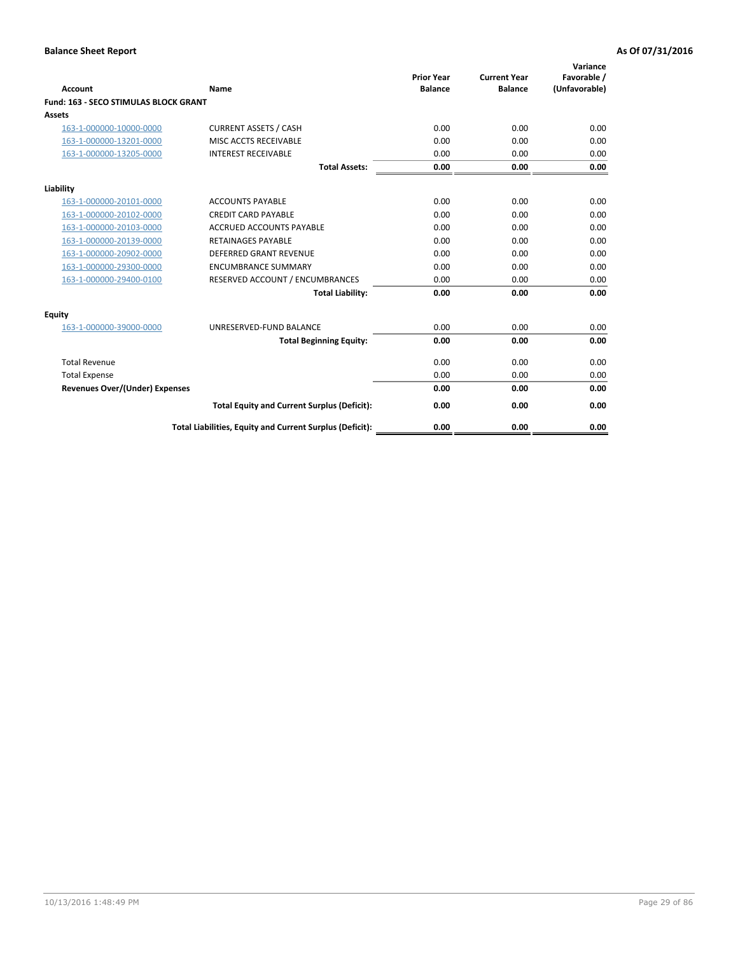| Account                                      | Name                                                     | <b>Prior Year</b><br><b>Balance</b> | <b>Current Year</b><br><b>Balance</b> | Variance<br>Favorable /<br>(Unfavorable) |
|----------------------------------------------|----------------------------------------------------------|-------------------------------------|---------------------------------------|------------------------------------------|
| <b>Fund: 163 - SECO STIMULAS BLOCK GRANT</b> |                                                          |                                     |                                       |                                          |
| <b>Assets</b>                                |                                                          |                                     |                                       |                                          |
| 163-1-000000-10000-0000                      | <b>CURRENT ASSETS / CASH</b>                             | 0.00                                | 0.00                                  | 0.00                                     |
| 163-1-000000-13201-0000                      | MISC ACCTS RECEIVABLE                                    | 0.00                                | 0.00                                  | 0.00                                     |
| 163-1-000000-13205-0000                      | <b>INTEREST RECEIVABLE</b>                               | 0.00                                | 0.00                                  | 0.00                                     |
|                                              | <b>Total Assets:</b>                                     | 0.00                                | 0.00                                  | 0.00                                     |
| Liability                                    |                                                          |                                     |                                       |                                          |
| 163-1-000000-20101-0000                      | <b>ACCOUNTS PAYABLE</b>                                  | 0.00                                | 0.00                                  | 0.00                                     |
| 163-1-000000-20102-0000                      | <b>CREDIT CARD PAYABLE</b>                               | 0.00                                | 0.00                                  | 0.00                                     |
| 163-1-000000-20103-0000                      | ACCRUED ACCOUNTS PAYABLE                                 | 0.00                                | 0.00                                  | 0.00                                     |
| 163-1-000000-20139-0000                      | <b>RETAINAGES PAYABLE</b>                                | 0.00                                | 0.00                                  | 0.00                                     |
| 163-1-000000-20902-0000                      | <b>DEFERRED GRANT REVENUE</b>                            | 0.00                                | 0.00                                  | 0.00                                     |
| 163-1-000000-29300-0000                      | <b>ENCUMBRANCE SUMMARY</b>                               | 0.00                                | 0.00                                  | 0.00                                     |
| 163-1-000000-29400-0100                      | RESERVED ACCOUNT / ENCUMBRANCES                          | 0.00                                | 0.00                                  | 0.00                                     |
|                                              | <b>Total Liability:</b>                                  | 0.00                                | 0.00                                  | 0.00                                     |
| <b>Equity</b>                                |                                                          |                                     |                                       |                                          |
| 163-1-000000-39000-0000                      | UNRESERVED-FUND BALANCE                                  | 0.00                                | 0.00                                  | 0.00                                     |
|                                              | <b>Total Beginning Equity:</b>                           | 0.00                                | 0.00                                  | 0.00                                     |
| <b>Total Revenue</b>                         |                                                          | 0.00                                | 0.00                                  | 0.00                                     |
| <b>Total Expense</b>                         |                                                          | 0.00                                | 0.00                                  | 0.00                                     |
| Revenues Over/(Under) Expenses               |                                                          | 0.00                                | 0.00                                  | 0.00                                     |
|                                              | <b>Total Equity and Current Surplus (Deficit):</b>       | 0.00                                | 0.00                                  | 0.00                                     |
|                                              | Total Liabilities, Equity and Current Surplus (Deficit): | 0.00                                | 0.00                                  | 0.00                                     |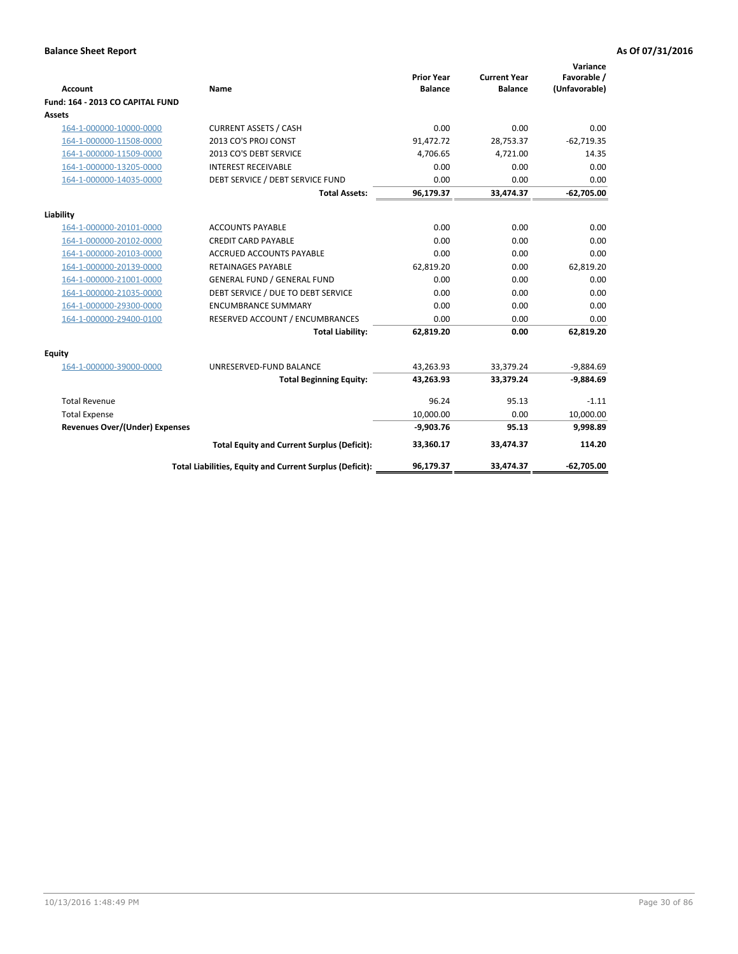|                                       |                                                          |                                     |                                       | Variance                     |
|---------------------------------------|----------------------------------------------------------|-------------------------------------|---------------------------------------|------------------------------|
| <b>Account</b>                        | Name                                                     | <b>Prior Year</b><br><b>Balance</b> | <b>Current Year</b><br><b>Balance</b> | Favorable /<br>(Unfavorable) |
| Fund: 164 - 2013 CO CAPITAL FUND      |                                                          |                                     |                                       |                              |
| Assets                                |                                                          |                                     |                                       |                              |
| 164-1-000000-10000-0000               | <b>CURRENT ASSETS / CASH</b>                             | 0.00                                | 0.00                                  | 0.00                         |
| 164-1-000000-11508-0000               | 2013 CO'S PROJ CONST                                     | 91,472.72                           | 28,753.37                             | $-62,719.35$                 |
| 164-1-000000-11509-0000               | 2013 CO'S DEBT SERVICE                                   | 4,706.65                            | 4,721.00                              | 14.35                        |
| 164-1-000000-13205-0000               | <b>INTEREST RECEIVABLE</b>                               | 0.00                                | 0.00                                  | 0.00                         |
| 164-1-000000-14035-0000               | DEBT SERVICE / DEBT SERVICE FUND                         | 0.00                                | 0.00                                  | 0.00                         |
|                                       | <b>Total Assets:</b>                                     | 96,179.37                           | 33,474.37                             | $-62,705.00$                 |
| Liability                             |                                                          |                                     |                                       |                              |
| 164-1-000000-20101-0000               | <b>ACCOUNTS PAYABLE</b>                                  | 0.00                                | 0.00                                  | 0.00                         |
| 164-1-000000-20102-0000               | <b>CREDIT CARD PAYABLE</b>                               | 0.00                                | 0.00                                  | 0.00                         |
| 164-1-000000-20103-0000               | <b>ACCRUED ACCOUNTS PAYABLE</b>                          | 0.00                                | 0.00                                  | 0.00                         |
| 164-1-000000-20139-0000               | <b>RETAINAGES PAYABLE</b>                                | 62,819.20                           | 0.00                                  | 62,819.20                    |
| 164-1-000000-21001-0000               | <b>GENERAL FUND / GENERAL FUND</b>                       | 0.00                                | 0.00                                  | 0.00                         |
| 164-1-000000-21035-0000               | DEBT SERVICE / DUE TO DEBT SERVICE                       | 0.00                                | 0.00                                  | 0.00                         |
| 164-1-000000-29300-0000               | <b>ENCUMBRANCE SUMMARY</b>                               | 0.00                                | 0.00                                  | 0.00                         |
| 164-1-000000-29400-0100               | RESERVED ACCOUNT / ENCUMBRANCES                          | 0.00                                | 0.00                                  | 0.00                         |
|                                       | <b>Total Liability:</b>                                  | 62,819.20                           | 0.00                                  | 62,819.20                    |
| Equity                                |                                                          |                                     |                                       |                              |
| 164-1-000000-39000-0000               | UNRESERVED-FUND BALANCE                                  | 43,263.93                           | 33,379.24                             | $-9,884.69$                  |
|                                       | <b>Total Beginning Equity:</b>                           | 43,263.93                           | 33,379.24                             | $-9,884.69$                  |
| <b>Total Revenue</b>                  |                                                          | 96.24                               | 95.13                                 | $-1.11$                      |
| <b>Total Expense</b>                  |                                                          | 10,000.00                           | 0.00                                  | 10,000.00                    |
| <b>Revenues Over/(Under) Expenses</b> |                                                          | $-9,903.76$                         | 95.13                                 | 9,998.89                     |
|                                       | <b>Total Equity and Current Surplus (Deficit):</b>       | 33,360.17                           | 33.474.37                             | 114.20                       |
|                                       | Total Liabilities, Equity and Current Surplus (Deficit): | 96,179.37                           | 33,474.37                             | $-62,705.00$                 |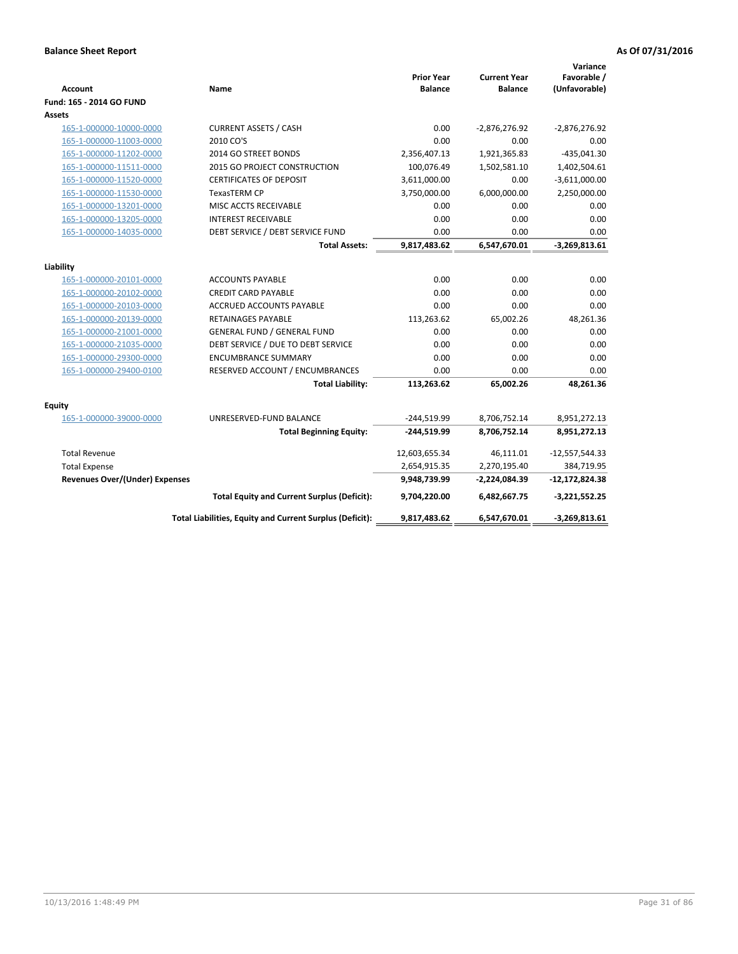| <b>Account</b>                        | Name                                                     | <b>Prior Year</b><br><b>Balance</b> | <b>Current Year</b><br><b>Balance</b> | Variance<br>Favorable /<br>(Unfavorable) |
|---------------------------------------|----------------------------------------------------------|-------------------------------------|---------------------------------------|------------------------------------------|
| Fund: 165 - 2014 GO FUND              |                                                          |                                     |                                       |                                          |
| Assets                                |                                                          |                                     |                                       |                                          |
| 165-1-000000-10000-0000               | <b>CURRENT ASSETS / CASH</b>                             | 0.00                                | $-2,876,276.92$                       | $-2,876,276.92$                          |
| 165-1-000000-11003-0000               | 2010 CO'S                                                | 0.00                                | 0.00                                  | 0.00                                     |
| 165-1-000000-11202-0000               | 2014 GO STREET BONDS                                     | 2,356,407.13                        | 1,921,365.83                          | $-435,041.30$                            |
| 165-1-000000-11511-0000               | 2015 GO PROJECT CONSTRUCTION                             | 100,076.49                          | 1,502,581.10                          | 1,402,504.61                             |
| 165-1-000000-11520-0000               | <b>CERTIFICATES OF DEPOSIT</b>                           | 3,611,000.00                        | 0.00                                  | $-3,611,000.00$                          |
| 165-1-000000-11530-0000               | <b>TexasTERM CP</b>                                      | 3,750,000.00                        | 6,000,000.00                          | 2,250,000.00                             |
| 165-1-000000-13201-0000               | MISC ACCTS RECEIVABLE                                    | 0.00                                | 0.00                                  | 0.00                                     |
| 165-1-000000-13205-0000               | <b>INTEREST RECEIVABLE</b>                               | 0.00                                | 0.00                                  | 0.00                                     |
| 165-1-000000-14035-0000               | DEBT SERVICE / DEBT SERVICE FUND                         | 0.00                                | 0.00                                  | 0.00                                     |
|                                       | <b>Total Assets:</b>                                     | 9,817,483.62                        | 6,547,670.01                          | $-3,269,813.61$                          |
| Liability                             |                                                          |                                     |                                       |                                          |
| 165-1-000000-20101-0000               | <b>ACCOUNTS PAYABLE</b>                                  | 0.00                                | 0.00                                  | 0.00                                     |
| 165-1-000000-20102-0000               | <b>CREDIT CARD PAYABLE</b>                               | 0.00                                | 0.00                                  | 0.00                                     |
| 165-1-000000-20103-0000               | ACCRUED ACCOUNTS PAYABLE                                 | 0.00                                | 0.00                                  | 0.00                                     |
| 165-1-000000-20139-0000               | <b>RETAINAGES PAYABLE</b>                                | 113,263.62                          | 65,002.26                             | 48,261.36                                |
| 165-1-000000-21001-0000               | <b>GENERAL FUND / GENERAL FUND</b>                       | 0.00                                | 0.00                                  | 0.00                                     |
| 165-1-000000-21035-0000               | DEBT SERVICE / DUE TO DEBT SERVICE                       | 0.00                                | 0.00                                  | 0.00                                     |
| 165-1-000000-29300-0000               | <b>ENCUMBRANCE SUMMARY</b>                               | 0.00                                | 0.00                                  | 0.00                                     |
| 165-1-000000-29400-0100               | RESERVED ACCOUNT / ENCUMBRANCES                          | 0.00                                | 0.00                                  | 0.00                                     |
|                                       | <b>Total Liability:</b>                                  | 113,263.62                          | 65,002.26                             | 48,261.36                                |
|                                       |                                                          |                                     |                                       |                                          |
| <b>Equity</b>                         |                                                          |                                     |                                       |                                          |
| 165-1-000000-39000-0000               | UNRESERVED-FUND BALANCE                                  | $-244,519.99$                       | 8,706,752.14                          | 8,951,272.13                             |
|                                       | <b>Total Beginning Equity:</b>                           | $-244,519.99$                       | 8,706,752.14                          | 8,951,272.13                             |
| <b>Total Revenue</b>                  |                                                          | 12,603,655.34                       | 46,111.01                             | $-12,557,544.33$                         |
| <b>Total Expense</b>                  |                                                          | 2,654,915.35                        | 2,270,195.40                          | 384,719.95                               |
| <b>Revenues Over/(Under) Expenses</b> |                                                          | 9,948,739.99                        | -2,224,084.39                         | $-12,172,824.38$                         |
|                                       | <b>Total Equity and Current Surplus (Deficit):</b>       | 9,704,220.00                        | 6,482,667.75                          | $-3,221,552.25$                          |
|                                       | Total Liabilities, Equity and Current Surplus (Deficit): | 9,817,483.62                        | 6,547,670.01                          | $-3,269,813.61$                          |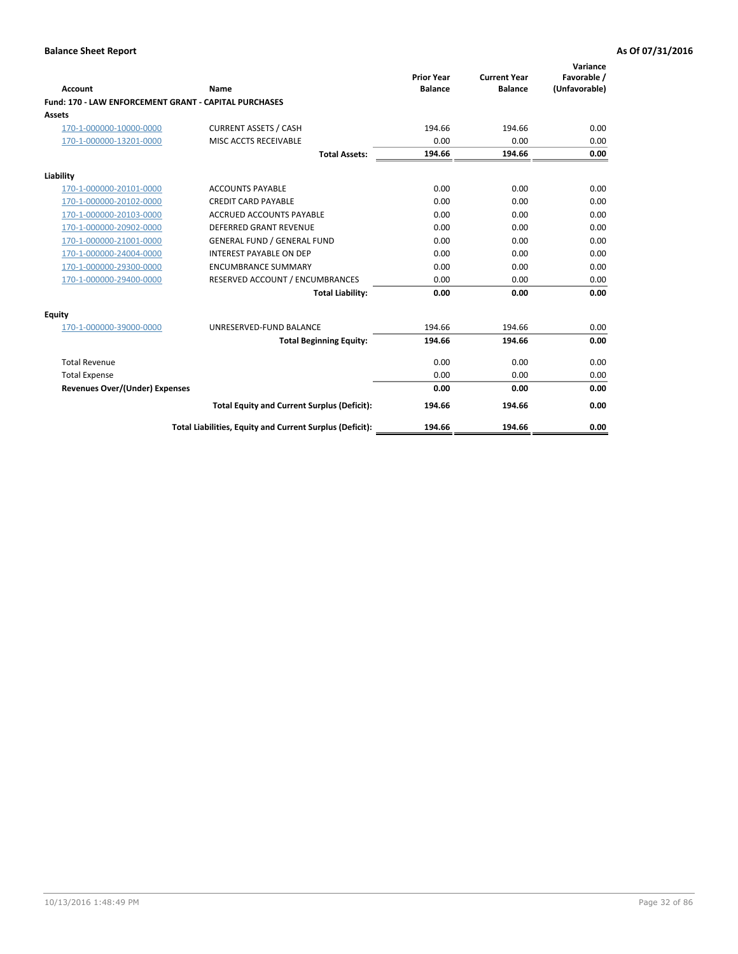| <b>Account</b>                                        | Name                                                     | <b>Prior Year</b><br><b>Balance</b> | <b>Current Year</b><br><b>Balance</b> | Variance<br>Favorable /<br>(Unfavorable) |
|-------------------------------------------------------|----------------------------------------------------------|-------------------------------------|---------------------------------------|------------------------------------------|
| Fund: 170 - LAW ENFORCEMENT GRANT - CAPITAL PURCHASES |                                                          |                                     |                                       |                                          |
| <b>Assets</b>                                         |                                                          |                                     |                                       |                                          |
| 170-1-000000-10000-0000                               | <b>CURRENT ASSETS / CASH</b>                             | 194.66                              | 194.66                                | 0.00                                     |
| 170-1-000000-13201-0000                               | MISC ACCTS RECEIVABLE                                    | 0.00                                | 0.00                                  | 0.00                                     |
|                                                       | <b>Total Assets:</b>                                     | 194.66                              | 194.66                                | 0.00                                     |
| Liability                                             |                                                          |                                     |                                       |                                          |
| 170-1-000000-20101-0000                               | <b>ACCOUNTS PAYABLE</b>                                  | 0.00                                | 0.00                                  | 0.00                                     |
| 170-1-000000-20102-0000                               | <b>CREDIT CARD PAYABLE</b>                               | 0.00                                | 0.00                                  | 0.00                                     |
| 170-1-000000-20103-0000                               | <b>ACCRUED ACCOUNTS PAYABLE</b>                          | 0.00                                | 0.00                                  | 0.00                                     |
| 170-1-000000-20902-0000                               | <b>DEFERRED GRANT REVENUE</b>                            | 0.00                                | 0.00                                  | 0.00                                     |
| 170-1-000000-21001-0000                               | <b>GENERAL FUND / GENERAL FUND</b>                       | 0.00                                | 0.00                                  | 0.00                                     |
| 170-1-000000-24004-0000                               | <b>INTEREST PAYABLE ON DEP</b>                           | 0.00                                | 0.00                                  | 0.00                                     |
| 170-1-000000-29300-0000                               | <b>ENCUMBRANCE SUMMARY</b>                               | 0.00                                | 0.00                                  | 0.00                                     |
| 170-1-000000-29400-0000                               | RESERVED ACCOUNT / ENCUMBRANCES                          | 0.00                                | 0.00                                  | 0.00                                     |
|                                                       | <b>Total Liability:</b>                                  | 0.00                                | 0.00                                  | 0.00                                     |
| <b>Equity</b>                                         |                                                          |                                     |                                       |                                          |
| 170-1-000000-39000-0000                               | UNRESERVED-FUND BALANCE                                  | 194.66                              | 194.66                                | 0.00                                     |
|                                                       | <b>Total Beginning Equity:</b>                           | 194.66                              | 194.66                                | 0.00                                     |
| <b>Total Revenue</b>                                  |                                                          | 0.00                                | 0.00                                  | 0.00                                     |
| <b>Total Expense</b>                                  |                                                          | 0.00                                | 0.00                                  | 0.00                                     |
| <b>Revenues Over/(Under) Expenses</b>                 |                                                          | 0.00                                | 0.00                                  | 0.00                                     |
|                                                       | <b>Total Equity and Current Surplus (Deficit):</b>       | 194.66                              | 194.66                                | 0.00                                     |
|                                                       | Total Liabilities, Equity and Current Surplus (Deficit): | 194.66                              | 194.66                                | 0.00                                     |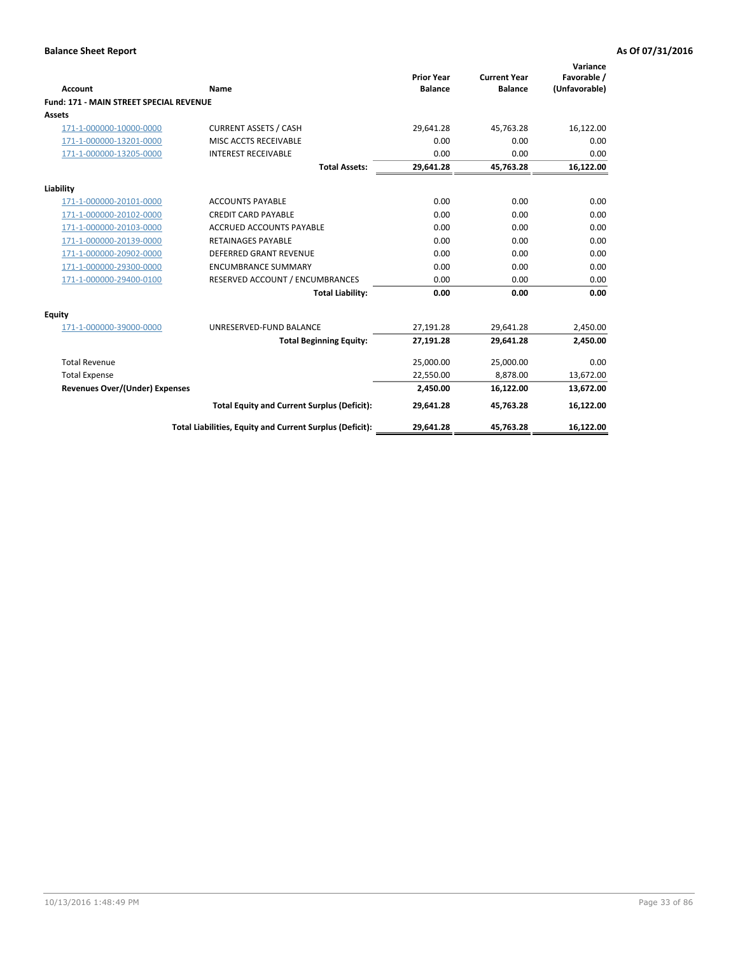| <b>Account</b>                                 | Name                                                     | <b>Prior Year</b><br><b>Balance</b> | <b>Current Year</b><br><b>Balance</b> | Variance<br>Favorable /<br>(Unfavorable) |
|------------------------------------------------|----------------------------------------------------------|-------------------------------------|---------------------------------------|------------------------------------------|
| <b>Fund: 171 - MAIN STREET SPECIAL REVENUE</b> |                                                          |                                     |                                       |                                          |
| <b>Assets</b>                                  |                                                          |                                     |                                       |                                          |
| 171-1-000000-10000-0000                        | <b>CURRENT ASSETS / CASH</b>                             | 29,641.28                           | 45,763.28                             | 16,122.00                                |
| 171-1-000000-13201-0000                        | MISC ACCTS RECEIVABLE                                    | 0.00                                | 0.00                                  | 0.00                                     |
| 171-1-000000-13205-0000                        | <b>INTEREST RECEIVABLE</b>                               | 0.00                                | 0.00                                  | 0.00                                     |
|                                                | <b>Total Assets:</b>                                     | 29,641.28                           | 45,763.28                             | 16,122.00                                |
| Liability                                      |                                                          |                                     |                                       |                                          |
| 171-1-000000-20101-0000                        | <b>ACCOUNTS PAYABLE</b>                                  | 0.00                                | 0.00                                  | 0.00                                     |
| 171-1-000000-20102-0000                        | <b>CREDIT CARD PAYABLE</b>                               | 0.00                                | 0.00                                  | 0.00                                     |
| 171-1-000000-20103-0000                        | <b>ACCRUED ACCOUNTS PAYABLE</b>                          | 0.00                                | 0.00                                  | 0.00                                     |
| 171-1-000000-20139-0000                        | <b>RETAINAGES PAYABLE</b>                                | 0.00                                | 0.00                                  | 0.00                                     |
| 171-1-000000-20902-0000                        | <b>DEFERRED GRANT REVENUE</b>                            | 0.00                                | 0.00                                  | 0.00                                     |
| 171-1-000000-29300-0000                        | <b>ENCUMBRANCE SUMMARY</b>                               | 0.00                                | 0.00                                  | 0.00                                     |
| 171-1-000000-29400-0100                        | RESERVED ACCOUNT / ENCUMBRANCES                          | 0.00                                | 0.00                                  | 0.00                                     |
|                                                | <b>Total Liability:</b>                                  | 0.00                                | 0.00                                  | 0.00                                     |
| <b>Equity</b>                                  |                                                          |                                     |                                       |                                          |
| 171-1-000000-39000-0000                        | UNRESERVED-FUND BALANCE                                  | 27,191.28                           | 29,641.28                             | 2,450.00                                 |
|                                                | <b>Total Beginning Equity:</b>                           | 27,191.28                           | 29,641.28                             | 2,450.00                                 |
| <b>Total Revenue</b>                           |                                                          | 25,000.00                           | 25,000.00                             | 0.00                                     |
| <b>Total Expense</b>                           |                                                          | 22,550.00                           | 8,878.00                              | 13,672.00                                |
| Revenues Over/(Under) Expenses                 |                                                          | 2.450.00                            | 16,122.00                             | 13,672.00                                |
|                                                | <b>Total Equity and Current Surplus (Deficit):</b>       | 29,641.28                           | 45,763.28                             | 16,122.00                                |
|                                                | Total Liabilities, Equity and Current Surplus (Deficit): | 29,641.28                           | 45,763.28                             | 16,122.00                                |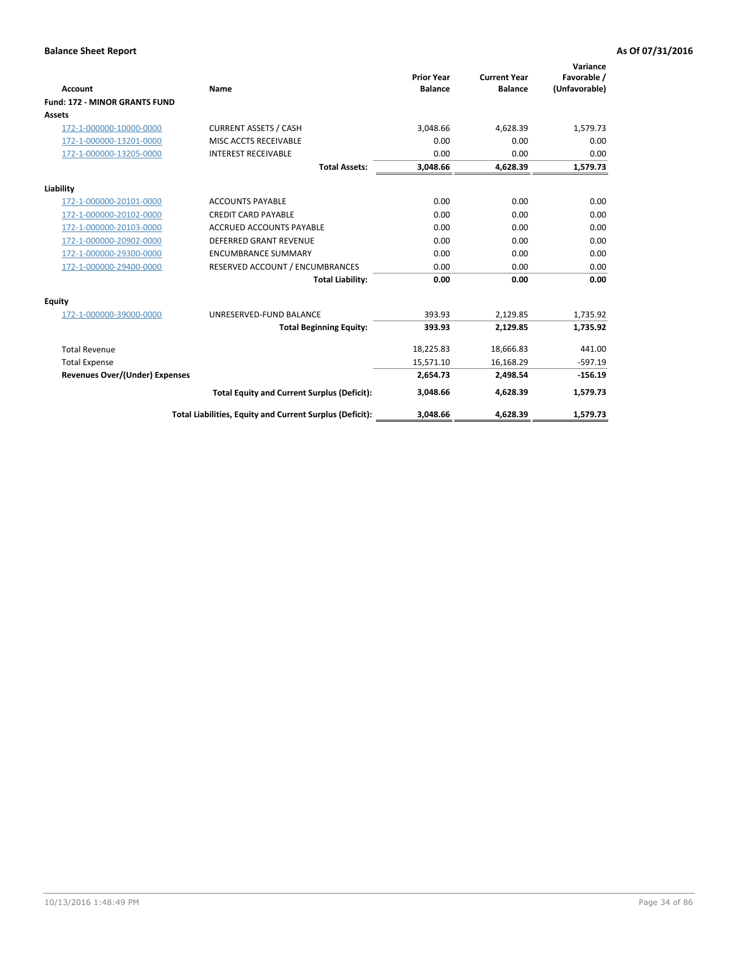|                                       |                                                          |                                     |                                       | Variance                     |
|---------------------------------------|----------------------------------------------------------|-------------------------------------|---------------------------------------|------------------------------|
| <b>Account</b>                        | Name                                                     | <b>Prior Year</b><br><b>Balance</b> | <b>Current Year</b><br><b>Balance</b> | Favorable /<br>(Unfavorable) |
| <b>Fund: 172 - MINOR GRANTS FUND</b>  |                                                          |                                     |                                       |                              |
| <b>Assets</b>                         |                                                          |                                     |                                       |                              |
| 172-1-000000-10000-0000               | <b>CURRENT ASSETS / CASH</b>                             | 3,048.66                            | 4,628.39                              | 1,579.73                     |
| 172-1-000000-13201-0000               | MISC ACCTS RECEIVABLE                                    | 0.00                                | 0.00                                  | 0.00                         |
| 172-1-000000-13205-0000               | <b>INTEREST RECEIVABLE</b>                               | 0.00                                | 0.00                                  | 0.00                         |
|                                       | <b>Total Assets:</b>                                     | 3,048.66                            | 4,628.39                              | 1,579.73                     |
|                                       |                                                          |                                     |                                       |                              |
| Liability                             |                                                          |                                     |                                       |                              |
| 172-1-000000-20101-0000               | <b>ACCOUNTS PAYABLE</b>                                  | 0.00                                | 0.00                                  | 0.00                         |
| 172-1-000000-20102-0000               | <b>CREDIT CARD PAYABLE</b>                               | 0.00                                | 0.00                                  | 0.00                         |
| 172-1-000000-20103-0000               | <b>ACCRUED ACCOUNTS PAYABLE</b>                          | 0.00                                | 0.00                                  | 0.00                         |
| 172-1-000000-20902-0000               | <b>DEFERRED GRANT REVENUE</b>                            | 0.00                                | 0.00                                  | 0.00                         |
| 172-1-000000-29300-0000               | <b>ENCUMBRANCE SUMMARY</b>                               | 0.00                                | 0.00                                  | 0.00                         |
| 172-1-000000-29400-0000               | RESERVED ACCOUNT / ENCUMBRANCES                          | 0.00                                | 0.00                                  | 0.00                         |
|                                       | <b>Total Liability:</b>                                  | 0.00                                | 0.00                                  | 0.00                         |
| Equity                                |                                                          |                                     |                                       |                              |
| 172-1-000000-39000-0000               | UNRESERVED-FUND BALANCE                                  | 393.93                              | 2,129.85                              | 1,735.92                     |
|                                       | <b>Total Beginning Equity:</b>                           | 393.93                              | 2.129.85                              | 1,735.92                     |
| <b>Total Revenue</b>                  |                                                          | 18,225.83                           | 18,666.83                             | 441.00                       |
| <b>Total Expense</b>                  |                                                          | 15,571.10                           | 16,168.29                             | $-597.19$                    |
| <b>Revenues Over/(Under) Expenses</b> |                                                          | 2,654.73                            | 2,498.54                              | $-156.19$                    |
|                                       | <b>Total Equity and Current Surplus (Deficit):</b>       | 3,048.66                            | 4,628.39                              | 1,579.73                     |
|                                       | Total Liabilities, Equity and Current Surplus (Deficit): | 3,048.66                            | 4,628.39                              | 1,579.73                     |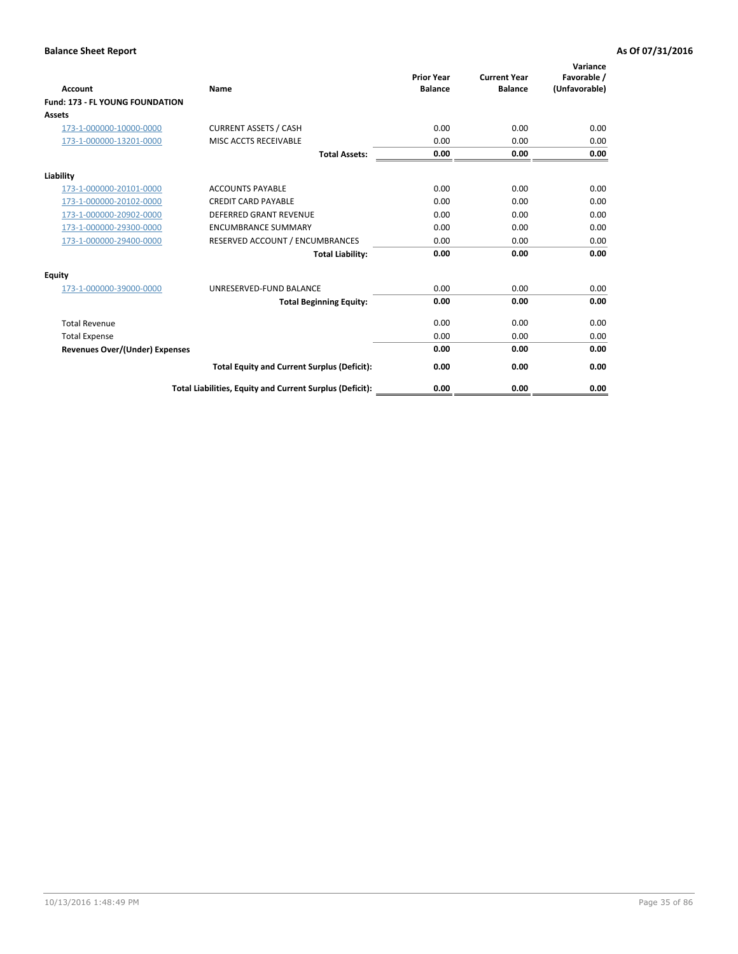| <b>Account</b>                         | <b>Name</b>                                              | <b>Prior Year</b><br><b>Balance</b> | <b>Current Year</b><br><b>Balance</b> | Variance<br>Favorable /<br>(Unfavorable) |
|----------------------------------------|----------------------------------------------------------|-------------------------------------|---------------------------------------|------------------------------------------|
| <b>Fund: 173 - FL YOUNG FOUNDATION</b> |                                                          |                                     |                                       |                                          |
| Assets                                 |                                                          |                                     |                                       |                                          |
| 173-1-000000-10000-0000                | <b>CURRENT ASSETS / CASH</b>                             | 0.00                                | 0.00                                  | 0.00                                     |
| 173-1-000000-13201-0000                | MISC ACCTS RECEIVABLE                                    | 0.00                                | 0.00                                  | 0.00                                     |
|                                        | <b>Total Assets:</b>                                     | 0.00                                | 0.00                                  | 0.00                                     |
| Liability                              |                                                          |                                     |                                       |                                          |
| 173-1-000000-20101-0000                | <b>ACCOUNTS PAYABLE</b>                                  | 0.00                                | 0.00                                  | 0.00                                     |
| 173-1-000000-20102-0000                | <b>CREDIT CARD PAYABLE</b>                               | 0.00                                | 0.00                                  | 0.00                                     |
| 173-1-000000-20902-0000                | <b>DEFERRED GRANT REVENUE</b>                            | 0.00                                | 0.00                                  | 0.00                                     |
| 173-1-000000-29300-0000                | <b>ENCUMBRANCE SUMMARY</b>                               | 0.00                                | 0.00                                  | 0.00                                     |
| 173-1-000000-29400-0000                | RESERVED ACCOUNT / ENCUMBRANCES                          | 0.00                                | 0.00                                  | 0.00                                     |
|                                        | <b>Total Liability:</b>                                  | 0.00                                | 0.00                                  | 0.00                                     |
| Equity                                 |                                                          |                                     |                                       |                                          |
| 173-1-000000-39000-0000                | UNRESERVED-FUND BALANCE                                  | 0.00                                | 0.00                                  | 0.00                                     |
|                                        | <b>Total Beginning Equity:</b>                           | 0.00                                | 0.00                                  | 0.00                                     |
| <b>Total Revenue</b>                   |                                                          | 0.00                                | 0.00                                  | 0.00                                     |
| <b>Total Expense</b>                   |                                                          | 0.00                                | 0.00                                  | 0.00                                     |
| <b>Revenues Over/(Under) Expenses</b>  |                                                          | 0.00                                | 0.00                                  | 0.00                                     |
|                                        | <b>Total Equity and Current Surplus (Deficit):</b>       | 0.00                                | 0.00                                  | 0.00                                     |
|                                        | Total Liabilities, Equity and Current Surplus (Deficit): | 0.00                                | 0.00                                  | 0.00                                     |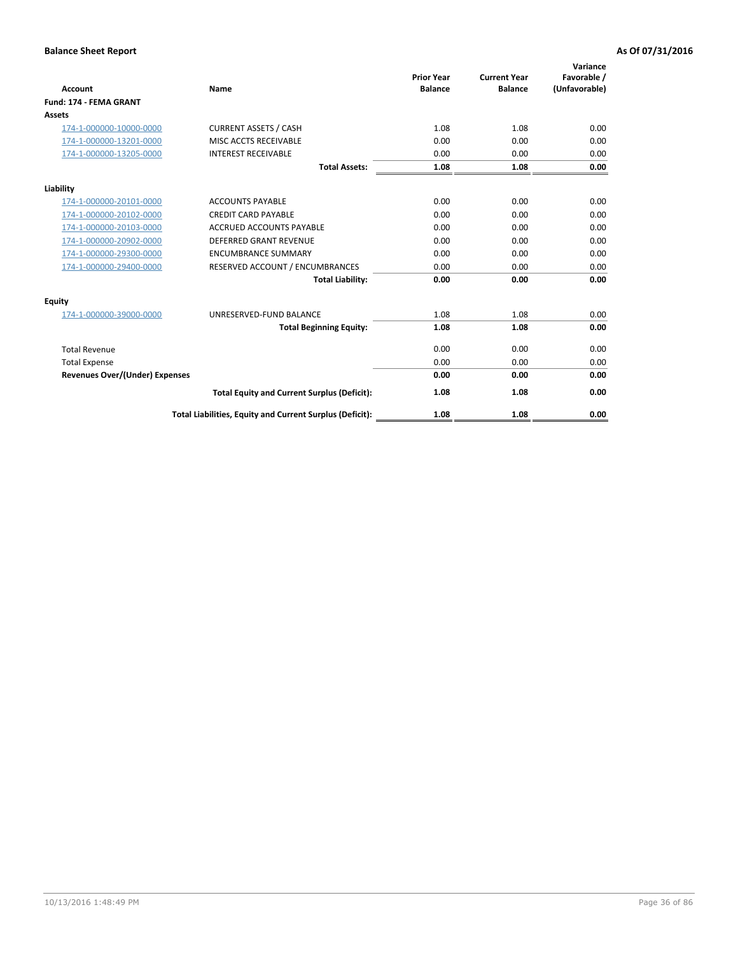| <b>Account</b>                        | <b>Name</b>                                              | <b>Prior Year</b><br><b>Balance</b> | <b>Current Year</b><br><b>Balance</b> | Variance<br>Favorable /<br>(Unfavorable) |
|---------------------------------------|----------------------------------------------------------|-------------------------------------|---------------------------------------|------------------------------------------|
| Fund: 174 - FEMA GRANT                |                                                          |                                     |                                       |                                          |
| Assets                                |                                                          |                                     |                                       |                                          |
| 174-1-000000-10000-0000               | <b>CURRENT ASSETS / CASH</b>                             | 1.08                                | 1.08                                  | 0.00                                     |
| 174-1-000000-13201-0000               | MISC ACCTS RECEIVABLE                                    | 0.00                                | 0.00                                  | 0.00                                     |
| 174-1-000000-13205-0000               | <b>INTEREST RECEIVABLE</b>                               | 0.00                                | 0.00                                  | 0.00                                     |
|                                       | <b>Total Assets:</b>                                     | 1.08                                | 1.08                                  | 0.00                                     |
| Liability                             |                                                          |                                     |                                       |                                          |
| 174-1-000000-20101-0000               | <b>ACCOUNTS PAYABLE</b>                                  | 0.00                                | 0.00                                  | 0.00                                     |
| 174-1-000000-20102-0000               | <b>CREDIT CARD PAYABLE</b>                               | 0.00                                | 0.00                                  | 0.00                                     |
| 174-1-000000-20103-0000               | <b>ACCRUED ACCOUNTS PAYABLE</b>                          | 0.00                                | 0.00                                  | 0.00                                     |
| 174-1-000000-20902-0000               | DEFERRED GRANT REVENUE                                   | 0.00                                | 0.00                                  | 0.00                                     |
| 174-1-000000-29300-0000               | <b>ENCUMBRANCE SUMMARY</b>                               | 0.00                                | 0.00                                  | 0.00                                     |
| 174-1-000000-29400-0000               | RESERVED ACCOUNT / ENCUMBRANCES                          | 0.00                                | 0.00                                  | 0.00                                     |
|                                       | <b>Total Liability:</b>                                  | 0.00                                | 0.00                                  | 0.00                                     |
| Equity                                |                                                          |                                     |                                       |                                          |
| 174-1-000000-39000-0000               | UNRESERVED-FUND BALANCE                                  | 1.08                                | 1.08                                  | 0.00                                     |
|                                       | <b>Total Beginning Equity:</b>                           | 1.08                                | 1.08                                  | 0.00                                     |
| <b>Total Revenue</b>                  |                                                          | 0.00                                | 0.00                                  | 0.00                                     |
| <b>Total Expense</b>                  |                                                          | 0.00                                | 0.00                                  | 0.00                                     |
| <b>Revenues Over/(Under) Expenses</b> |                                                          | 0.00                                | 0.00                                  | 0.00                                     |
|                                       | <b>Total Equity and Current Surplus (Deficit):</b>       | 1.08                                | 1.08                                  | 0.00                                     |
|                                       | Total Liabilities, Equity and Current Surplus (Deficit): | 1.08                                | 1.08                                  | 0.00                                     |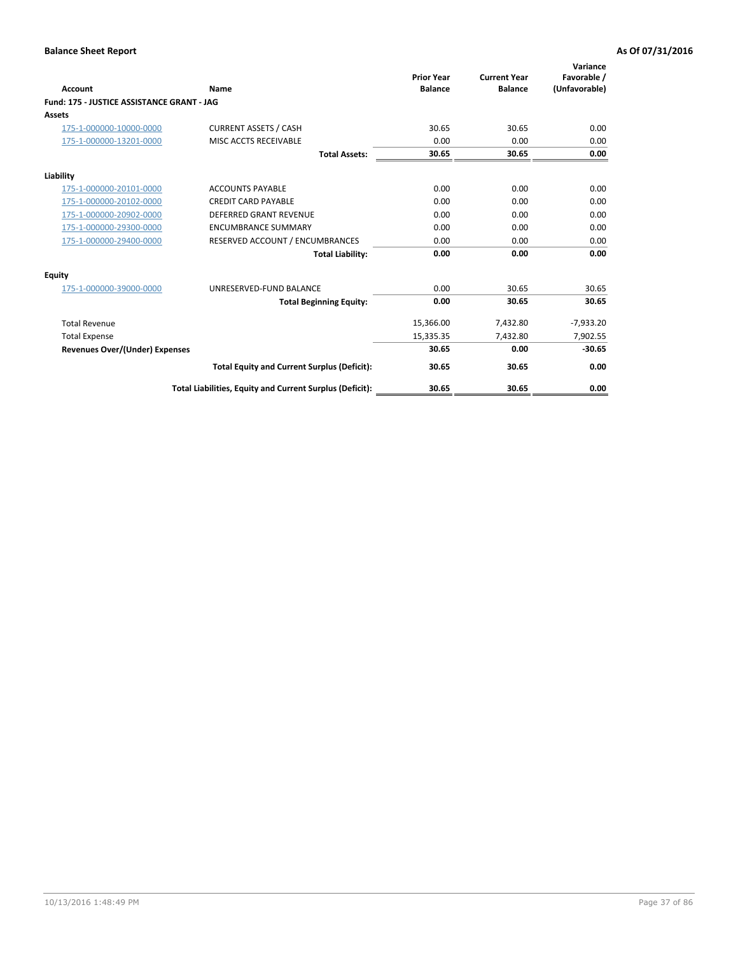| <b>Account</b>                             | Name                                                     | <b>Prior Year</b><br><b>Balance</b> | <b>Current Year</b><br><b>Balance</b> | Variance<br>Favorable /<br>(Unfavorable) |
|--------------------------------------------|----------------------------------------------------------|-------------------------------------|---------------------------------------|------------------------------------------|
| Fund: 175 - JUSTICE ASSISTANCE GRANT - JAG |                                                          |                                     |                                       |                                          |
| <b>Assets</b>                              |                                                          |                                     |                                       |                                          |
| 175-1-000000-10000-0000                    | <b>CURRENT ASSETS / CASH</b>                             | 30.65                               | 30.65                                 | 0.00                                     |
| 175-1-000000-13201-0000                    | MISC ACCTS RECEIVABLE                                    | 0.00                                | 0.00                                  | 0.00                                     |
|                                            | <b>Total Assets:</b>                                     | 30.65                               | 30.65                                 | 0.00                                     |
| Liability                                  |                                                          |                                     |                                       |                                          |
| 175-1-000000-20101-0000                    | <b>ACCOUNTS PAYABLE</b>                                  | 0.00                                | 0.00                                  | 0.00                                     |
| 175-1-000000-20102-0000                    | <b>CREDIT CARD PAYABLE</b>                               | 0.00                                | 0.00                                  | 0.00                                     |
| 175-1-000000-20902-0000                    | DEFERRED GRANT REVENUE                                   | 0.00                                | 0.00                                  | 0.00                                     |
| 175-1-000000-29300-0000                    | <b>ENCUMBRANCE SUMMARY</b>                               | 0.00                                | 0.00                                  | 0.00                                     |
| 175-1-000000-29400-0000                    | RESERVED ACCOUNT / ENCUMBRANCES                          | 0.00                                | 0.00                                  | 0.00                                     |
|                                            | <b>Total Liability:</b>                                  | 0.00                                | 0.00                                  | 0.00                                     |
| <b>Equity</b>                              |                                                          |                                     |                                       |                                          |
| 175-1-000000-39000-0000                    | UNRESERVED-FUND BALANCE                                  | 0.00                                | 30.65                                 | 30.65                                    |
|                                            | <b>Total Beginning Equity:</b>                           | 0.00                                | 30.65                                 | 30.65                                    |
| <b>Total Revenue</b>                       |                                                          | 15,366.00                           | 7,432.80                              | $-7,933.20$                              |
| <b>Total Expense</b>                       |                                                          | 15,335.35                           | 7,432.80                              | 7,902.55                                 |
| <b>Revenues Over/(Under) Expenses</b>      |                                                          | 30.65                               | 0.00                                  | $-30.65$                                 |
|                                            | <b>Total Equity and Current Surplus (Deficit):</b>       | 30.65                               | 30.65                                 | 0.00                                     |
|                                            | Total Liabilities, Equity and Current Surplus (Deficit): | 30.65                               | 30.65                                 | 0.00                                     |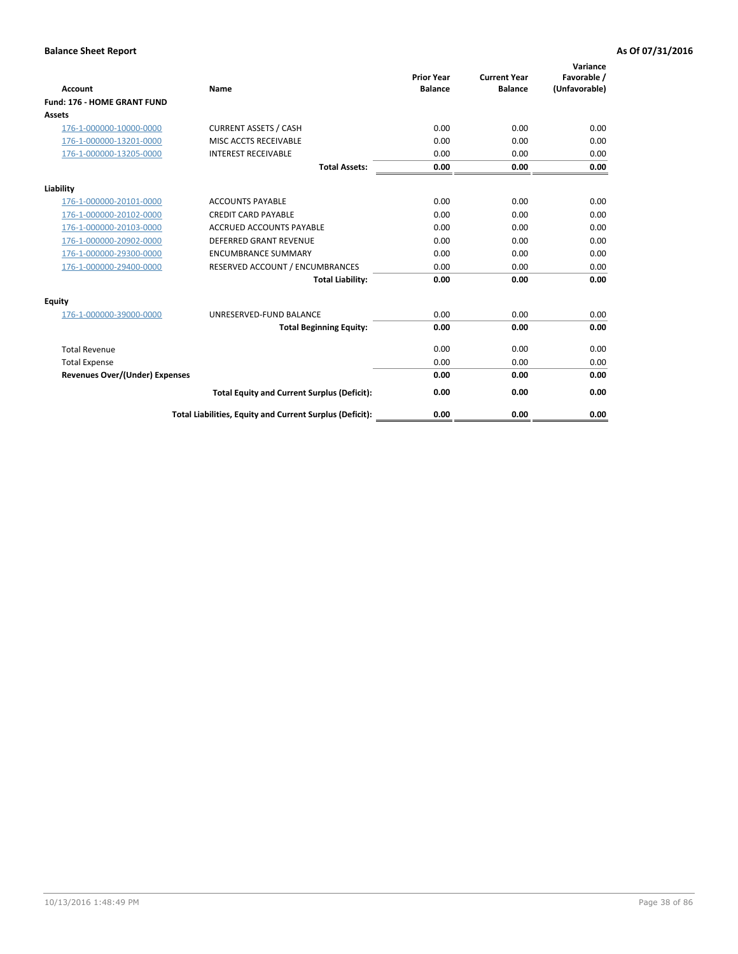| <b>Account</b>                        | Name                                                     | <b>Prior Year</b><br><b>Balance</b> | <b>Current Year</b><br><b>Balance</b> | Variance<br>Favorable /<br>(Unfavorable) |
|---------------------------------------|----------------------------------------------------------|-------------------------------------|---------------------------------------|------------------------------------------|
| <b>Fund: 176 - HOME GRANT FUND</b>    |                                                          |                                     |                                       |                                          |
| Assets                                |                                                          |                                     |                                       |                                          |
| 176-1-000000-10000-0000               | <b>CURRENT ASSETS / CASH</b>                             | 0.00                                | 0.00                                  | 0.00                                     |
| 176-1-000000-13201-0000               | MISC ACCTS RECEIVABLE                                    | 0.00                                | 0.00                                  | 0.00                                     |
| 176-1-000000-13205-0000               | <b>INTEREST RECEIVABLE</b>                               | 0.00                                | 0.00                                  | 0.00                                     |
|                                       | <b>Total Assets:</b>                                     | 0.00                                | 0.00                                  | 0.00                                     |
| Liability                             |                                                          |                                     |                                       |                                          |
| 176-1-000000-20101-0000               | <b>ACCOUNTS PAYABLE</b>                                  | 0.00                                | 0.00                                  | 0.00                                     |
| 176-1-000000-20102-0000               | <b>CREDIT CARD PAYABLE</b>                               | 0.00                                | 0.00                                  | 0.00                                     |
| 176-1-000000-20103-0000               | <b>ACCRUED ACCOUNTS PAYABLE</b>                          | 0.00                                | 0.00                                  | 0.00                                     |
| 176-1-000000-20902-0000               | <b>DEFERRED GRANT REVENUE</b>                            | 0.00                                | 0.00                                  | 0.00                                     |
| 176-1-000000-29300-0000               | <b>ENCUMBRANCE SUMMARY</b>                               | 0.00                                | 0.00                                  | 0.00                                     |
| 176-1-000000-29400-0000               | RESERVED ACCOUNT / ENCUMBRANCES                          | 0.00                                | 0.00                                  | 0.00                                     |
|                                       | <b>Total Liability:</b>                                  | 0.00                                | 0.00                                  | 0.00                                     |
| Equity                                |                                                          |                                     |                                       |                                          |
| 176-1-000000-39000-0000               | UNRESERVED-FUND BALANCE                                  | 0.00                                | 0.00                                  | 0.00                                     |
|                                       | <b>Total Beginning Equity:</b>                           | 0.00                                | 0.00                                  | 0.00                                     |
| <b>Total Revenue</b>                  |                                                          | 0.00                                | 0.00                                  | 0.00                                     |
| <b>Total Expense</b>                  |                                                          | 0.00                                | 0.00                                  | 0.00                                     |
| <b>Revenues Over/(Under) Expenses</b> |                                                          | 0.00                                | 0.00                                  | 0.00                                     |
|                                       | <b>Total Equity and Current Surplus (Deficit):</b>       | 0.00                                | 0.00                                  | 0.00                                     |
|                                       | Total Liabilities, Equity and Current Surplus (Deficit): | 0.00                                | 0.00                                  | 0.00                                     |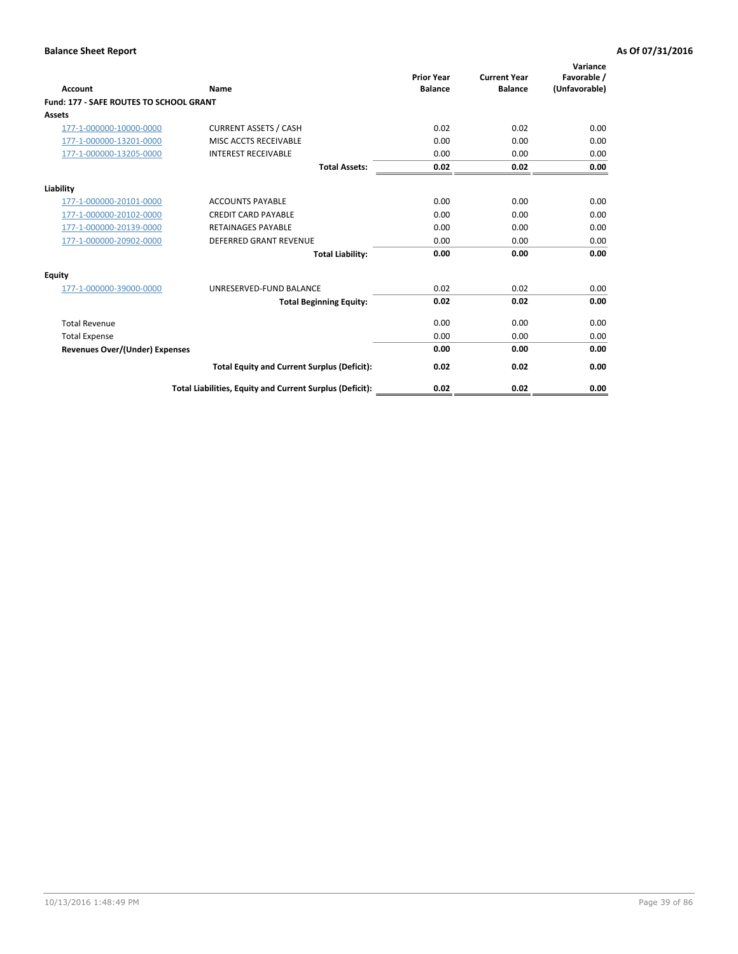| Account                                        | Name                                                     | <b>Prior Year</b><br><b>Balance</b> | <b>Current Year</b><br><b>Balance</b> | Variance<br>Favorable /<br>(Unfavorable) |
|------------------------------------------------|----------------------------------------------------------|-------------------------------------|---------------------------------------|------------------------------------------|
| <b>Fund: 177 - SAFE ROUTES TO SCHOOL GRANT</b> |                                                          |                                     |                                       |                                          |
| <b>Assets</b>                                  |                                                          |                                     |                                       |                                          |
| 177-1-000000-10000-0000                        | <b>CURRENT ASSETS / CASH</b>                             | 0.02                                | 0.02                                  | 0.00                                     |
| 177-1-000000-13201-0000                        | MISC ACCTS RECEIVABLE                                    | 0.00                                | 0.00                                  | 0.00                                     |
| 177-1-000000-13205-0000                        | <b>INTEREST RECEIVABLE</b>                               | 0.00                                | 0.00                                  | 0.00                                     |
|                                                | <b>Total Assets:</b>                                     | 0.02                                | 0.02                                  | 0.00                                     |
| Liability                                      |                                                          |                                     |                                       |                                          |
| 177-1-000000-20101-0000                        | <b>ACCOUNTS PAYABLE</b>                                  | 0.00                                | 0.00                                  | 0.00                                     |
| 177-1-000000-20102-0000                        | <b>CREDIT CARD PAYABLE</b>                               | 0.00                                | 0.00                                  | 0.00                                     |
| 177-1-000000-20139-0000                        | <b>RETAINAGES PAYABLE</b>                                | 0.00                                | 0.00                                  | 0.00                                     |
| 177-1-000000-20902-0000                        | <b>DEFERRED GRANT REVENUE</b>                            | 0.00                                | 0.00                                  | 0.00                                     |
|                                                | <b>Total Liability:</b>                                  | 0.00                                | 0.00                                  | 0.00                                     |
| Equity                                         |                                                          |                                     |                                       |                                          |
| 177-1-000000-39000-0000                        | UNRESERVED-FUND BALANCE                                  | 0.02                                | 0.02                                  | 0.00                                     |
|                                                | <b>Total Beginning Equity:</b>                           | 0.02                                | 0.02                                  | 0.00                                     |
| <b>Total Revenue</b>                           |                                                          | 0.00                                | 0.00                                  | 0.00                                     |
| <b>Total Expense</b>                           |                                                          | 0.00                                | 0.00                                  | 0.00                                     |
| Revenues Over/(Under) Expenses                 |                                                          | 0.00                                | 0.00                                  | 0.00                                     |
|                                                | <b>Total Equity and Current Surplus (Deficit):</b>       | 0.02                                | 0.02                                  | 0.00                                     |
|                                                | Total Liabilities, Equity and Current Surplus (Deficit): | 0.02                                | 0.02                                  | 0.00                                     |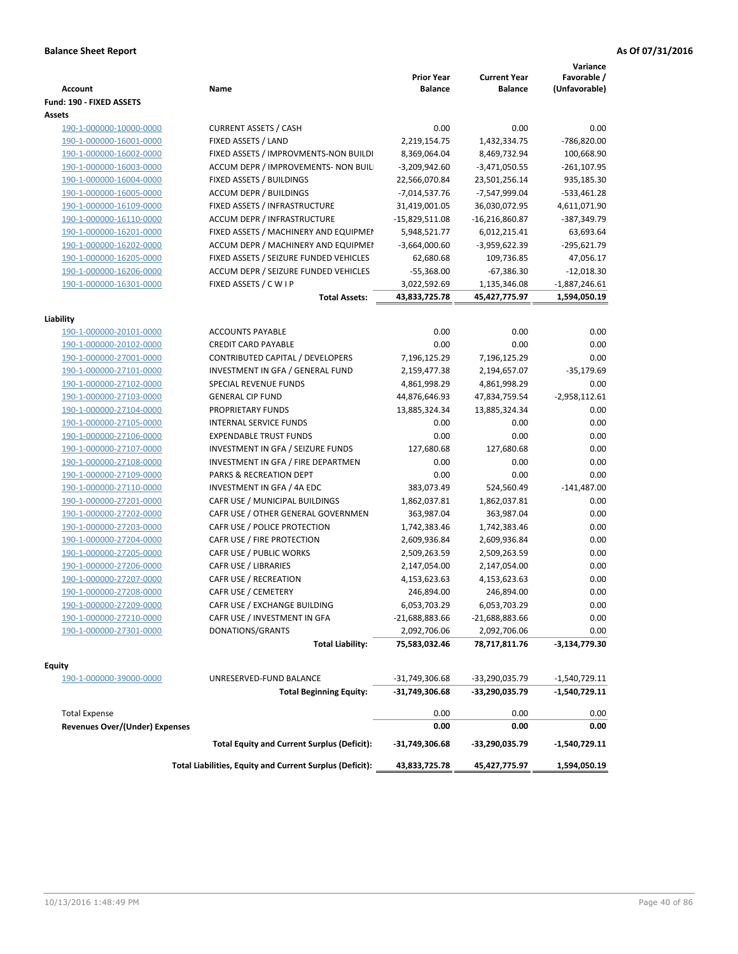| <b>Account</b>                                     | Name                                                            | <b>Prior Year</b><br><b>Balance</b> | <b>Current Year</b><br><b>Balance</b> | Variance<br>Favorable /<br>(Unfavorable) |
|----------------------------------------------------|-----------------------------------------------------------------|-------------------------------------|---------------------------------------|------------------------------------------|
| Fund: 190 - FIXED ASSETS                           |                                                                 |                                     |                                       |                                          |
| Assets<br>190-1-000000-10000-0000                  | <b>CURRENT ASSETS / CASH</b>                                    | 0.00                                | 0.00                                  | 0.00                                     |
| 190-1-000000-16001-0000                            | FIXED ASSETS / LAND                                             | 2,219,154.75                        | 1,432,334.75                          | -786,820.00                              |
|                                                    | FIXED ASSETS / IMPROVMENTS-NON BUILDI                           | 8,369,064.04                        |                                       | 100,668.90                               |
| 190-1-000000-16002-0000                            |                                                                 |                                     | 8,469,732.94                          |                                          |
| 190-1-000000-16003-0000<br>190-1-000000-16004-0000 | ACCUM DEPR / IMPROVEMENTS- NON BUIL<br>FIXED ASSETS / BUILDINGS | $-3,209,942.60$<br>22,566,070.84    | $-3,471,050.55$                       | $-261, 107.95$<br>935,185.30             |
| 190-1-000000-16005-0000                            | <b>ACCUM DEPR / BUILDINGS</b>                                   | $-7,014,537.76$                     | 23,501,256.14<br>-7,547,999.04        | $-533,461.28$                            |
| 190-1-000000-16109-0000                            | FIXED ASSETS / INFRASTRUCTURE                                   | 31,419,001.05                       | 36,030,072.95                         | 4,611,071.90                             |
| 190-1-000000-16110-0000                            | ACCUM DEPR / INFRASTRUCTURE                                     | $-15,829,511.08$                    | $-16,216,860.87$                      | -387,349.79                              |
| 190-1-000000-16201-0000                            | FIXED ASSETS / MACHINERY AND EQUIPMEN                           | 5,948,521.77                        | 6,012,215.41                          | 63,693.64                                |
| 190-1-000000-16202-0000                            | ACCUM DEPR / MACHINERY AND EQUIPMEI                             | $-3,664,000.60$                     | -3,959,622.39                         | -295,621.79                              |
| 190-1-000000-16205-0000                            | FIXED ASSETS / SEIZURE FUNDED VEHICLES                          | 62,680.68                           |                                       | 47,056.17                                |
| 190-1-000000-16206-0000                            | ACCUM DEPR / SEIZURE FUNDED VEHICLES                            | $-55,368.00$                        | 109,736.85<br>$-67,386.30$            | $-12,018.30$                             |
| 190-1-000000-16301-0000                            | FIXED ASSETS / C W I P                                          | 3,022,592.69                        | 1,135,346.08                          | $-1,887,246.61$                          |
|                                                    | <b>Total Assets:</b>                                            | 43,833,725.78                       | 45,427,775.97                         | 1,594,050.19                             |
|                                                    |                                                                 |                                     |                                       |                                          |
| Liability                                          |                                                                 |                                     |                                       |                                          |
| 190-1-000000-20101-0000                            | <b>ACCOUNTS PAYABLE</b>                                         | 0.00                                | 0.00                                  | 0.00                                     |
| 190-1-000000-20102-0000                            | <b>CREDIT CARD PAYABLE</b>                                      | 0.00                                | 0.00                                  | 0.00                                     |
| 190-1-000000-27001-0000                            | CONTRIBUTED CAPITAL / DEVELOPERS                                | 7,196,125.29                        | 7,196,125.29                          | 0.00                                     |
| 190-1-000000-27101-0000                            | INVESTMENT IN GFA / GENERAL FUND                                | 2,159,477.38                        | 2,194,657.07                          | $-35,179.69$                             |
| 190-1-000000-27102-0000                            | SPECIAL REVENUE FUNDS                                           | 4,861,998.29                        | 4,861,998.29                          | 0.00                                     |
| 190-1-000000-27103-0000                            | <b>GENERAL CIP FUND</b>                                         | 44,876,646.93                       | 47,834,759.54                         | $-2,958,112.61$                          |
| 190-1-000000-27104-0000                            | PROPRIETARY FUNDS                                               | 13,885,324.34                       | 13,885,324.34                         | 0.00                                     |
| 190-1-000000-27105-0000                            | <b>INTERNAL SERVICE FUNDS</b>                                   | 0.00                                | 0.00                                  | 0.00                                     |
| 190-1-000000-27106-0000                            | <b>EXPENDABLE TRUST FUNDS</b>                                   | 0.00                                | 0.00                                  | 0.00                                     |
| 190-1-000000-27107-0000                            | INVESTMENT IN GFA / SEIZURE FUNDS                               | 127,680.68                          | 127,680.68                            | 0.00                                     |
| 190-1-000000-27108-0000                            | INVESTMENT IN GFA / FIRE DEPARTMEN                              | 0.00                                | 0.00                                  | 0.00                                     |
| 190-1-000000-27109-0000                            | PARKS & RECREATION DEPT                                         | 0.00                                | 0.00                                  | 0.00                                     |
| 190-1-000000-27110-0000                            | INVESTMENT IN GFA / 4A EDC                                      | 383,073.49                          | 524,560.49                            | $-141,487.00$                            |
| 190-1-000000-27201-0000                            | CAFR USE / MUNICIPAL BUILDINGS                                  | 1,862,037.81                        | 1,862,037.81                          | 0.00                                     |
| 190-1-000000-27202-0000                            | CAFR USE / OTHER GENERAL GOVERNMEN                              | 363,987.04                          | 363,987.04                            | 0.00                                     |
| 190-1-000000-27203-0000                            | CAFR USE / POLICE PROTECTION                                    | 1,742,383.46                        | 1,742,383.46                          | 0.00                                     |
| 190-1-000000-27204-0000                            | CAFR USE / FIRE PROTECTION                                      | 2,609,936.84                        | 2,609,936.84                          | 0.00                                     |
| 190-1-000000-27205-0000                            | CAFR USE / PUBLIC WORKS                                         | 2,509,263.59                        | 2,509,263.59                          | 0.00                                     |
| 190-1-000000-27206-0000                            | CAFR USE / LIBRARIES                                            | 2,147,054.00                        | 2,147,054.00                          | 0.00                                     |
| 190-1-000000-27207-0000                            | CAFR USE / RECREATION                                           | 4,153,623.63                        | 4,153,623.63                          | 0.00                                     |
| 190-1-000000-27208-0000                            | CAFR USE / CEMETERY                                             | 246,894.00                          | 246,894.00                            | 0.00                                     |
| 190-1-000000-27209-0000                            | CAFR USE / EXCHANGE BUILDING                                    | 6,053,703.29                        | 6,053,703.29                          | 0.00                                     |
| 190-1-000000-27210-0000                            | CAFR USE / INVESTMENT IN GFA                                    | -21,688,883.66                      | -21,688,883.66                        | 0.00                                     |
| 190-1-000000-27301-0000                            | DONATIONS/GRANTS                                                | 2,092,706.06                        | 2,092,706.06                          | 0.00                                     |
|                                                    | <b>Total Liability:</b>                                         | 75,583,032.46                       | 78,717,811.76                         | -3,134,779.30                            |
| <b>Equity</b>                                      |                                                                 |                                     |                                       |                                          |
| 190-1-000000-39000-0000                            | UNRESERVED-FUND BALANCE                                         | -31,749,306.68                      | -33,290,035.79                        | -1,540,729.11                            |
|                                                    | <b>Total Beginning Equity:</b>                                  | -31,749,306.68                      | -33,290,035.79                        | -1,540,729.11                            |
|                                                    |                                                                 |                                     |                                       |                                          |
| <b>Total Expense</b>                               |                                                                 | 0.00                                | 0.00                                  | 0.00                                     |
| <b>Revenues Over/(Under) Expenses</b>              |                                                                 | 0.00                                | 0.00                                  | 0.00                                     |
|                                                    | <b>Total Equity and Current Surplus (Deficit):</b>              | -31,749,306.68                      | -33,290,035.79                        | -1,540,729.11                            |
|                                                    | Total Liabilities, Equity and Current Surplus (Deficit):        | 43,833,725.78                       | 45,427,775.97                         | 1,594,050.19                             |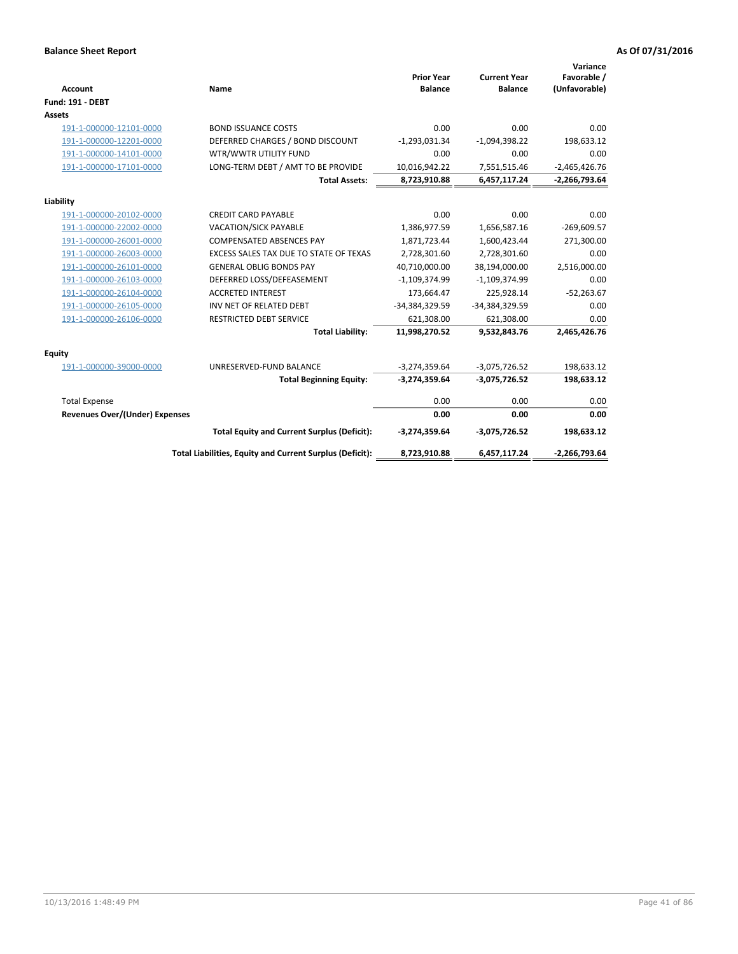| <b>Account</b>                 | Name                                                     | <b>Prior Year</b><br><b>Balance</b> | <b>Current Year</b><br><b>Balance</b> | Variance<br>Favorable /<br>(Unfavorable) |
|--------------------------------|----------------------------------------------------------|-------------------------------------|---------------------------------------|------------------------------------------|
| <b>Fund: 191 - DEBT</b>        |                                                          |                                     |                                       |                                          |
| <b>Assets</b>                  |                                                          |                                     |                                       |                                          |
| 191-1-000000-12101-0000        | <b>BOND ISSUANCE COSTS</b>                               | 0.00                                | 0.00                                  | 0.00                                     |
| 191-1-000000-12201-0000        | DEFERRED CHARGES / BOND DISCOUNT                         | $-1,293,031.34$                     | $-1,094,398.22$                       | 198,633.12                               |
| 191-1-000000-14101-0000        | WTR/WWTR UTILITY FUND                                    | 0.00                                | 0.00                                  | 0.00                                     |
| 191-1-000000-17101-0000        | LONG-TERM DEBT / AMT TO BE PROVIDE                       | 10,016,942.22                       | 7,551,515.46                          | $-2,465,426.76$                          |
|                                | <b>Total Assets:</b>                                     | 8,723,910.88                        | 6,457,117.24                          | $-2,266,793.64$                          |
| Liability                      |                                                          |                                     |                                       |                                          |
| 191-1-000000-20102-0000        | <b>CREDIT CARD PAYABLE</b>                               | 0.00                                | 0.00                                  | 0.00                                     |
| 191-1-000000-22002-0000        | <b>VACATION/SICK PAYABLE</b>                             | 1,386,977.59                        | 1,656,587.16                          | $-269,609.57$                            |
| 191-1-000000-26001-0000        | <b>COMPENSATED ABSENCES PAY</b>                          | 1,871,723.44                        | 1,600,423.44                          | 271,300.00                               |
| 191-1-000000-26003-0000        | EXCESS SALES TAX DUE TO STATE OF TEXAS                   | 2,728,301.60                        | 2,728,301.60                          | 0.00                                     |
| 191-1-000000-26101-0000        | <b>GENERAL OBLIG BONDS PAY</b>                           | 40,710,000.00                       | 38,194,000.00                         | 2,516,000.00                             |
| 191-1-000000-26103-0000        | DEFERRED LOSS/DEFEASEMENT                                | $-1,109,374.99$                     | $-1,109,374.99$                       | 0.00                                     |
| 191-1-000000-26104-0000        | <b>ACCRETED INTEREST</b>                                 | 173,664.47                          | 225,928.14                            | $-52,263.67$                             |
| 191-1-000000-26105-0000        | INV NET OF RELATED DEBT                                  | -34,384,329.59                      | -34,384,329.59                        | 0.00                                     |
| 191-1-000000-26106-0000        | <b>RESTRICTED DEBT SERVICE</b>                           | 621,308.00                          | 621,308.00                            | 0.00                                     |
|                                | <b>Total Liability:</b>                                  | 11,998,270.52                       | 9,532,843.76                          | 2,465,426.76                             |
| Equity                         |                                                          |                                     |                                       |                                          |
| 191-1-000000-39000-0000        | UNRESERVED-FUND BALANCE                                  | $-3,274,359.64$                     | $-3,075,726.52$                       | 198,633.12                               |
|                                | <b>Total Beginning Equity:</b>                           | $-3,274,359.64$                     | $-3,075,726.52$                       | 198,633.12                               |
| <b>Total Expense</b>           |                                                          | 0.00                                | 0.00                                  | 0.00                                     |
| Revenues Over/(Under) Expenses |                                                          | 0.00                                | 0.00                                  | 0.00                                     |
|                                | <b>Total Equity and Current Surplus (Deficit):</b>       | $-3,274,359.64$                     | $-3,075,726.52$                       | 198,633.12                               |
|                                | Total Liabilities, Equity and Current Surplus (Deficit): | 8,723,910.88                        | 6,457,117.24                          | $-2,266,793.64$                          |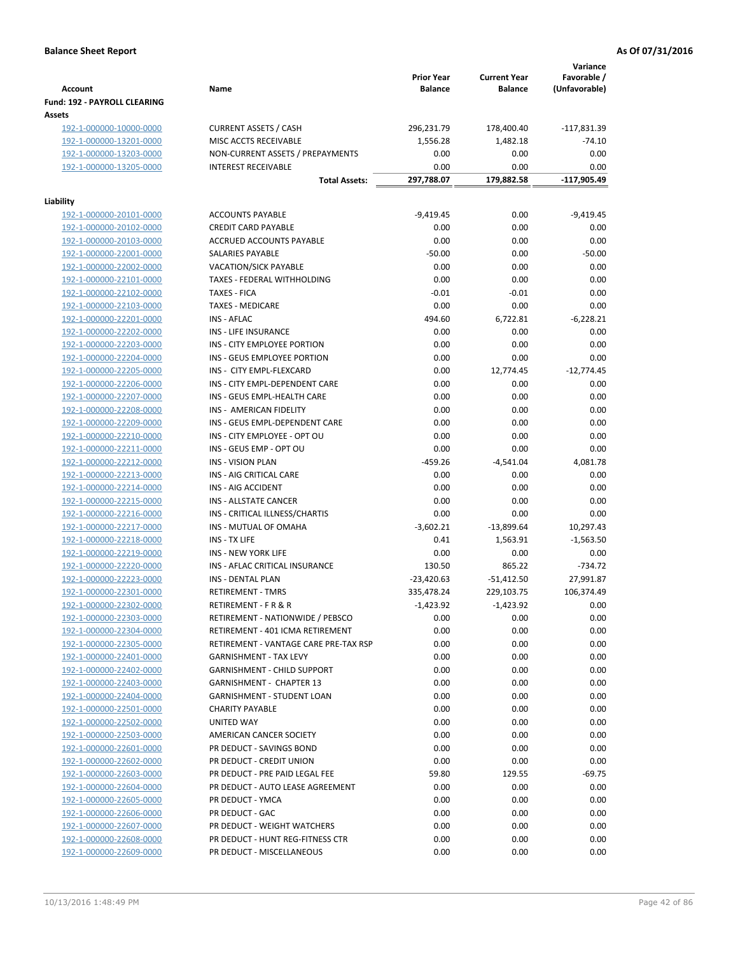|                                                    |                                                    | <b>Prior Year</b> | <b>Current Year</b> | Variance<br>Favorable / |
|----------------------------------------------------|----------------------------------------------------|-------------------|---------------------|-------------------------|
| <b>Account</b>                                     | Name                                               | <b>Balance</b>    | <b>Balance</b>      | (Unfavorable)           |
| Fund: 192 - PAYROLL CLEARING                       |                                                    |                   |                     |                         |
| Assets                                             |                                                    |                   |                     |                         |
| 192-1-000000-10000-0000                            | <b>CURRENT ASSETS / CASH</b>                       | 296,231.79        | 178,400.40          | $-117,831.39$           |
| 192-1-000000-13201-0000                            | MISC ACCTS RECEIVABLE                              | 1,556.28          | 1,482.18            | $-74.10$                |
| 192-1-000000-13203-0000                            | NON-CURRENT ASSETS / PREPAYMENTS                   | 0.00              | 0.00                | 0.00                    |
| 192-1-000000-13205-0000                            | <b>INTEREST RECEIVABLE</b>                         | 0.00              | 0.00                | 0.00                    |
|                                                    | <b>Total Assets:</b>                               | 297,788.07        | 179,882.58          | -117,905.49             |
| Liability                                          |                                                    |                   |                     |                         |
| 192-1-000000-20101-0000                            | <b>ACCOUNTS PAYABLE</b>                            | $-9,419.45$       | 0.00                | $-9,419.45$             |
| 192-1-000000-20102-0000                            | <b>CREDIT CARD PAYABLE</b>                         | 0.00              | 0.00                | 0.00                    |
| 192-1-000000-20103-0000                            | ACCRUED ACCOUNTS PAYABLE                           | 0.00              | 0.00                | 0.00                    |
| 192-1-000000-22001-0000                            | SALARIES PAYABLE                                   | $-50.00$          | 0.00                | $-50.00$                |
| 192-1-000000-22002-0000                            | <b>VACATION/SICK PAYABLE</b>                       | 0.00              | 0.00                | 0.00                    |
| 192-1-000000-22101-0000                            | TAXES - FEDERAL WITHHOLDING                        | 0.00              | 0.00                | 0.00                    |
| 192-1-000000-22102-0000                            | <b>TAXES - FICA</b>                                | $-0.01$           | $-0.01$             | 0.00                    |
| 192-1-000000-22103-0000                            | <b>TAXES - MEDICARE</b>                            | 0.00              | 0.00                | 0.00                    |
| 192-1-000000-22201-0000                            | <b>INS - AFLAC</b>                                 | 494.60            | 6,722.81            | $-6,228.21$             |
| 192-1-000000-22202-0000                            | <b>INS - LIFE INSURANCE</b>                        | 0.00              | 0.00                | 0.00                    |
| 192-1-000000-22203-0000                            | INS - CITY EMPLOYEE PORTION                        | 0.00              | 0.00                | 0.00                    |
| 192-1-000000-22204-0000                            | INS - GEUS EMPLOYEE PORTION                        | 0.00              | 0.00                | 0.00                    |
| 192-1-000000-22205-0000                            | INS - CITY EMPL-FLEXCARD                           | 0.00              | 12,774.45           | $-12,774.45$            |
| 192-1-000000-22206-0000                            | INS - CITY EMPL-DEPENDENT CARE                     | 0.00              | 0.00                | 0.00                    |
| 192-1-000000-22207-0000                            | INS - GEUS EMPL-HEALTH CARE                        | 0.00              | 0.00                | 0.00                    |
| 192-1-000000-22208-0000                            | INS - AMERICAN FIDELITY                            | 0.00              | 0.00                | 0.00                    |
| 192-1-000000-22209-0000                            | INS - GEUS EMPL-DEPENDENT CARE                     | 0.00              | 0.00                | 0.00                    |
| 192-1-000000-22210-0000                            | INS - CITY EMPLOYEE - OPT OU                       | 0.00              | 0.00                | 0.00                    |
| 192-1-000000-22211-0000                            | INS - GEUS EMP - OPT OU                            | 0.00              | 0.00                | 0.00                    |
| 192-1-000000-22212-0000                            | <b>INS - VISION PLAN</b>                           | $-459.26$         | $-4,541.04$         | 4,081.78                |
| 192-1-000000-22213-0000                            | INS - AIG CRITICAL CARE                            | 0.00              | 0.00                | 0.00                    |
| 192-1-000000-22214-0000                            | INS - AIG ACCIDENT<br><b>INS - ALLSTATE CANCER</b> | 0.00<br>0.00      | 0.00<br>0.00        | 0.00<br>0.00            |
| 192-1-000000-22215-0000<br>192-1-000000-22216-0000 | INS - CRITICAL ILLNESS/CHARTIS                     | 0.00              | 0.00                | 0.00                    |
| 192-1-000000-22217-0000                            | INS - MUTUAL OF OMAHA                              | $-3,602.21$       | $-13,899.64$        | 10,297.43               |
| 192-1-000000-22218-0000                            | INS - TX LIFE                                      | 0.41              | 1,563.91            | $-1,563.50$             |
| 192-1-000000-22219-0000                            | <b>INS - NEW YORK LIFE</b>                         | 0.00              | 0.00                | 0.00                    |
| 192-1-000000-22220-0000                            | INS - AFLAC CRITICAL INSURANCE                     | 130.50            | 865.22              | $-734.72$               |
| 192-1-000000-22223-0000                            | INS - DENTAL PLAN                                  | $-23,420.63$      | $-51,412.50$        | 27,991.87               |
| 192-1-000000-22301-0000                            | <b>RETIREMENT - TMRS</b>                           | 335,478.24        | 229,103.75          | 106,374.49              |
| 192-1-000000-22302-0000                            | RETIREMENT - F R & R                               | $-1,423.92$       | $-1,423.92$         | 0.00                    |
| 192-1-000000-22303-0000                            | RETIREMENT - NATIONWIDE / PEBSCO                   | 0.00              | 0.00                | 0.00                    |
| 192-1-000000-22304-0000                            | RETIREMENT - 401 ICMA RETIREMENT                   | 0.00              | 0.00                | 0.00                    |
| 192-1-000000-22305-0000                            | RETIREMENT - VANTAGE CARE PRE-TAX RSP              | 0.00              | 0.00                | 0.00                    |
| 192-1-000000-22401-0000                            | <b>GARNISHMENT - TAX LEVY</b>                      | 0.00              | 0.00                | 0.00                    |
| 192-1-000000-22402-0000                            | GARNISHMENT - CHILD SUPPORT                        | 0.00              | 0.00                | 0.00                    |
| 192-1-000000-22403-0000                            | GARNISHMENT - CHAPTER 13                           | 0.00              | 0.00                | 0.00                    |
| 192-1-000000-22404-0000                            | GARNISHMENT - STUDENT LOAN                         | 0.00              | 0.00                | 0.00                    |
| 192-1-000000-22501-0000                            | <b>CHARITY PAYABLE</b>                             | 0.00              | 0.00                | 0.00                    |
| 192-1-000000-22502-0000                            | UNITED WAY                                         | 0.00              | 0.00                | 0.00                    |
| 192-1-000000-22503-0000                            | AMERICAN CANCER SOCIETY                            | 0.00              | 0.00                | 0.00                    |
| 192-1-000000-22601-0000                            | PR DEDUCT - SAVINGS BOND                           | 0.00              | 0.00                | 0.00                    |
| 192-1-000000-22602-0000                            | PR DEDUCT - CREDIT UNION                           | 0.00              | 0.00                | 0.00                    |
| 192-1-000000-22603-0000                            | PR DEDUCT - PRE PAID LEGAL FEE                     | 59.80             | 129.55              | $-69.75$                |
| 192-1-000000-22604-0000                            | PR DEDUCT - AUTO LEASE AGREEMENT                   | 0.00              | 0.00                | 0.00                    |
| 192-1-000000-22605-0000                            | PR DEDUCT - YMCA                                   | 0.00              | 0.00                | 0.00                    |
| 192-1-000000-22606-0000                            | PR DEDUCT - GAC                                    | 0.00              | 0.00                | 0.00                    |
| 192-1-000000-22607-0000                            | PR DEDUCT - WEIGHT WATCHERS                        | 0.00              | 0.00                | 0.00                    |
| 192-1-000000-22608-0000                            | PR DEDUCT - HUNT REG-FITNESS CTR                   | 0.00              | 0.00                | 0.00                    |
| 192-1-000000-22609-0000                            | PR DEDUCT - MISCELLANEOUS                          | 0.00              | 0.00                | 0.00                    |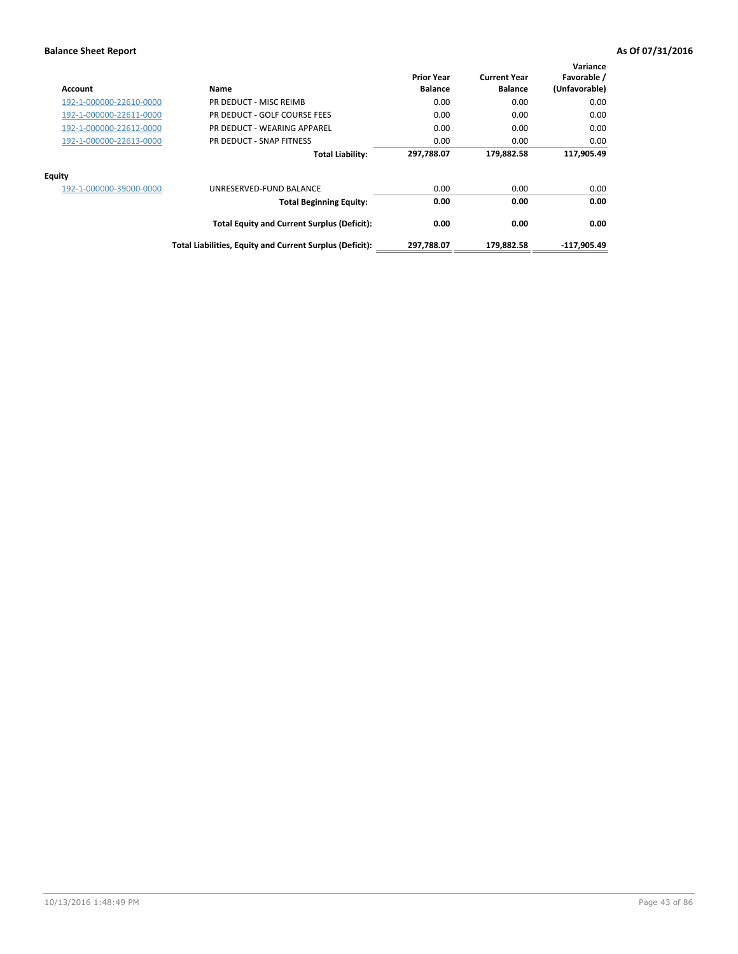| Account                 | Name                                                     | <b>Prior Year</b><br><b>Balance</b> | <b>Current Year</b><br><b>Balance</b> | Variance<br>Favorable /<br>(Unfavorable) |
|-------------------------|----------------------------------------------------------|-------------------------------------|---------------------------------------|------------------------------------------|
| 192-1-000000-22610-0000 | PR DEDUCT - MISC REIMB                                   | 0.00                                | 0.00                                  | 0.00                                     |
| 192-1-000000-22611-0000 | PR DEDUCT - GOLF COURSE FEES                             | 0.00                                | 0.00                                  | 0.00                                     |
| 192-1-000000-22612-0000 | PR DEDUCT - WEARING APPAREL                              | 0.00                                | 0.00                                  | 0.00                                     |
| 192-1-000000-22613-0000 | PR DEDUCT - SNAP FITNESS                                 | 0.00                                | 0.00                                  | 0.00                                     |
|                         | <b>Total Liability:</b>                                  | 297,788.07                          | 179,882.58                            | 117,905.49                               |
| Equity                  |                                                          |                                     |                                       |                                          |
| 192-1-000000-39000-0000 | UNRESERVED-FUND BALANCE                                  | 0.00                                | 0.00                                  | 0.00                                     |
|                         | <b>Total Beginning Equity:</b>                           | 0.00                                | 0.00                                  | 0.00                                     |
|                         | <b>Total Equity and Current Surplus (Deficit):</b>       | 0.00                                | 0.00                                  | 0.00                                     |
|                         | Total Liabilities, Equity and Current Surplus (Deficit): | 297,788.07                          | 179,882.58                            | -117,905.49                              |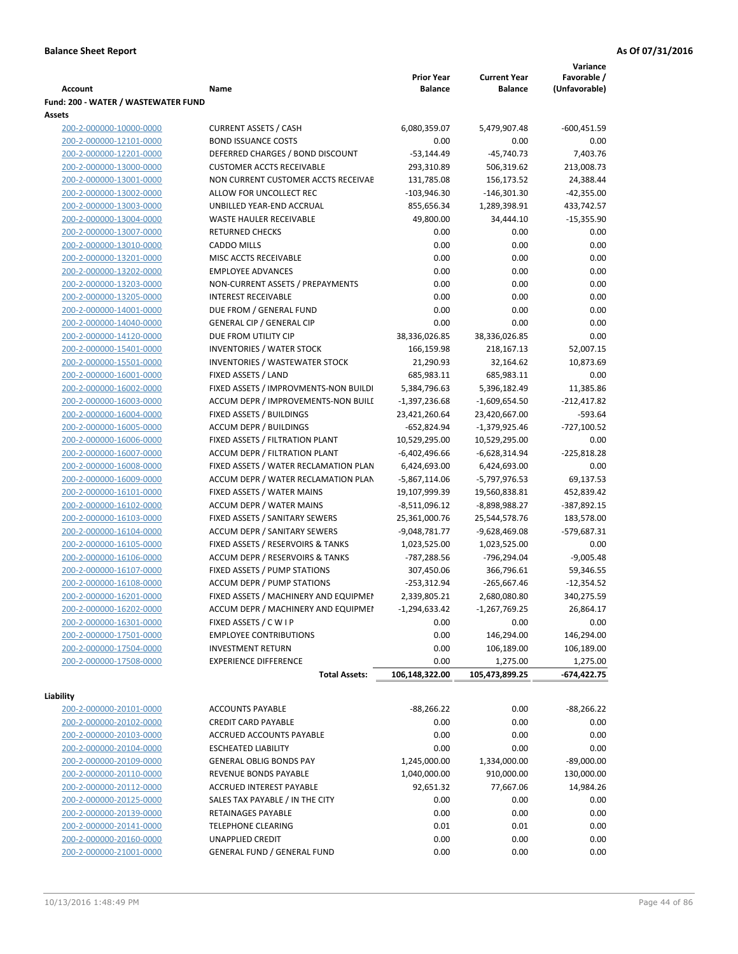|                                     |                                            |                   |                     | Variance      |
|-------------------------------------|--------------------------------------------|-------------------|---------------------|---------------|
|                                     |                                            | <b>Prior Year</b> | <b>Current Year</b> | Favorable /   |
| Account                             | Name                                       | <b>Balance</b>    | <b>Balance</b>      | (Unfavorable) |
| Fund: 200 - WATER / WASTEWATER FUND |                                            |                   |                     |               |
| Assets                              |                                            |                   |                     |               |
| 200-2-000000-10000-0000             | <b>CURRENT ASSETS / CASH</b>               | 6,080,359.07      | 5,479,907.48        | $-600,451.59$ |
| 200-2-000000-12101-0000             | <b>BOND ISSUANCE COSTS</b>                 | 0.00              | 0.00                | 0.00          |
| 200-2-000000-12201-0000             | DEFERRED CHARGES / BOND DISCOUNT           | $-53,144.49$      | $-45,740.73$        | 7,403.76      |
| 200-2-000000-13000-0000             | <b>CUSTOMER ACCTS RECEIVABLE</b>           | 293,310.89        | 506,319.62          | 213,008.73    |
| 200-2-000000-13001-0000             | NON CURRENT CUSTOMER ACCTS RECEIVAE        | 131,785.08        | 156,173.52          | 24,388.44     |
| 200-2-000000-13002-0000             | ALLOW FOR UNCOLLECT REC                    | $-103,946.30$     | $-146,301.30$       | $-42,355.00$  |
| 200-2-000000-13003-0000             | UNBILLED YEAR-END ACCRUAL                  | 855,656.34        | 1,289,398.91        | 433,742.57    |
| 200-2-000000-13004-0000             | <b>WASTE HAULER RECEIVABLE</b>             | 49,800.00         | 34,444.10           | $-15,355.90$  |
| 200-2-000000-13007-0000             | <b>RETURNED CHECKS</b>                     | 0.00              | 0.00                | 0.00          |
| 200-2-000000-13010-0000             | <b>CADDO MILLS</b>                         | 0.00              | 0.00                | 0.00          |
| 200-2-000000-13201-0000             | MISC ACCTS RECEIVABLE                      | 0.00              | 0.00                | 0.00          |
| 200-2-000000-13202-0000             | <b>EMPLOYEE ADVANCES</b>                   | 0.00              | 0.00                | 0.00          |
| 200-2-000000-13203-0000             | NON-CURRENT ASSETS / PREPAYMENTS           | 0.00              | 0.00                | 0.00          |
| 200-2-000000-13205-0000             | <b>INTEREST RECEIVABLE</b>                 | 0.00              | 0.00                | 0.00          |
| 200-2-000000-14001-0000             | DUE FROM / GENERAL FUND                    | 0.00              | 0.00                | 0.00          |
| 200-2-000000-14040-0000             | <b>GENERAL CIP / GENERAL CIP</b>           | 0.00              | 0.00                | 0.00          |
| 200-2-000000-14120-0000             | DUE FROM UTILITY CIP                       | 38,336,026.85     | 38,336,026.85       | 0.00          |
| 200-2-000000-15401-0000             | <b>INVENTORIES / WATER STOCK</b>           | 166,159.98        | 218,167.13          | 52,007.15     |
| 200-2-000000-15501-0000             | <b>INVENTORIES / WASTEWATER STOCK</b>      | 21,290.93         | 32,164.62           | 10,873.69     |
| 200-2-000000-16001-0000             | FIXED ASSETS / LAND                        | 685,983.11        | 685,983.11          | 0.00          |
| 200-2-000000-16002-0000             | FIXED ASSETS / IMPROVMENTS-NON BUILDI      | 5,384,796.63      | 5,396,182.49        | 11,385.86     |
| 200-2-000000-16003-0000             | ACCUM DEPR / IMPROVEMENTS-NON BUILI        | $-1,397,236.68$   | -1,609,654.50       | $-212,417.82$ |
| 200-2-000000-16004-0000             | FIXED ASSETS / BUILDINGS                   | 23,421,260.64     | 23,420,667.00       | $-593.64$     |
| 200-2-000000-16005-0000             | <b>ACCUM DEPR / BUILDINGS</b>              | $-652,824.94$     | $-1,379,925.46$     | $-727,100.52$ |
| 200-2-000000-16006-0000             | FIXED ASSETS / FILTRATION PLANT            | 10,529,295.00     | 10,529,295.00       | 0.00          |
| 200-2-000000-16007-0000             | ACCUM DEPR / FILTRATION PLANT              | $-6,402,496.66$   | $-6,628,314.94$     | $-225,818.28$ |
| 200-2-000000-16008-0000             | FIXED ASSETS / WATER RECLAMATION PLAN      | 6,424,693.00      | 6,424,693.00        | 0.00          |
| 200-2-000000-16009-0000             | ACCUM DEPR / WATER RECLAMATION PLAN        | $-5,867,114.06$   | -5,797,976.53       | 69,137.53     |
| 200-2-000000-16101-0000             | FIXED ASSETS / WATER MAINS                 | 19,107,999.39     | 19,560,838.81       | 452,839.42    |
| 200-2-000000-16102-0000             | <b>ACCUM DEPR / WATER MAINS</b>            | $-8,511,096.12$   | -8,898,988.27       | -387,892.15   |
| 200-2-000000-16103-0000             | FIXED ASSETS / SANITARY SEWERS             | 25,361,000.76     | 25,544,578.76       | 183,578.00    |
| 200-2-000000-16104-0000             | <b>ACCUM DEPR / SANITARY SEWERS</b>        | $-9,048,781.77$   | $-9,628,469.08$     | -579,687.31   |
| 200-2-000000-16105-0000             | FIXED ASSETS / RESERVOIRS & TANKS          | 1,023,525.00      | 1,023,525.00        | 0.00          |
| 200-2-000000-16106-0000             | <b>ACCUM DEPR / RESERVOIRS &amp; TANKS</b> | -787,288.56       | -796,294.04         | $-9,005.48$   |
| 200-2-000000-16107-0000             | FIXED ASSETS / PUMP STATIONS               | 307,450.06        | 366,796.61          | 59,346.55     |
| 200-2-000000-16108-0000             | <b>ACCUM DEPR / PUMP STATIONS</b>          | $-253,312.94$     | $-265,667.46$       | $-12,354.52$  |
| 200-2-000000-16201-0000             | FIXED ASSETS / MACHINERY AND EQUIPMEN      | 2,339,805.21      | 2,680,080.80        | 340,275.59    |
| 200-2-000000-16202-0000             | ACCUM DEPR / MACHINERY AND EQUIPMEI        | $-1,294,633.42$   | $-1,267,769.25$     | 26,864.17     |
| 200-2-000000-16301-0000             | FIXED ASSETS / C W I P                     | 0.00              | 0.00                | 0.00          |
| 200-2-000000-17501-0000             | <b>EMPLOYEE CONTRIBUTIONS</b>              | 0.00              | 146,294.00          | 146,294.00    |
| 200-2-000000-17504-0000             | <b>INVESTMENT RETURN</b>                   | 0.00              | 106,189.00          | 106,189.00    |
| 200-2-000000-17508-0000             | <b>EXPERIENCE DIFFERENCE</b>               | 0.00              | 1,275.00            | 1,275.00      |
|                                     | <b>Total Assets:</b>                       | 106,148,322.00    | 105,473,899.25      | -674,422.75   |
|                                     |                                            |                   |                     |               |
| Liability                           |                                            |                   |                     |               |
| 200-2-000000-20101-0000             | <b>ACCOUNTS PAYABLE</b>                    | $-88,266.22$      | 0.00                | $-88,266.22$  |
| 200-2-000000-20102-0000             | <b>CREDIT CARD PAYABLE</b>                 | 0.00              | 0.00                | 0.00          |
| 200-2-000000-20103-0000             | ACCRUED ACCOUNTS PAYABLE                   | 0.00              | 0.00                | 0.00          |
| 200-2-000000-20104-0000             | <b>ESCHEATED LIABILITY</b>                 | 0.00              | 0.00                | 0.00          |
| 200-2-000000-20109-0000             | <b>GENERAL OBLIG BONDS PAY</b>             | 1,245,000.00      | 1,334,000.00        | $-89,000.00$  |
| 200-2-000000-20110-0000             | REVENUE BONDS PAYABLE                      | 1,040,000.00      | 910,000.00          | 130,000.00    |
| 200-2-000000-20112-0000             | ACCRUED INTEREST PAYABLE                   | 92,651.32         | 77,667.06           | 14,984.26     |
| 200-2-000000-20125-0000             | SALES TAX PAYABLE / IN THE CITY            | 0.00              | 0.00                | 0.00          |
| 200-2-000000-20139-0000             | RETAINAGES PAYABLE                         | 0.00              | 0.00                | 0.00          |
| 200-2-000000-20141-0000             | <b>TELEPHONE CLEARING</b>                  | 0.01              | 0.01                | 0.00          |
| 200-2-000000-20160-0000             | <b>UNAPPLIED CREDIT</b>                    | 0.00              | 0.00                | 0.00          |
| 200-2-000000-21001-0000             | <b>GENERAL FUND / GENERAL FUND</b>         | 0.00              | 0.00                | 0.00          |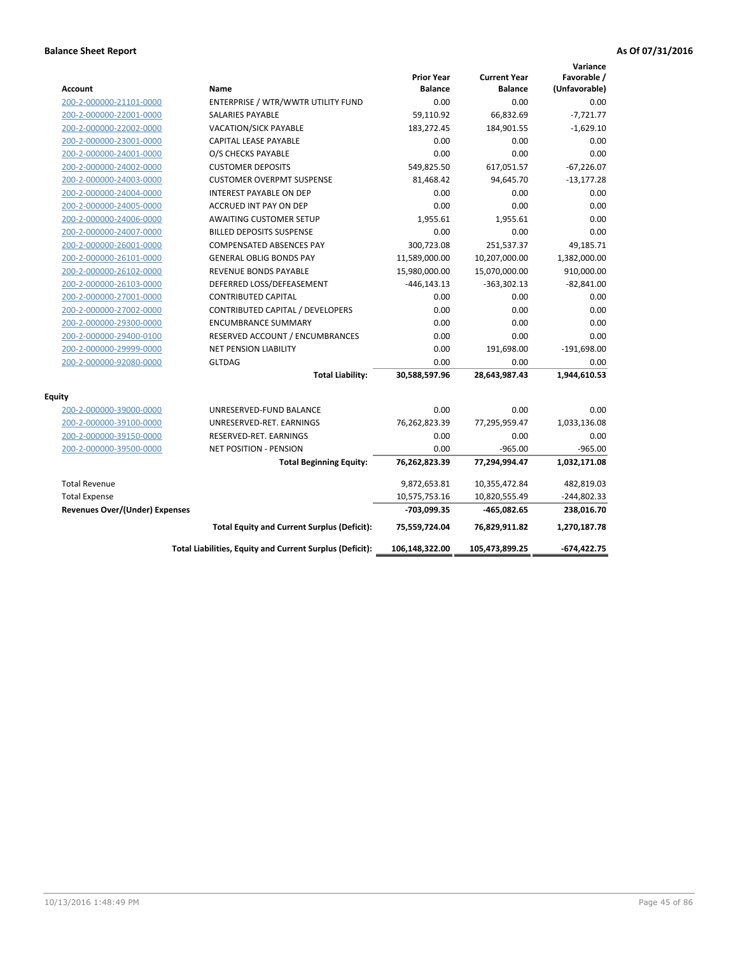| <b>Account</b>                        | Name                                                     | <b>Prior Year</b><br><b>Balance</b> | <b>Current Year</b><br><b>Balance</b> | Variance<br>Favorable /<br>(Unfavorable) |
|---------------------------------------|----------------------------------------------------------|-------------------------------------|---------------------------------------|------------------------------------------|
| 200-2-000000-21101-0000               | ENTERPRISE / WTR/WWTR UTILITY FUND                       | 0.00                                | 0.00                                  | 0.00                                     |
| 200-2-000000-22001-0000               | <b>SALARIES PAYABLE</b>                                  | 59,110.92                           | 66,832.69                             | $-7,721.77$                              |
| 200-2-000000-22002-0000               | <b>VACATION/SICK PAYABLE</b>                             | 183,272.45                          | 184,901.55                            | $-1,629.10$                              |
| 200-2-000000-23001-0000               | CAPITAL LEASE PAYABLE                                    | 0.00                                | 0.00                                  | 0.00                                     |
| 200-2-000000-24001-0000               | O/S CHECKS PAYABLE                                       | 0.00                                | 0.00                                  | 0.00                                     |
| 200-2-000000-24002-0000               | <b>CUSTOMER DEPOSITS</b>                                 | 549,825.50                          | 617,051.57                            | $-67,226.07$                             |
| 200-2-000000-24003-0000               | <b>CUSTOMER OVERPMT SUSPENSE</b>                         | 81,468.42                           | 94,645.70                             | $-13,177.28$                             |
| 200-2-000000-24004-0000               | <b>INTEREST PAYABLE ON DEP</b>                           | 0.00                                | 0.00                                  | 0.00                                     |
| 200-2-000000-24005-0000               | ACCRUED INT PAY ON DEP                                   | 0.00                                | 0.00                                  | 0.00                                     |
| 200-2-000000-24006-0000               | <b>AWAITING CUSTOMER SETUP</b>                           | 1,955.61                            | 1,955.61                              | 0.00                                     |
| 200-2-000000-24007-0000               | <b>BILLED DEPOSITS SUSPENSE</b>                          | 0.00                                | 0.00                                  | 0.00                                     |
| 200-2-000000-26001-0000               | <b>COMPENSATED ABSENCES PAY</b>                          | 300,723.08                          | 251,537.37                            | 49,185.71                                |
| 200-2-000000-26101-0000               | <b>GENERAL OBLIG BONDS PAY</b>                           | 11,589,000.00                       | 10,207,000.00                         | 1,382,000.00                             |
| 200-2-000000-26102-0000               | <b>REVENUE BONDS PAYABLE</b>                             | 15,980,000.00                       | 15,070,000.00                         | 910,000.00                               |
| 200-2-000000-26103-0000               | DEFERRED LOSS/DEFEASEMENT                                | $-446, 143.13$                      | $-363,302.13$                         | $-82,841.00$                             |
| 200-2-000000-27001-0000               | <b>CONTRIBUTED CAPITAL</b>                               | 0.00                                | 0.00                                  | 0.00                                     |
| 200-2-000000-27002-0000               | CONTRIBUTED CAPITAL / DEVELOPERS                         | 0.00                                | 0.00                                  | 0.00                                     |
| 200-2-000000-29300-0000               | <b>ENCUMBRANCE SUMMARY</b>                               | 0.00                                | 0.00                                  | 0.00                                     |
| 200-2-000000-29400-0100               | RESERVED ACCOUNT / ENCUMBRANCES                          | 0.00                                | 0.00                                  | 0.00                                     |
| 200-2-000000-29999-0000               | <b>NET PENSION LIABILITY</b>                             | 0.00                                | 191,698.00                            | $-191,698.00$                            |
| 200-2-000000-92080-0000               | <b>GLTDAG</b>                                            | 0.00                                | 0.00                                  | 0.00                                     |
|                                       | <b>Total Liability:</b>                                  | 30,588,597.96                       | 28,643,987.43                         | 1,944,610.53                             |
| <b>Equity</b>                         |                                                          |                                     |                                       |                                          |
| 200-2-000000-39000-0000               | UNRESERVED-FUND BALANCE                                  | 0.00                                | 0.00                                  | 0.00                                     |
| 200-2-000000-39100-0000               | UNRESERVED-RET. EARNINGS                                 | 76,262,823.39                       | 77,295,959.47                         | 1,033,136.08                             |
| 200-2-000000-39150-0000               | RESERVED-RET. EARNINGS                                   | 0.00                                | 0.00                                  | 0.00                                     |
| 200-2-000000-39500-0000               | <b>NET POSITION - PENSION</b>                            | 0.00                                | $-965.00$                             | $-965.00$                                |
|                                       | <b>Total Beginning Equity:</b>                           | 76,262,823.39                       | 77,294,994.47                         | 1,032,171.08                             |
| <b>Total Revenue</b>                  |                                                          | 9,872,653.81                        | 10,355,472.84                         | 482,819.03                               |
| <b>Total Expense</b>                  |                                                          | 10,575,753.16                       | 10,820,555.49                         | $-244,802.33$                            |
| <b>Revenues Over/(Under) Expenses</b> |                                                          | -703,099.35                         | -465,082.65                           | 238,016.70                               |
|                                       | <b>Total Equity and Current Surplus (Deficit):</b>       | 75,559,724.04                       | 76,829,911.82                         | 1,270,187.78                             |
|                                       | Total Liabilities, Equity and Current Surplus (Deficit): | 106,148,322.00                      | 105,473,899.25                        | $-674,422.75$                            |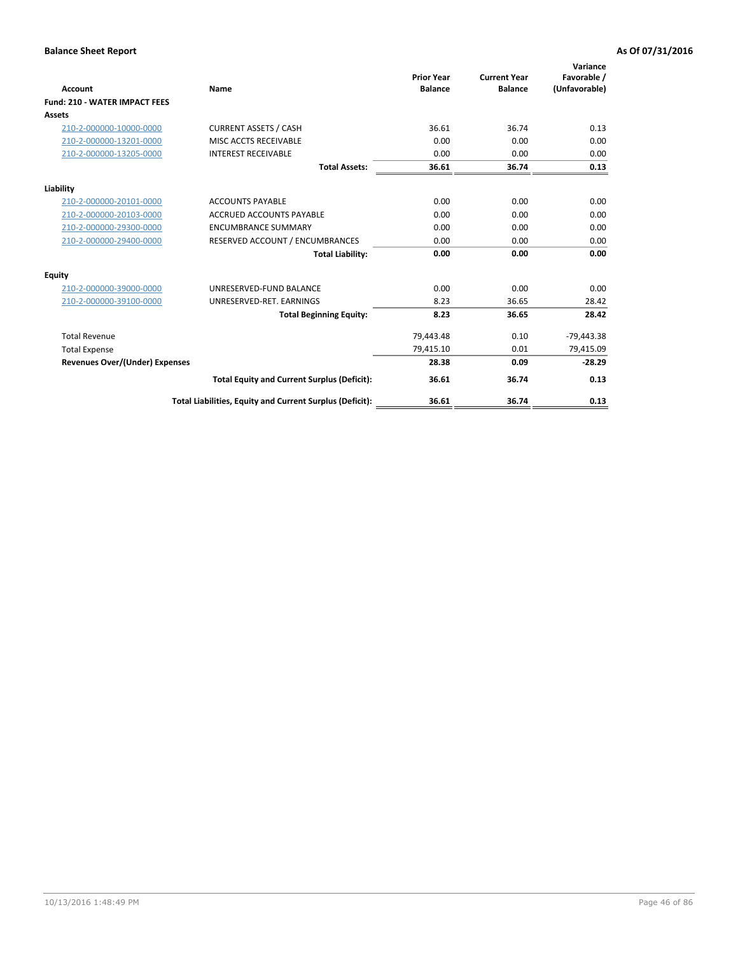| Account                               | Name                                                     | <b>Prior Year</b><br><b>Balance</b> | <b>Current Year</b><br><b>Balance</b> | Variance<br>Favorable /<br>(Unfavorable) |
|---------------------------------------|----------------------------------------------------------|-------------------------------------|---------------------------------------|------------------------------------------|
| <b>Fund: 210 - WATER IMPACT FEES</b>  |                                                          |                                     |                                       |                                          |
| <b>Assets</b>                         |                                                          |                                     |                                       |                                          |
| 210-2-000000-10000-0000               | <b>CURRENT ASSETS / CASH</b>                             | 36.61                               | 36.74                                 | 0.13                                     |
| 210-2-000000-13201-0000               | MISC ACCTS RECEIVABLE                                    | 0.00                                | 0.00                                  | 0.00                                     |
| 210-2-000000-13205-0000               | <b>INTEREST RECEIVABLE</b>                               | 0.00                                | 0.00                                  | 0.00                                     |
|                                       | <b>Total Assets:</b>                                     | 36.61                               | 36.74                                 | 0.13                                     |
| Liability                             |                                                          |                                     |                                       |                                          |
| 210-2-000000-20101-0000               | <b>ACCOUNTS PAYABLE</b>                                  | 0.00                                | 0.00                                  | 0.00                                     |
| 210-2-000000-20103-0000               | <b>ACCRUED ACCOUNTS PAYABLE</b>                          | 0.00                                | 0.00                                  | 0.00                                     |
| 210-2-000000-29300-0000               | <b>ENCUMBRANCE SUMMARY</b>                               | 0.00                                | 0.00                                  | 0.00                                     |
| 210-2-000000-29400-0000               | RESERVED ACCOUNT / ENCUMBRANCES                          | 0.00                                | 0.00                                  | 0.00                                     |
|                                       | <b>Total Liability:</b>                                  | 0.00                                | 0.00                                  | 0.00                                     |
| <b>Equity</b>                         |                                                          |                                     |                                       |                                          |
| 210-2-000000-39000-0000               | UNRESERVED-FUND BALANCE                                  | 0.00                                | 0.00                                  | 0.00                                     |
| 210-2-000000-39100-0000               | UNRESERVED-RET. EARNINGS                                 | 8.23                                | 36.65                                 | 28.42                                    |
|                                       | <b>Total Beginning Equity:</b>                           | 8.23                                | 36.65                                 | 28.42                                    |
| <b>Total Revenue</b>                  |                                                          | 79,443.48                           | 0.10                                  | $-79,443.38$                             |
| <b>Total Expense</b>                  |                                                          | 79,415.10                           | 0.01                                  | 79,415.09                                |
| <b>Revenues Over/(Under) Expenses</b> |                                                          | 28.38                               | 0.09                                  | $-28.29$                                 |
|                                       | <b>Total Equity and Current Surplus (Deficit):</b>       | 36.61                               | 36.74                                 | 0.13                                     |
|                                       | Total Liabilities, Equity and Current Surplus (Deficit): | 36.61                               | 36.74                                 | 0.13                                     |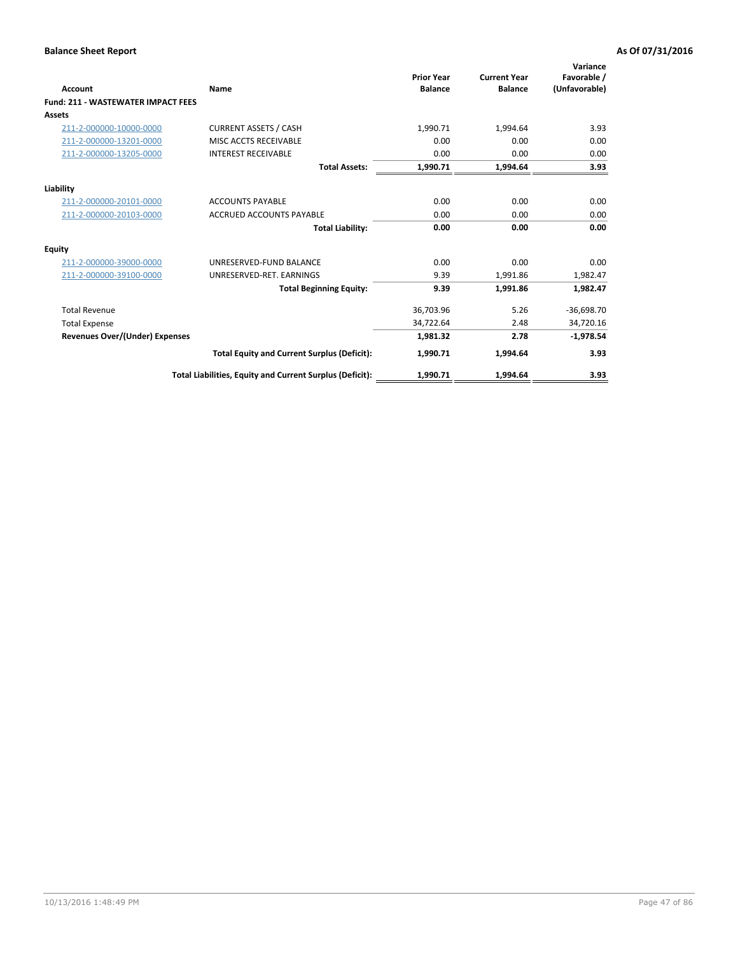| <b>Account</b>                            | Name                                                     | <b>Prior Year</b><br><b>Balance</b> | <b>Current Year</b><br><b>Balance</b> | Variance<br>Favorable /<br>(Unfavorable) |
|-------------------------------------------|----------------------------------------------------------|-------------------------------------|---------------------------------------|------------------------------------------|
| <b>Fund: 211 - WASTEWATER IMPACT FEES</b> |                                                          |                                     |                                       |                                          |
| <b>Assets</b>                             |                                                          |                                     |                                       |                                          |
| 211-2-000000-10000-0000                   | <b>CURRENT ASSETS / CASH</b>                             | 1,990.71                            | 1,994.64                              | 3.93                                     |
| 211-2-000000-13201-0000                   | MISC ACCTS RECEIVABLE                                    | 0.00                                | 0.00                                  | 0.00                                     |
| 211-2-000000-13205-0000                   | <b>INTEREST RECEIVABLE</b>                               | 0.00                                | 0.00                                  | 0.00                                     |
|                                           | <b>Total Assets:</b>                                     | 1,990.71                            | 1,994.64                              | 3.93                                     |
| Liability                                 |                                                          |                                     |                                       |                                          |
| 211-2-000000-20101-0000                   | <b>ACCOUNTS PAYABLE</b>                                  | 0.00                                | 0.00                                  | 0.00                                     |
| 211-2-000000-20103-0000                   | <b>ACCRUED ACCOUNTS PAYABLE</b>                          | 0.00                                | 0.00                                  | 0.00                                     |
|                                           | <b>Total Liability:</b>                                  | 0.00                                | 0.00                                  | 0.00                                     |
| <b>Equity</b>                             |                                                          |                                     |                                       |                                          |
| 211-2-000000-39000-0000                   | UNRESERVED-FUND BALANCE                                  | 0.00                                | 0.00                                  | 0.00                                     |
| 211-2-000000-39100-0000                   | UNRESERVED-RET, EARNINGS                                 | 9.39                                | 1,991.86                              | 1,982.47                                 |
|                                           | <b>Total Beginning Equity:</b>                           | 9.39                                | 1.991.86                              | 1.982.47                                 |
| <b>Total Revenue</b>                      |                                                          | 36,703.96                           | 5.26                                  | $-36,698.70$                             |
| <b>Total Expense</b>                      |                                                          | 34,722.64                           | 2.48                                  | 34,720.16                                |
| <b>Revenues Over/(Under) Expenses</b>     |                                                          | 1,981.32                            | 2.78                                  | $-1,978.54$                              |
|                                           | <b>Total Equity and Current Surplus (Deficit):</b>       | 1,990.71                            | 1,994.64                              | 3.93                                     |
|                                           | Total Liabilities, Equity and Current Surplus (Deficit): | 1,990.71                            | 1.994.64                              | 3.93                                     |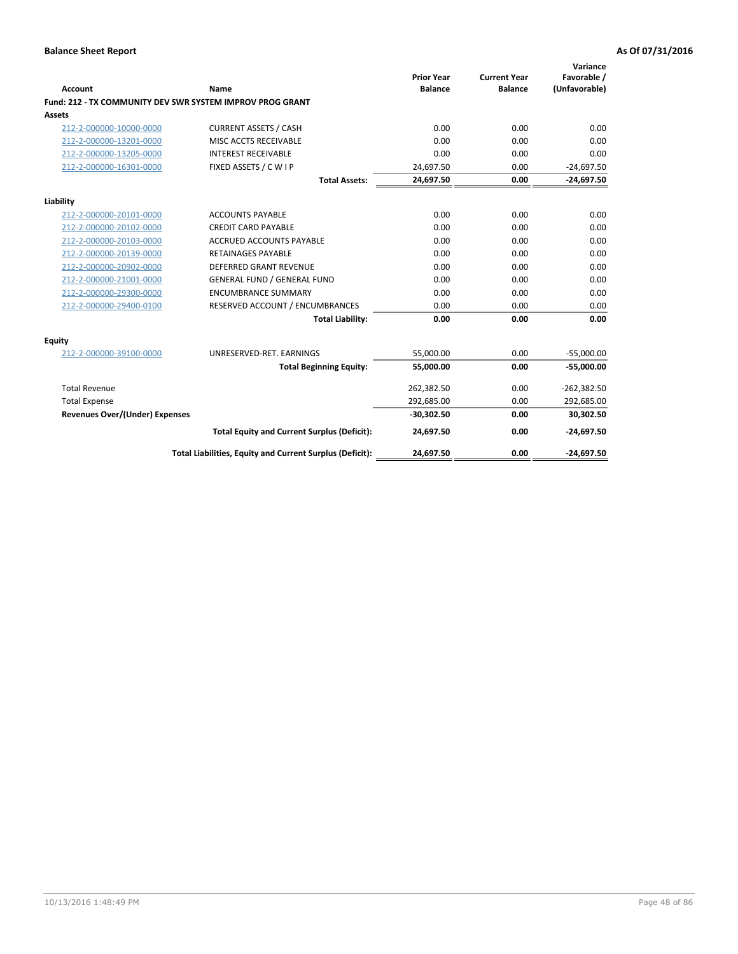| <b>Account</b>                        | Name                                                      | <b>Prior Year</b><br><b>Balance</b> | <b>Current Year</b><br><b>Balance</b> | Variance<br>Favorable /<br>(Unfavorable) |
|---------------------------------------|-----------------------------------------------------------|-------------------------------------|---------------------------------------|------------------------------------------|
|                                       | Fund: 212 - TX COMMUNITY DEV SWR SYSTEM IMPROV PROG GRANT |                                     |                                       |                                          |
| Assets                                |                                                           |                                     |                                       |                                          |
| 212-2-000000-10000-0000               | <b>CURRENT ASSETS / CASH</b>                              | 0.00                                | 0.00                                  | 0.00                                     |
| 212-2-000000-13201-0000               | MISC ACCTS RECEIVABLE                                     | 0.00                                | 0.00                                  | 0.00                                     |
| 212-2-000000-13205-0000               | <b>INTEREST RECEIVABLE</b>                                | 0.00                                | 0.00                                  | 0.00                                     |
| 212-2-000000-16301-0000               | FIXED ASSETS / C W I P                                    | 24,697.50                           | 0.00                                  | $-24,697.50$                             |
|                                       | <b>Total Assets:</b>                                      | 24,697.50                           | 0.00                                  | $-24,697.50$                             |
| Liability                             |                                                           |                                     |                                       |                                          |
| 212-2-000000-20101-0000               | <b>ACCOUNTS PAYABLE</b>                                   | 0.00                                | 0.00                                  | 0.00                                     |
| 212-2-000000-20102-0000               | <b>CREDIT CARD PAYABLE</b>                                | 0.00                                | 0.00                                  | 0.00                                     |
| 212-2-000000-20103-0000               | <b>ACCRUED ACCOUNTS PAYABLE</b>                           | 0.00                                | 0.00                                  | 0.00                                     |
| 212-2-000000-20139-0000               | <b>RETAINAGES PAYABLE</b>                                 | 0.00                                | 0.00                                  | 0.00                                     |
| 212-2-000000-20902-0000               | <b>DEFERRED GRANT REVENUE</b>                             | 0.00                                | 0.00                                  | 0.00                                     |
| 212-2-000000-21001-0000               | <b>GENERAL FUND / GENERAL FUND</b>                        | 0.00                                | 0.00                                  | 0.00                                     |
| 212-2-000000-29300-0000               | <b>ENCUMBRANCE SUMMARY</b>                                | 0.00                                | 0.00                                  | 0.00                                     |
| 212-2-000000-29400-0100               | RESERVED ACCOUNT / ENCUMBRANCES                           | 0.00                                | 0.00                                  | 0.00                                     |
|                                       | <b>Total Liability:</b>                                   | 0.00                                | 0.00                                  | 0.00                                     |
| Equity                                |                                                           |                                     |                                       |                                          |
| 212-2-000000-39100-0000               | UNRESERVED-RET. EARNINGS                                  | 55,000.00                           | 0.00                                  | $-55,000.00$                             |
|                                       | <b>Total Beginning Equity:</b>                            | 55,000.00                           | 0.00                                  | $-55,000.00$                             |
| <b>Total Revenue</b>                  |                                                           | 262,382.50                          | 0.00                                  | $-262,382.50$                            |
| <b>Total Expense</b>                  |                                                           | 292,685.00                          | 0.00                                  | 292,685.00                               |
| <b>Revenues Over/(Under) Expenses</b> |                                                           | $-30,302.50$                        | 0.00                                  | 30,302.50                                |
|                                       | <b>Total Equity and Current Surplus (Deficit):</b>        | 24,697.50                           | 0.00                                  | $-24,697.50$                             |
|                                       | Total Liabilities, Equity and Current Surplus (Deficit):  | 24,697.50                           | 0.00                                  | $-24,697.50$                             |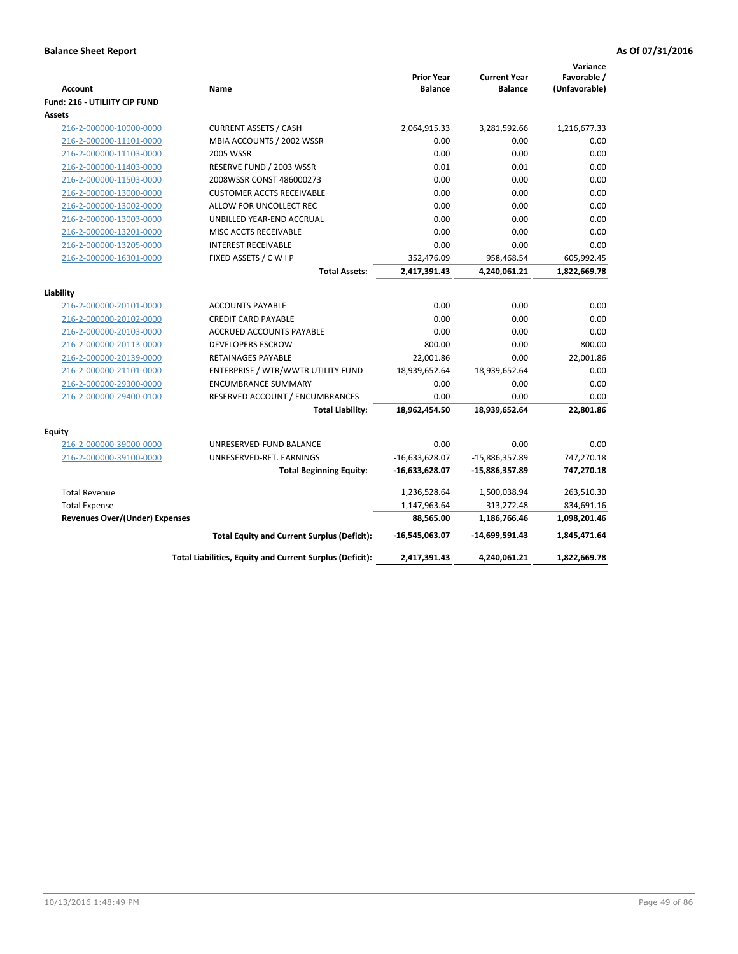| <b>Account</b>                                 | Name                                                     | <b>Prior Year</b><br><b>Balance</b> | <b>Current Year</b><br><b>Balance</b> | Variance<br>Favorable /<br>(Unfavorable) |
|------------------------------------------------|----------------------------------------------------------|-------------------------------------|---------------------------------------|------------------------------------------|
| Fund: 216 - UTILIITY CIP FUND<br><b>Assets</b> |                                                          |                                     |                                       |                                          |
| 216-2-000000-10000-0000                        | <b>CURRENT ASSETS / CASH</b>                             | 2,064,915.33                        | 3,281,592.66                          | 1,216,677.33                             |
| 216-2-000000-11101-0000                        | MBIA ACCOUNTS / 2002 WSSR                                | 0.00                                | 0.00                                  | 0.00                                     |
| 216-2-000000-11103-0000                        | <b>2005 WSSR</b>                                         | 0.00                                | 0.00                                  | 0.00                                     |
| 216-2-000000-11403-0000                        | RESERVE FUND / 2003 WSSR                                 | 0.01                                | 0.01                                  | 0.00                                     |
| 216-2-000000-11503-0000                        | 2008WSSR CONST 486000273                                 | 0.00                                | 0.00                                  | 0.00                                     |
| 216-2-000000-13000-0000                        | <b>CUSTOMER ACCTS RECEIVABLE</b>                         | 0.00                                | 0.00                                  | 0.00                                     |
| 216-2-000000-13002-0000                        | ALLOW FOR UNCOLLECT REC                                  | 0.00                                | 0.00                                  | 0.00                                     |
| 216-2-000000-13003-0000                        | UNBILLED YEAR-END ACCRUAL                                | 0.00                                | 0.00                                  | 0.00                                     |
| 216-2-000000-13201-0000                        | MISC ACCTS RECEIVABLE                                    | 0.00                                | 0.00                                  | 0.00                                     |
| 216-2-000000-13205-0000                        | <b>INTEREST RECEIVABLE</b>                               | 0.00                                | 0.00                                  | 0.00                                     |
| 216-2-000000-16301-0000                        | FIXED ASSETS / C W I P                                   | 352,476.09                          | 958,468.54                            | 605,992.45                               |
|                                                | <b>Total Assets:</b>                                     | 2,417,391.43                        | 4,240,061.21                          | 1,822,669.78                             |
|                                                |                                                          |                                     |                                       |                                          |
| Liability                                      |                                                          |                                     |                                       |                                          |
| 216-2-000000-20101-0000                        | <b>ACCOUNTS PAYABLE</b>                                  | 0.00                                | 0.00                                  | 0.00                                     |
| 216-2-000000-20102-0000                        | <b>CREDIT CARD PAYABLE</b>                               | 0.00                                | 0.00                                  | 0.00                                     |
| 216-2-000000-20103-0000                        | ACCRUED ACCOUNTS PAYABLE                                 | 0.00                                | 0.00                                  | 0.00                                     |
| 216-2-000000-20113-0000                        | <b>DEVELOPERS ESCROW</b>                                 | 800.00                              | 0.00                                  | 800.00                                   |
| 216-2-000000-20139-0000                        | <b>RETAINAGES PAYABLE</b>                                | 22,001.86                           | 0.00                                  | 22,001.86                                |
| 216-2-000000-21101-0000                        | ENTERPRISE / WTR/WWTR UTILITY FUND                       | 18,939,652.64                       | 18,939,652.64                         | 0.00                                     |
| 216-2-000000-29300-0000                        | <b>ENCUMBRANCE SUMMARY</b>                               | 0.00                                | 0.00                                  | 0.00                                     |
| 216-2-000000-29400-0100                        | RESERVED ACCOUNT / ENCUMBRANCES                          | 0.00<br>18,962,454.50               | 0.00<br>18,939,652.64                 | 0.00<br>22,801.86                        |
|                                                | <b>Total Liability:</b>                                  |                                     |                                       |                                          |
| <b>Equity</b>                                  |                                                          |                                     |                                       |                                          |
| 216-2-000000-39000-0000                        | UNRESERVED-FUND BALANCE                                  | 0.00                                | 0.00                                  | 0.00                                     |
| 216-2-000000-39100-0000                        | UNRESERVED-RET. EARNINGS                                 | $-16,633,628.07$                    | -15,886,357.89                        | 747,270.18                               |
|                                                | <b>Total Beginning Equity:</b>                           | -16,633,628.07                      | -15,886,357.89                        | 747,270.18                               |
| <b>Total Revenue</b>                           |                                                          | 1,236,528.64                        | 1,500,038.94                          | 263,510.30                               |
| <b>Total Expense</b>                           |                                                          | 1,147,963.64                        | 313,272.48                            | 834,691.16                               |
| <b>Revenues Over/(Under) Expenses</b>          |                                                          | 88,565.00                           | 1,186,766.46                          | 1,098,201.46                             |
|                                                | <b>Total Equity and Current Surplus (Deficit):</b>       | -16,545,063.07                      | -14,699,591.43                        | 1,845,471.64                             |
|                                                | Total Liabilities, Equity and Current Surplus (Deficit): | 2,417,391.43                        | 4,240,061.21                          | 1,822,669.78                             |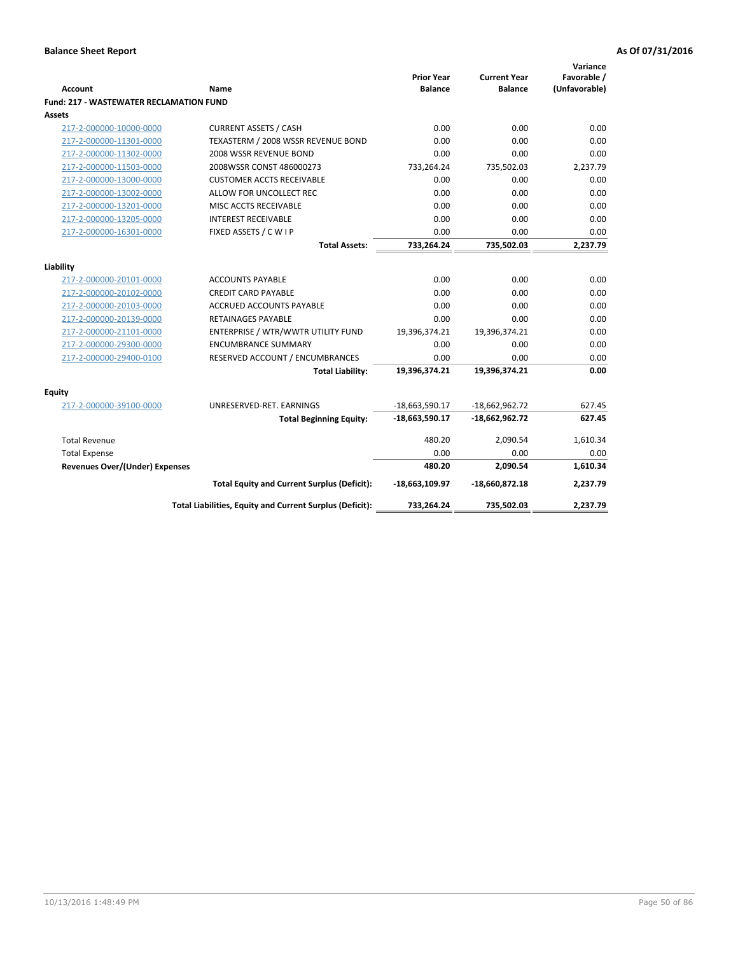|                                                |                                                          | <b>Prior Year</b> | <b>Current Year</b> | Variance<br>Favorable / |
|------------------------------------------------|----------------------------------------------------------|-------------------|---------------------|-------------------------|
| <b>Account</b>                                 | Name                                                     | <b>Balance</b>    | <b>Balance</b>      | (Unfavorable)           |
| <b>Fund: 217 - WASTEWATER RECLAMATION FUND</b> |                                                          |                   |                     |                         |
| <b>Assets</b>                                  |                                                          |                   |                     |                         |
| 217-2-000000-10000-0000                        | <b>CURRENT ASSETS / CASH</b>                             | 0.00              | 0.00                | 0.00                    |
| 217-2-000000-11301-0000                        | TEXASTERM / 2008 WSSR REVENUE BOND                       | 0.00              | 0.00                | 0.00                    |
| 217-2-000000-11302-0000                        | 2008 WSSR REVENUE BOND                                   | 0.00              | 0.00                | 0.00                    |
| 217-2-000000-11503-0000                        | 2008WSSR CONST 486000273                                 | 733,264.24        | 735,502.03          | 2,237.79                |
| 217-2-000000-13000-0000                        | <b>CUSTOMER ACCTS RECEIVABLE</b>                         | 0.00              | 0.00                | 0.00                    |
| 217-2-000000-13002-0000                        | ALLOW FOR UNCOLLECT REC                                  | 0.00              | 0.00                | 0.00                    |
| 217-2-000000-13201-0000                        | MISC ACCTS RECEIVABLE                                    | 0.00              | 0.00                | 0.00                    |
| 217-2-000000-13205-0000                        | <b>INTEREST RECEIVABLE</b>                               | 0.00              | 0.00                | 0.00                    |
| 217-2-000000-16301-0000                        | FIXED ASSETS / C W I P                                   | 0.00              | 0.00                | 0.00                    |
|                                                | <b>Total Assets:</b>                                     | 733,264.24        | 735,502.03          | 2,237.79                |
|                                                |                                                          |                   |                     |                         |
| Liability                                      |                                                          |                   |                     |                         |
| 217-2-000000-20101-0000                        | <b>ACCOUNTS PAYABLE</b>                                  | 0.00              | 0.00                | 0.00                    |
| 217-2-000000-20102-0000                        | <b>CREDIT CARD PAYABLE</b>                               | 0.00              | 0.00                | 0.00                    |
| 217-2-000000-20103-0000                        | ACCRUED ACCOUNTS PAYABLE                                 | 0.00              | 0.00                | 0.00                    |
| 217-2-000000-20139-0000                        | <b>RETAINAGES PAYABLE</b>                                | 0.00              | 0.00                | 0.00<br>0.00            |
| 217-2-000000-21101-0000                        | ENTERPRISE / WTR/WWTR UTILITY FUND                       | 19,396,374.21     | 19,396,374.21       |                         |
| 217-2-000000-29300-0000                        | <b>ENCUMBRANCE SUMMARY</b>                               | 0.00              | 0.00                | 0.00<br>0.00            |
| 217-2-000000-29400-0100                        | RESERVED ACCOUNT / ENCUMBRANCES                          | 0.00              | 0.00                |                         |
|                                                | <b>Total Liability:</b>                                  | 19,396,374.21     | 19,396,374.21       | 0.00                    |
| <b>Equity</b>                                  |                                                          |                   |                     |                         |
| 217-2-000000-39100-0000                        | UNRESERVED-RET. EARNINGS                                 | $-18,663,590.17$  | $-18,662,962.72$    | 627.45                  |
|                                                | <b>Total Beginning Equity:</b>                           | $-18,663,590.17$  | $-18,662,962.72$    | 627.45                  |
| <b>Total Revenue</b>                           |                                                          | 480.20            | 2,090.54            | 1,610.34                |
| <b>Total Expense</b>                           |                                                          | 0.00              | 0.00                | 0.00                    |
| <b>Revenues Over/(Under) Expenses</b>          |                                                          | 480.20            | 2,090.54            | 1,610.34                |
|                                                | <b>Total Equity and Current Surplus (Deficit):</b>       | -18,663,109.97    | $-18,660,872.18$    | 2,237.79                |
|                                                | Total Liabilities, Equity and Current Surplus (Deficit): | 733,264.24        | 735,502.03          | 2.237.79                |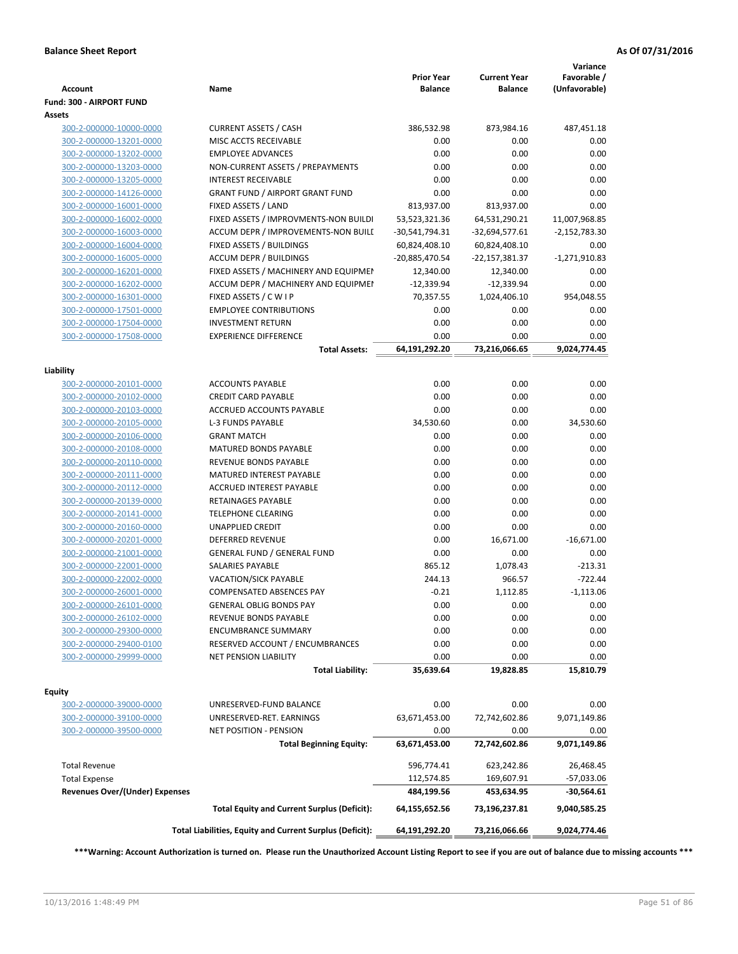|                                       |                                                          |                                     |                                       | Variance                     |
|---------------------------------------|----------------------------------------------------------|-------------------------------------|---------------------------------------|------------------------------|
| <b>Account</b>                        | Name                                                     | <b>Prior Year</b><br><b>Balance</b> | <b>Current Year</b><br><b>Balance</b> | Favorable /<br>(Unfavorable) |
| Fund: 300 - AIRPORT FUND              |                                                          |                                     |                                       |                              |
| Assets                                |                                                          |                                     |                                       |                              |
| 300-2-000000-10000-0000               | <b>CURRENT ASSETS / CASH</b>                             | 386,532.98                          | 873,984.16                            | 487,451.18                   |
| 300-2-000000-13201-0000               | MISC ACCTS RECEIVABLE                                    | 0.00                                | 0.00                                  | 0.00                         |
| 300-2-000000-13202-0000               | <b>EMPLOYEE ADVANCES</b>                                 | 0.00                                | 0.00                                  | 0.00                         |
| 300-2-000000-13203-0000               | NON-CURRENT ASSETS / PREPAYMENTS                         | 0.00                                | 0.00                                  | 0.00                         |
| 300-2-000000-13205-0000               | <b>INTEREST RECEIVABLE</b>                               | 0.00                                | 0.00                                  | 0.00                         |
| 300-2-000000-14126-0000               | <b>GRANT FUND / AIRPORT GRANT FUND</b>                   | 0.00                                | 0.00                                  | 0.00                         |
| 300-2-000000-16001-0000               | FIXED ASSETS / LAND                                      | 813,937.00                          | 813,937.00                            | 0.00                         |
| 300-2-000000-16002-0000               | FIXED ASSETS / IMPROVMENTS-NON BUILDI                    | 53,523,321.36                       | 64,531,290.21                         | 11,007,968.85                |
| 300-2-000000-16003-0000               | ACCUM DEPR / IMPROVEMENTS-NON BUILI                      | -30,541,794.31                      | -32,694,577.61                        | $-2,152,783.30$              |
| 300-2-000000-16004-0000               | FIXED ASSETS / BUILDINGS                                 | 60,824,408.10                       | 60,824,408.10                         | 0.00                         |
| 300-2-000000-16005-0000               | <b>ACCUM DEPR / BUILDINGS</b>                            | -20,885,470.54                      | -22,157,381.37                        | $-1,271,910.83$              |
| 300-2-000000-16201-0000               | FIXED ASSETS / MACHINERY AND EQUIPMEN                    | 12,340.00                           | 12,340.00                             | 0.00                         |
| 300-2-000000-16202-0000               | ACCUM DEPR / MACHINERY AND EQUIPMEI                      | $-12,339.94$                        | $-12,339.94$                          | 0.00                         |
| 300-2-000000-16301-0000               | FIXED ASSETS / CWIP                                      | 70,357.55                           | 1,024,406.10                          | 954,048.55                   |
| 300-2-000000-17501-0000               | <b>EMPLOYEE CONTRIBUTIONS</b>                            | 0.00                                | 0.00                                  | 0.00                         |
| 300-2-000000-17504-0000               | <b>INVESTMENT RETURN</b>                                 | 0.00                                | 0.00                                  | 0.00                         |
| 300-2-000000-17508-0000               | <b>EXPERIENCE DIFFERENCE</b>                             | 0.00                                | 0.00                                  | 0.00                         |
|                                       | <b>Total Assets:</b>                                     | 64,191,292.20                       | 73,216,066.65                         | 9,024,774.45                 |
|                                       |                                                          |                                     |                                       |                              |
| Liability                             |                                                          |                                     |                                       |                              |
| 300-2-000000-20101-0000               | <b>ACCOUNTS PAYABLE</b>                                  | 0.00                                | 0.00                                  | 0.00                         |
| 300-2-000000-20102-0000               | <b>CREDIT CARD PAYABLE</b>                               | 0.00                                | 0.00                                  | 0.00                         |
| 300-2-000000-20103-0000               | ACCRUED ACCOUNTS PAYABLE                                 | 0.00                                | 0.00                                  | 0.00                         |
| 300-2-000000-20105-0000               | <b>L-3 FUNDS PAYABLE</b>                                 | 34,530.60                           | 0.00                                  | 34,530.60                    |
| 300-2-000000-20106-0000               | <b>GRANT MATCH</b>                                       | 0.00                                | 0.00                                  | 0.00                         |
| 300-2-000000-20108-0000               | <b>MATURED BONDS PAYABLE</b>                             | 0.00                                | 0.00                                  | 0.00                         |
| 300-2-000000-20110-0000               | REVENUE BONDS PAYABLE                                    | 0.00                                | 0.00                                  | 0.00                         |
| 300-2-000000-20111-0000               | MATURED INTEREST PAYABLE                                 | 0.00                                | 0.00                                  | 0.00                         |
| 300-2-000000-20112-0000               | <b>ACCRUED INTEREST PAYABLE</b>                          | 0.00                                | 0.00                                  | 0.00                         |
| 300-2-000000-20139-0000               | RETAINAGES PAYABLE                                       | 0.00                                | 0.00                                  | 0.00                         |
| 300-2-000000-20141-0000               | <b>TELEPHONE CLEARING</b>                                | 0.00                                | 0.00                                  | 0.00                         |
| 300-2-000000-20160-0000               | <b>UNAPPLIED CREDIT</b>                                  | 0.00                                | 0.00                                  | 0.00                         |
| 300-2-000000-20201-0000               | <b>DEFERRED REVENUE</b>                                  | 0.00                                | 16,671.00                             | $-16,671.00$                 |
| 300-2-000000-21001-0000               | <b>GENERAL FUND / GENERAL FUND</b>                       | 0.00                                | 0.00                                  | 0.00                         |
| 300-2-000000-22001-0000               | <b>SALARIES PAYABLE</b>                                  | 865.12                              | 1,078.43                              | $-213.31$                    |
| 300-2-000000-22002-0000               | VACATION/SICK PAYABLE                                    | 244.13                              | 966.57                                | $-722.44$                    |
| 300-2-000000-26001-0000               | <b>COMPENSATED ABSENCES PAY</b>                          | $-0.21$                             | 1,112.85                              | $-1,113.06$                  |
| 300-2-000000-26101-0000               | GENERAL OBLIG BONDS PAY                                  | $0.00\,$                            | 0.00                                  | 0.00                         |
| 300-2-000000-26102-0000               | REVENUE BONDS PAYABLE                                    | 0.00                                | 0.00                                  | 0.00                         |
| 300-2-000000-29300-0000               | <b>ENCUMBRANCE SUMMARY</b>                               | 0.00                                | 0.00                                  | 0.00                         |
| 300-2-000000-29400-0100               | RESERVED ACCOUNT / ENCUMBRANCES                          | 0.00                                | 0.00                                  | 0.00                         |
| 300-2-000000-29999-0000               | NET PENSION LIABILITY                                    | 0.00                                | 0.00                                  | 0.00                         |
|                                       | <b>Total Liability:</b>                                  | 35,639.64                           | 19,828.85                             | 15,810.79                    |
|                                       |                                                          |                                     |                                       |                              |
| Equity                                |                                                          |                                     |                                       |                              |
| 300-2-000000-39000-0000               | UNRESERVED-FUND BALANCE                                  | 0.00                                | 0.00                                  | 0.00                         |
| 300-2-000000-39100-0000               | UNRESERVED-RET. EARNINGS                                 | 63,671,453.00                       | 72,742,602.86                         | 9,071,149.86                 |
| 300-2-000000-39500-0000               | <b>NET POSITION - PENSION</b>                            | 0.00                                | 0.00                                  | 0.00                         |
|                                       | <b>Total Beginning Equity:</b>                           | 63,671,453.00                       | 72,742,602.86                         | 9,071,149.86                 |
| <b>Total Revenue</b>                  |                                                          | 596,774.41                          | 623,242.86                            | 26,468.45                    |
| <b>Total Expense</b>                  |                                                          | 112,574.85                          | 169,607.91                            | -57,033.06                   |
| <b>Revenues Over/(Under) Expenses</b> |                                                          | 484,199.56                          | 453,634.95                            | $-30,564.61$                 |
|                                       |                                                          |                                     |                                       |                              |
|                                       | <b>Total Equity and Current Surplus (Deficit):</b>       | 64,155,652.56                       | 73,196,237.81                         | 9,040,585.25                 |
|                                       | Total Liabilities, Equity and Current Surplus (Deficit): | 64,191,292.20                       | 73,216,066.66                         | 9,024,774.46                 |
|                                       |                                                          |                                     |                                       |                              |

**\*\*\*Warning: Account Authorization is turned on. Please run the Unauthorized Account Listing Report to see if you are out of balance due to missing accounts \*\*\***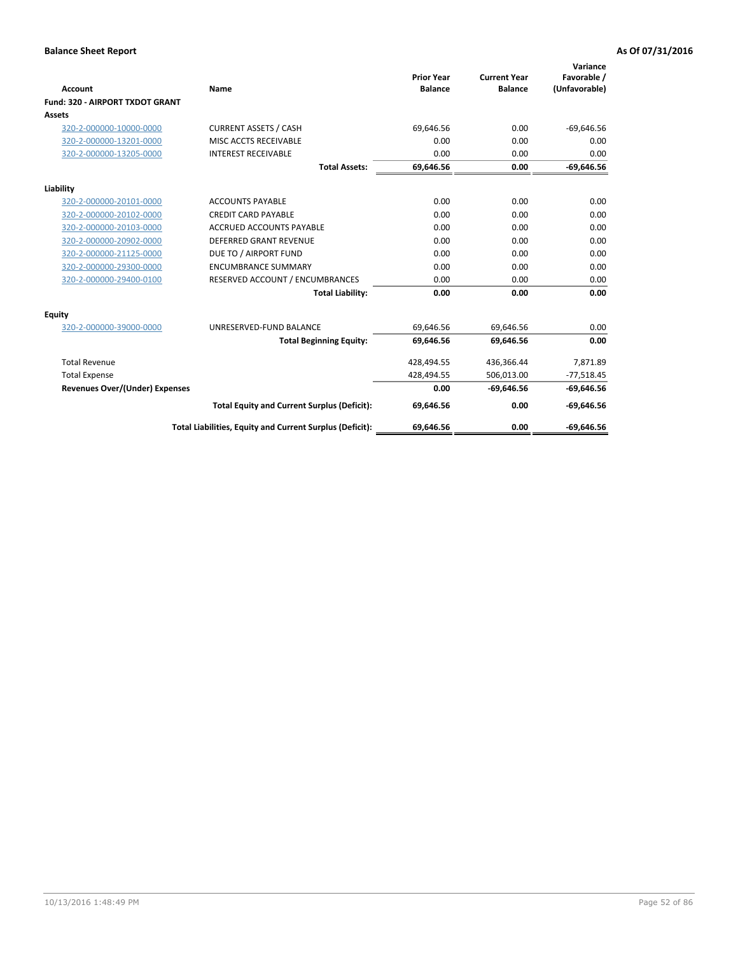| Account                               | Name                                                     | <b>Prior Year</b><br><b>Balance</b> | <b>Current Year</b><br><b>Balance</b> | Variance<br>Favorable /<br>(Unfavorable) |
|---------------------------------------|----------------------------------------------------------|-------------------------------------|---------------------------------------|------------------------------------------|
| Fund: 320 - AIRPORT TXDOT GRANT       |                                                          |                                     |                                       |                                          |
| <b>Assets</b>                         |                                                          |                                     |                                       |                                          |
| 320-2-000000-10000-0000               | <b>CURRENT ASSETS / CASH</b>                             | 69,646.56                           | 0.00                                  | $-69,646.56$                             |
| 320-2-000000-13201-0000               | MISC ACCTS RECEIVABLE                                    | 0.00                                | 0.00                                  | 0.00                                     |
| 320-2-000000-13205-0000               | <b>INTEREST RECEIVABLE</b>                               | 0.00                                | 0.00                                  | 0.00                                     |
|                                       | <b>Total Assets:</b>                                     | 69,646.56                           | 0.00                                  | $-69,646.56$                             |
| Liability                             |                                                          |                                     |                                       |                                          |
| 320-2-000000-20101-0000               | <b>ACCOUNTS PAYABLE</b>                                  | 0.00                                | 0.00                                  | 0.00                                     |
| 320-2-000000-20102-0000               | <b>CREDIT CARD PAYABLE</b>                               | 0.00                                | 0.00                                  | 0.00                                     |
| 320-2-000000-20103-0000               | <b>ACCRUED ACCOUNTS PAYABLE</b>                          | 0.00                                | 0.00                                  | 0.00                                     |
| 320-2-000000-20902-0000               | <b>DEFERRED GRANT REVENUE</b>                            | 0.00                                | 0.00                                  | 0.00                                     |
| 320-2-000000-21125-0000               | DUE TO / AIRPORT FUND                                    | 0.00                                | 0.00                                  | 0.00                                     |
| 320-2-000000-29300-0000               | <b>ENCUMBRANCE SUMMARY</b>                               | 0.00                                | 0.00                                  | 0.00                                     |
| 320-2-000000-29400-0100               | RESERVED ACCOUNT / ENCUMBRANCES                          | 0.00                                | 0.00                                  | 0.00                                     |
|                                       | <b>Total Liability:</b>                                  | 0.00                                | 0.00                                  | 0.00                                     |
| Equity                                |                                                          |                                     |                                       |                                          |
| 320-2-000000-39000-0000               | UNRESERVED-FUND BALANCE                                  | 69,646.56                           | 69,646.56                             | 0.00                                     |
|                                       | <b>Total Beginning Equity:</b>                           | 69,646.56                           | 69.646.56                             | 0.00                                     |
| <b>Total Revenue</b>                  |                                                          | 428,494.55                          | 436,366.44                            | 7,871.89                                 |
| <b>Total Expense</b>                  |                                                          | 428,494.55                          | 506,013.00                            | $-77,518.45$                             |
| <b>Revenues Over/(Under) Expenses</b> |                                                          | 0.00                                | $-69,646.56$                          | $-69,646.56$                             |
|                                       | <b>Total Equity and Current Surplus (Deficit):</b>       | 69,646.56                           | 0.00                                  | $-69,646.56$                             |
|                                       | Total Liabilities, Equity and Current Surplus (Deficit): | 69.646.56                           | 0.00                                  | $-69.646.56$                             |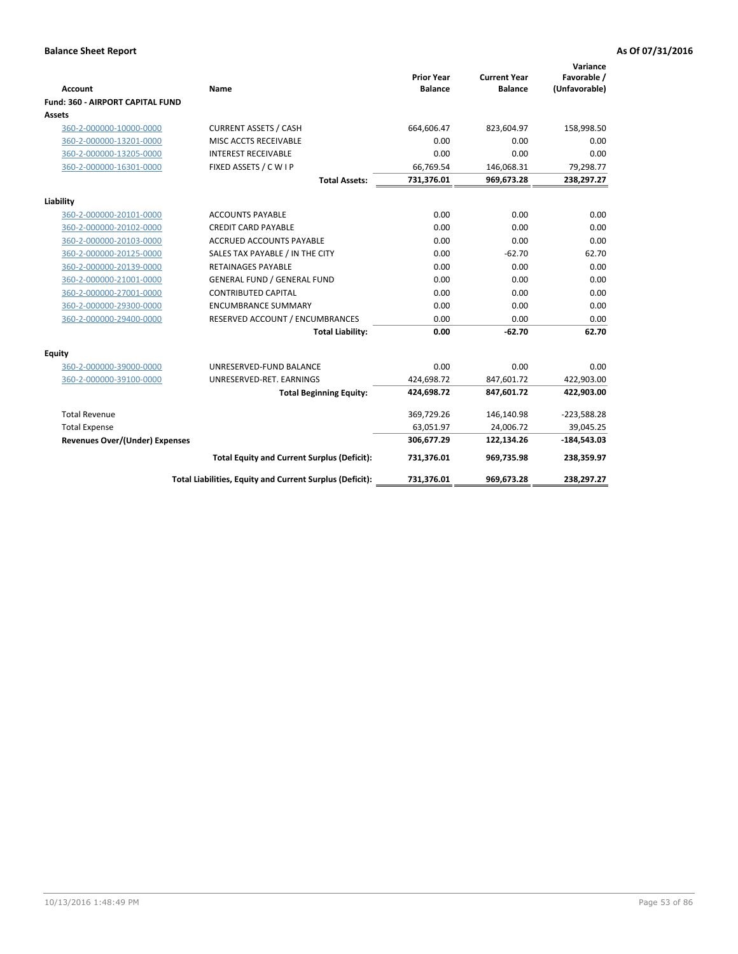|                                         |                                                          |                                     |                                       | Variance                     |
|-----------------------------------------|----------------------------------------------------------|-------------------------------------|---------------------------------------|------------------------------|
| <b>Account</b>                          | Name                                                     | <b>Prior Year</b><br><b>Balance</b> | <b>Current Year</b><br><b>Balance</b> | Favorable /<br>(Unfavorable) |
| <b>Fund: 360 - AIRPORT CAPITAL FUND</b> |                                                          |                                     |                                       |                              |
| Assets                                  |                                                          |                                     |                                       |                              |
| 360-2-000000-10000-0000                 | <b>CURRENT ASSETS / CASH</b>                             | 664,606.47                          | 823,604.97                            | 158,998.50                   |
| 360-2-000000-13201-0000                 | MISC ACCTS RECEIVABLE                                    | 0.00                                | 0.00                                  | 0.00                         |
| 360-2-000000-13205-0000                 | <b>INTEREST RECEIVABLE</b>                               | 0.00                                | 0.00                                  | 0.00                         |
| 360-2-000000-16301-0000                 | FIXED ASSETS / C W I P                                   | 66,769.54                           | 146,068.31                            | 79,298.77                    |
|                                         | <b>Total Assets:</b>                                     | 731,376.01                          | 969,673.28                            | 238,297.27                   |
| Liability                               |                                                          |                                     |                                       |                              |
| 360-2-000000-20101-0000                 | <b>ACCOUNTS PAYABLE</b>                                  | 0.00                                | 0.00                                  | 0.00                         |
| 360-2-000000-20102-0000                 | <b>CREDIT CARD PAYABLE</b>                               | 0.00                                | 0.00                                  | 0.00                         |
| 360-2-000000-20103-0000                 | <b>ACCRUED ACCOUNTS PAYABLE</b>                          | 0.00                                | 0.00                                  | 0.00                         |
| 360-2-000000-20125-0000                 | SALES TAX PAYABLE / IN THE CITY                          | 0.00                                | $-62.70$                              | 62.70                        |
| 360-2-000000-20139-0000                 | <b>RETAINAGES PAYABLE</b>                                | 0.00                                | 0.00                                  | 0.00                         |
| 360-2-000000-21001-0000                 | <b>GENERAL FUND / GENERAL FUND</b>                       | 0.00                                | 0.00                                  | 0.00                         |
| 360-2-000000-27001-0000                 | <b>CONTRIBUTED CAPITAL</b>                               | 0.00                                | 0.00                                  | 0.00                         |
| 360-2-000000-29300-0000                 | <b>ENCUMBRANCE SUMMARY</b>                               | 0.00                                | 0.00                                  | 0.00                         |
| 360-2-000000-29400-0000                 | RESERVED ACCOUNT / ENCUMBRANCES                          | 0.00                                | 0.00                                  | 0.00                         |
|                                         | <b>Total Liability:</b>                                  | 0.00                                | $-62.70$                              | 62.70                        |
| Equity                                  |                                                          |                                     |                                       |                              |
| 360-2-000000-39000-0000                 | UNRESERVED-FUND BALANCE                                  | 0.00                                | 0.00                                  | 0.00                         |
| 360-2-000000-39100-0000                 | UNRESERVED-RET. EARNINGS                                 | 424,698.72                          | 847,601.72                            | 422,903.00                   |
|                                         | <b>Total Beginning Equity:</b>                           | 424,698.72                          | 847,601.72                            | 422,903.00                   |
| <b>Total Revenue</b>                    |                                                          | 369,729.26                          | 146,140.98                            | $-223,588.28$                |
| <b>Total Expense</b>                    |                                                          | 63,051.97                           | 24,006.72                             | 39,045.25                    |
| <b>Revenues Over/(Under) Expenses</b>   |                                                          | 306,677.29                          | 122,134.26                            | $-184,543.03$                |
|                                         | <b>Total Equity and Current Surplus (Deficit):</b>       | 731,376.01                          | 969,735.98                            | 238,359.97                   |
|                                         | Total Liabilities, Equity and Current Surplus (Deficit): | 731,376.01                          | 969,673.28                            | 238,297.27                   |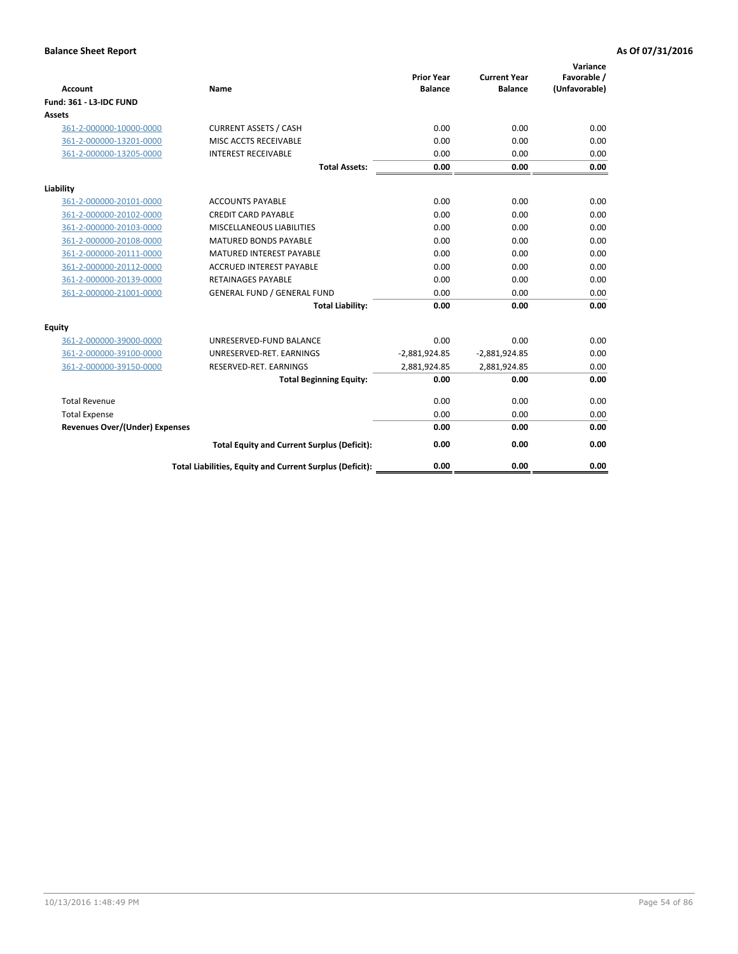| <b>Account</b>                        | <b>Name</b>                                              | <b>Prior Year</b><br><b>Balance</b> | <b>Current Year</b><br><b>Balance</b> | Variance<br>Favorable /<br>(Unfavorable) |
|---------------------------------------|----------------------------------------------------------|-------------------------------------|---------------------------------------|------------------------------------------|
| <b>Fund: 361 - L3-IDC FUND</b>        |                                                          |                                     |                                       |                                          |
| Assets                                |                                                          |                                     |                                       |                                          |
| 361-2-000000-10000-0000               | <b>CURRENT ASSETS / CASH</b>                             | 0.00                                | 0.00                                  | 0.00                                     |
| 361-2-000000-13201-0000               | MISC ACCTS RECEIVABLE                                    | 0.00                                | 0.00                                  | 0.00                                     |
| 361-2-000000-13205-0000               | <b>INTEREST RECEIVABLE</b>                               | 0.00                                | 0.00                                  | 0.00                                     |
|                                       | <b>Total Assets:</b>                                     | 0.00                                | 0.00                                  | 0.00                                     |
| Liability                             |                                                          |                                     |                                       |                                          |
| 361-2-000000-20101-0000               | <b>ACCOUNTS PAYABLE</b>                                  | 0.00                                | 0.00                                  | 0.00                                     |
| 361-2-000000-20102-0000               | <b>CREDIT CARD PAYABLE</b>                               | 0.00                                | 0.00                                  | 0.00                                     |
| 361-2-000000-20103-0000               | MISCELLANEOUS LIABILITIES                                | 0.00                                | 0.00                                  | 0.00                                     |
| 361-2-000000-20108-0000               | <b>MATURED BONDS PAYABLE</b>                             | 0.00                                | 0.00                                  | 0.00                                     |
| 361-2-000000-20111-0000               | <b>MATURED INTEREST PAYABLE</b>                          | 0.00                                | 0.00                                  | 0.00                                     |
| 361-2-000000-20112-0000               | <b>ACCRUED INTEREST PAYABLE</b>                          | 0.00                                | 0.00                                  | 0.00                                     |
| 361-2-000000-20139-0000               | <b>RETAINAGES PAYABLE</b>                                | 0.00                                | 0.00                                  | 0.00                                     |
| 361-2-000000-21001-0000               | <b>GENERAL FUND / GENERAL FUND</b>                       | 0.00                                | 0.00                                  | 0.00                                     |
|                                       | <b>Total Liability:</b>                                  | 0.00                                | 0.00                                  | 0.00                                     |
| Equity                                |                                                          |                                     |                                       |                                          |
| 361-2-000000-39000-0000               | UNRESERVED-FUND BALANCE                                  | 0.00                                | 0.00                                  | 0.00                                     |
| 361-2-000000-39100-0000               | UNRESERVED-RET. EARNINGS                                 | $-2,881,924.85$                     | $-2,881,924.85$                       | 0.00                                     |
| 361-2-000000-39150-0000               | RESERVED-RET. EARNINGS                                   | 2,881,924.85                        | 2,881,924.85                          | 0.00                                     |
|                                       | <b>Total Beginning Equity:</b>                           | 0.00                                | 0.00                                  | 0.00                                     |
| <b>Total Revenue</b>                  |                                                          | 0.00                                | 0.00                                  | 0.00                                     |
| <b>Total Expense</b>                  |                                                          | 0.00                                | 0.00                                  | 0.00                                     |
| <b>Revenues Over/(Under) Expenses</b> |                                                          | 0.00                                | 0.00                                  | 0.00                                     |
|                                       | <b>Total Equity and Current Surplus (Deficit):</b>       | 0.00                                | 0.00                                  | 0.00                                     |
|                                       | Total Liabilities, Equity and Current Surplus (Deficit): | 0.00                                | 0.00                                  | 0.00                                     |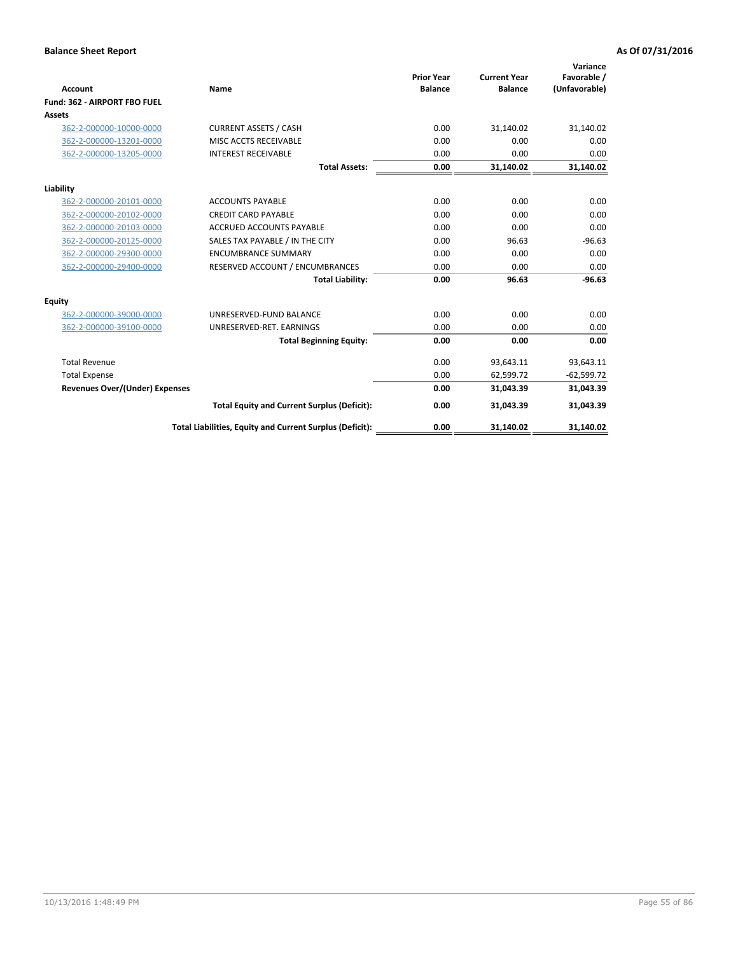|                                       |                                                          |                                     |                                       | Variance                     |
|---------------------------------------|----------------------------------------------------------|-------------------------------------|---------------------------------------|------------------------------|
| Account                               | <b>Name</b>                                              | <b>Prior Year</b><br><b>Balance</b> | <b>Current Year</b><br><b>Balance</b> | Favorable /<br>(Unfavorable) |
| Fund: 362 - AIRPORT FBO FUEL          |                                                          |                                     |                                       |                              |
| Assets                                |                                                          |                                     |                                       |                              |
| 362-2-000000-10000-0000               | <b>CURRENT ASSETS / CASH</b>                             | 0.00                                | 31,140.02                             | 31,140.02                    |
| 362-2-000000-13201-0000               | MISC ACCTS RECEIVABLE                                    | 0.00                                | 0.00                                  | 0.00                         |
| 362-2-000000-13205-0000               | <b>INTEREST RECEIVABLE</b>                               | 0.00                                | 0.00                                  | 0.00                         |
|                                       | <b>Total Assets:</b>                                     | 0.00                                | 31,140.02                             | 31,140.02                    |
| Liability                             |                                                          |                                     |                                       |                              |
| 362-2-000000-20101-0000               | <b>ACCOUNTS PAYABLE</b>                                  | 0.00                                | 0.00                                  | 0.00                         |
| 362-2-000000-20102-0000               | <b>CREDIT CARD PAYABLE</b>                               | 0.00                                | 0.00                                  | 0.00                         |
| 362-2-000000-20103-0000               | <b>ACCRUED ACCOUNTS PAYABLE</b>                          | 0.00                                | 0.00                                  | 0.00                         |
| 362-2-000000-20125-0000               | SALES TAX PAYABLE / IN THE CITY                          | 0.00                                | 96.63                                 | $-96.63$                     |
| 362-2-000000-29300-0000               | <b>ENCUMBRANCE SUMMARY</b>                               | 0.00                                | 0.00                                  | 0.00                         |
| 362-2-000000-29400-0000               | RESERVED ACCOUNT / ENCUMBRANCES                          | 0.00                                | 0.00                                  | 0.00                         |
|                                       | <b>Total Liability:</b>                                  | 0.00                                | 96.63                                 | $-96.63$                     |
| Equity                                |                                                          |                                     |                                       |                              |
| 362-2-000000-39000-0000               | UNRESERVED-FUND BALANCE                                  | 0.00                                | 0.00                                  | 0.00                         |
| 362-2-000000-39100-0000               | UNRESERVED-RET. EARNINGS                                 | 0.00                                | 0.00                                  | 0.00                         |
|                                       | <b>Total Beginning Equity:</b>                           | 0.00                                | 0.00                                  | 0.00                         |
| <b>Total Revenue</b>                  |                                                          | 0.00                                | 93,643.11                             | 93,643.11                    |
| <b>Total Expense</b>                  |                                                          | 0.00                                | 62,599.72                             | $-62,599.72$                 |
| <b>Revenues Over/(Under) Expenses</b> |                                                          | 0.00                                | 31,043.39                             | 31,043.39                    |
|                                       | <b>Total Equity and Current Surplus (Deficit):</b>       | 0.00                                | 31,043.39                             | 31,043.39                    |
|                                       | Total Liabilities, Equity and Current Surplus (Deficit): | 0.00                                | 31,140.02                             | 31,140.02                    |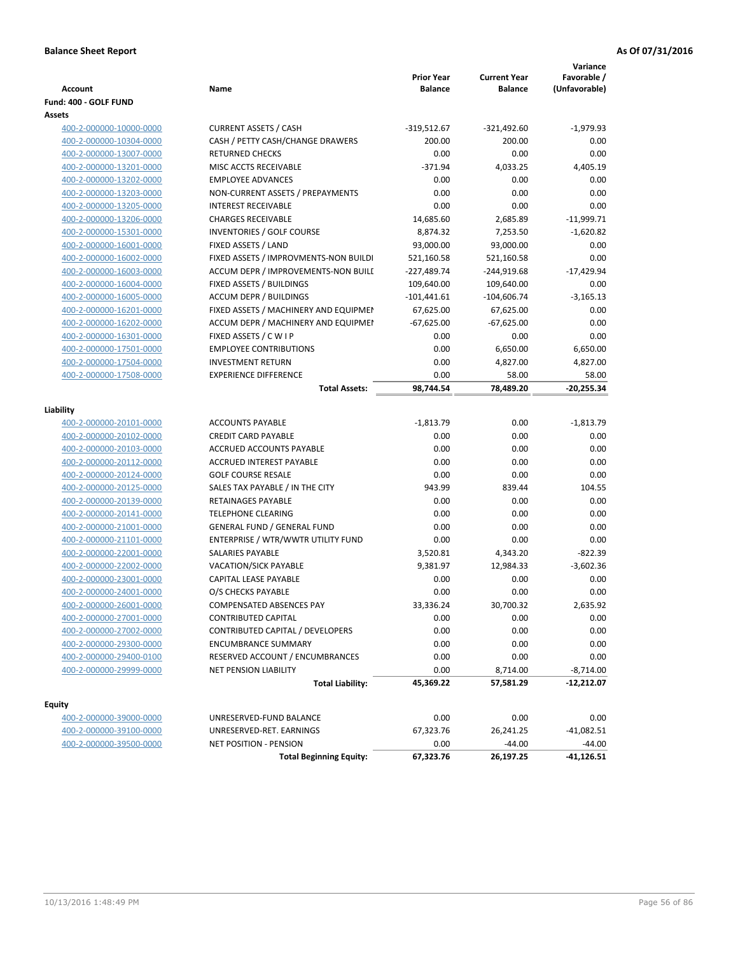| <b>Account</b>          | Name                                  | <b>Prior Year</b><br><b>Balance</b> | <b>Current Year</b><br><b>Balance</b> | Variance<br>Favorable /<br>(Unfavorable) |
|-------------------------|---------------------------------------|-------------------------------------|---------------------------------------|------------------------------------------|
| Fund: 400 - GOLF FUND   |                                       |                                     |                                       |                                          |
| Assets                  |                                       |                                     |                                       |                                          |
| 400-2-000000-10000-0000 | <b>CURRENT ASSETS / CASH</b>          | $-319,512.67$                       | $-321,492.60$                         | $-1,979.93$                              |
| 400-2-000000-10304-0000 | CASH / PETTY CASH/CHANGE DRAWERS      | 200.00                              | 200.00                                | 0.00                                     |
| 400-2-000000-13007-0000 | <b>RETURNED CHECKS</b>                | 0.00                                | 0.00                                  | 0.00                                     |
| 400-2-000000-13201-0000 | MISC ACCTS RECEIVABLE                 | $-371.94$                           | 4,033.25                              | 4,405.19                                 |
| 400-2-000000-13202-0000 | <b>EMPLOYEE ADVANCES</b>              | 0.00                                | 0.00                                  | 0.00                                     |
| 400-2-000000-13203-0000 | NON-CURRENT ASSETS / PREPAYMENTS      | 0.00                                | 0.00                                  | 0.00                                     |
| 400-2-000000-13205-0000 | <b>INTEREST RECEIVABLE</b>            | 0.00                                | 0.00                                  | 0.00                                     |
| 400-2-000000-13206-0000 | <b>CHARGES RECEIVABLE</b>             | 14,685.60                           | 2,685.89                              | $-11,999.71$                             |
| 400-2-000000-15301-0000 | <b>INVENTORIES / GOLF COURSE</b>      | 8,874.32                            | 7,253.50                              | $-1,620.82$                              |
| 400-2-000000-16001-0000 | FIXED ASSETS / LAND                   | 93,000.00                           | 93,000.00                             | 0.00                                     |
| 400-2-000000-16002-0000 | FIXED ASSETS / IMPROVMENTS-NON BUILDI | 521,160.58                          | 521,160.58                            | 0.00                                     |
| 400-2-000000-16003-0000 | ACCUM DEPR / IMPROVEMENTS-NON BUILL   | $-227,489.74$                       | $-244,919.68$                         | $-17,429.94$                             |
| 400-2-000000-16004-0000 | FIXED ASSETS / BUILDINGS              | 109,640.00                          | 109,640.00                            | 0.00                                     |
| 400-2-000000-16005-0000 | <b>ACCUM DEPR / BUILDINGS</b>         | $-101,441.61$                       | $-104,606.74$                         | $-3,165.13$                              |
| 400-2-000000-16201-0000 | FIXED ASSETS / MACHINERY AND EQUIPMEN | 67,625.00                           | 67,625.00                             | 0.00                                     |
| 400-2-000000-16202-0000 | ACCUM DEPR / MACHINERY AND EQUIPMEI   | $-67,625.00$                        | $-67,625.00$                          | 0.00                                     |
| 400-2-000000-16301-0000 | FIXED ASSETS / C W I P                | 0.00                                | 0.00                                  | 0.00                                     |
| 400-2-000000-17501-0000 | <b>EMPLOYEE CONTRIBUTIONS</b>         | 0.00                                | 6,650.00                              | 6,650.00                                 |
| 400-2-000000-17504-0000 | <b>INVESTMENT RETURN</b>              | 0.00                                | 4,827.00                              | 4,827.00                                 |
| 400-2-000000-17508-0000 | <b>EXPERIENCE DIFFERENCE</b>          | 0.00                                | 58.00                                 | 58.00                                    |
|                         | <b>Total Assets:</b>                  | 98,744.54                           | 78,489.20                             | -20,255.34                               |
|                         |                                       |                                     |                                       |                                          |
| Liability               |                                       |                                     |                                       |                                          |
| 400-2-000000-20101-0000 | <b>ACCOUNTS PAYABLE</b>               | $-1,813.79$                         | 0.00                                  | $-1,813.79$                              |
| 400-2-000000-20102-0000 | <b>CREDIT CARD PAYABLE</b>            | 0.00                                | 0.00                                  | 0.00                                     |
| 400-2-000000-20103-0000 | ACCRUED ACCOUNTS PAYABLE              | 0.00                                | 0.00                                  | 0.00                                     |
| 400-2-000000-20112-0000 | ACCRUED INTEREST PAYABLE              | 0.00                                | 0.00                                  | 0.00                                     |
| 400-2-000000-20124-0000 | <b>GOLF COURSE RESALE</b>             | 0.00                                | 0.00                                  | 0.00                                     |
| 400-2-000000-20125-0000 | SALES TAX PAYABLE / IN THE CITY       | 943.99                              | 839.44                                | 104.55                                   |
| 400-2-000000-20139-0000 | RETAINAGES PAYABLE                    | 0.00                                | 0.00                                  | 0.00                                     |
| 400-2-000000-20141-0000 | <b>TELEPHONE CLEARING</b>             | 0.00                                | 0.00                                  | 0.00                                     |
| 400-2-000000-21001-0000 | <b>GENERAL FUND / GENERAL FUND</b>    | 0.00                                | 0.00                                  | 0.00                                     |
| 400-2-000000-21101-0000 | ENTERPRISE / WTR/WWTR UTILITY FUND    | 0.00                                | 0.00                                  | 0.00                                     |
| 400-2-000000-22001-0000 | <b>SALARIES PAYABLE</b>               | 3,520.81                            | 4,343.20                              | $-822.39$                                |
| 400-2-000000-22002-0000 | VACATION/SICK PAYABLE                 | 9,381.97                            | 12,984.33                             | $-3,602.36$                              |
| 400-2-000000-23001-0000 | CAPITAL LEASE PAYABLE                 | 0.00                                | 0.00                                  | 0.00                                     |
| 400-2-000000-24001-0000 | O/S CHECKS PAYABLE                    | 0.00                                | 0.00                                  | 0.00                                     |
| 400-2-000000-26001-0000 | COMPENSATED ABSENCES PAY              | 33,336.24                           | 30,700.32                             | 2,635.92                                 |
| 400-2-000000-27001-0000 | <b>CONTRIBUTED CAPITAL</b>            | 0.00                                | 0.00                                  | 0.00                                     |
| 400-2-000000-27002-0000 | CONTRIBUTED CAPITAL / DEVELOPERS      | 0.00                                | 0.00                                  | 0.00                                     |
| 400-2-000000-29300-0000 | ENCUMBRANCE SUMMARY                   | 0.00                                | 0.00                                  | 0.00                                     |
| 400-2-000000-29400-0100 | RESERVED ACCOUNT / ENCUMBRANCES       | 0.00                                | 0.00                                  | 0.00                                     |
| 400-2-000000-29999-0000 | <b>NET PENSION LIABILITY</b>          | 0.00                                | 8,714.00                              | $-8,714.00$                              |
|                         | <b>Total Liability:</b>               | 45,369.22                           | 57,581.29                             | $-12,212.07$                             |
| Equity                  |                                       |                                     |                                       |                                          |
| 400-2-000000-39000-0000 | UNRESERVED-FUND BALANCE               | 0.00                                | 0.00                                  | 0.00                                     |
| 400-2-000000-39100-0000 | UNRESERVED-RET. EARNINGS              | 67,323.76                           | 26,241.25                             | -41,082.51                               |
| 400-2-000000-39500-0000 | NET POSITION - PENSION                | 0.00                                | $-44.00$                              | $-44.00$                                 |
|                         | <b>Total Beginning Equity:</b>        | 67,323.76                           | 26,197.25                             | $-41,126.51$                             |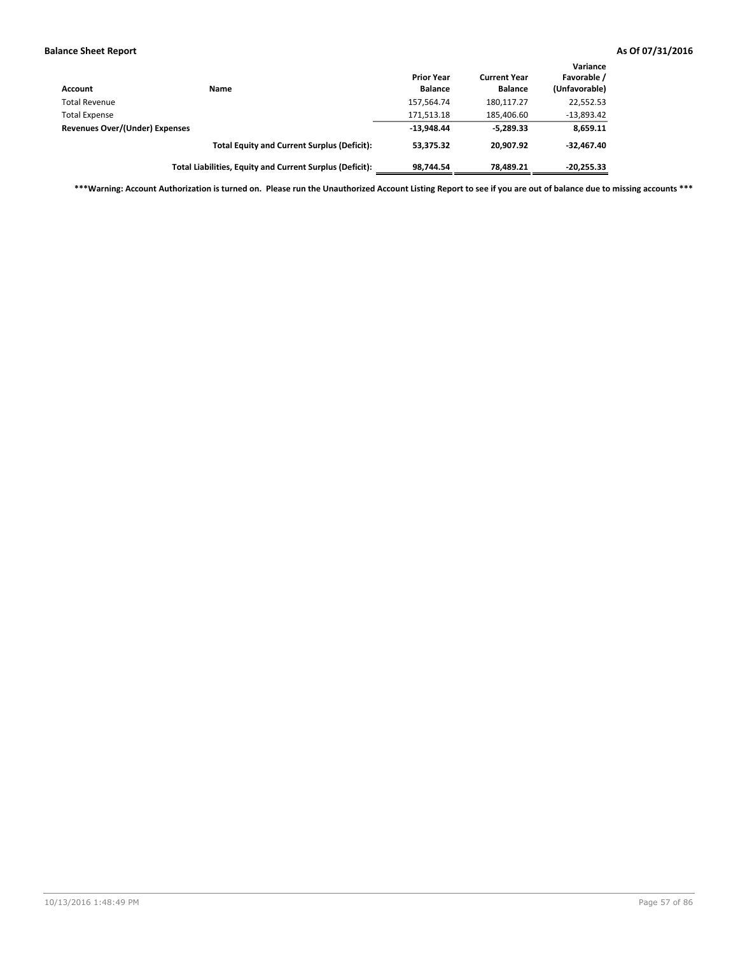| Account                               | Name                                                     | <b>Prior Year</b><br><b>Balance</b> | <b>Current Year</b><br><b>Balance</b> | Variance<br>Favorable /<br>(Unfavorable) |
|---------------------------------------|----------------------------------------------------------|-------------------------------------|---------------------------------------|------------------------------------------|
| <b>Total Revenue</b>                  |                                                          | 157,564.74                          | 180,117.27                            | 22,552.53                                |
| <b>Total Expense</b>                  |                                                          | 171,513.18                          | 185,406.60                            | $-13,893.42$                             |
| <b>Revenues Over/(Under) Expenses</b> |                                                          | $-13,948.44$                        | $-5.289.33$                           | 8,659.11                                 |
|                                       | <b>Total Equity and Current Surplus (Deficit):</b>       | 53.375.32                           | 20.907.92                             | $-32.467.40$                             |
|                                       | Total Liabilities, Equity and Current Surplus (Deficit): | 98.744.54                           | 78.489.21                             | $-20,255.33$                             |

**\*\*\*Warning: Account Authorization is turned on. Please run the Unauthorized Account Listing Report to see if you are out of balance due to missing accounts \*\*\***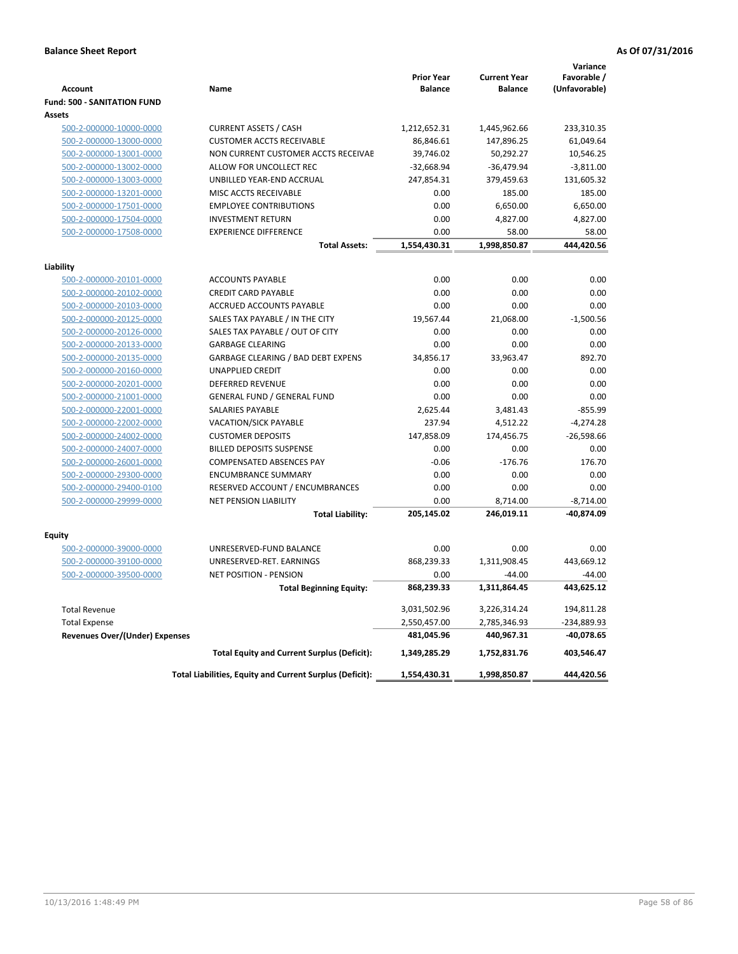|                                       |                                                          | <b>Prior Year</b> | <b>Current Year</b> | Variance<br>Favorable / |
|---------------------------------------|----------------------------------------------------------|-------------------|---------------------|-------------------------|
| <b>Account</b>                        | Name                                                     | <b>Balance</b>    | <b>Balance</b>      | (Unfavorable)           |
| <b>Fund: 500 - SANITATION FUND</b>    |                                                          |                   |                     |                         |
| <b>Assets</b>                         |                                                          |                   |                     |                         |
| 500-2-000000-10000-0000               | <b>CURRENT ASSETS / CASH</b>                             | 1,212,652.31      | 1,445,962.66        | 233,310.35              |
| 500-2-000000-13000-0000               | <b>CUSTOMER ACCTS RECEIVABLE</b>                         | 86,846.61         | 147,896.25          | 61,049.64               |
| 500-2-000000-13001-0000               | NON CURRENT CUSTOMER ACCTS RECEIVAE                      | 39,746.02         | 50,292.27           | 10,546.25               |
| 500-2-000000-13002-0000               | ALLOW FOR UNCOLLECT REC                                  | $-32,668.94$      | $-36,479.94$        | $-3,811.00$             |
| 500-2-000000-13003-0000               | UNBILLED YEAR-END ACCRUAL                                | 247,854.31        | 379,459.63          | 131,605.32              |
| 500-2-000000-13201-0000               | MISC ACCTS RECEIVABLE                                    | 0.00              | 185.00              | 185.00                  |
| 500-2-000000-17501-0000               | <b>EMPLOYEE CONTRIBUTIONS</b>                            | 0.00              | 6,650.00            | 6,650.00                |
| 500-2-000000-17504-0000               | <b>INVESTMENT RETURN</b>                                 | 0.00              | 4,827.00            | 4,827.00                |
| 500-2-000000-17508-0000               | <b>EXPERIENCE DIFFERENCE</b>                             | 0.00              | 58.00               | 58.00                   |
|                                       | <b>Total Assets:</b>                                     | 1,554,430.31      | 1,998,850.87        | 444,420.56              |
| Liability                             |                                                          |                   |                     |                         |
| 500-2-000000-20101-0000               | <b>ACCOUNTS PAYABLE</b>                                  | 0.00              | 0.00                | 0.00                    |
| 500-2-000000-20102-0000               | <b>CREDIT CARD PAYABLE</b>                               | 0.00              | 0.00                | 0.00                    |
| 500-2-000000-20103-0000               | ACCRUED ACCOUNTS PAYABLE                                 | 0.00              | 0.00                | 0.00                    |
| 500-2-000000-20125-0000               | SALES TAX PAYABLE / IN THE CITY                          | 19,567.44         | 21,068.00           | $-1,500.56$             |
| 500-2-000000-20126-0000               | SALES TAX PAYABLE / OUT OF CITY                          | 0.00              | 0.00                | 0.00                    |
| 500-2-000000-20133-0000               | <b>GARBAGE CLEARING</b>                                  | 0.00              | 0.00                | 0.00                    |
| 500-2-000000-20135-0000               | GARBAGE CLEARING / BAD DEBT EXPENS                       | 34,856.17         | 33,963.47           | 892.70                  |
| 500-2-000000-20160-0000               | <b>UNAPPLIED CREDIT</b>                                  | 0.00              | 0.00                | 0.00                    |
| 500-2-000000-20201-0000               | <b>DEFERRED REVENUE</b>                                  | 0.00              | 0.00                | 0.00                    |
| 500-2-000000-21001-0000               | <b>GENERAL FUND / GENERAL FUND</b>                       | 0.00              | 0.00                | 0.00                    |
| 500-2-000000-22001-0000               | <b>SALARIES PAYABLE</b>                                  | 2,625.44          | 3,481.43            | $-855.99$               |
| 500-2-000000-22002-0000               | VACATION/SICK PAYABLE                                    | 237.94            | 4,512.22            | $-4,274.28$             |
| 500-2-000000-24002-0000               | <b>CUSTOMER DEPOSITS</b>                                 | 147,858.09        | 174,456.75          | $-26,598.66$            |
| 500-2-000000-24007-0000               | <b>BILLED DEPOSITS SUSPENSE</b>                          | 0.00              | 0.00                | 0.00                    |
| 500-2-000000-26001-0000               | <b>COMPENSATED ABSENCES PAY</b>                          | $-0.06$           | $-176.76$           | 176.70                  |
| 500-2-000000-29300-0000               | <b>ENCUMBRANCE SUMMARY</b>                               | 0.00              | 0.00                | 0.00                    |
| 500-2-000000-29400-0100               | RESERVED ACCOUNT / ENCUMBRANCES                          | 0.00              | 0.00                | 0.00                    |
| 500-2-000000-29999-0000               | <b>NET PENSION LIABILITY</b>                             | 0.00              | 8,714.00            | $-8,714.00$             |
|                                       | <b>Total Liability:</b>                                  | 205,145.02        | 246,019.11          | $-40,874.09$            |
|                                       |                                                          |                   |                     |                         |
| Equity                                |                                                          |                   |                     |                         |
| 500-2-000000-39000-0000               | UNRESERVED-FUND BALANCE                                  | 0.00              | 0.00                | 0.00                    |
| 500-2-000000-39100-0000               | UNRESERVED-RET. EARNINGS                                 | 868,239.33        | 1,311,908.45        | 443,669.12              |
| 500-2-000000-39500-0000               | <b>NET POSITION - PENSION</b>                            | 0.00              | $-44.00$            | $-44.00$                |
|                                       | <b>Total Beginning Equity:</b>                           | 868,239.33        | 1,311,864.45        | 443,625.12              |
| <b>Total Revenue</b>                  |                                                          | 3,031,502.96      | 3,226,314.24        | 194,811.28              |
| <b>Total Expense</b>                  |                                                          | 2,550,457.00      | 2,785,346.93        | -234,889.93             |
| <b>Revenues Over/(Under) Expenses</b> |                                                          | 481,045.96        | 440,967.31          | $-40,078.65$            |
|                                       | <b>Total Equity and Current Surplus (Deficit):</b>       | 1,349,285.29      | 1,752,831.76        | 403,546.47              |
|                                       | Total Liabilities, Equity and Current Surplus (Deficit): | 1,554,430.31      | 1,998,850.87        | 444,420.56              |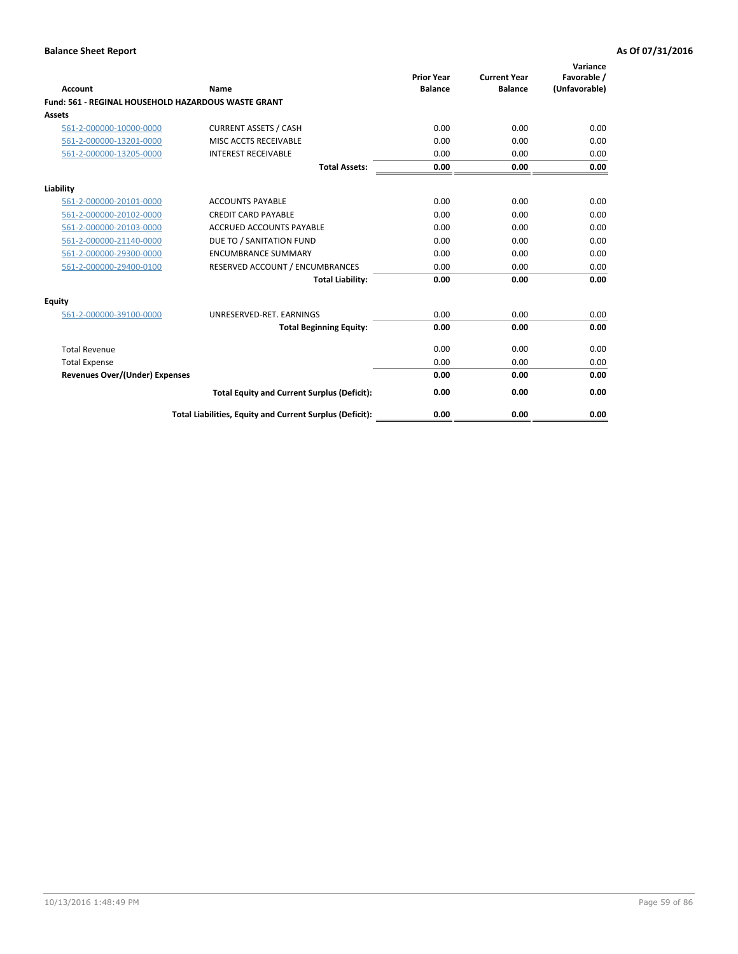| <b>Account</b>                                             | Name                                                     | <b>Prior Year</b><br><b>Balance</b> | <b>Current Year</b><br><b>Balance</b> | Variance<br>Favorable /<br>(Unfavorable) |
|------------------------------------------------------------|----------------------------------------------------------|-------------------------------------|---------------------------------------|------------------------------------------|
| <b>Fund: 561 - REGINAL HOUSEHOLD HAZARDOUS WASTE GRANT</b> |                                                          |                                     |                                       |                                          |
| <b>Assets</b>                                              |                                                          |                                     |                                       |                                          |
| 561-2-000000-10000-0000                                    | <b>CURRENT ASSETS / CASH</b>                             | 0.00                                | 0.00                                  | 0.00                                     |
| 561-2-000000-13201-0000                                    | MISC ACCTS RECEIVABLE                                    | 0.00                                | 0.00                                  | 0.00                                     |
| 561-2-000000-13205-0000                                    | <b>INTEREST RECEIVABLE</b>                               | 0.00                                | 0.00                                  | 0.00                                     |
|                                                            | <b>Total Assets:</b>                                     | 0.00                                | 0.00                                  | 0.00                                     |
| Liability                                                  |                                                          |                                     |                                       |                                          |
| 561-2-000000-20101-0000                                    | <b>ACCOUNTS PAYABLE</b>                                  | 0.00                                | 0.00                                  | 0.00                                     |
| 561-2-000000-20102-0000                                    | <b>CREDIT CARD PAYABLE</b>                               | 0.00                                | 0.00                                  | 0.00                                     |
| 561-2-000000-20103-0000                                    | <b>ACCRUED ACCOUNTS PAYABLE</b>                          | 0.00                                | 0.00                                  | 0.00                                     |
| 561-2-000000-21140-0000                                    | DUE TO / SANITATION FUND                                 | 0.00                                | 0.00                                  | 0.00                                     |
| 561-2-000000-29300-0000                                    | <b>ENCUMBRANCE SUMMARY</b>                               | 0.00                                | 0.00                                  | 0.00                                     |
| 561-2-000000-29400-0100                                    | RESERVED ACCOUNT / ENCUMBRANCES                          | 0.00                                | 0.00                                  | 0.00                                     |
|                                                            | <b>Total Liability:</b>                                  | 0.00                                | 0.00                                  | 0.00                                     |
| <b>Equity</b>                                              |                                                          |                                     |                                       |                                          |
| 561-2-000000-39100-0000                                    | UNRESERVED-RET. EARNINGS                                 | 0.00                                | 0.00                                  | 0.00                                     |
|                                                            | <b>Total Beginning Equity:</b>                           | 0.00                                | 0.00                                  | 0.00                                     |
| <b>Total Revenue</b>                                       |                                                          | 0.00                                | 0.00                                  | 0.00                                     |
| <b>Total Expense</b>                                       |                                                          | 0.00                                | 0.00                                  | 0.00                                     |
| <b>Revenues Over/(Under) Expenses</b>                      |                                                          | 0.00                                | 0.00                                  | 0.00                                     |
|                                                            | <b>Total Equity and Current Surplus (Deficit):</b>       | 0.00                                | 0.00                                  | 0.00                                     |
|                                                            | Total Liabilities, Equity and Current Surplus (Deficit): | 0.00                                | 0.00                                  | 0.00                                     |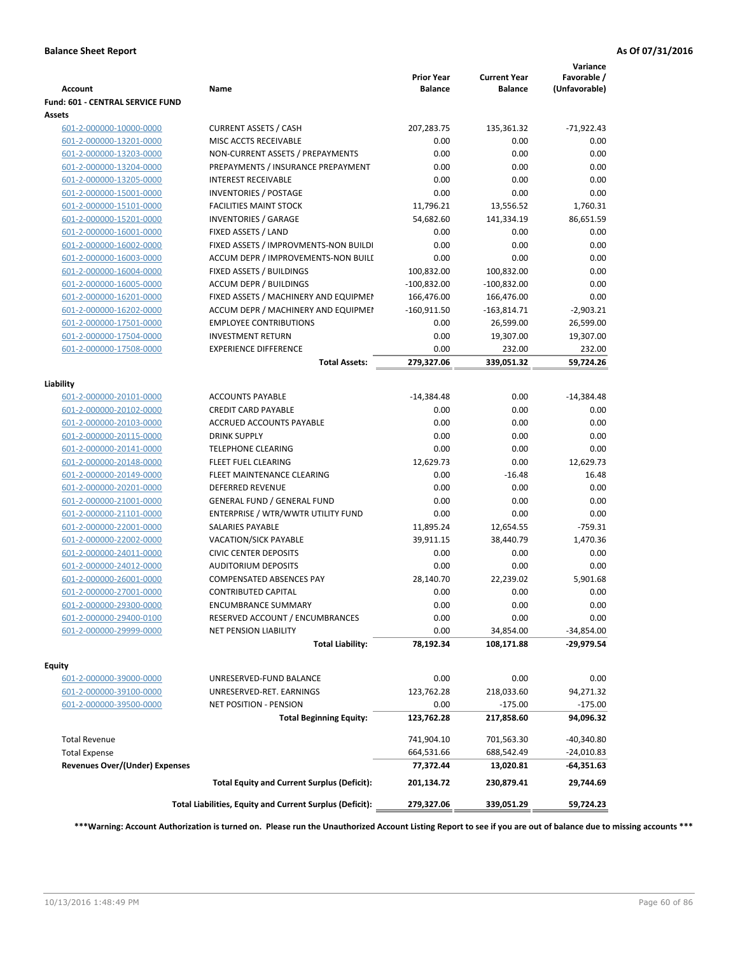| <b>CURRENT ASSETS / CASH</b><br>207,283.75<br>$-71,922.43$<br>601-2-000000-10000-0000<br>135,361.32<br>601-2-000000-13201-0000<br>MISC ACCTS RECEIVABLE<br>0.00<br>0.00<br>0.00<br>0.00<br>0.00<br>601-2-000000-13203-0000<br>NON-CURRENT ASSETS / PREPAYMENTS<br>0.00<br>0.00<br>0.00<br>601-2-000000-13204-0000<br>PREPAYMENTS / INSURANCE PREPAYMENT<br>0.00<br>0.00<br>0.00<br><b>INTEREST RECEIVABLE</b><br>0.00<br>601-2-000000-13205-0000<br>0.00<br>0.00<br>601-2-000000-15001-0000<br><b>INVENTORIES / POSTAGE</b><br>0.00<br>11,796.21<br>601-2-000000-15101-0000<br><b>FACILITIES MAINT STOCK</b><br>13,556.52<br>1,760.31<br><b>INVENTORIES / GARAGE</b><br>54,682.60<br>601-2-000000-15201-0000<br>141,334.19<br>86,651.59<br>601-2-000000-16001-0000<br>FIXED ASSETS / LAND<br>0.00<br>0.00<br>0.00<br>0.00<br>FIXED ASSETS / IMPROVMENTS-NON BUILDI<br>0.00<br>0.00<br>601-2-000000-16002-0000<br>0.00<br>ACCUM DEPR / IMPROVEMENTS-NON BUILI<br>0.00<br>0.00<br>601-2-000000-16003-0000<br>0.00<br>601-2-000000-16004-0000<br>FIXED ASSETS / BUILDINGS<br>100,832.00<br>100,832.00<br>0.00<br>601-2-000000-16005-0000<br><b>ACCUM DEPR / BUILDINGS</b><br>$-100,832.00$<br>$-100,832.00$<br>0.00<br>601-2-000000-16201-0000<br>FIXED ASSETS / MACHINERY AND EQUIPMEN<br>166,476.00<br>166,476.00<br>ACCUM DEPR / MACHINERY AND EQUIPMEI<br>$-160,911.50$<br>$-2,903.21$<br>601-2-000000-16202-0000<br>$-163,814.71$<br>601-2-000000-17501-0000<br><b>EMPLOYEE CONTRIBUTIONS</b><br>0.00<br>26,599.00<br>26,599.00<br>601-2-000000-17504-0000<br><b>INVESTMENT RETURN</b><br>0.00<br>19,307.00<br>19,307.00<br><b>EXPERIENCE DIFFERENCE</b><br>0.00<br>232.00<br>232.00<br>601-2-000000-17508-0000<br>279,327.06<br><b>Total Assets:</b><br>339,051.32<br>59,724.26<br>Liability<br><b>ACCOUNTS PAYABLE</b><br>0.00<br>$-14,384.48$<br>601-2-000000-20101-0000<br>-14,384.48<br><b>CREDIT CARD PAYABLE</b><br>0.00<br>0.00<br>0.00<br>601-2-000000-20102-0000<br>0.00<br>601-2-000000-20103-0000<br>ACCRUED ACCOUNTS PAYABLE<br>0.00<br>0.00<br>0.00<br>0.00<br>601-2-000000-20115-0000<br><b>DRINK SUPPLY</b><br>0.00<br>0.00<br>0.00<br>601-2-000000-20141-0000<br><b>TELEPHONE CLEARING</b><br>0.00<br>12,629.73<br>0.00<br>12,629.73<br>601-2-000000-20148-0000<br>FLEET FUEL CLEARING<br>601-2-000000-20149-0000<br>FLEET MAINTENANCE CLEARING<br>0.00<br>$-16.48$<br>16.48<br>601-2-000000-20201-0000<br><b>DEFERRED REVENUE</b><br>0.00<br>0.00<br>0.00<br>0.00<br>0.00<br>0.00<br>601-2-000000-21001-0000<br><b>GENERAL FUND / GENERAL FUND</b><br>601-2-000000-21101-0000<br>ENTERPRISE / WTR/WWTR UTILITY FUND<br>0.00<br>0.00<br>0.00<br>SALARIES PAYABLE<br>11,895.24<br>12,654.55<br>$-759.31$<br>601-2-000000-22001-0000<br>601-2-000000-22002-0000<br><b>VACATION/SICK PAYABLE</b><br>39,911.15<br>38,440.79<br>1,470.36<br>601-2-000000-24011-0000<br><b>CIVIC CENTER DEPOSITS</b><br>0.00<br>0.00<br>0.00<br>0.00<br>601-2-000000-24012-0000<br><b>AUDITORIUM DEPOSITS</b><br>0.00<br>0.00<br>28,140.70<br>22,239.02<br>601-2-000000-26001-0000<br><b>COMPENSATED ABSENCES PAY</b><br>5.901.68<br>601-2-000000-27001-0000<br><b>CONTRIBUTED CAPITAL</b><br>0.00<br>0.00<br>0.00<br>601-2-000000-29300-0000<br><b>ENCUMBRANCE SUMMARY</b><br>0.00<br>0.00<br>0.00<br>0.00<br>0.00<br>601-2-000000-29400-0100<br>RESERVED ACCOUNT / ENCUMBRANCES<br>0.00<br>601-2-000000-29999-0000<br>34,854.00<br><b>NET PENSION LIABILITY</b><br>0.00<br>$-34,854.00$<br><b>Total Liability:</b><br>78,192.34<br>108,171.88<br>-29,979.54<br>Equity<br>0.00<br>0.00<br>0.00<br>601-2-000000-39000-0000<br>UNRESERVED-FUND BALANCE<br>123,762.28<br>218,033.60<br>94,271.32<br>601-2-000000-39100-0000<br>UNRESERVED-RET. EARNINGS<br>601-2-000000-39500-0000<br>NET POSITION - PENSION<br>0.00<br>$-175.00$<br>$-175.00$<br><b>Total Beginning Equity:</b><br>123,762.28<br>217,858.60<br>94,096.32<br><b>Total Revenue</b><br>741,904.10<br>701,563.30<br>$-40,340.80$<br><b>Total Expense</b><br>664,531.66<br>688,542.49<br>-24,010.83<br>77,372.44<br><b>Revenues Over/(Under) Expenses</b><br>13,020.81<br>-64,351.63<br><b>Total Equity and Current Surplus (Deficit):</b><br>29,744.69<br>201,134.72<br>230,879.41<br>59,724.23<br>Total Liabilities, Equity and Current Surplus (Deficit):<br>279,327.06<br>339,051.29 | <b>Account</b>                   | Name | <b>Prior Year</b><br><b>Balance</b> | <b>Current Year</b><br><b>Balance</b> | Variance<br>Favorable /<br>(Unfavorable) |
|-------------------------------------------------------------------------------------------------------------------------------------------------------------------------------------------------------------------------------------------------------------------------------------------------------------------------------------------------------------------------------------------------------------------------------------------------------------------------------------------------------------------------------------------------------------------------------------------------------------------------------------------------------------------------------------------------------------------------------------------------------------------------------------------------------------------------------------------------------------------------------------------------------------------------------------------------------------------------------------------------------------------------------------------------------------------------------------------------------------------------------------------------------------------------------------------------------------------------------------------------------------------------------------------------------------------------------------------------------------------------------------------------------------------------------------------------------------------------------------------------------------------------------------------------------------------------------------------------------------------------------------------------------------------------------------------------------------------------------------------------------------------------------------------------------------------------------------------------------------------------------------------------------------------------------------------------------------------------------------------------------------------------------------------------------------------------------------------------------------------------------------------------------------------------------------------------------------------------------------------------------------------------------------------------------------------------------------------------------------------------------------------------------------------------------------------------------------------------------------------------------------------------------------------------------------------------------------------------------------------------------------------------------------------------------------------------------------------------------------------------------------------------------------------------------------------------------------------------------------------------------------------------------------------------------------------------------------------------------------------------------------------------------------------------------------------------------------------------------------------------------------------------------------------------------------------------------------------------------------------------------------------------------------------------------------------------------------------------------------------------------------------------------------------------------------------------------------------------------------------------------------------------------------------------------------------------------------------------------------------------------------------------------------------------------------------------------------------------------------------------------------------------------------------------------------------------------------------------------------------------------------------------------------------------------------------------------------------------------------------------------------------------------------------------------------------------------------------------------------------------------------------------------------------------------------------------------------------------------------------------------------------------------------------------------------------------------------------------|----------------------------------|------|-------------------------------------|---------------------------------------|------------------------------------------|
|                                                                                                                                                                                                                                                                                                                                                                                                                                                                                                                                                                                                                                                                                                                                                                                                                                                                                                                                                                                                                                                                                                                                                                                                                                                                                                                                                                                                                                                                                                                                                                                                                                                                                                                                                                                                                                                                                                                                                                                                                                                                                                                                                                                                                                                                                                                                                                                                                                                                                                                                                                                                                                                                                                                                                                                                                                                                                                                                                                                                                                                                                                                                                                                                                                                                                                                                                                                                                                                                                                                                                                                                                                                                                                                                                                                                                                                                                                                                                                                                                                                                                                                                                                                                                                                                                                                                                 | Fund: 601 - CENTRAL SERVICE FUND |      |                                     |                                       |                                          |
|                                                                                                                                                                                                                                                                                                                                                                                                                                                                                                                                                                                                                                                                                                                                                                                                                                                                                                                                                                                                                                                                                                                                                                                                                                                                                                                                                                                                                                                                                                                                                                                                                                                                                                                                                                                                                                                                                                                                                                                                                                                                                                                                                                                                                                                                                                                                                                                                                                                                                                                                                                                                                                                                                                                                                                                                                                                                                                                                                                                                                                                                                                                                                                                                                                                                                                                                                                                                                                                                                                                                                                                                                                                                                                                                                                                                                                                                                                                                                                                                                                                                                                                                                                                                                                                                                                                                                 | Assets                           |      |                                     |                                       |                                          |
|                                                                                                                                                                                                                                                                                                                                                                                                                                                                                                                                                                                                                                                                                                                                                                                                                                                                                                                                                                                                                                                                                                                                                                                                                                                                                                                                                                                                                                                                                                                                                                                                                                                                                                                                                                                                                                                                                                                                                                                                                                                                                                                                                                                                                                                                                                                                                                                                                                                                                                                                                                                                                                                                                                                                                                                                                                                                                                                                                                                                                                                                                                                                                                                                                                                                                                                                                                                                                                                                                                                                                                                                                                                                                                                                                                                                                                                                                                                                                                                                                                                                                                                                                                                                                                                                                                                                                 |                                  |      |                                     |                                       |                                          |
|                                                                                                                                                                                                                                                                                                                                                                                                                                                                                                                                                                                                                                                                                                                                                                                                                                                                                                                                                                                                                                                                                                                                                                                                                                                                                                                                                                                                                                                                                                                                                                                                                                                                                                                                                                                                                                                                                                                                                                                                                                                                                                                                                                                                                                                                                                                                                                                                                                                                                                                                                                                                                                                                                                                                                                                                                                                                                                                                                                                                                                                                                                                                                                                                                                                                                                                                                                                                                                                                                                                                                                                                                                                                                                                                                                                                                                                                                                                                                                                                                                                                                                                                                                                                                                                                                                                                                 |                                  |      |                                     |                                       |                                          |
|                                                                                                                                                                                                                                                                                                                                                                                                                                                                                                                                                                                                                                                                                                                                                                                                                                                                                                                                                                                                                                                                                                                                                                                                                                                                                                                                                                                                                                                                                                                                                                                                                                                                                                                                                                                                                                                                                                                                                                                                                                                                                                                                                                                                                                                                                                                                                                                                                                                                                                                                                                                                                                                                                                                                                                                                                                                                                                                                                                                                                                                                                                                                                                                                                                                                                                                                                                                                                                                                                                                                                                                                                                                                                                                                                                                                                                                                                                                                                                                                                                                                                                                                                                                                                                                                                                                                                 |                                  |      |                                     |                                       |                                          |
|                                                                                                                                                                                                                                                                                                                                                                                                                                                                                                                                                                                                                                                                                                                                                                                                                                                                                                                                                                                                                                                                                                                                                                                                                                                                                                                                                                                                                                                                                                                                                                                                                                                                                                                                                                                                                                                                                                                                                                                                                                                                                                                                                                                                                                                                                                                                                                                                                                                                                                                                                                                                                                                                                                                                                                                                                                                                                                                                                                                                                                                                                                                                                                                                                                                                                                                                                                                                                                                                                                                                                                                                                                                                                                                                                                                                                                                                                                                                                                                                                                                                                                                                                                                                                                                                                                                                                 |                                  |      |                                     |                                       |                                          |
|                                                                                                                                                                                                                                                                                                                                                                                                                                                                                                                                                                                                                                                                                                                                                                                                                                                                                                                                                                                                                                                                                                                                                                                                                                                                                                                                                                                                                                                                                                                                                                                                                                                                                                                                                                                                                                                                                                                                                                                                                                                                                                                                                                                                                                                                                                                                                                                                                                                                                                                                                                                                                                                                                                                                                                                                                                                                                                                                                                                                                                                                                                                                                                                                                                                                                                                                                                                                                                                                                                                                                                                                                                                                                                                                                                                                                                                                                                                                                                                                                                                                                                                                                                                                                                                                                                                                                 |                                  |      |                                     |                                       |                                          |
|                                                                                                                                                                                                                                                                                                                                                                                                                                                                                                                                                                                                                                                                                                                                                                                                                                                                                                                                                                                                                                                                                                                                                                                                                                                                                                                                                                                                                                                                                                                                                                                                                                                                                                                                                                                                                                                                                                                                                                                                                                                                                                                                                                                                                                                                                                                                                                                                                                                                                                                                                                                                                                                                                                                                                                                                                                                                                                                                                                                                                                                                                                                                                                                                                                                                                                                                                                                                                                                                                                                                                                                                                                                                                                                                                                                                                                                                                                                                                                                                                                                                                                                                                                                                                                                                                                                                                 |                                  |      |                                     |                                       |                                          |
|                                                                                                                                                                                                                                                                                                                                                                                                                                                                                                                                                                                                                                                                                                                                                                                                                                                                                                                                                                                                                                                                                                                                                                                                                                                                                                                                                                                                                                                                                                                                                                                                                                                                                                                                                                                                                                                                                                                                                                                                                                                                                                                                                                                                                                                                                                                                                                                                                                                                                                                                                                                                                                                                                                                                                                                                                                                                                                                                                                                                                                                                                                                                                                                                                                                                                                                                                                                                                                                                                                                                                                                                                                                                                                                                                                                                                                                                                                                                                                                                                                                                                                                                                                                                                                                                                                                                                 |                                  |      |                                     |                                       |                                          |
|                                                                                                                                                                                                                                                                                                                                                                                                                                                                                                                                                                                                                                                                                                                                                                                                                                                                                                                                                                                                                                                                                                                                                                                                                                                                                                                                                                                                                                                                                                                                                                                                                                                                                                                                                                                                                                                                                                                                                                                                                                                                                                                                                                                                                                                                                                                                                                                                                                                                                                                                                                                                                                                                                                                                                                                                                                                                                                                                                                                                                                                                                                                                                                                                                                                                                                                                                                                                                                                                                                                                                                                                                                                                                                                                                                                                                                                                                                                                                                                                                                                                                                                                                                                                                                                                                                                                                 |                                  |      |                                     |                                       |                                          |
|                                                                                                                                                                                                                                                                                                                                                                                                                                                                                                                                                                                                                                                                                                                                                                                                                                                                                                                                                                                                                                                                                                                                                                                                                                                                                                                                                                                                                                                                                                                                                                                                                                                                                                                                                                                                                                                                                                                                                                                                                                                                                                                                                                                                                                                                                                                                                                                                                                                                                                                                                                                                                                                                                                                                                                                                                                                                                                                                                                                                                                                                                                                                                                                                                                                                                                                                                                                                                                                                                                                                                                                                                                                                                                                                                                                                                                                                                                                                                                                                                                                                                                                                                                                                                                                                                                                                                 |                                  |      |                                     |                                       |                                          |
|                                                                                                                                                                                                                                                                                                                                                                                                                                                                                                                                                                                                                                                                                                                                                                                                                                                                                                                                                                                                                                                                                                                                                                                                                                                                                                                                                                                                                                                                                                                                                                                                                                                                                                                                                                                                                                                                                                                                                                                                                                                                                                                                                                                                                                                                                                                                                                                                                                                                                                                                                                                                                                                                                                                                                                                                                                                                                                                                                                                                                                                                                                                                                                                                                                                                                                                                                                                                                                                                                                                                                                                                                                                                                                                                                                                                                                                                                                                                                                                                                                                                                                                                                                                                                                                                                                                                                 |                                  |      |                                     |                                       |                                          |
|                                                                                                                                                                                                                                                                                                                                                                                                                                                                                                                                                                                                                                                                                                                                                                                                                                                                                                                                                                                                                                                                                                                                                                                                                                                                                                                                                                                                                                                                                                                                                                                                                                                                                                                                                                                                                                                                                                                                                                                                                                                                                                                                                                                                                                                                                                                                                                                                                                                                                                                                                                                                                                                                                                                                                                                                                                                                                                                                                                                                                                                                                                                                                                                                                                                                                                                                                                                                                                                                                                                                                                                                                                                                                                                                                                                                                                                                                                                                                                                                                                                                                                                                                                                                                                                                                                                                                 |                                  |      |                                     |                                       |                                          |
|                                                                                                                                                                                                                                                                                                                                                                                                                                                                                                                                                                                                                                                                                                                                                                                                                                                                                                                                                                                                                                                                                                                                                                                                                                                                                                                                                                                                                                                                                                                                                                                                                                                                                                                                                                                                                                                                                                                                                                                                                                                                                                                                                                                                                                                                                                                                                                                                                                                                                                                                                                                                                                                                                                                                                                                                                                                                                                                                                                                                                                                                                                                                                                                                                                                                                                                                                                                                                                                                                                                                                                                                                                                                                                                                                                                                                                                                                                                                                                                                                                                                                                                                                                                                                                                                                                                                                 |                                  |      |                                     |                                       |                                          |
|                                                                                                                                                                                                                                                                                                                                                                                                                                                                                                                                                                                                                                                                                                                                                                                                                                                                                                                                                                                                                                                                                                                                                                                                                                                                                                                                                                                                                                                                                                                                                                                                                                                                                                                                                                                                                                                                                                                                                                                                                                                                                                                                                                                                                                                                                                                                                                                                                                                                                                                                                                                                                                                                                                                                                                                                                                                                                                                                                                                                                                                                                                                                                                                                                                                                                                                                                                                                                                                                                                                                                                                                                                                                                                                                                                                                                                                                                                                                                                                                                                                                                                                                                                                                                                                                                                                                                 |                                  |      |                                     |                                       |                                          |
|                                                                                                                                                                                                                                                                                                                                                                                                                                                                                                                                                                                                                                                                                                                                                                                                                                                                                                                                                                                                                                                                                                                                                                                                                                                                                                                                                                                                                                                                                                                                                                                                                                                                                                                                                                                                                                                                                                                                                                                                                                                                                                                                                                                                                                                                                                                                                                                                                                                                                                                                                                                                                                                                                                                                                                                                                                                                                                                                                                                                                                                                                                                                                                                                                                                                                                                                                                                                                                                                                                                                                                                                                                                                                                                                                                                                                                                                                                                                                                                                                                                                                                                                                                                                                                                                                                                                                 |                                  |      |                                     |                                       |                                          |
|                                                                                                                                                                                                                                                                                                                                                                                                                                                                                                                                                                                                                                                                                                                                                                                                                                                                                                                                                                                                                                                                                                                                                                                                                                                                                                                                                                                                                                                                                                                                                                                                                                                                                                                                                                                                                                                                                                                                                                                                                                                                                                                                                                                                                                                                                                                                                                                                                                                                                                                                                                                                                                                                                                                                                                                                                                                                                                                                                                                                                                                                                                                                                                                                                                                                                                                                                                                                                                                                                                                                                                                                                                                                                                                                                                                                                                                                                                                                                                                                                                                                                                                                                                                                                                                                                                                                                 |                                  |      |                                     |                                       |                                          |
|                                                                                                                                                                                                                                                                                                                                                                                                                                                                                                                                                                                                                                                                                                                                                                                                                                                                                                                                                                                                                                                                                                                                                                                                                                                                                                                                                                                                                                                                                                                                                                                                                                                                                                                                                                                                                                                                                                                                                                                                                                                                                                                                                                                                                                                                                                                                                                                                                                                                                                                                                                                                                                                                                                                                                                                                                                                                                                                                                                                                                                                                                                                                                                                                                                                                                                                                                                                                                                                                                                                                                                                                                                                                                                                                                                                                                                                                                                                                                                                                                                                                                                                                                                                                                                                                                                                                                 |                                  |      |                                     |                                       |                                          |
|                                                                                                                                                                                                                                                                                                                                                                                                                                                                                                                                                                                                                                                                                                                                                                                                                                                                                                                                                                                                                                                                                                                                                                                                                                                                                                                                                                                                                                                                                                                                                                                                                                                                                                                                                                                                                                                                                                                                                                                                                                                                                                                                                                                                                                                                                                                                                                                                                                                                                                                                                                                                                                                                                                                                                                                                                                                                                                                                                                                                                                                                                                                                                                                                                                                                                                                                                                                                                                                                                                                                                                                                                                                                                                                                                                                                                                                                                                                                                                                                                                                                                                                                                                                                                                                                                                                                                 |                                  |      |                                     |                                       |                                          |
|                                                                                                                                                                                                                                                                                                                                                                                                                                                                                                                                                                                                                                                                                                                                                                                                                                                                                                                                                                                                                                                                                                                                                                                                                                                                                                                                                                                                                                                                                                                                                                                                                                                                                                                                                                                                                                                                                                                                                                                                                                                                                                                                                                                                                                                                                                                                                                                                                                                                                                                                                                                                                                                                                                                                                                                                                                                                                                                                                                                                                                                                                                                                                                                                                                                                                                                                                                                                                                                                                                                                                                                                                                                                                                                                                                                                                                                                                                                                                                                                                                                                                                                                                                                                                                                                                                                                                 |                                  |      |                                     |                                       |                                          |
|                                                                                                                                                                                                                                                                                                                                                                                                                                                                                                                                                                                                                                                                                                                                                                                                                                                                                                                                                                                                                                                                                                                                                                                                                                                                                                                                                                                                                                                                                                                                                                                                                                                                                                                                                                                                                                                                                                                                                                                                                                                                                                                                                                                                                                                                                                                                                                                                                                                                                                                                                                                                                                                                                                                                                                                                                                                                                                                                                                                                                                                                                                                                                                                                                                                                                                                                                                                                                                                                                                                                                                                                                                                                                                                                                                                                                                                                                                                                                                                                                                                                                                                                                                                                                                                                                                                                                 |                                  |      |                                     |                                       |                                          |
|                                                                                                                                                                                                                                                                                                                                                                                                                                                                                                                                                                                                                                                                                                                                                                                                                                                                                                                                                                                                                                                                                                                                                                                                                                                                                                                                                                                                                                                                                                                                                                                                                                                                                                                                                                                                                                                                                                                                                                                                                                                                                                                                                                                                                                                                                                                                                                                                                                                                                                                                                                                                                                                                                                                                                                                                                                                                                                                                                                                                                                                                                                                                                                                                                                                                                                                                                                                                                                                                                                                                                                                                                                                                                                                                                                                                                                                                                                                                                                                                                                                                                                                                                                                                                                                                                                                                                 |                                  |      |                                     |                                       |                                          |
|                                                                                                                                                                                                                                                                                                                                                                                                                                                                                                                                                                                                                                                                                                                                                                                                                                                                                                                                                                                                                                                                                                                                                                                                                                                                                                                                                                                                                                                                                                                                                                                                                                                                                                                                                                                                                                                                                                                                                                                                                                                                                                                                                                                                                                                                                                                                                                                                                                                                                                                                                                                                                                                                                                                                                                                                                                                                                                                                                                                                                                                                                                                                                                                                                                                                                                                                                                                                                                                                                                                                                                                                                                                                                                                                                                                                                                                                                                                                                                                                                                                                                                                                                                                                                                                                                                                                                 |                                  |      |                                     |                                       |                                          |
|                                                                                                                                                                                                                                                                                                                                                                                                                                                                                                                                                                                                                                                                                                                                                                                                                                                                                                                                                                                                                                                                                                                                                                                                                                                                                                                                                                                                                                                                                                                                                                                                                                                                                                                                                                                                                                                                                                                                                                                                                                                                                                                                                                                                                                                                                                                                                                                                                                                                                                                                                                                                                                                                                                                                                                                                                                                                                                                                                                                                                                                                                                                                                                                                                                                                                                                                                                                                                                                                                                                                                                                                                                                                                                                                                                                                                                                                                                                                                                                                                                                                                                                                                                                                                                                                                                                                                 |                                  |      |                                     |                                       |                                          |
|                                                                                                                                                                                                                                                                                                                                                                                                                                                                                                                                                                                                                                                                                                                                                                                                                                                                                                                                                                                                                                                                                                                                                                                                                                                                                                                                                                                                                                                                                                                                                                                                                                                                                                                                                                                                                                                                                                                                                                                                                                                                                                                                                                                                                                                                                                                                                                                                                                                                                                                                                                                                                                                                                                                                                                                                                                                                                                                                                                                                                                                                                                                                                                                                                                                                                                                                                                                                                                                                                                                                                                                                                                                                                                                                                                                                                                                                                                                                                                                                                                                                                                                                                                                                                                                                                                                                                 |                                  |      |                                     |                                       |                                          |
|                                                                                                                                                                                                                                                                                                                                                                                                                                                                                                                                                                                                                                                                                                                                                                                                                                                                                                                                                                                                                                                                                                                                                                                                                                                                                                                                                                                                                                                                                                                                                                                                                                                                                                                                                                                                                                                                                                                                                                                                                                                                                                                                                                                                                                                                                                                                                                                                                                                                                                                                                                                                                                                                                                                                                                                                                                                                                                                                                                                                                                                                                                                                                                                                                                                                                                                                                                                                                                                                                                                                                                                                                                                                                                                                                                                                                                                                                                                                                                                                                                                                                                                                                                                                                                                                                                                                                 |                                  |      |                                     |                                       |                                          |
|                                                                                                                                                                                                                                                                                                                                                                                                                                                                                                                                                                                                                                                                                                                                                                                                                                                                                                                                                                                                                                                                                                                                                                                                                                                                                                                                                                                                                                                                                                                                                                                                                                                                                                                                                                                                                                                                                                                                                                                                                                                                                                                                                                                                                                                                                                                                                                                                                                                                                                                                                                                                                                                                                                                                                                                                                                                                                                                                                                                                                                                                                                                                                                                                                                                                                                                                                                                                                                                                                                                                                                                                                                                                                                                                                                                                                                                                                                                                                                                                                                                                                                                                                                                                                                                                                                                                                 |                                  |      |                                     |                                       |                                          |
|                                                                                                                                                                                                                                                                                                                                                                                                                                                                                                                                                                                                                                                                                                                                                                                                                                                                                                                                                                                                                                                                                                                                                                                                                                                                                                                                                                                                                                                                                                                                                                                                                                                                                                                                                                                                                                                                                                                                                                                                                                                                                                                                                                                                                                                                                                                                                                                                                                                                                                                                                                                                                                                                                                                                                                                                                                                                                                                                                                                                                                                                                                                                                                                                                                                                                                                                                                                                                                                                                                                                                                                                                                                                                                                                                                                                                                                                                                                                                                                                                                                                                                                                                                                                                                                                                                                                                 |                                  |      |                                     |                                       |                                          |
|                                                                                                                                                                                                                                                                                                                                                                                                                                                                                                                                                                                                                                                                                                                                                                                                                                                                                                                                                                                                                                                                                                                                                                                                                                                                                                                                                                                                                                                                                                                                                                                                                                                                                                                                                                                                                                                                                                                                                                                                                                                                                                                                                                                                                                                                                                                                                                                                                                                                                                                                                                                                                                                                                                                                                                                                                                                                                                                                                                                                                                                                                                                                                                                                                                                                                                                                                                                                                                                                                                                                                                                                                                                                                                                                                                                                                                                                                                                                                                                                                                                                                                                                                                                                                                                                                                                                                 |                                  |      |                                     |                                       |                                          |
|                                                                                                                                                                                                                                                                                                                                                                                                                                                                                                                                                                                                                                                                                                                                                                                                                                                                                                                                                                                                                                                                                                                                                                                                                                                                                                                                                                                                                                                                                                                                                                                                                                                                                                                                                                                                                                                                                                                                                                                                                                                                                                                                                                                                                                                                                                                                                                                                                                                                                                                                                                                                                                                                                                                                                                                                                                                                                                                                                                                                                                                                                                                                                                                                                                                                                                                                                                                                                                                                                                                                                                                                                                                                                                                                                                                                                                                                                                                                                                                                                                                                                                                                                                                                                                                                                                                                                 |                                  |      |                                     |                                       |                                          |
|                                                                                                                                                                                                                                                                                                                                                                                                                                                                                                                                                                                                                                                                                                                                                                                                                                                                                                                                                                                                                                                                                                                                                                                                                                                                                                                                                                                                                                                                                                                                                                                                                                                                                                                                                                                                                                                                                                                                                                                                                                                                                                                                                                                                                                                                                                                                                                                                                                                                                                                                                                                                                                                                                                                                                                                                                                                                                                                                                                                                                                                                                                                                                                                                                                                                                                                                                                                                                                                                                                                                                                                                                                                                                                                                                                                                                                                                                                                                                                                                                                                                                                                                                                                                                                                                                                                                                 |                                  |      |                                     |                                       |                                          |
|                                                                                                                                                                                                                                                                                                                                                                                                                                                                                                                                                                                                                                                                                                                                                                                                                                                                                                                                                                                                                                                                                                                                                                                                                                                                                                                                                                                                                                                                                                                                                                                                                                                                                                                                                                                                                                                                                                                                                                                                                                                                                                                                                                                                                                                                                                                                                                                                                                                                                                                                                                                                                                                                                                                                                                                                                                                                                                                                                                                                                                                                                                                                                                                                                                                                                                                                                                                                                                                                                                                                                                                                                                                                                                                                                                                                                                                                                                                                                                                                                                                                                                                                                                                                                                                                                                                                                 |                                  |      |                                     |                                       |                                          |
|                                                                                                                                                                                                                                                                                                                                                                                                                                                                                                                                                                                                                                                                                                                                                                                                                                                                                                                                                                                                                                                                                                                                                                                                                                                                                                                                                                                                                                                                                                                                                                                                                                                                                                                                                                                                                                                                                                                                                                                                                                                                                                                                                                                                                                                                                                                                                                                                                                                                                                                                                                                                                                                                                                                                                                                                                                                                                                                                                                                                                                                                                                                                                                                                                                                                                                                                                                                                                                                                                                                                                                                                                                                                                                                                                                                                                                                                                                                                                                                                                                                                                                                                                                                                                                                                                                                                                 |                                  |      |                                     |                                       |                                          |
|                                                                                                                                                                                                                                                                                                                                                                                                                                                                                                                                                                                                                                                                                                                                                                                                                                                                                                                                                                                                                                                                                                                                                                                                                                                                                                                                                                                                                                                                                                                                                                                                                                                                                                                                                                                                                                                                                                                                                                                                                                                                                                                                                                                                                                                                                                                                                                                                                                                                                                                                                                                                                                                                                                                                                                                                                                                                                                                                                                                                                                                                                                                                                                                                                                                                                                                                                                                                                                                                                                                                                                                                                                                                                                                                                                                                                                                                                                                                                                                                                                                                                                                                                                                                                                                                                                                                                 |                                  |      |                                     |                                       |                                          |
|                                                                                                                                                                                                                                                                                                                                                                                                                                                                                                                                                                                                                                                                                                                                                                                                                                                                                                                                                                                                                                                                                                                                                                                                                                                                                                                                                                                                                                                                                                                                                                                                                                                                                                                                                                                                                                                                                                                                                                                                                                                                                                                                                                                                                                                                                                                                                                                                                                                                                                                                                                                                                                                                                                                                                                                                                                                                                                                                                                                                                                                                                                                                                                                                                                                                                                                                                                                                                                                                                                                                                                                                                                                                                                                                                                                                                                                                                                                                                                                                                                                                                                                                                                                                                                                                                                                                                 |                                  |      |                                     |                                       |                                          |
|                                                                                                                                                                                                                                                                                                                                                                                                                                                                                                                                                                                                                                                                                                                                                                                                                                                                                                                                                                                                                                                                                                                                                                                                                                                                                                                                                                                                                                                                                                                                                                                                                                                                                                                                                                                                                                                                                                                                                                                                                                                                                                                                                                                                                                                                                                                                                                                                                                                                                                                                                                                                                                                                                                                                                                                                                                                                                                                                                                                                                                                                                                                                                                                                                                                                                                                                                                                                                                                                                                                                                                                                                                                                                                                                                                                                                                                                                                                                                                                                                                                                                                                                                                                                                                                                                                                                                 |                                  |      |                                     |                                       |                                          |
|                                                                                                                                                                                                                                                                                                                                                                                                                                                                                                                                                                                                                                                                                                                                                                                                                                                                                                                                                                                                                                                                                                                                                                                                                                                                                                                                                                                                                                                                                                                                                                                                                                                                                                                                                                                                                                                                                                                                                                                                                                                                                                                                                                                                                                                                                                                                                                                                                                                                                                                                                                                                                                                                                                                                                                                                                                                                                                                                                                                                                                                                                                                                                                                                                                                                                                                                                                                                                                                                                                                                                                                                                                                                                                                                                                                                                                                                                                                                                                                                                                                                                                                                                                                                                                                                                                                                                 |                                  |      |                                     |                                       |                                          |
|                                                                                                                                                                                                                                                                                                                                                                                                                                                                                                                                                                                                                                                                                                                                                                                                                                                                                                                                                                                                                                                                                                                                                                                                                                                                                                                                                                                                                                                                                                                                                                                                                                                                                                                                                                                                                                                                                                                                                                                                                                                                                                                                                                                                                                                                                                                                                                                                                                                                                                                                                                                                                                                                                                                                                                                                                                                                                                                                                                                                                                                                                                                                                                                                                                                                                                                                                                                                                                                                                                                                                                                                                                                                                                                                                                                                                                                                                                                                                                                                                                                                                                                                                                                                                                                                                                                                                 |                                  |      |                                     |                                       |                                          |
|                                                                                                                                                                                                                                                                                                                                                                                                                                                                                                                                                                                                                                                                                                                                                                                                                                                                                                                                                                                                                                                                                                                                                                                                                                                                                                                                                                                                                                                                                                                                                                                                                                                                                                                                                                                                                                                                                                                                                                                                                                                                                                                                                                                                                                                                                                                                                                                                                                                                                                                                                                                                                                                                                                                                                                                                                                                                                                                                                                                                                                                                                                                                                                                                                                                                                                                                                                                                                                                                                                                                                                                                                                                                                                                                                                                                                                                                                                                                                                                                                                                                                                                                                                                                                                                                                                                                                 |                                  |      |                                     |                                       |                                          |
|                                                                                                                                                                                                                                                                                                                                                                                                                                                                                                                                                                                                                                                                                                                                                                                                                                                                                                                                                                                                                                                                                                                                                                                                                                                                                                                                                                                                                                                                                                                                                                                                                                                                                                                                                                                                                                                                                                                                                                                                                                                                                                                                                                                                                                                                                                                                                                                                                                                                                                                                                                                                                                                                                                                                                                                                                                                                                                                                                                                                                                                                                                                                                                                                                                                                                                                                                                                                                                                                                                                                                                                                                                                                                                                                                                                                                                                                                                                                                                                                                                                                                                                                                                                                                                                                                                                                                 |                                  |      |                                     |                                       |                                          |
|                                                                                                                                                                                                                                                                                                                                                                                                                                                                                                                                                                                                                                                                                                                                                                                                                                                                                                                                                                                                                                                                                                                                                                                                                                                                                                                                                                                                                                                                                                                                                                                                                                                                                                                                                                                                                                                                                                                                                                                                                                                                                                                                                                                                                                                                                                                                                                                                                                                                                                                                                                                                                                                                                                                                                                                                                                                                                                                                                                                                                                                                                                                                                                                                                                                                                                                                                                                                                                                                                                                                                                                                                                                                                                                                                                                                                                                                                                                                                                                                                                                                                                                                                                                                                                                                                                                                                 |                                  |      |                                     |                                       |                                          |
|                                                                                                                                                                                                                                                                                                                                                                                                                                                                                                                                                                                                                                                                                                                                                                                                                                                                                                                                                                                                                                                                                                                                                                                                                                                                                                                                                                                                                                                                                                                                                                                                                                                                                                                                                                                                                                                                                                                                                                                                                                                                                                                                                                                                                                                                                                                                                                                                                                                                                                                                                                                                                                                                                                                                                                                                                                                                                                                                                                                                                                                                                                                                                                                                                                                                                                                                                                                                                                                                                                                                                                                                                                                                                                                                                                                                                                                                                                                                                                                                                                                                                                                                                                                                                                                                                                                                                 |                                  |      |                                     |                                       |                                          |
|                                                                                                                                                                                                                                                                                                                                                                                                                                                                                                                                                                                                                                                                                                                                                                                                                                                                                                                                                                                                                                                                                                                                                                                                                                                                                                                                                                                                                                                                                                                                                                                                                                                                                                                                                                                                                                                                                                                                                                                                                                                                                                                                                                                                                                                                                                                                                                                                                                                                                                                                                                                                                                                                                                                                                                                                                                                                                                                                                                                                                                                                                                                                                                                                                                                                                                                                                                                                                                                                                                                                                                                                                                                                                                                                                                                                                                                                                                                                                                                                                                                                                                                                                                                                                                                                                                                                                 |                                  |      |                                     |                                       |                                          |
|                                                                                                                                                                                                                                                                                                                                                                                                                                                                                                                                                                                                                                                                                                                                                                                                                                                                                                                                                                                                                                                                                                                                                                                                                                                                                                                                                                                                                                                                                                                                                                                                                                                                                                                                                                                                                                                                                                                                                                                                                                                                                                                                                                                                                                                                                                                                                                                                                                                                                                                                                                                                                                                                                                                                                                                                                                                                                                                                                                                                                                                                                                                                                                                                                                                                                                                                                                                                                                                                                                                                                                                                                                                                                                                                                                                                                                                                                                                                                                                                                                                                                                                                                                                                                                                                                                                                                 |                                  |      |                                     |                                       |                                          |
|                                                                                                                                                                                                                                                                                                                                                                                                                                                                                                                                                                                                                                                                                                                                                                                                                                                                                                                                                                                                                                                                                                                                                                                                                                                                                                                                                                                                                                                                                                                                                                                                                                                                                                                                                                                                                                                                                                                                                                                                                                                                                                                                                                                                                                                                                                                                                                                                                                                                                                                                                                                                                                                                                                                                                                                                                                                                                                                                                                                                                                                                                                                                                                                                                                                                                                                                                                                                                                                                                                                                                                                                                                                                                                                                                                                                                                                                                                                                                                                                                                                                                                                                                                                                                                                                                                                                                 |                                  |      |                                     |                                       |                                          |
|                                                                                                                                                                                                                                                                                                                                                                                                                                                                                                                                                                                                                                                                                                                                                                                                                                                                                                                                                                                                                                                                                                                                                                                                                                                                                                                                                                                                                                                                                                                                                                                                                                                                                                                                                                                                                                                                                                                                                                                                                                                                                                                                                                                                                                                                                                                                                                                                                                                                                                                                                                                                                                                                                                                                                                                                                                                                                                                                                                                                                                                                                                                                                                                                                                                                                                                                                                                                                                                                                                                                                                                                                                                                                                                                                                                                                                                                                                                                                                                                                                                                                                                                                                                                                                                                                                                                                 |                                  |      |                                     |                                       |                                          |
|                                                                                                                                                                                                                                                                                                                                                                                                                                                                                                                                                                                                                                                                                                                                                                                                                                                                                                                                                                                                                                                                                                                                                                                                                                                                                                                                                                                                                                                                                                                                                                                                                                                                                                                                                                                                                                                                                                                                                                                                                                                                                                                                                                                                                                                                                                                                                                                                                                                                                                                                                                                                                                                                                                                                                                                                                                                                                                                                                                                                                                                                                                                                                                                                                                                                                                                                                                                                                                                                                                                                                                                                                                                                                                                                                                                                                                                                                                                                                                                                                                                                                                                                                                                                                                                                                                                                                 |                                  |      |                                     |                                       |                                          |
|                                                                                                                                                                                                                                                                                                                                                                                                                                                                                                                                                                                                                                                                                                                                                                                                                                                                                                                                                                                                                                                                                                                                                                                                                                                                                                                                                                                                                                                                                                                                                                                                                                                                                                                                                                                                                                                                                                                                                                                                                                                                                                                                                                                                                                                                                                                                                                                                                                                                                                                                                                                                                                                                                                                                                                                                                                                                                                                                                                                                                                                                                                                                                                                                                                                                                                                                                                                                                                                                                                                                                                                                                                                                                                                                                                                                                                                                                                                                                                                                                                                                                                                                                                                                                                                                                                                                                 |                                  |      |                                     |                                       |                                          |
|                                                                                                                                                                                                                                                                                                                                                                                                                                                                                                                                                                                                                                                                                                                                                                                                                                                                                                                                                                                                                                                                                                                                                                                                                                                                                                                                                                                                                                                                                                                                                                                                                                                                                                                                                                                                                                                                                                                                                                                                                                                                                                                                                                                                                                                                                                                                                                                                                                                                                                                                                                                                                                                                                                                                                                                                                                                                                                                                                                                                                                                                                                                                                                                                                                                                                                                                                                                                                                                                                                                                                                                                                                                                                                                                                                                                                                                                                                                                                                                                                                                                                                                                                                                                                                                                                                                                                 |                                  |      |                                     |                                       |                                          |
|                                                                                                                                                                                                                                                                                                                                                                                                                                                                                                                                                                                                                                                                                                                                                                                                                                                                                                                                                                                                                                                                                                                                                                                                                                                                                                                                                                                                                                                                                                                                                                                                                                                                                                                                                                                                                                                                                                                                                                                                                                                                                                                                                                                                                                                                                                                                                                                                                                                                                                                                                                                                                                                                                                                                                                                                                                                                                                                                                                                                                                                                                                                                                                                                                                                                                                                                                                                                                                                                                                                                                                                                                                                                                                                                                                                                                                                                                                                                                                                                                                                                                                                                                                                                                                                                                                                                                 |                                  |      |                                     |                                       |                                          |
|                                                                                                                                                                                                                                                                                                                                                                                                                                                                                                                                                                                                                                                                                                                                                                                                                                                                                                                                                                                                                                                                                                                                                                                                                                                                                                                                                                                                                                                                                                                                                                                                                                                                                                                                                                                                                                                                                                                                                                                                                                                                                                                                                                                                                                                                                                                                                                                                                                                                                                                                                                                                                                                                                                                                                                                                                                                                                                                                                                                                                                                                                                                                                                                                                                                                                                                                                                                                                                                                                                                                                                                                                                                                                                                                                                                                                                                                                                                                                                                                                                                                                                                                                                                                                                                                                                                                                 |                                  |      |                                     |                                       |                                          |
|                                                                                                                                                                                                                                                                                                                                                                                                                                                                                                                                                                                                                                                                                                                                                                                                                                                                                                                                                                                                                                                                                                                                                                                                                                                                                                                                                                                                                                                                                                                                                                                                                                                                                                                                                                                                                                                                                                                                                                                                                                                                                                                                                                                                                                                                                                                                                                                                                                                                                                                                                                                                                                                                                                                                                                                                                                                                                                                                                                                                                                                                                                                                                                                                                                                                                                                                                                                                                                                                                                                                                                                                                                                                                                                                                                                                                                                                                                                                                                                                                                                                                                                                                                                                                                                                                                                                                 |                                  |      |                                     |                                       |                                          |

**\*\*\*Warning: Account Authorization is turned on. Please run the Unauthorized Account Listing Report to see if you are out of balance due to missing accounts \*\*\***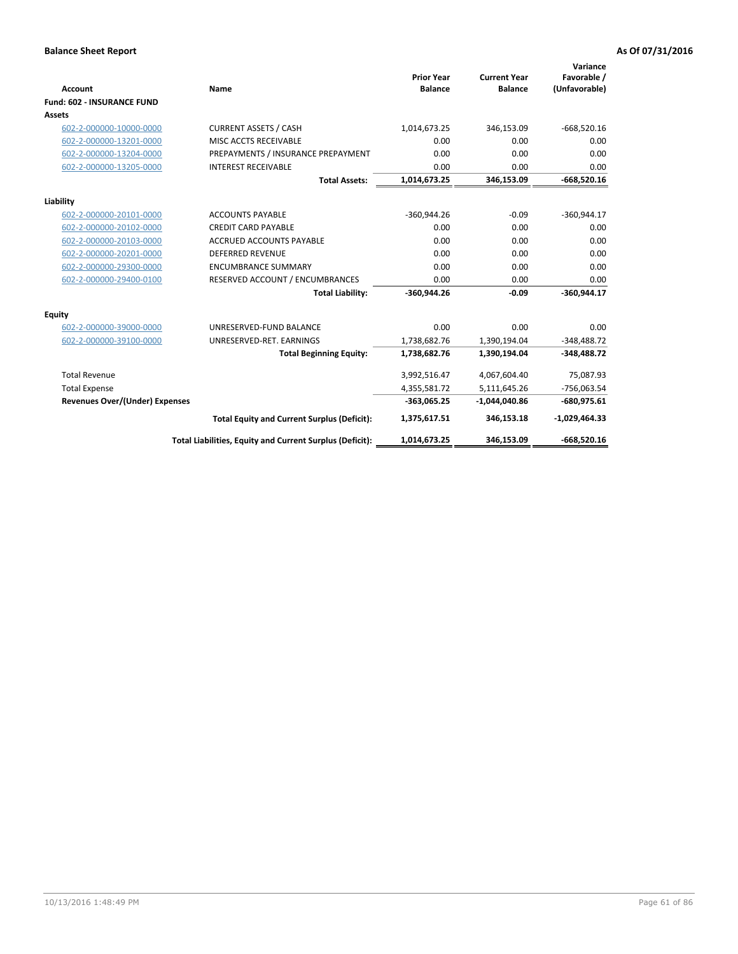|                                       |                                                          |                                     |                                       | Variance                     |
|---------------------------------------|----------------------------------------------------------|-------------------------------------|---------------------------------------|------------------------------|
| <b>Account</b>                        | Name                                                     | <b>Prior Year</b><br><b>Balance</b> | <b>Current Year</b><br><b>Balance</b> | Favorable /<br>(Unfavorable) |
| <b>Fund: 602 - INSURANCE FUND</b>     |                                                          |                                     |                                       |                              |
| <b>Assets</b>                         |                                                          |                                     |                                       |                              |
| 602-2-000000-10000-0000               | <b>CURRENT ASSETS / CASH</b>                             | 1,014,673.25                        | 346,153.09                            | $-668,520.16$                |
| 602-2-000000-13201-0000               | MISC ACCTS RECEIVABLE                                    | 0.00                                | 0.00                                  | 0.00                         |
| 602-2-000000-13204-0000               | PREPAYMENTS / INSURANCE PREPAYMENT                       | 0.00                                | 0.00                                  | 0.00                         |
| 602-2-000000-13205-0000               | <b>INTEREST RECEIVABLE</b>                               | 0.00                                | 0.00                                  | 0.00                         |
|                                       | <b>Total Assets:</b>                                     | 1,014,673.25                        | 346,153.09                            | $-668,520.16$                |
| Liability                             |                                                          |                                     |                                       |                              |
| 602-2-000000-20101-0000               | <b>ACCOUNTS PAYABLE</b>                                  | $-360,944.26$                       | $-0.09$                               | $-360,944.17$                |
| 602-2-000000-20102-0000               | <b>CREDIT CARD PAYABLE</b>                               | 0.00                                | 0.00                                  | 0.00                         |
| 602-2-000000-20103-0000               | <b>ACCRUED ACCOUNTS PAYABLE</b>                          | 0.00                                | 0.00                                  | 0.00                         |
| 602-2-000000-20201-0000               | <b>DEFERRED REVENUE</b>                                  | 0.00                                | 0.00                                  | 0.00                         |
| 602-2-000000-29300-0000               | <b>ENCUMBRANCE SUMMARY</b>                               | 0.00                                | 0.00                                  | 0.00                         |
| 602-2-000000-29400-0100               | RESERVED ACCOUNT / ENCUMBRANCES                          | 0.00                                | 0.00                                  | 0.00                         |
|                                       | <b>Total Liability:</b>                                  | $-360,944.26$                       | $-0.09$                               | $-360.944.17$                |
| <b>Equity</b>                         |                                                          |                                     |                                       |                              |
| 602-2-000000-39000-0000               | UNRESERVED-FUND BALANCE                                  | 0.00                                | 0.00                                  | 0.00                         |
| 602-2-000000-39100-0000               | UNRESERVED-RET. EARNINGS                                 | 1,738,682.76                        | 1,390,194.04                          | $-348,488.72$                |
|                                       | <b>Total Beginning Equity:</b>                           | 1,738,682.76                        | 1,390,194.04                          | $-348,488.72$                |
| <b>Total Revenue</b>                  |                                                          | 3,992,516.47                        | 4,067,604.40                          | 75,087.93                    |
| <b>Total Expense</b>                  |                                                          | 4,355,581.72                        | 5,111,645.26                          | $-756,063.54$                |
| <b>Revenues Over/(Under) Expenses</b> |                                                          | $-363,065.25$                       | $-1,044,040.86$                       | $-680,975.61$                |
|                                       | <b>Total Equity and Current Surplus (Deficit):</b>       | 1,375,617.51                        | 346,153.18                            | $-1,029,464.33$              |
|                                       | Total Liabilities, Equity and Current Surplus (Deficit): | 1,014,673.25                        | 346,153.09                            | $-668.520.16$                |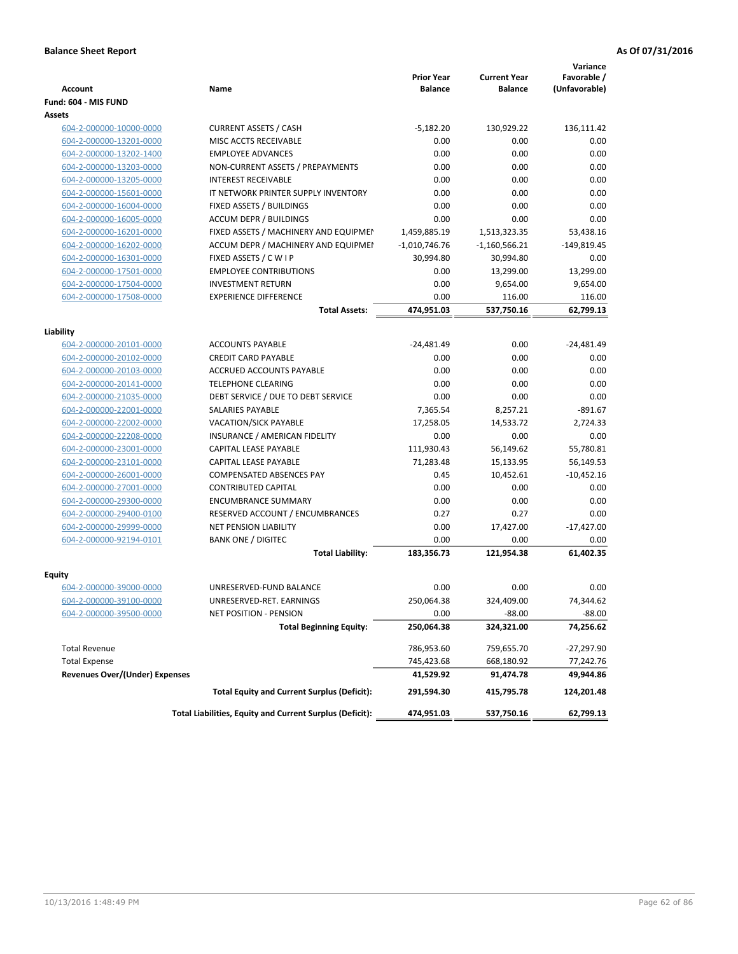|                                       |                                                          | <b>Prior Year</b> | <b>Current Year</b> | Variance<br>Favorable / |
|---------------------------------------|----------------------------------------------------------|-------------------|---------------------|-------------------------|
| <b>Account</b>                        | Name                                                     | <b>Balance</b>    | <b>Balance</b>      | (Unfavorable)           |
| Fund: 604 - MIS FUND                  |                                                          |                   |                     |                         |
| Assets                                |                                                          |                   |                     |                         |
| 604-2-000000-10000-0000               | <b>CURRENT ASSETS / CASH</b>                             | $-5,182.20$       | 130,929.22          | 136,111.42              |
| 604-2-000000-13201-0000               | MISC ACCTS RECEIVABLE                                    | 0.00              | 0.00                | 0.00                    |
| 604-2-000000-13202-1400               | <b>EMPLOYEE ADVANCES</b>                                 | 0.00              | 0.00                | 0.00                    |
| 604-2-000000-13203-0000               | NON-CURRENT ASSETS / PREPAYMENTS                         | 0.00              | 0.00                | 0.00                    |
| 604-2-000000-13205-0000               | <b>INTEREST RECEIVABLE</b>                               | 0.00              | 0.00                | 0.00                    |
| 604-2-000000-15601-0000               | IT NETWORK PRINTER SUPPLY INVENTORY                      | 0.00              | 0.00                | 0.00                    |
| 604-2-000000-16004-0000               | FIXED ASSETS / BUILDINGS                                 | 0.00              | 0.00                | 0.00                    |
| 604-2-000000-16005-0000               | <b>ACCUM DEPR / BUILDINGS</b>                            | 0.00              | 0.00                | 0.00                    |
| 604-2-000000-16201-0000               | FIXED ASSETS / MACHINERY AND EQUIPMEN                    | 1,459,885.19      | 1,513,323.35        | 53,438.16               |
| 604-2-000000-16202-0000               | ACCUM DEPR / MACHINERY AND EQUIPMEI                      | $-1,010,746.76$   | $-1,160,566.21$     | $-149,819.45$           |
| 604-2-000000-16301-0000               | FIXED ASSETS / C W I P                                   | 30,994.80         | 30,994.80           | 0.00                    |
| 604-2-000000-17501-0000               | <b>EMPLOYEE CONTRIBUTIONS</b>                            | 0.00              | 13,299.00           | 13,299.00               |
| 604-2-000000-17504-0000               | <b>INVESTMENT RETURN</b>                                 | 0.00              | 9,654.00            | 9,654.00                |
| 604-2-000000-17508-0000               | <b>EXPERIENCE DIFFERENCE</b>                             | 0.00              | 116.00              | 116.00                  |
|                                       | <b>Total Assets:</b>                                     | 474,951.03        | 537,750.16          | 62,799.13               |
|                                       |                                                          |                   |                     |                         |
| Liability                             |                                                          |                   |                     |                         |
| 604-2-000000-20101-0000               | <b>ACCOUNTS PAYABLE</b>                                  | $-24,481.49$      | 0.00                | $-24,481.49$            |
| 604-2-000000-20102-0000               | <b>CREDIT CARD PAYABLE</b>                               | 0.00              | 0.00                | 0.00                    |
| 604-2-000000-20103-0000               | ACCRUED ACCOUNTS PAYABLE                                 | 0.00              | 0.00                | 0.00                    |
| 604-2-000000-20141-0000               | <b>TELEPHONE CLEARING</b>                                | 0.00              | 0.00                | 0.00                    |
| 604-2-000000-21035-0000               | DEBT SERVICE / DUE TO DEBT SERVICE                       | 0.00              | 0.00                | 0.00                    |
| 604-2-000000-22001-0000               | SALARIES PAYABLE                                         | 7,365.54          | 8,257.21            | $-891.67$               |
| 604-2-000000-22002-0000               | <b>VACATION/SICK PAYABLE</b>                             | 17,258.05         | 14,533.72           | 2,724.33                |
| 604-2-000000-22208-0000               | INSURANCE / AMERICAN FIDELITY                            | 0.00              | 0.00                | 0.00                    |
| 604-2-000000-23001-0000               | CAPITAL LEASE PAYABLE                                    | 111,930.43        | 56,149.62           | 55,780.81               |
| 604-2-000000-23101-0000               | CAPITAL LEASE PAYABLE                                    | 71,283.48         | 15,133.95           | 56,149.53               |
| 604-2-000000-26001-0000               | COMPENSATED ABSENCES PAY                                 | 0.45              | 10,452.61           | $-10,452.16$            |
| 604-2-000000-27001-0000               | <b>CONTRIBUTED CAPITAL</b>                               | 0.00              | 0.00                | 0.00                    |
| 604-2-000000-29300-0000               | <b>ENCUMBRANCE SUMMARY</b>                               | 0.00              | 0.00                | 0.00                    |
| 604-2-000000-29400-0100               | RESERVED ACCOUNT / ENCUMBRANCES                          | 0.27              | 0.27                | 0.00                    |
| 604-2-000000-29999-0000               | <b>NET PENSION LIABILITY</b>                             | 0.00              | 17,427.00           | $-17,427.00$            |
| 604-2-000000-92194-0101               | <b>BANK ONE / DIGITEC</b>                                | 0.00              | 0.00                | 0.00                    |
|                                       | <b>Total Liability:</b>                                  | 183,356.73        | 121,954.38          | 61,402.35               |
|                                       |                                                          |                   |                     |                         |
| Equity                                |                                                          |                   |                     |                         |
| 604-2-000000-39000-0000               | UNRESERVED-FUND BALANCE                                  | 0.00              | 0.00                | 0.00                    |
| 604-2-000000-39100-0000               | UNRESERVED-RET. EARNINGS                                 | 250,064.38        | 324,409.00          | 74,344.62               |
| 604-2-000000-39500-0000               | NET POSITION - PENSION                                   | 0.00              | $-88.00$            | $-88.00$                |
|                                       | <b>Total Beginning Equity:</b>                           | 250,064.38        | 324,321.00          | 74,256.62               |
| <b>Total Revenue</b>                  |                                                          | 786,953.60        | 759,655.70          | $-27,297.90$            |
| <b>Total Expense</b>                  |                                                          | 745,423.68        | 668,180.92          | 77,242.76               |
| <b>Revenues Over/(Under) Expenses</b> |                                                          | 41,529.92         | 91,474.78           | 49,944.86               |
|                                       | <b>Total Equity and Current Surplus (Deficit):</b>       | 291,594.30        | 415,795.78          | 124,201.48              |
|                                       | Total Liabilities, Equity and Current Surplus (Deficit): | 474,951.03        | 537,750.16          | 62,799.13               |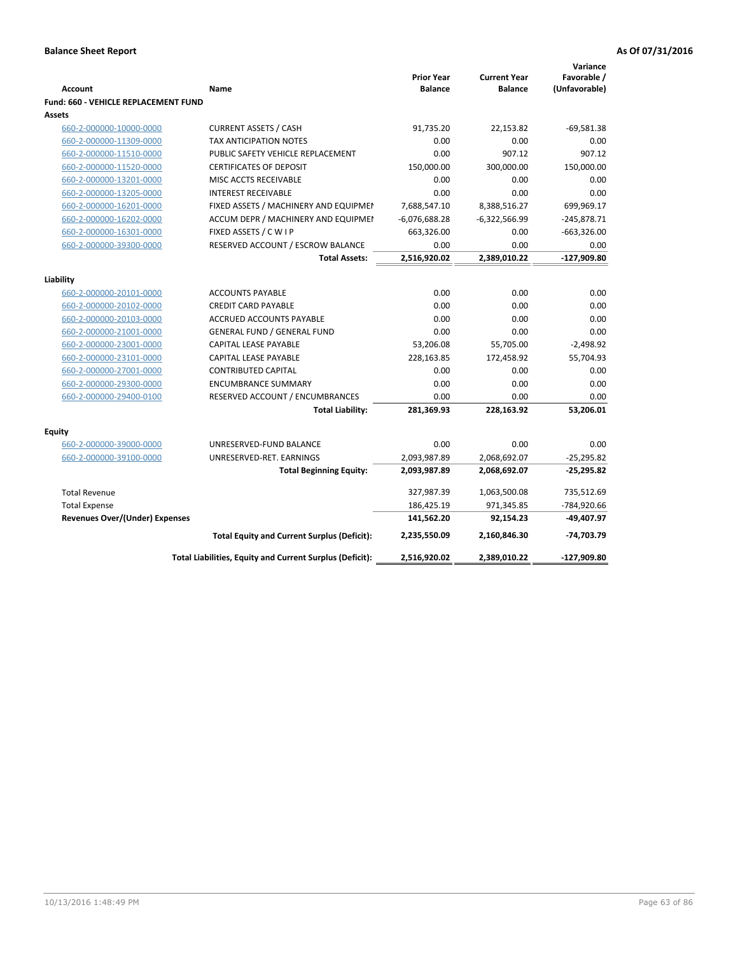|                                             |                                                          | <b>Prior Year</b> | <b>Current Year</b> | Variance<br>Favorable / |
|---------------------------------------------|----------------------------------------------------------|-------------------|---------------------|-------------------------|
| <b>Account</b>                              | Name                                                     | <b>Balance</b>    | <b>Balance</b>      | (Unfavorable)           |
| <b>Fund: 660 - VEHICLE REPLACEMENT FUND</b> |                                                          |                   |                     |                         |
| Assets                                      |                                                          |                   |                     |                         |
| 660-2-000000-10000-0000                     | <b>CURRENT ASSETS / CASH</b>                             | 91,735.20         | 22,153.82           | $-69,581.38$            |
| 660-2-000000-11309-0000                     | TAX ANTICIPATION NOTES                                   | 0.00              | 0.00                | 0.00                    |
| 660-2-000000-11510-0000                     | PUBLIC SAFETY VEHICLE REPLACEMENT                        | 0.00              | 907.12              | 907.12                  |
| 660-2-000000-11520-0000                     | <b>CERTIFICATES OF DEPOSIT</b>                           | 150,000.00        | 300,000.00          | 150,000.00              |
| 660-2-000000-13201-0000                     | MISC ACCTS RECEIVABLE                                    | 0.00              | 0.00                | 0.00                    |
| 660-2-000000-13205-0000                     | <b>INTEREST RECEIVABLE</b>                               | 0.00              | 0.00                | 0.00                    |
| 660-2-000000-16201-0000                     | FIXED ASSETS / MACHINERY AND EQUIPMEN                    | 7,688,547.10      | 8,388,516.27        | 699,969.17              |
| 660-2-000000-16202-0000                     | ACCUM DEPR / MACHINERY AND EQUIPMEI                      | $-6,076,688.28$   | $-6,322,566.99$     | $-245,878.71$           |
| 660-2-000000-16301-0000                     | FIXED ASSETS / C W I P                                   | 663,326.00        | 0.00                | $-663,326.00$           |
| 660-2-000000-39300-0000                     | RESERVED ACCOUNT / ESCROW BALANCE                        | 0.00              | 0.00                | 0.00<br>$-127,909.80$   |
|                                             | <b>Total Assets:</b>                                     | 2,516,920.02      | 2,389,010.22        |                         |
| Liability                                   |                                                          |                   |                     |                         |
| 660-2-000000-20101-0000                     | <b>ACCOUNTS PAYABLE</b>                                  | 0.00              | 0.00                | 0.00                    |
| 660-2-000000-20102-0000                     | <b>CREDIT CARD PAYABLE</b>                               | 0.00              | 0.00                | 0.00                    |
| 660-2-000000-20103-0000                     | <b>ACCRUED ACCOUNTS PAYABLE</b>                          | 0.00              | 0.00                | 0.00                    |
| 660-2-000000-21001-0000                     | <b>GENERAL FUND / GENERAL FUND</b>                       | 0.00              | 0.00                | 0.00                    |
| 660-2-000000-23001-0000                     | CAPITAL LEASE PAYABLE                                    | 53,206.08         | 55,705.00           | $-2,498.92$             |
| 660-2-000000-23101-0000                     | <b>CAPITAL LEASE PAYABLE</b>                             | 228,163.85        | 172,458.92          | 55,704.93               |
| 660-2-000000-27001-0000                     | <b>CONTRIBUTED CAPITAL</b>                               | 0.00              | 0.00                | 0.00                    |
| 660-2-000000-29300-0000                     | <b>ENCUMBRANCE SUMMARY</b>                               | 0.00              | 0.00                | 0.00                    |
| 660-2-000000-29400-0100                     | RESERVED ACCOUNT / ENCUMBRANCES                          | 0.00              | 0.00                | 0.00                    |
|                                             | <b>Total Liability:</b>                                  | 281,369.93        | 228,163.92          | 53,206.01               |
| <b>Equity</b>                               |                                                          |                   |                     |                         |
| 660-2-000000-39000-0000                     | UNRESERVED-FUND BALANCE                                  | 0.00              | 0.00                | 0.00                    |
| 660-2-000000-39100-0000                     | UNRESERVED-RET. EARNINGS                                 | 2,093,987.89      | 2,068,692.07        | $-25,295.82$            |
|                                             | <b>Total Beginning Equity:</b>                           | 2,093,987.89      | 2,068,692.07        | $-25,295.82$            |
| <b>Total Revenue</b>                        |                                                          | 327,987.39        | 1,063,500.08        | 735,512.69              |
| <b>Total Expense</b>                        |                                                          | 186,425.19        | 971,345.85          | -784,920.66             |
| <b>Revenues Over/(Under) Expenses</b>       |                                                          | 141,562.20        | 92,154.23           | -49,407.97              |
|                                             | <b>Total Equity and Current Surplus (Deficit):</b>       | 2,235,550.09      | 2,160,846.30        | -74,703.79              |
|                                             | Total Liabilities, Equity and Current Surplus (Deficit): | 2,516,920.02      | 2,389,010.22        | -127,909.80             |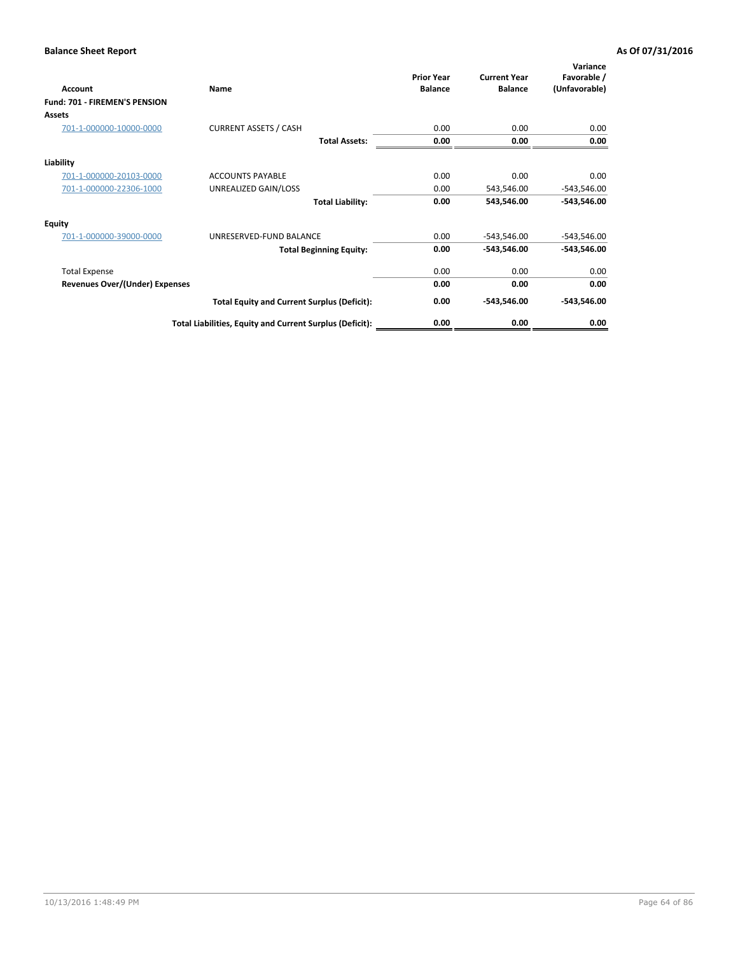| Account                               | Name                                                     | <b>Prior Year</b><br><b>Balance</b> | <b>Current Year</b><br><b>Balance</b> | Variance<br>Favorable /<br>(Unfavorable) |
|---------------------------------------|----------------------------------------------------------|-------------------------------------|---------------------------------------|------------------------------------------|
| <b>Fund: 701 - FIREMEN'S PENSION</b>  |                                                          |                                     |                                       |                                          |
| <b>Assets</b>                         |                                                          |                                     |                                       |                                          |
| 701-1-000000-10000-0000               | <b>CURRENT ASSETS / CASH</b>                             | 0.00                                | 0.00                                  | 0.00                                     |
|                                       | <b>Total Assets:</b>                                     | 0.00                                | 0.00                                  | 0.00                                     |
| Liability                             |                                                          |                                     |                                       |                                          |
| 701-1-000000-20103-0000               | <b>ACCOUNTS PAYABLE</b>                                  | 0.00                                | 0.00                                  | 0.00                                     |
| 701-1-000000-22306-1000               | UNREALIZED GAIN/LOSS                                     | 0.00                                | 543,546.00                            | $-543,546.00$                            |
|                                       | <b>Total Liability:</b>                                  | 0.00                                | 543,546.00                            | $-543,546.00$                            |
| <b>Equity</b>                         |                                                          |                                     |                                       |                                          |
| 701-1-000000-39000-0000               | UNRESERVED-FUND BALANCE                                  | 0.00                                | $-543,546.00$                         | $-543,546.00$                            |
|                                       | <b>Total Beginning Equity:</b>                           | 0.00                                | -543,546.00                           | $-543,546.00$                            |
| <b>Total Expense</b>                  |                                                          | 0.00                                | 0.00                                  | 0.00                                     |
| <b>Revenues Over/(Under) Expenses</b> |                                                          | 0.00                                | 0.00                                  | 0.00                                     |
|                                       | <b>Total Equity and Current Surplus (Deficit):</b>       | 0.00                                | $-543,546.00$                         | $-543,546.00$                            |
|                                       | Total Liabilities, Equity and Current Surplus (Deficit): | 0.00                                | 0.00                                  | 0.00                                     |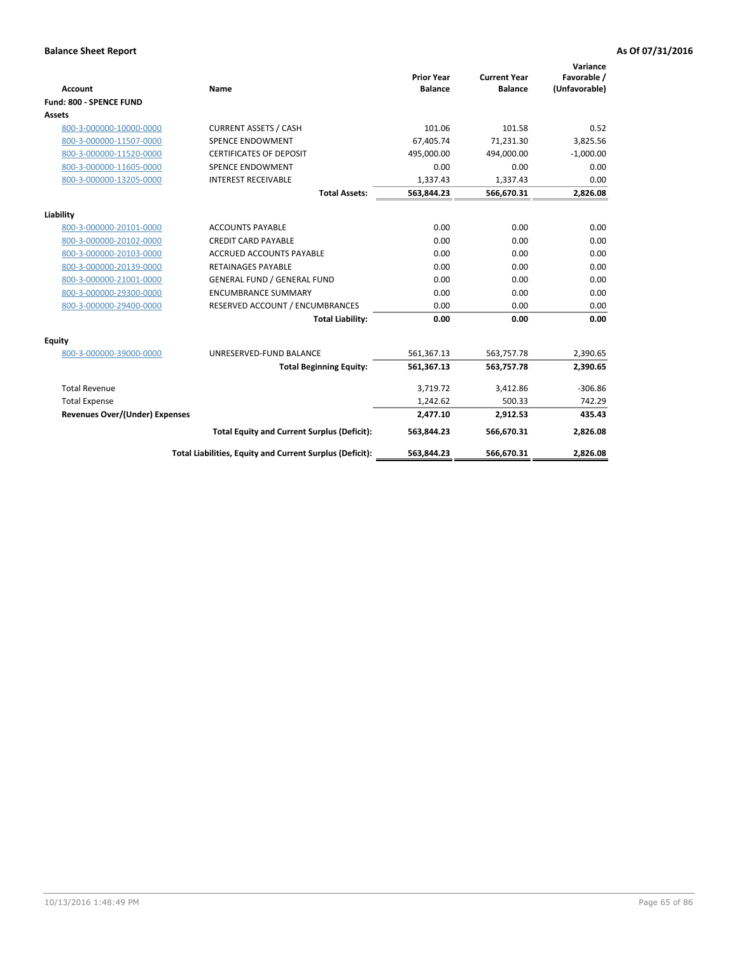|                                       |                                                          |                                     |                                       | Variance                     |
|---------------------------------------|----------------------------------------------------------|-------------------------------------|---------------------------------------|------------------------------|
| <b>Account</b>                        | Name                                                     | <b>Prior Year</b><br><b>Balance</b> | <b>Current Year</b><br><b>Balance</b> | Favorable /<br>(Unfavorable) |
| Fund: 800 - SPENCE FUND               |                                                          |                                     |                                       |                              |
| Assets                                |                                                          |                                     |                                       |                              |
| 800-3-000000-10000-0000               | <b>CURRENT ASSETS / CASH</b>                             | 101.06                              | 101.58                                | 0.52                         |
| 800-3-000000-11507-0000               | <b>SPENCE ENDOWMENT</b>                                  | 67.405.74                           | 71,231.30                             | 3,825.56                     |
| 800-3-000000-11520-0000               | <b>CERTIFICATES OF DEPOSIT</b>                           | 495.000.00                          | 494.000.00                            | $-1,000.00$                  |
| 800-3-000000-11605-0000               | <b>SPENCE ENDOWMENT</b>                                  | 0.00                                | 0.00                                  | 0.00                         |
| 800-3-000000-13205-0000               | <b>INTEREST RECEIVABLE</b>                               | 1,337.43                            | 1,337.43                              | 0.00                         |
|                                       | <b>Total Assets:</b>                                     | 563,844.23                          | 566,670.31                            | 2,826.08                     |
| Liability                             |                                                          |                                     |                                       |                              |
| 800-3-000000-20101-0000               | <b>ACCOUNTS PAYABLE</b>                                  | 0.00                                | 0.00                                  | 0.00                         |
| 800-3-000000-20102-0000               | <b>CREDIT CARD PAYABLE</b>                               | 0.00                                | 0.00                                  | 0.00                         |
| 800-3-000000-20103-0000               | <b>ACCRUED ACCOUNTS PAYABLE</b>                          | 0.00                                | 0.00                                  | 0.00                         |
| 800-3-000000-20139-0000               | <b>RETAINAGES PAYABLE</b>                                | 0.00                                | 0.00                                  | 0.00                         |
| 800-3-000000-21001-0000               | <b>GENERAL FUND / GENERAL FUND</b>                       | 0.00                                | 0.00                                  | 0.00                         |
| 800-3-000000-29300-0000               | <b>ENCUMBRANCE SUMMARY</b>                               | 0.00                                | 0.00                                  | 0.00                         |
| 800-3-000000-29400-0000               | RESERVED ACCOUNT / ENCUMBRANCES                          | 0.00                                | 0.00                                  | 0.00                         |
|                                       | <b>Total Liability:</b>                                  | 0.00                                | 0.00                                  | 0.00                         |
| Equity                                |                                                          |                                     |                                       |                              |
| 800-3-000000-39000-0000               | UNRESERVED-FUND BALANCE                                  | 561,367.13                          | 563,757.78                            | 2,390.65                     |
|                                       | <b>Total Beginning Equity:</b>                           | 561,367.13                          | 563,757.78                            | 2,390.65                     |
| <b>Total Revenue</b>                  |                                                          | 3,719.72                            | 3,412.86                              | $-306.86$                    |
| <b>Total Expense</b>                  |                                                          | 1,242.62                            | 500.33                                | 742.29                       |
| <b>Revenues Over/(Under) Expenses</b> |                                                          | 2,477.10                            | 2,912.53                              | 435.43                       |
|                                       | <b>Total Equity and Current Surplus (Deficit):</b>       | 563,844.23                          | 566,670.31                            | 2,826.08                     |
|                                       | Total Liabilities, Equity and Current Surplus (Deficit): | 563,844.23                          | 566,670.31                            | 2,826.08                     |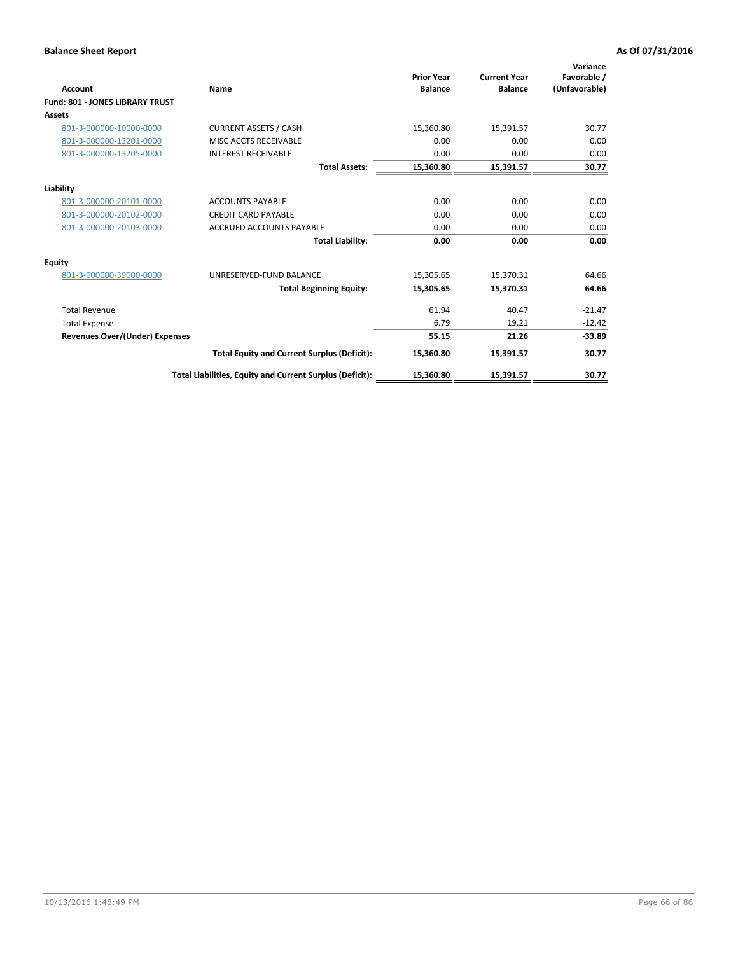|                                        |                                                          | <b>Prior Year</b> | <b>Current Year</b> | Variance<br>Favorable / |
|----------------------------------------|----------------------------------------------------------|-------------------|---------------------|-------------------------|
| Account                                | Name                                                     | <b>Balance</b>    | <b>Balance</b>      | (Unfavorable)           |
| <b>Fund: 801 - JONES LIBRARY TRUST</b> |                                                          |                   |                     |                         |
| Assets                                 |                                                          |                   |                     |                         |
| 801-3-000000-10000-0000                | <b>CURRENT ASSETS / CASH</b>                             | 15,360.80         | 15,391.57           | 30.77                   |
| 801-3-000000-13201-0000                | MISC ACCTS RECEIVABLE                                    | 0.00              | 0.00                | 0.00                    |
| 801-3-000000-13205-0000                | <b>INTEREST RECEIVABLE</b>                               | 0.00              | 0.00                | 0.00                    |
|                                        | <b>Total Assets:</b>                                     | 15,360.80         | 15,391.57           | 30.77                   |
| Liability                              |                                                          |                   |                     |                         |
| 801-3-000000-20101-0000                | <b>ACCOUNTS PAYABLE</b>                                  | 0.00              | 0.00                | 0.00                    |
| 801-3-000000-20102-0000                | <b>CREDIT CARD PAYABLE</b>                               | 0.00              | 0.00                | 0.00                    |
| 801-3-000000-20103-0000                | <b>ACCRUED ACCOUNTS PAYABLE</b>                          | 0.00              | 0.00                | 0.00                    |
|                                        | <b>Total Liability:</b>                                  | 0.00              | 0.00                | 0.00                    |
| Equity                                 |                                                          |                   |                     |                         |
| 801-3-000000-39000-0000                | UNRESERVED-FUND BALANCE                                  | 15,305.65         | 15,370.31           | 64.66                   |
|                                        | <b>Total Beginning Equity:</b>                           | 15,305.65         | 15,370.31           | 64.66                   |
| <b>Total Revenue</b>                   |                                                          | 61.94             | 40.47               | $-21.47$                |
| <b>Total Expense</b>                   |                                                          | 6.79              | 19.21               | $-12.42$                |
| <b>Revenues Over/(Under) Expenses</b>  |                                                          | 55.15             | 21.26               | $-33.89$                |
|                                        | <b>Total Equity and Current Surplus (Deficit):</b>       | 15,360.80         | 15,391.57           | 30.77                   |
|                                        | Total Liabilities, Equity and Current Surplus (Deficit): | 15,360.80         | 15,391.57           | 30.77                   |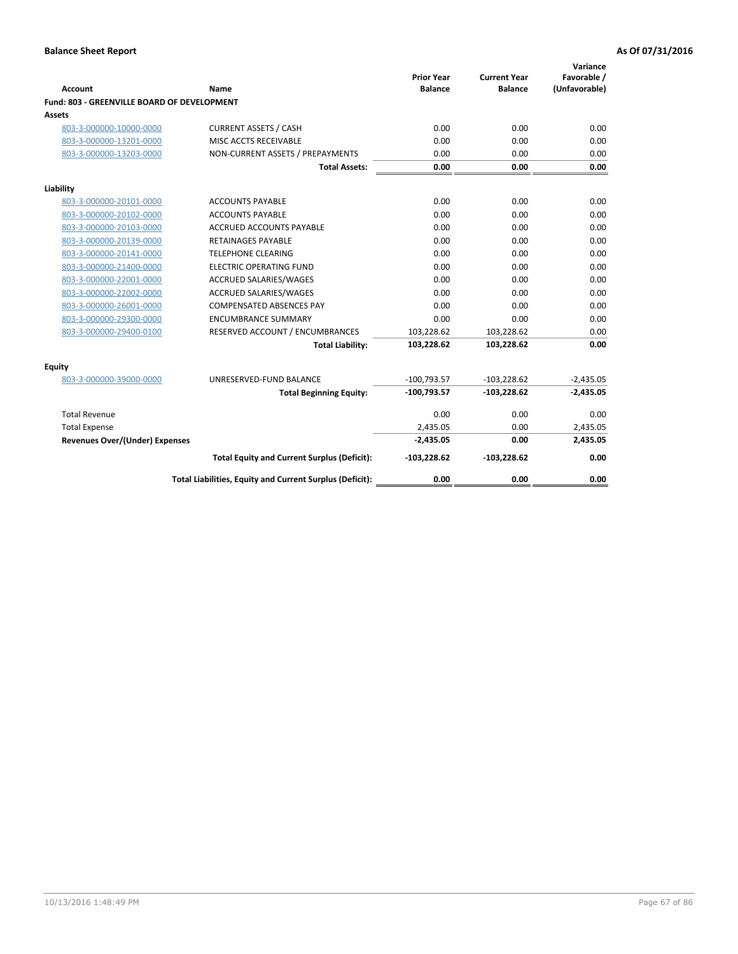| <b>Account</b>                              | Name                                                     | <b>Prior Year</b><br><b>Balance</b> | <b>Current Year</b><br><b>Balance</b> | Variance<br>Favorable /<br>(Unfavorable) |
|---------------------------------------------|----------------------------------------------------------|-------------------------------------|---------------------------------------|------------------------------------------|
| Fund: 803 - GREENVILLE BOARD OF DEVELOPMENT |                                                          |                                     |                                       |                                          |
| Assets                                      |                                                          |                                     |                                       |                                          |
| 803-3-000000-10000-0000                     | <b>CURRENT ASSETS / CASH</b>                             | 0.00                                | 0.00                                  | 0.00                                     |
| 803-3-000000-13201-0000                     | MISC ACCTS RECEIVABLE                                    | 0.00                                | 0.00                                  | 0.00                                     |
| 803-3-000000-13203-0000                     | NON-CURRENT ASSETS / PREPAYMENTS                         | 0.00                                | 0.00                                  | 0.00                                     |
|                                             | <b>Total Assets:</b>                                     | 0.00                                | 0.00                                  | 0.00                                     |
| Liability                                   |                                                          |                                     |                                       |                                          |
| 803-3-000000-20101-0000                     | <b>ACCOUNTS PAYABLE</b>                                  | 0.00                                | 0.00                                  | 0.00                                     |
| 803-3-000000-20102-0000                     | <b>ACCOUNTS PAYABLE</b>                                  | 0.00                                | 0.00                                  | 0.00                                     |
| 803-3-000000-20103-0000                     | <b>ACCRUED ACCOUNTS PAYABLE</b>                          | 0.00                                | 0.00                                  | 0.00                                     |
| 803-3-000000-20139-0000                     | <b>RETAINAGES PAYABLE</b>                                | 0.00                                | 0.00                                  | 0.00                                     |
| 803-3-000000-20141-0000                     | <b>TELEPHONE CLEARING</b>                                | 0.00                                | 0.00                                  | 0.00                                     |
| 803-3-000000-21400-0000                     | <b>ELECTRIC OPERATING FUND</b>                           | 0.00                                | 0.00                                  | 0.00                                     |
| 803-3-000000-22001-0000                     | ACCRUED SALARIES/WAGES                                   | 0.00                                | 0.00                                  | 0.00                                     |
| 803-3-000000-22002-0000                     | <b>ACCRUED SALARIES/WAGES</b>                            | 0.00                                | 0.00                                  | 0.00                                     |
| 803-3-000000-26001-0000                     | <b>COMPENSATED ABSENCES PAY</b>                          | 0.00                                | 0.00                                  | 0.00                                     |
| 803-3-000000-29300-0000                     | <b>ENCUMBRANCE SUMMARY</b>                               | 0.00                                | 0.00                                  | 0.00                                     |
| 803-3-000000-29400-0100                     | RESERVED ACCOUNT / ENCUMBRANCES                          | 103,228.62                          | 103,228.62                            | 0.00                                     |
|                                             | <b>Total Liability:</b>                                  | 103,228.62                          | 103,228.62                            | 0.00                                     |
| Equity                                      |                                                          |                                     |                                       |                                          |
| 803-3-000000-39000-0000                     | UNRESERVED-FUND BALANCE                                  | $-100,793.57$                       | $-103,228.62$                         | $-2,435.05$                              |
|                                             | <b>Total Beginning Equity:</b>                           | $-100,793.57$                       | $-103,228.62$                         | $-2,435.05$                              |
| <b>Total Revenue</b>                        |                                                          | 0.00                                | 0.00                                  | 0.00                                     |
| <b>Total Expense</b>                        |                                                          | 2,435.05                            | 0.00                                  | 2,435.05                                 |
| <b>Revenues Over/(Under) Expenses</b>       |                                                          | $-2,435.05$                         | 0.00                                  | 2,435.05                                 |
|                                             | <b>Total Equity and Current Surplus (Deficit):</b>       | $-103,228.62$                       | $-103,228.62$                         | 0.00                                     |
|                                             | Total Liabilities, Equity and Current Surplus (Deficit): | 0.00                                | 0.00                                  | 0.00                                     |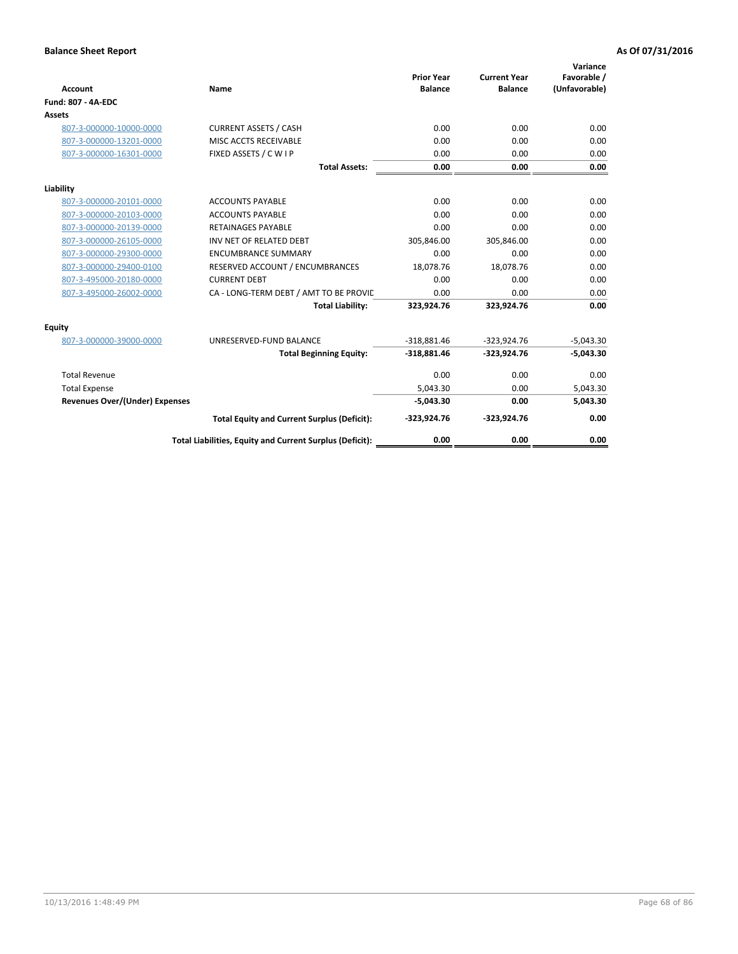| <b>Account</b>                 | Name                                                     | <b>Prior Year</b><br><b>Balance</b> | <b>Current Year</b><br><b>Balance</b> | Variance<br>Favorable /<br>(Unfavorable) |
|--------------------------------|----------------------------------------------------------|-------------------------------------|---------------------------------------|------------------------------------------|
| <b>Fund: 807 - 4A-EDC</b>      |                                                          |                                     |                                       |                                          |
| <b>Assets</b>                  |                                                          |                                     |                                       |                                          |
| 807-3-000000-10000-0000        | <b>CURRENT ASSETS / CASH</b>                             | 0.00                                | 0.00                                  | 0.00                                     |
| 807-3-000000-13201-0000        | MISC ACCTS RECEIVABLE                                    | 0.00                                | 0.00                                  | 0.00                                     |
| 807-3-000000-16301-0000        | FIXED ASSETS / C W I P                                   | 0.00                                | 0.00                                  | 0.00                                     |
|                                | <b>Total Assets:</b>                                     | 0.00                                | 0.00                                  | 0.00                                     |
| Liability                      |                                                          |                                     |                                       |                                          |
| 807-3-000000-20101-0000        | <b>ACCOUNTS PAYABLE</b>                                  | 0.00                                | 0.00                                  | 0.00                                     |
| 807-3-000000-20103-0000        | <b>ACCOUNTS PAYABLE</b>                                  | 0.00                                | 0.00                                  | 0.00                                     |
| 807-3-000000-20139-0000        | <b>RETAINAGES PAYABLE</b>                                | 0.00                                | 0.00                                  | 0.00                                     |
| 807-3-000000-26105-0000        | INV NET OF RELATED DEBT                                  | 305,846.00                          | 305,846.00                            | 0.00                                     |
| 807-3-000000-29300-0000        | <b>ENCUMBRANCE SUMMARY</b>                               | 0.00                                | 0.00                                  | 0.00                                     |
| 807-3-000000-29400-0100        | RESERVED ACCOUNT / ENCUMBRANCES                          | 18,078.76                           | 18,078.76                             | 0.00                                     |
| 807-3-495000-20180-0000        | <b>CURRENT DEBT</b>                                      | 0.00                                | 0.00                                  | 0.00                                     |
| 807-3-495000-26002-0000        | CA - LONG-TERM DEBT / AMT TO BE PROVIL                   | 0.00                                | 0.00                                  | 0.00                                     |
|                                | <b>Total Liability:</b>                                  | 323,924.76                          | 323,924.76                            | 0.00                                     |
| Equity                         |                                                          |                                     |                                       |                                          |
| 807-3-000000-39000-0000        | UNRESERVED-FUND BALANCE                                  | $-318,881.46$                       | $-323,924.76$                         | $-5,043.30$                              |
|                                | <b>Total Beginning Equity:</b>                           | $-318,881.46$                       | $-323,924.76$                         | $-5,043.30$                              |
| <b>Total Revenue</b>           |                                                          | 0.00                                | 0.00                                  | 0.00                                     |
| <b>Total Expense</b>           |                                                          | 5,043.30                            | 0.00                                  | 5,043.30                                 |
| Revenues Over/(Under) Expenses |                                                          | $-5,043.30$                         | 0.00                                  | 5,043.30                                 |
|                                | <b>Total Equity and Current Surplus (Deficit):</b>       | $-323,924.76$                       | $-323,924.76$                         | 0.00                                     |
|                                | Total Liabilities, Equity and Current Surplus (Deficit): | 0.00                                | 0.00                                  | 0.00                                     |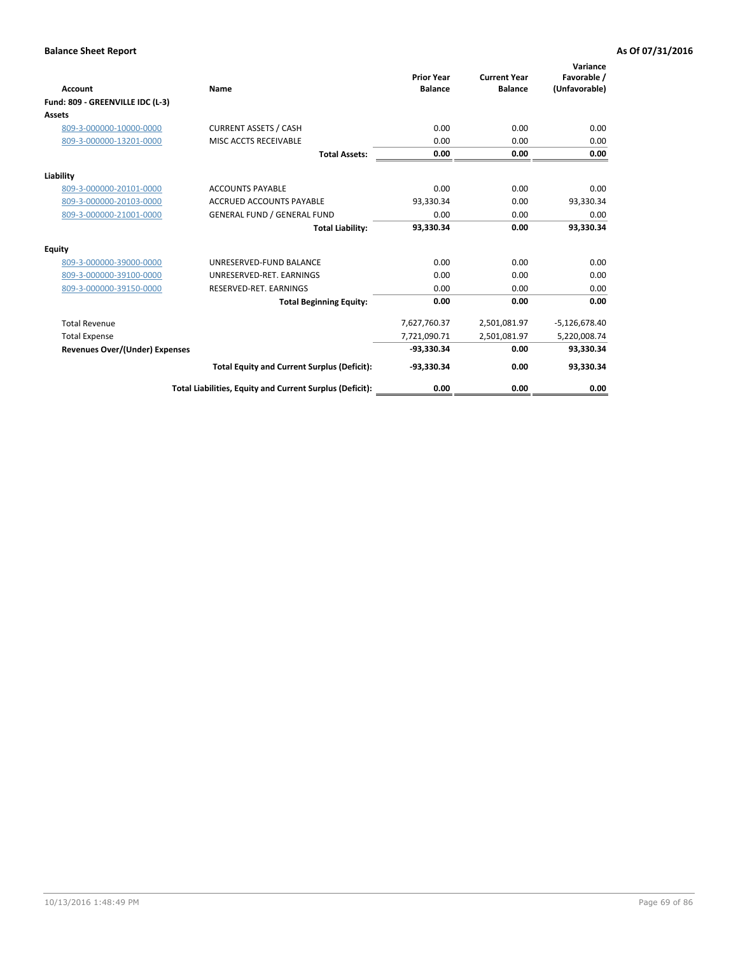| <b>Account</b>                        | <b>Name</b>                                              | <b>Prior Year</b><br><b>Balance</b> | <b>Current Year</b><br><b>Balance</b> | Variance<br>Favorable /<br>(Unfavorable) |
|---------------------------------------|----------------------------------------------------------|-------------------------------------|---------------------------------------|------------------------------------------|
| Fund: 809 - GREENVILLE IDC (L-3)      |                                                          |                                     |                                       |                                          |
| Assets                                |                                                          |                                     |                                       |                                          |
| 809-3-000000-10000-0000               | <b>CURRENT ASSETS / CASH</b>                             | 0.00                                | 0.00                                  | 0.00                                     |
| 809-3-000000-13201-0000               | MISC ACCTS RECEIVABLE                                    | 0.00                                | 0.00                                  | 0.00                                     |
|                                       | <b>Total Assets:</b>                                     | 0.00                                | 0.00                                  | 0.00                                     |
| Liability                             |                                                          |                                     |                                       |                                          |
| 809-3-000000-20101-0000               | <b>ACCOUNTS PAYABLE</b>                                  | 0.00                                | 0.00                                  | 0.00                                     |
| 809-3-000000-20103-0000               | <b>ACCRUED ACCOUNTS PAYABLE</b>                          | 93,330.34                           | 0.00                                  | 93,330.34                                |
| 809-3-000000-21001-0000               | <b>GENERAL FUND / GENERAL FUND</b>                       | 0.00                                | 0.00                                  | 0.00                                     |
|                                       | <b>Total Liability:</b>                                  | 93,330.34                           | 0.00                                  | 93,330.34                                |
| Equity                                |                                                          |                                     |                                       |                                          |
| 809-3-000000-39000-0000               | UNRESERVED-FUND BALANCE                                  | 0.00                                | 0.00                                  | 0.00                                     |
| 809-3-000000-39100-0000               | UNRESERVED-RET. EARNINGS                                 | 0.00                                | 0.00                                  | 0.00                                     |
| 809-3-000000-39150-0000               | RESERVED-RET. EARNINGS                                   | 0.00                                | 0.00                                  | 0.00                                     |
|                                       | <b>Total Beginning Equity:</b>                           | 0.00                                | 0.00                                  | 0.00                                     |
| <b>Total Revenue</b>                  |                                                          | 7,627,760.37                        | 2,501,081.97                          | $-5,126,678.40$                          |
| <b>Total Expense</b>                  |                                                          | 7,721,090.71                        | 2,501,081.97                          | 5,220,008.74                             |
| <b>Revenues Over/(Under) Expenses</b> |                                                          | -93.330.34                          | 0.00                                  | 93,330.34                                |
|                                       | <b>Total Equity and Current Surplus (Deficit):</b>       | -93,330.34                          | 0.00                                  | 93,330.34                                |
|                                       | Total Liabilities, Equity and Current Surplus (Deficit): | 0.00                                | 0.00                                  | 0.00                                     |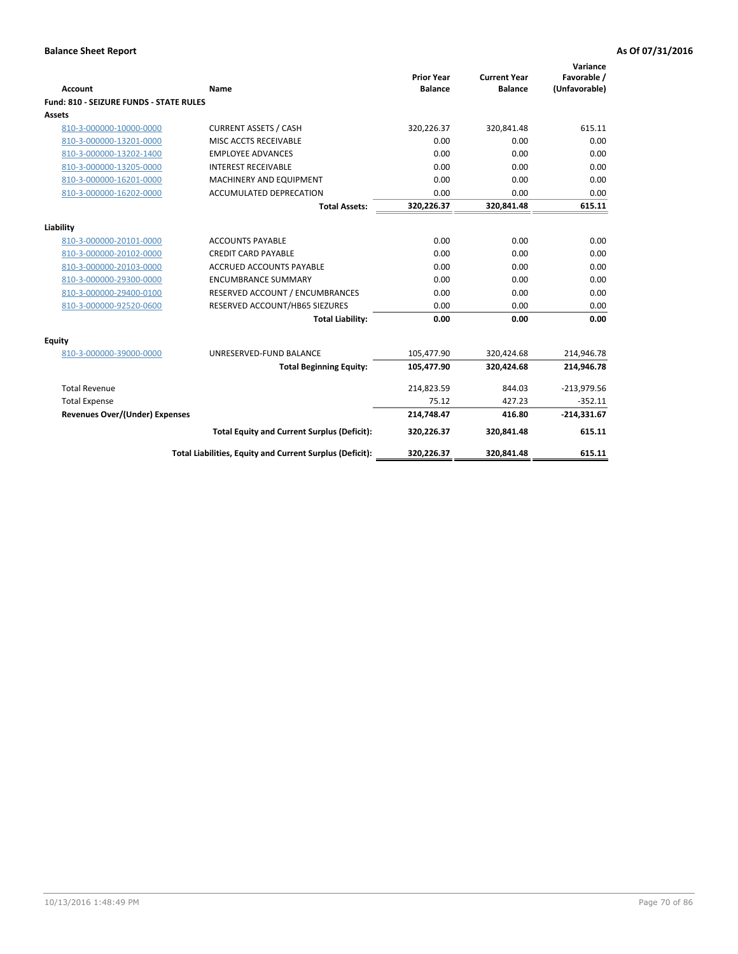| <b>Account</b>                                 | Name                                                     | <b>Prior Year</b><br><b>Balance</b> | <b>Current Year</b><br><b>Balance</b> | Variance<br>Favorable /<br>(Unfavorable) |
|------------------------------------------------|----------------------------------------------------------|-------------------------------------|---------------------------------------|------------------------------------------|
| <b>Fund: 810 - SEIZURE FUNDS - STATE RULES</b> |                                                          |                                     |                                       |                                          |
| Assets                                         |                                                          |                                     |                                       |                                          |
| 810-3-000000-10000-0000                        | <b>CURRENT ASSETS / CASH</b>                             | 320,226.37                          | 320,841.48                            | 615.11                                   |
| 810-3-000000-13201-0000                        | MISC ACCTS RECEIVABLE                                    | 0.00                                | 0.00                                  | 0.00                                     |
| 810-3-000000-13202-1400                        | <b>EMPLOYEE ADVANCES</b>                                 | 0.00                                | 0.00                                  | 0.00                                     |
| 810-3-000000-13205-0000                        | <b>INTEREST RECEIVABLE</b>                               | 0.00                                | 0.00                                  | 0.00                                     |
| 810-3-000000-16201-0000                        | MACHINERY AND EQUIPMENT                                  | 0.00                                | 0.00                                  | 0.00                                     |
| 810-3-000000-16202-0000                        | <b>ACCUMULATED DEPRECATION</b>                           | 0.00                                | 0.00                                  | 0.00                                     |
|                                                | <b>Total Assets:</b>                                     | 320,226.37                          | 320,841.48                            | 615.11                                   |
| Liability                                      |                                                          |                                     |                                       |                                          |
| 810-3-000000-20101-0000                        | <b>ACCOUNTS PAYABLE</b>                                  | 0.00                                | 0.00                                  | 0.00                                     |
| 810-3-000000-20102-0000                        | <b>CREDIT CARD PAYABLE</b>                               | 0.00                                | 0.00                                  | 0.00                                     |
| 810-3-000000-20103-0000                        | <b>ACCRUED ACCOUNTS PAYABLE</b>                          | 0.00                                | 0.00                                  | 0.00                                     |
| 810-3-000000-29300-0000                        | <b>ENCUMBRANCE SUMMARY</b>                               | 0.00                                | 0.00                                  | 0.00                                     |
| 810-3-000000-29400-0100                        | RESERVED ACCOUNT / ENCUMBRANCES                          | 0.00                                | 0.00                                  | 0.00                                     |
| 810-3-000000-92520-0600                        | RESERVED ACCOUNT/HB65 SIEZURES                           | 0.00                                | 0.00                                  | 0.00                                     |
|                                                | <b>Total Liability:</b>                                  | 0.00                                | 0.00                                  | 0.00                                     |
| <b>Equity</b>                                  |                                                          |                                     |                                       |                                          |
| 810-3-000000-39000-0000                        | UNRESERVED-FUND BALANCE                                  | 105,477.90                          | 320,424.68                            | 214,946.78                               |
|                                                | <b>Total Beginning Equity:</b>                           | 105,477.90                          | 320,424.68                            | 214,946.78                               |
| <b>Total Revenue</b>                           |                                                          | 214,823.59                          | 844.03                                | $-213,979.56$                            |
| <b>Total Expense</b>                           |                                                          | 75.12                               | 427.23                                | $-352.11$                                |
| <b>Revenues Over/(Under) Expenses</b>          |                                                          | 214,748.47                          | 416.80                                | $-214,331.67$                            |
|                                                | <b>Total Equity and Current Surplus (Deficit):</b>       | 320,226.37                          | 320,841.48                            | 615.11                                   |
|                                                | Total Liabilities, Equity and Current Surplus (Deficit): | 320,226.37                          | 320,841.48                            | 615.11                                   |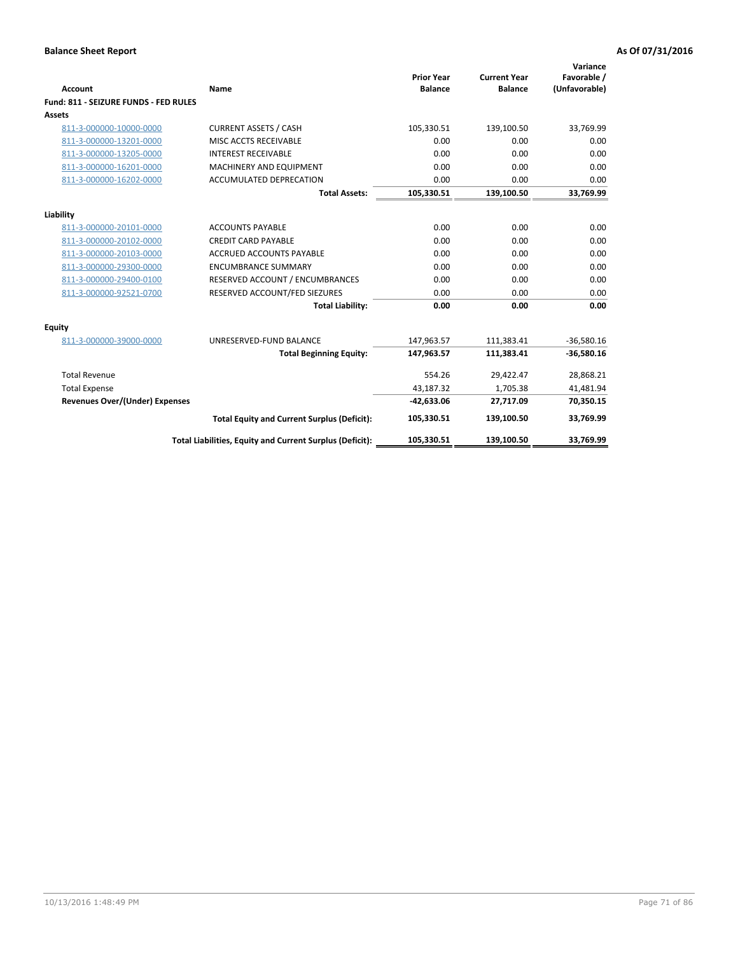| <b>Account</b>                           | Name                                                     | <b>Prior Year</b><br><b>Balance</b> | <b>Current Year</b><br><b>Balance</b> | Variance<br>Favorable /<br>(Unfavorable) |
|------------------------------------------|----------------------------------------------------------|-------------------------------------|---------------------------------------|------------------------------------------|
| Fund: 811 - SEIZURE FUNDS - FED RULES    |                                                          |                                     |                                       |                                          |
| <b>Assets</b>                            |                                                          |                                     |                                       |                                          |
| 811-3-000000-10000-0000                  | <b>CURRENT ASSETS / CASH</b>                             | 105,330.51                          | 139,100.50                            | 33,769.99                                |
| 811-3-000000-13201-0000                  | MISC ACCTS RECEIVABLE                                    | 0.00                                | 0.00                                  | 0.00                                     |
| 811-3-000000-13205-0000                  | <b>INTEREST RECEIVABLE</b>                               | 0.00                                | 0.00                                  | 0.00                                     |
| 811-3-000000-16201-0000                  | <b>MACHINERY AND EQUIPMENT</b>                           | 0.00                                | 0.00                                  | 0.00                                     |
| 811-3-000000-16202-0000                  | <b>ACCUMULATED DEPRECATION</b>                           | 0.00                                | 0.00                                  | 0.00                                     |
|                                          | <b>Total Assets:</b>                                     | 105,330.51                          | 139,100.50                            | 33,769.99                                |
| Liability                                |                                                          |                                     |                                       |                                          |
| 811-3-000000-20101-0000                  | <b>ACCOUNTS PAYABLE</b>                                  | 0.00                                | 0.00                                  | 0.00                                     |
| 811-3-000000-20102-0000                  | <b>CREDIT CARD PAYABLE</b>                               | 0.00                                | 0.00                                  | 0.00                                     |
| 811-3-000000-20103-0000                  | <b>ACCRUED ACCOUNTS PAYABLE</b>                          | 0.00                                | 0.00                                  | 0.00                                     |
| 811-3-000000-29300-0000                  | <b>ENCUMBRANCE SUMMARY</b>                               | 0.00                                | 0.00                                  | 0.00                                     |
| 811-3-000000-29400-0100                  | RESERVED ACCOUNT / ENCUMBRANCES                          | 0.00                                | 0.00                                  | 0.00                                     |
| 811-3-000000-92521-0700                  | RESERVED ACCOUNT/FED SIEZURES                            | 0.00                                | 0.00                                  | 0.00                                     |
|                                          | <b>Total Liability:</b>                                  | 0.00                                | 0.00                                  | 0.00                                     |
|                                          |                                                          |                                     |                                       |                                          |
| <b>Equity</b><br>811-3-000000-39000-0000 | UNRESERVED-FUND BALANCE                                  | 147,963.57                          | 111,383.41                            | $-36,580.16$                             |
|                                          | <b>Total Beginning Equity:</b>                           | 147,963.57                          | 111,383.41                            | $-36,580.16$                             |
| <b>Total Revenue</b>                     |                                                          | 554.26                              | 29,422.47                             | 28,868.21                                |
| <b>Total Expense</b>                     |                                                          | 43,187.32                           | 1,705.38                              | 41,481.94                                |
| <b>Revenues Over/(Under) Expenses</b>    |                                                          | $-42,633.06$                        | 27,717.09                             | 70,350.15                                |
|                                          |                                                          |                                     |                                       |                                          |
|                                          | <b>Total Equity and Current Surplus (Deficit):</b>       | 105,330.51                          | 139,100.50                            | 33,769.99                                |
|                                          | Total Liabilities, Equity and Current Surplus (Deficit): | 105,330.51                          | 139,100.50                            | 33.769.99                                |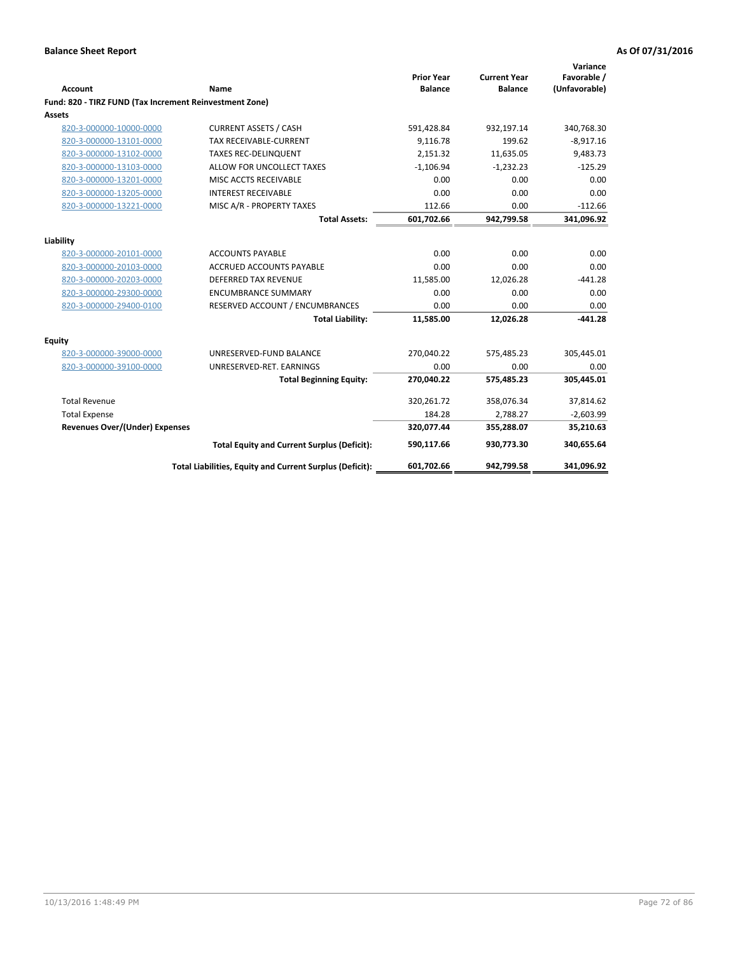| <b>Account</b>                                          | Name                                                     | <b>Prior Year</b><br><b>Balance</b> | <b>Current Year</b><br><b>Balance</b> | Variance<br>Favorable /<br>(Unfavorable) |
|---------------------------------------------------------|----------------------------------------------------------|-------------------------------------|---------------------------------------|------------------------------------------|
| Fund: 820 - TIRZ FUND (Tax Increment Reinvestment Zone) |                                                          |                                     |                                       |                                          |
| <b>Assets</b>                                           |                                                          |                                     |                                       |                                          |
| 820-3-000000-10000-0000                                 | <b>CURRENT ASSETS / CASH</b>                             | 591,428.84                          | 932,197.14                            | 340,768.30                               |
| 820-3-000000-13101-0000                                 | <b>TAX RECEIVABLE-CURRENT</b>                            | 9,116.78                            | 199.62                                | $-8,917.16$                              |
| 820-3-000000-13102-0000                                 | <b>TAXES REC-DELINQUENT</b>                              | 2.151.32                            | 11,635.05                             | 9,483.73                                 |
| 820-3-000000-13103-0000                                 | ALLOW FOR UNCOLLECT TAXES                                | $-1,106.94$                         | $-1,232.23$                           | $-125.29$                                |
| 820-3-000000-13201-0000                                 | MISC ACCTS RECEIVABLE                                    | 0.00                                | 0.00                                  | 0.00                                     |
| 820-3-000000-13205-0000                                 | <b>INTEREST RECEIVABLE</b>                               | 0.00                                | 0.00                                  | 0.00                                     |
| 820-3-000000-13221-0000                                 | MISC A/R - PROPERTY TAXES                                | 112.66                              | 0.00                                  | $-112.66$                                |
|                                                         | <b>Total Assets:</b>                                     | 601,702.66                          | 942,799.58                            | 341,096.92                               |
| Liability                                               |                                                          |                                     |                                       |                                          |
| 820-3-000000-20101-0000                                 | <b>ACCOUNTS PAYABLE</b>                                  | 0.00                                | 0.00                                  | 0.00                                     |
| 820-3-000000-20103-0000                                 | ACCRUED ACCOUNTS PAYABLE                                 | 0.00                                | 0.00                                  | 0.00                                     |
| 820-3-000000-20203-0000                                 | <b>DEFERRED TAX REVENUE</b>                              | 11,585.00                           | 12,026.28                             | $-441.28$                                |
| 820-3-000000-29300-0000                                 | <b>ENCUMBRANCE SUMMARY</b>                               | 0.00                                | 0.00                                  | 0.00                                     |
| 820-3-000000-29400-0100                                 | RESERVED ACCOUNT / ENCUMBRANCES                          | 0.00                                | 0.00                                  | 0.00                                     |
|                                                         | <b>Total Liability:</b>                                  | 11,585.00                           | 12,026.28                             | $-441.28$                                |
| <b>Equity</b>                                           |                                                          |                                     |                                       |                                          |
| 820-3-000000-39000-0000                                 | UNRESERVED-FUND BALANCE                                  | 270,040.22                          | 575,485.23                            | 305,445.01                               |
| 820-3-000000-39100-0000                                 | UNRESERVED-RET. EARNINGS                                 | 0.00                                | 0.00                                  | 0.00                                     |
|                                                         | <b>Total Beginning Equity:</b>                           | 270,040.22                          | 575,485.23                            | 305,445.01                               |
| <b>Total Revenue</b>                                    |                                                          | 320,261.72                          | 358,076.34                            | 37,814.62                                |
| <b>Total Expense</b>                                    |                                                          | 184.28                              | 2,788.27                              | $-2,603.99$                              |
| <b>Revenues Over/(Under) Expenses</b>                   |                                                          | 320,077.44                          | 355,288.07                            | 35,210.63                                |
|                                                         | <b>Total Equity and Current Surplus (Deficit):</b>       | 590.117.66                          | 930.773.30                            | 340.655.64                               |
|                                                         | Total Liabilities, Equity and Current Surplus (Deficit): | 601,702.66                          | 942,799.58                            | 341,096.92                               |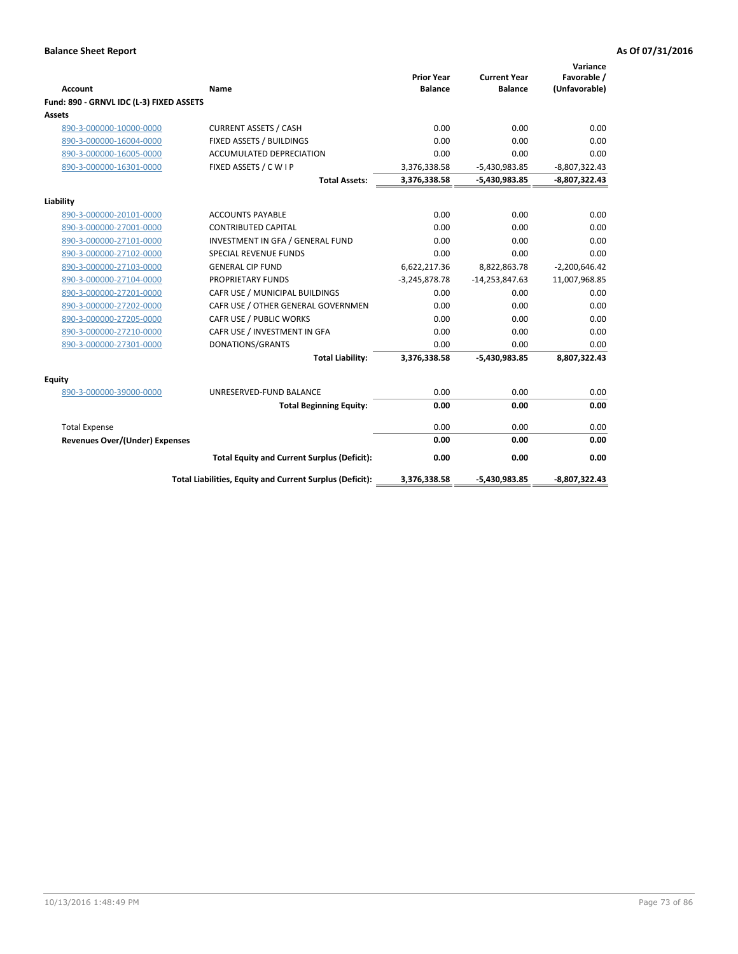| <b>Account</b>                           | Name                                                     | <b>Prior Year</b><br><b>Balance</b> | <b>Current Year</b><br><b>Balance</b> | Variance<br>Favorable /<br>(Unfavorable) |
|------------------------------------------|----------------------------------------------------------|-------------------------------------|---------------------------------------|------------------------------------------|
| Fund: 890 - GRNVL IDC (L-3) FIXED ASSETS |                                                          |                                     |                                       |                                          |
| Assets                                   |                                                          |                                     |                                       |                                          |
| 890-3-000000-10000-0000                  | <b>CURRENT ASSETS / CASH</b>                             | 0.00                                | 0.00                                  | 0.00                                     |
| 890-3-000000-16004-0000                  | FIXED ASSETS / BUILDINGS                                 | 0.00                                | 0.00                                  | 0.00                                     |
| 890-3-000000-16005-0000                  | <b>ACCUMULATED DEPRECIATION</b>                          | 0.00                                | 0.00                                  | 0.00                                     |
| 890-3-000000-16301-0000                  | FIXED ASSETS / C W I P                                   | 3,376,338.58                        | $-5,430,983.85$                       | $-8,807,322.43$                          |
|                                          | <b>Total Assets:</b>                                     | 3,376,338.58                        | $-5,430,983.85$                       | $-8,807,322.43$                          |
|                                          |                                                          |                                     |                                       |                                          |
| Liability<br>890-3-000000-20101-0000     | <b>ACCOUNTS PAYABLE</b>                                  | 0.00                                | 0.00                                  | 0.00                                     |
| 890-3-000000-27001-0000                  | <b>CONTRIBUTED CAPITAL</b>                               | 0.00                                | 0.00                                  | 0.00                                     |
| 890-3-000000-27101-0000                  | INVESTMENT IN GFA / GENERAL FUND                         | 0.00                                | 0.00                                  | 0.00                                     |
| 890-3-000000-27102-0000                  | <b>SPECIAL REVENUE FUNDS</b>                             | 0.00                                | 0.00                                  | 0.00                                     |
| 890-3-000000-27103-0000                  | <b>GENERAL CIP FUND</b>                                  | 6,622,217.36                        | 8,822,863.78                          | $-2,200,646.42$                          |
| 890-3-000000-27104-0000                  | <b>PROPRIETARY FUNDS</b>                                 | $-3,245,878.78$                     | $-14,253,847.63$                      | 11,007,968.85                            |
| 890-3-000000-27201-0000                  | CAFR USE / MUNICIPAL BUILDINGS                           | 0.00                                | 0.00                                  | 0.00                                     |
| 890-3-000000-27202-0000                  | CAFR USE / OTHER GENERAL GOVERNMEN                       | 0.00                                | 0.00                                  | 0.00                                     |
| 890-3-000000-27205-0000                  | CAFR USE / PUBLIC WORKS                                  | 0.00                                | 0.00                                  | 0.00                                     |
| 890-3-000000-27210-0000                  | CAFR USE / INVESTMENT IN GFA                             | 0.00                                | 0.00                                  | 0.00                                     |
| 890-3-000000-27301-0000                  | DONATIONS/GRANTS                                         | 0.00                                | 0.00                                  | 0.00                                     |
|                                          | <b>Total Liability:</b>                                  | 3,376,338.58                        | -5,430,983.85                         | 8,807,322.43                             |
| <b>Equity</b>                            |                                                          |                                     |                                       |                                          |
| 890-3-000000-39000-0000                  | UNRESERVED-FUND BALANCE                                  | 0.00                                | 0.00                                  | 0.00                                     |
|                                          | <b>Total Beginning Equity:</b>                           | 0.00                                | 0.00                                  | 0.00                                     |
| <b>Total Expense</b>                     |                                                          | 0.00                                | 0.00                                  | 0.00                                     |
| Revenues Over/(Under) Expenses           |                                                          | 0.00                                | 0.00                                  | 0.00                                     |
|                                          | <b>Total Equity and Current Surplus (Deficit):</b>       | 0.00                                | 0.00                                  | 0.00                                     |
|                                          | Total Liabilities, Equity and Current Surplus (Deficit): | 3,376,338.58                        | -5,430,983.85                         | -8,807,322.43                            |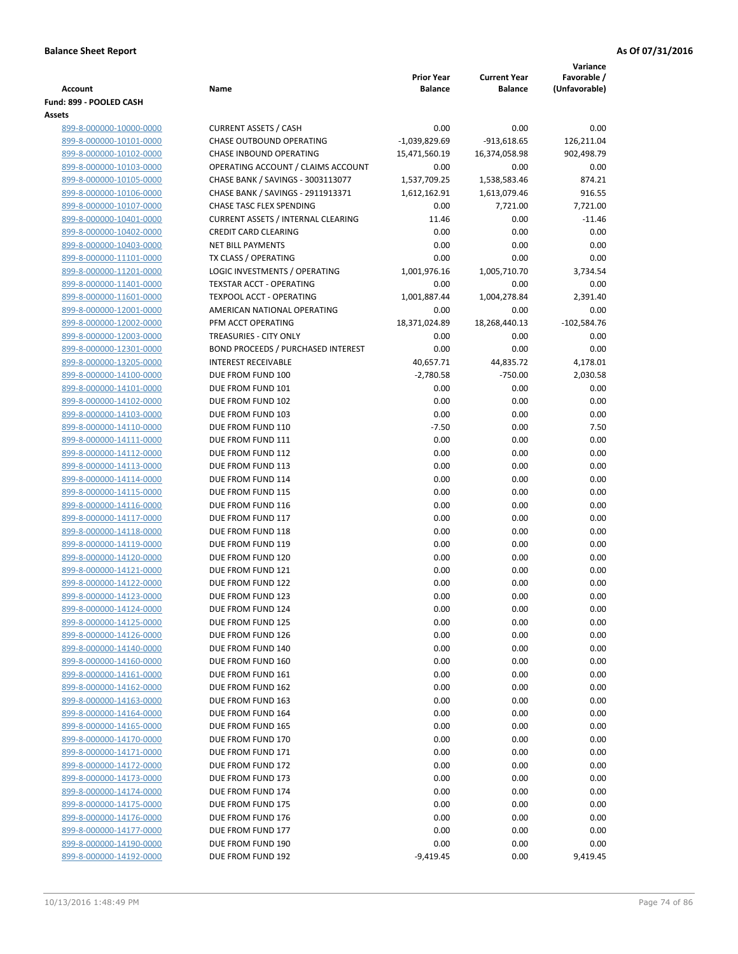|                                                    |                                                                         |                                     |                                       | Variance                     |
|----------------------------------------------------|-------------------------------------------------------------------------|-------------------------------------|---------------------------------------|------------------------------|
| <b>Account</b>                                     | Name                                                                    | <b>Prior Year</b><br><b>Balance</b> | <b>Current Year</b><br><b>Balance</b> | Favorable /<br>(Unfavorable) |
| Fund: 899 - POOLED CASH                            |                                                                         |                                     |                                       |                              |
| Assets                                             |                                                                         |                                     |                                       |                              |
| 899-8-000000-10000-0000                            | <b>CURRENT ASSETS / CASH</b>                                            | 0.00                                | 0.00                                  | 0.00                         |
| 899-8-000000-10101-0000                            | <b>CHASE OUTBOUND OPERATING</b>                                         | $-1,039,829.69$                     | $-913,618.65$                         | 126,211.04                   |
| 899-8-000000-10102-0000                            | CHASE INBOUND OPERATING                                                 | 15,471,560.19                       | 16,374,058.98                         | 902,498.79                   |
| 899-8-000000-10103-0000                            | OPERATING ACCOUNT / CLAIMS ACCOUNT                                      | 0.00                                | 0.00                                  | 0.00                         |
| 899-8-000000-10105-0000                            | CHASE BANK / SAVINGS - 3003113077                                       | 1,537,709.25                        | 1,538,583.46                          | 874.21                       |
| 899-8-000000-10106-0000                            | CHASE BANK / SAVINGS - 2911913371                                       | 1,612,162.91                        | 1,613,079.46                          | 916.55                       |
| 899-8-000000-10107-0000                            | CHASE TASC FLEX SPENDING                                                | 0.00                                | 7,721.00                              | 7,721.00                     |
| 899-8-000000-10401-0000                            | <b>CURRENT ASSETS / INTERNAL CLEARING</b>                               | 11.46                               | 0.00                                  | $-11.46$                     |
| 899-8-000000-10402-0000                            | <b>CREDIT CARD CLEARING</b>                                             | 0.00                                | 0.00                                  | 0.00                         |
| 899-8-000000-10403-0000                            | <b>NET BILL PAYMENTS</b>                                                | 0.00                                | 0.00                                  | 0.00                         |
| 899-8-000000-11101-0000                            | TX CLASS / OPERATING                                                    | 0.00                                | 0.00                                  | 0.00                         |
| 899-8-000000-11201-0000                            | LOGIC INVESTMENTS / OPERATING                                           | 1,001,976.16                        | 1,005,710.70                          | 3,734.54                     |
| 899-8-000000-11401-0000                            | <b>TEXSTAR ACCT - OPERATING</b>                                         | 0.00                                | 0.00                                  | 0.00                         |
| 899-8-000000-11601-0000                            | <b>TEXPOOL ACCT - OPERATING</b>                                         | 1,001,887.44                        | 1,004,278.84                          | 2,391.40                     |
| 899-8-000000-12001-0000                            | AMERICAN NATIONAL OPERATING                                             | 0.00                                | 0.00                                  | 0.00                         |
| 899-8-000000-12002-0000                            | PFM ACCT OPERATING                                                      | 18,371,024.89                       | 18,268,440.13                         | $-102,584.76$                |
| 899-8-000000-12003-0000                            | TREASURIES - CITY ONLY                                                  | 0.00                                | 0.00                                  | 0.00                         |
| 899-8-000000-12301-0000                            | <b>BOND PROCEEDS / PURCHASED INTEREST</b><br><b>INTEREST RECEIVABLE</b> | 0.00                                | 0.00                                  | 0.00                         |
| 899-8-000000-13205-0000<br>899-8-000000-14100-0000 | DUE FROM FUND 100                                                       | 40,657.71<br>$-2,780.58$            | 44,835.72<br>$-750.00$                | 4,178.01<br>2,030.58         |
| 899-8-000000-14101-0000                            | DUE FROM FUND 101                                                       | 0.00                                | 0.00                                  | 0.00                         |
| 899-8-000000-14102-0000                            | DUE FROM FUND 102                                                       | 0.00                                | 0.00                                  | 0.00                         |
| 899-8-000000-14103-0000                            | DUE FROM FUND 103                                                       | 0.00                                | 0.00                                  | 0.00                         |
| 899-8-000000-14110-0000                            | DUE FROM FUND 110                                                       | $-7.50$                             | 0.00                                  | 7.50                         |
| 899-8-000000-14111-0000                            | DUE FROM FUND 111                                                       | 0.00                                | 0.00                                  | 0.00                         |
| 899-8-000000-14112-0000                            | DUE FROM FUND 112                                                       | 0.00                                | 0.00                                  | 0.00                         |
| 899-8-000000-14113-0000                            | DUE FROM FUND 113                                                       | 0.00                                | 0.00                                  | 0.00                         |
| 899-8-000000-14114-0000                            | DUE FROM FUND 114                                                       | 0.00                                | 0.00                                  | 0.00                         |
| 899-8-000000-14115-0000                            | DUE FROM FUND 115                                                       | 0.00                                | 0.00                                  | 0.00                         |
| 899-8-000000-14116-0000                            | DUE FROM FUND 116                                                       | 0.00                                | 0.00                                  | 0.00                         |
| 899-8-000000-14117-0000                            | DUE FROM FUND 117                                                       | 0.00                                | 0.00                                  | 0.00                         |
| 899-8-000000-14118-0000                            | DUE FROM FUND 118                                                       | 0.00                                | 0.00                                  | 0.00                         |
| 899-8-000000-14119-0000                            | DUE FROM FUND 119                                                       | 0.00                                | 0.00                                  | 0.00                         |
| 899-8-000000-14120-0000                            | DUE FROM FUND 120                                                       | 0.00                                | 0.00                                  | 0.00                         |
| 899-8-000000-14121-0000                            | DUE FROM FUND 121                                                       | 0.00                                | 0.00                                  | 0.00                         |
| 899-8-000000-14122-0000                            | DUE FROM FUND 122                                                       | 0.00                                | 0.00                                  | 0.00                         |
| 899-8-000000-14123-0000                            | DUE FROM FUND 123                                                       | 0.00                                | 0.00                                  | 0.00                         |
| 899-8-000000-14124-0000                            | DUE FROM FUND 124                                                       | 0.00                                | 0.00                                  | 0.00                         |
| 899-8-000000-14125-0000                            | DUE FROM FUND 125                                                       | 0.00                                | 0.00                                  | 0.00                         |
| 899-8-000000-14126-0000                            | DUE FROM FUND 126                                                       | 0.00                                | 0.00                                  | 0.00                         |
| 899-8-000000-14140-0000                            | DUE FROM FUND 140                                                       | 0.00                                | 0.00                                  | 0.00                         |
| 899-8-000000-14160-0000                            | DUE FROM FUND 160                                                       | 0.00                                | 0.00                                  | 0.00                         |
| 899-8-000000-14161-0000                            | DUE FROM FUND 161                                                       | 0.00                                | 0.00                                  | 0.00                         |
| 899-8-000000-14162-0000                            | DUE FROM FUND 162                                                       | 0.00<br>0.00                        | 0.00<br>0.00                          | 0.00                         |
| 899-8-000000-14163-0000<br>899-8-000000-14164-0000 | DUE FROM FUND 163<br>DUE FROM FUND 164                                  | 0.00                                | 0.00                                  | 0.00<br>0.00                 |
| 899-8-000000-14165-0000                            | DUE FROM FUND 165                                                       | 0.00                                | 0.00                                  | 0.00                         |
| 899-8-000000-14170-0000                            | DUE FROM FUND 170                                                       | 0.00                                | 0.00                                  | 0.00                         |
| 899-8-000000-14171-0000                            | DUE FROM FUND 171                                                       | 0.00                                | 0.00                                  | 0.00                         |
| 899-8-000000-14172-0000                            | DUE FROM FUND 172                                                       | 0.00                                | 0.00                                  | 0.00                         |
| 899-8-000000-14173-0000                            | DUE FROM FUND 173                                                       | 0.00                                | 0.00                                  | 0.00                         |
| 899-8-000000-14174-0000                            | DUE FROM FUND 174                                                       | 0.00                                | 0.00                                  | 0.00                         |
| 899-8-000000-14175-0000                            | DUE FROM FUND 175                                                       | 0.00                                | 0.00                                  | 0.00                         |
| 899-8-000000-14176-0000                            | DUE FROM FUND 176                                                       | 0.00                                | 0.00                                  | 0.00                         |
| 899-8-000000-14177-0000                            | DUE FROM FUND 177                                                       | 0.00                                | 0.00                                  | 0.00                         |
| 899-8-000000-14190-0000                            | DUE FROM FUND 190                                                       | 0.00                                | 0.00                                  | 0.00                         |
| 899-8-000000-14192-0000                            | DUE FROM FUND 192                                                       | $-9,419.45$                         | 0.00                                  | 9,419.45                     |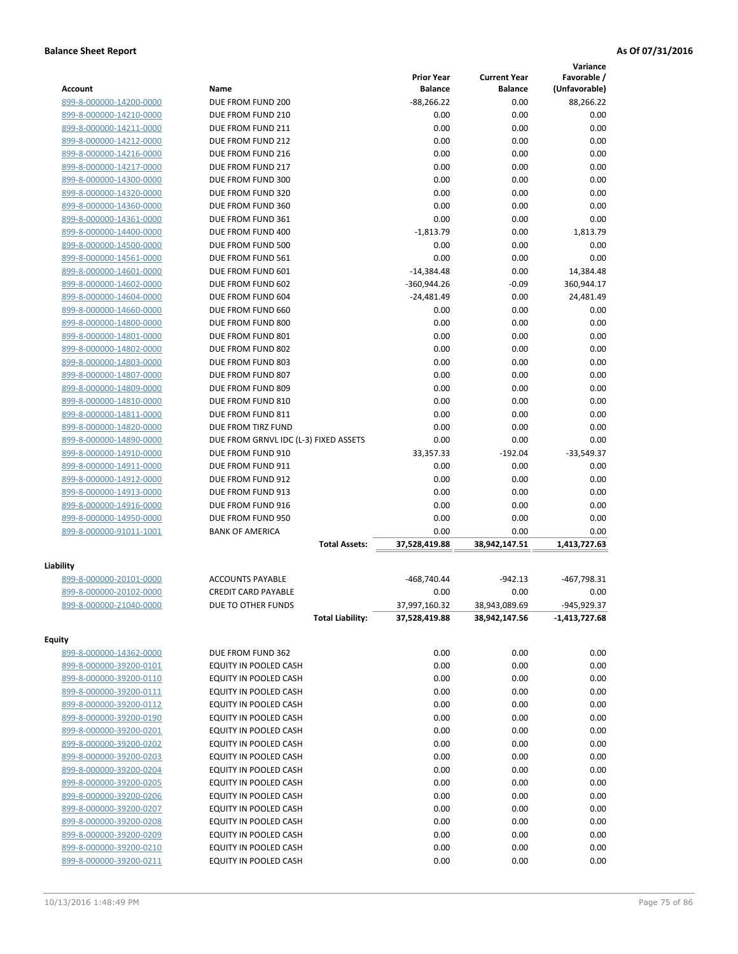|                         |                                       |                   |                     | Variance      |
|-------------------------|---------------------------------------|-------------------|---------------------|---------------|
|                         |                                       | <b>Prior Year</b> | <b>Current Year</b> | Favorable /   |
| <b>Account</b>          | Name                                  | <b>Balance</b>    | <b>Balance</b>      | (Unfavorable) |
| 899-8-000000-14200-0000 | DUE FROM FUND 200                     | $-88,266.22$      | 0.00                | 88,266.22     |
| 899-8-000000-14210-0000 | DUE FROM FUND 210                     | 0.00              | 0.00                | 0.00          |
| 899-8-000000-14211-0000 | DUE FROM FUND 211                     | 0.00              | 0.00                | 0.00          |
| 899-8-000000-14212-0000 | DUE FROM FUND 212                     | 0.00              | 0.00                | 0.00          |
| 899-8-000000-14216-0000 | DUE FROM FUND 216                     | 0.00              | 0.00                | 0.00          |
| 899-8-000000-14217-0000 | DUE FROM FUND 217                     | 0.00              | 0.00                | 0.00          |
| 899-8-000000-14300-0000 | DUE FROM FUND 300                     | 0.00              | 0.00                | 0.00          |
| 899-8-000000-14320-0000 | DUE FROM FUND 320                     | 0.00              | 0.00                | 0.00          |
| 899-8-000000-14360-0000 | DUE FROM FUND 360                     | 0.00              | 0.00                | 0.00          |
| 899-8-000000-14361-0000 | DUE FROM FUND 361                     | 0.00              | 0.00                | 0.00          |
| 899-8-000000-14400-0000 | DUE FROM FUND 400                     | $-1,813.79$       | 0.00                | 1,813.79      |
| 899-8-000000-14500-0000 | DUE FROM FUND 500                     | 0.00              | 0.00                | 0.00          |
| 899-8-000000-14561-0000 | DUE FROM FUND 561                     | 0.00              | 0.00                | 0.00          |
| 899-8-000000-14601-0000 | DUE FROM FUND 601                     | $-14,384.48$      | 0.00                | 14,384.48     |
| 899-8-000000-14602-0000 | DUE FROM FUND 602                     | $-360,944.26$     | $-0.09$             | 360,944.17    |
| 899-8-000000-14604-0000 | DUE FROM FUND 604                     | $-24,481.49$      | 0.00                | 24,481.49     |
| 899-8-000000-14660-0000 | DUE FROM FUND 660                     | 0.00              | 0.00                | 0.00          |
| 899-8-000000-14800-0000 | DUE FROM FUND 800                     | 0.00              | 0.00                | 0.00          |
| 899-8-000000-14801-0000 | DUE FROM FUND 801                     | 0.00              | 0.00                | 0.00          |
| 899-8-000000-14802-0000 | DUE FROM FUND 802                     | 0.00              | 0.00                | 0.00          |
| 899-8-000000-14803-0000 | DUE FROM FUND 803                     | 0.00              | 0.00                | 0.00          |
| 899-8-000000-14807-0000 | DUE FROM FUND 807                     | 0.00              | 0.00                | 0.00          |
| 899-8-000000-14809-0000 | DUE FROM FUND 809                     | 0.00              | 0.00                | 0.00          |
| 899-8-000000-14810-0000 | DUE FROM FUND 810                     | 0.00              | 0.00                | 0.00          |
| 899-8-000000-14811-0000 | DUE FROM FUND 811                     | 0.00              | 0.00                | 0.00          |
| 899-8-000000-14820-0000 | DUE FROM TIRZ FUND                    | 0.00              | 0.00                | 0.00          |
| 899-8-000000-14890-0000 | DUE FROM GRNVL IDC (L-3) FIXED ASSETS | 0.00              | 0.00                | 0.00          |
| 899-8-000000-14910-0000 | DUE FROM FUND 910                     | 33,357.33         | $-192.04$           | $-33,549.37$  |
| 899-8-000000-14911-0000 | DUE FROM FUND 911                     | 0.00              | 0.00                | 0.00          |
| 899-8-000000-14912-0000 | DUE FROM FUND 912                     | 0.00              | 0.00                | 0.00          |
| 899-8-000000-14913-0000 | DUE FROM FUND 913                     | 0.00              | 0.00                | 0.00          |
| 899-8-000000-14916-0000 | DUE FROM FUND 916                     | 0.00              | 0.00                | 0.00          |
| 899-8-000000-14950-0000 | DUE FROM FUND 950                     | 0.00              | 0.00                | 0.00          |
| 899-8-000000-91011-1001 | <b>BANK OF AMERICA</b>                | 0.00              | 0.00                | 0.00          |
|                         | <b>Total Assets:</b>                  | 37,528,419.88     | 38,942,147.51       | 1,413,727.63  |
|                         |                                       |                   |                     |               |
| Liability               |                                       |                   |                     |               |
| 899-8-000000-20101-0000 | <b>ACCOUNTS PAYABLE</b>               | -468,740.44       | $-942.13$           | -467,798.31   |
| 899-8-000000-20102-0000 | <b>CREDIT CARD PAYABLE</b>            | 0.00              | 0.00                | 0.00          |
| 899-8-000000-21040-0000 | DUE TO OTHER FUNDS                    | 37,997,160.32     | 38,943,089.69       | -945,929.37   |
|                         | <b>Total Liability:</b>               | 37,528,419.88     | 38,942,147.56       | -1,413,727.68 |
| <b>Equity</b>           |                                       |                   |                     |               |
| 899-8-000000-14362-0000 | DUE FROM FUND 362                     | 0.00              | 0.00                | 0.00          |
| 899-8-000000-39200-0101 | EQUITY IN POOLED CASH                 | 0.00              | 0.00                | 0.00          |
| 899-8-000000-39200-0110 | EQUITY IN POOLED CASH                 | 0.00              | 0.00                | 0.00          |
| 899-8-000000-39200-0111 | EQUITY IN POOLED CASH                 | 0.00              | 0.00                | 0.00          |
| 899-8-000000-39200-0112 | EQUITY IN POOLED CASH                 | 0.00              | 0.00                | 0.00          |
| 899-8-000000-39200-0190 | EQUITY IN POOLED CASH                 | 0.00              | 0.00                | 0.00          |
| 899-8-000000-39200-0201 | EQUITY IN POOLED CASH                 | 0.00              | 0.00                | 0.00          |
| 899-8-000000-39200-0202 | EQUITY IN POOLED CASH                 | 0.00              | 0.00                | 0.00          |
| 899-8-000000-39200-0203 | EQUITY IN POOLED CASH                 | 0.00              | 0.00                | 0.00          |
| 899-8-000000-39200-0204 | EQUITY IN POOLED CASH                 | 0.00              | 0.00                | 0.00          |
| 899-8-000000-39200-0205 | EQUITY IN POOLED CASH                 | 0.00              | 0.00                | 0.00          |
| 899-8-000000-39200-0206 | EQUITY IN POOLED CASH                 | 0.00              | 0.00                | 0.00          |
| 899-8-000000-39200-0207 | EQUITY IN POOLED CASH                 | 0.00              | 0.00                | 0.00          |
| 899-8-000000-39200-0208 | EQUITY IN POOLED CASH                 | 0.00              | 0.00                | 0.00          |
|                         |                                       | 0.00              | 0.00                | 0.00          |
| 899-8-000000-39200-0209 | EQUITY IN POOLED CASH                 |                   |                     |               |
| 899-8-000000-39200-0210 | EQUITY IN POOLED CASH                 | 0.00              | 0.00                | 0.00          |
| 899-8-000000-39200-0211 | EQUITY IN POOLED CASH                 | 0.00              | 0.00                | 0.00          |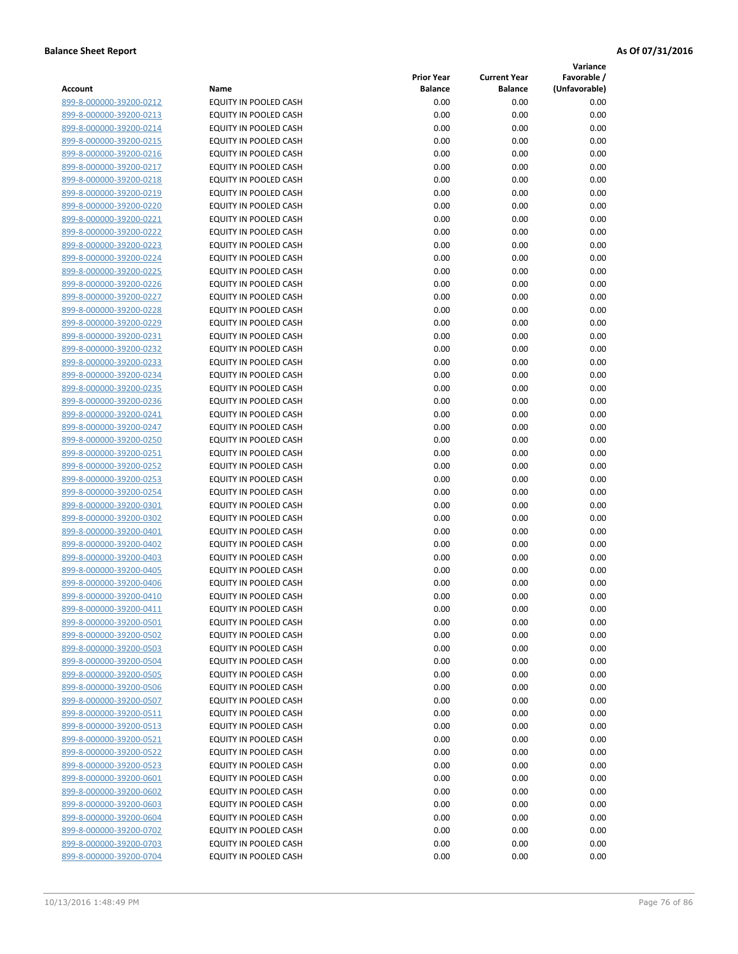**Variance**

| Account                                            | Name                                                  | <b>Prior Year</b><br><b>Balance</b> | <b>Current Year</b><br><b>Balance</b> | Favorable /<br>(Unfavorable) |
|----------------------------------------------------|-------------------------------------------------------|-------------------------------------|---------------------------------------|------------------------------|
| 899-8-000000-39200-0212                            | EQUITY IN POOLED CASH                                 | 0.00                                | 0.00                                  | 0.00                         |
| 899-8-000000-39200-0213                            | EQUITY IN POOLED CASH                                 | 0.00                                | 0.00                                  | 0.00                         |
| 899-8-000000-39200-0214                            | EQUITY IN POOLED CASH                                 | 0.00                                | 0.00                                  | 0.00                         |
| 899-8-000000-39200-0215                            | EQUITY IN POOLED CASH                                 | 0.00                                | 0.00                                  | 0.00                         |
| 899-8-000000-39200-0216                            | EQUITY IN POOLED CASH                                 | 0.00                                | 0.00                                  | 0.00                         |
| 899-8-000000-39200-0217                            | EQUITY IN POOLED CASH                                 | 0.00                                | 0.00                                  | 0.00                         |
| 899-8-000000-39200-0218                            | EQUITY IN POOLED CASH                                 | 0.00                                | 0.00                                  | 0.00                         |
| 899-8-000000-39200-0219                            | <b>EQUITY IN POOLED CASH</b>                          | 0.00                                | 0.00                                  | 0.00                         |
| 899-8-000000-39200-0220                            | EQUITY IN POOLED CASH                                 | 0.00                                | 0.00                                  | 0.00                         |
| 899-8-000000-39200-0221                            | EQUITY IN POOLED CASH                                 | 0.00                                | 0.00                                  | 0.00                         |
| 899-8-000000-39200-0222                            | EQUITY IN POOLED CASH                                 | 0.00                                | 0.00                                  | 0.00                         |
| 899-8-000000-39200-0223                            | EQUITY IN POOLED CASH                                 | 0.00                                | 0.00                                  | 0.00                         |
| 899-8-000000-39200-0224                            | EQUITY IN POOLED CASH                                 | 0.00                                | 0.00                                  | 0.00                         |
| 899-8-000000-39200-0225                            | EQUITY IN POOLED CASH                                 | 0.00                                | 0.00                                  | 0.00                         |
| 899-8-000000-39200-0226                            | EQUITY IN POOLED CASH                                 | 0.00                                | 0.00                                  | 0.00                         |
| 899-8-000000-39200-0227                            | EQUITY IN POOLED CASH                                 | 0.00                                | 0.00                                  | 0.00                         |
| 899-8-000000-39200-0228                            | EQUITY IN POOLED CASH                                 | 0.00                                | 0.00                                  | 0.00                         |
| 899-8-000000-39200-0229                            | <b>EQUITY IN POOLED CASH</b>                          | 0.00                                | 0.00                                  | 0.00                         |
| 899-8-000000-39200-0231                            | EQUITY IN POOLED CASH                                 | 0.00                                | 0.00                                  | 0.00                         |
| 899-8-000000-39200-0232                            | EQUITY IN POOLED CASH                                 | 0.00                                | 0.00                                  | 0.00                         |
| 899-8-000000-39200-0233                            | EQUITY IN POOLED CASH                                 | 0.00                                | 0.00                                  | 0.00                         |
| 899-8-000000-39200-0234                            | EQUITY IN POOLED CASH                                 | 0.00                                | 0.00                                  | 0.00                         |
| 899-8-000000-39200-0235                            | <b>EQUITY IN POOLED CASH</b>                          | 0.00                                | 0.00                                  | 0.00                         |
| 899-8-000000-39200-0236                            | EQUITY IN POOLED CASH                                 | 0.00                                | 0.00                                  | 0.00                         |
| 899-8-000000-39200-0241                            | EQUITY IN POOLED CASH                                 | 0.00                                | 0.00                                  | 0.00                         |
| 899-8-000000-39200-0247                            | EQUITY IN POOLED CASH                                 | 0.00                                | 0.00                                  | 0.00                         |
| 899-8-000000-39200-0250                            | EQUITY IN POOLED CASH                                 | 0.00                                | 0.00                                  | 0.00                         |
| 899-8-000000-39200-0251                            | EQUITY IN POOLED CASH                                 | 0.00                                | 0.00                                  | 0.00                         |
| 899-8-000000-39200-0252                            | EQUITY IN POOLED CASH                                 | 0.00                                | 0.00                                  | 0.00                         |
| 899-8-000000-39200-0253                            | EQUITY IN POOLED CASH                                 | 0.00                                | 0.00                                  | 0.00                         |
| 899-8-000000-39200-0254                            | EQUITY IN POOLED CASH                                 | 0.00                                | 0.00                                  | 0.00                         |
| 899-8-000000-39200-0301                            | EQUITY IN POOLED CASH                                 | 0.00                                | 0.00                                  | 0.00                         |
| 899-8-000000-39200-0302                            | EQUITY IN POOLED CASH                                 | 0.00                                | 0.00                                  | 0.00                         |
| 899-8-000000-39200-0401                            | EQUITY IN POOLED CASH                                 | 0.00                                | 0.00                                  | 0.00                         |
| 899-8-000000-39200-0402                            | EQUITY IN POOLED CASH                                 | 0.00                                | 0.00                                  | 0.00                         |
| 899-8-000000-39200-0403                            | EQUITY IN POOLED CASH                                 | 0.00                                | 0.00                                  | 0.00                         |
| 899-8-000000-39200-0405                            | EQUITY IN POOLED CASH                                 | 0.00                                | 0.00                                  | 0.00                         |
| 899-8-000000-39200-0406<br>899-8-000000-39200-0410 | EQUITY IN POOLED CASH<br><b>EQUITY IN POOLED CASH</b> | 0.00                                | 0.00                                  | 0.00                         |
| 899-8-000000-39200-0411                            | EQUITY IN POOLED CASH                                 | 0.00                                | 0.00<br>0.00                          | 0.00<br>0.00                 |
| 899-8-000000-39200-0501                            | EQUITY IN POOLED CASH                                 | 0.00<br>0.00                        | 0.00                                  | 0.00                         |
| 899-8-000000-39200-0502                            | EQUITY IN POOLED CASH                                 | 0.00                                | 0.00                                  | 0.00                         |
| 899-8-000000-39200-0503                            | EQUITY IN POOLED CASH                                 | 0.00                                | 0.00                                  | 0.00                         |
| 899-8-000000-39200-0504                            | EQUITY IN POOLED CASH                                 | 0.00                                | 0.00                                  | 0.00                         |
| 899-8-000000-39200-0505                            | EQUITY IN POOLED CASH                                 | 0.00                                | 0.00                                  | 0.00                         |
| 899-8-000000-39200-0506                            | <b>EQUITY IN POOLED CASH</b>                          | 0.00                                | 0.00                                  | 0.00                         |
| 899-8-000000-39200-0507                            | EQUITY IN POOLED CASH                                 | 0.00                                | 0.00                                  | 0.00                         |
| 899-8-000000-39200-0511                            | EQUITY IN POOLED CASH                                 | 0.00                                | 0.00                                  | 0.00                         |
| 899-8-000000-39200-0513                            | EQUITY IN POOLED CASH                                 | 0.00                                | 0.00                                  | 0.00                         |
| 899-8-000000-39200-0521                            | EQUITY IN POOLED CASH                                 | 0.00                                | 0.00                                  | 0.00                         |
| 899-8-000000-39200-0522                            | EQUITY IN POOLED CASH                                 | 0.00                                | 0.00                                  | 0.00                         |
| 899-8-000000-39200-0523                            | EQUITY IN POOLED CASH                                 | 0.00                                | 0.00                                  | 0.00                         |
| 899-8-000000-39200-0601                            | EQUITY IN POOLED CASH                                 | 0.00                                | 0.00                                  | 0.00                         |
| 899-8-000000-39200-0602                            | EQUITY IN POOLED CASH                                 | 0.00                                | 0.00                                  | 0.00                         |
| 899-8-000000-39200-0603                            | EQUITY IN POOLED CASH                                 | 0.00                                | 0.00                                  | 0.00                         |
| 899-8-000000-39200-0604                            | EQUITY IN POOLED CASH                                 | 0.00                                | 0.00                                  | 0.00                         |
| 899-8-000000-39200-0702                            | EQUITY IN POOLED CASH                                 | 0.00                                | 0.00                                  | 0.00                         |
| 899-8-000000-39200-0703                            | EQUITY IN POOLED CASH                                 | 0.00                                | 0.00                                  | 0.00                         |
| 899-8-000000-39200-0704                            | EQUITY IN POOLED CASH                                 | 0.00                                | 0.00                                  | 0.00                         |
|                                                    |                                                       |                                     |                                       |                              |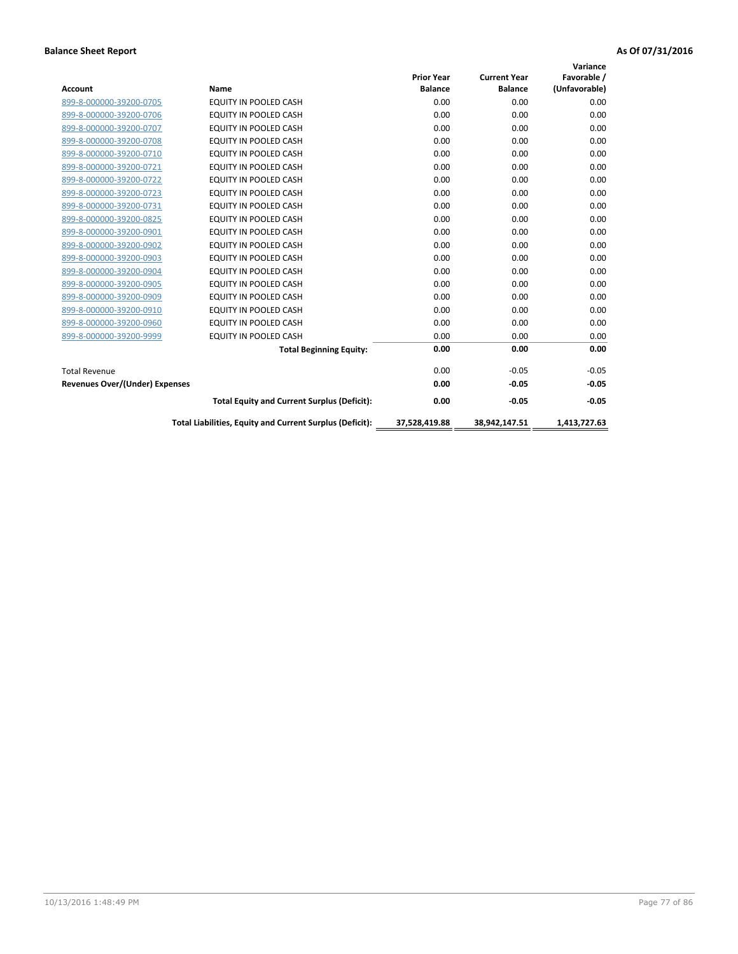|                                       |                                                          |                   |                     | Variance      |
|---------------------------------------|----------------------------------------------------------|-------------------|---------------------|---------------|
|                                       |                                                          | <b>Prior Year</b> | <b>Current Year</b> | Favorable /   |
| <b>Account</b>                        | <b>Name</b>                                              | <b>Balance</b>    | <b>Balance</b>      | (Unfavorable) |
| 899-8-000000-39200-0705               | EQUITY IN POOLED CASH                                    | 0.00              | 0.00                | 0.00          |
| 899-8-000000-39200-0706               | <b>EQUITY IN POOLED CASH</b>                             | 0.00              | 0.00                | 0.00          |
| 899-8-000000-39200-0707               | EQUITY IN POOLED CASH                                    | 0.00              | 0.00                | 0.00          |
| 899-8-000000-39200-0708               | <b>EQUITY IN POOLED CASH</b>                             | 0.00              | 0.00                | 0.00          |
| 899-8-000000-39200-0710               | <b>EQUITY IN POOLED CASH</b>                             | 0.00              | 0.00                | 0.00          |
| 899-8-000000-39200-0721               | <b>EQUITY IN POOLED CASH</b>                             | 0.00              | 0.00                | 0.00          |
| 899-8-000000-39200-0722               | EQUITY IN POOLED CASH                                    | 0.00              | 0.00                | 0.00          |
| 899-8-000000-39200-0723               | <b>EQUITY IN POOLED CASH</b>                             | 0.00              | 0.00                | 0.00          |
| 899-8-000000-39200-0731               | <b>EQUITY IN POOLED CASH</b>                             | 0.00              | 0.00                | 0.00          |
| 899-8-000000-39200-0825               | <b>EQUITY IN POOLED CASH</b>                             | 0.00              | 0.00                | 0.00          |
| 899-8-000000-39200-0901               | <b>EQUITY IN POOLED CASH</b>                             | 0.00              | 0.00                | 0.00          |
| 899-8-000000-39200-0902               | EQUITY IN POOLED CASH                                    | 0.00              | 0.00                | 0.00          |
| 899-8-000000-39200-0903               | <b>EQUITY IN POOLED CASH</b>                             | 0.00              | 0.00                | 0.00          |
| 899-8-000000-39200-0904               | EQUITY IN POOLED CASH                                    | 0.00              | 0.00                | 0.00          |
| 899-8-000000-39200-0905               | EQUITY IN POOLED CASH                                    | 0.00              | 0.00                | 0.00          |
| 899-8-000000-39200-0909               | <b>EQUITY IN POOLED CASH</b>                             | 0.00              | 0.00                | 0.00          |
| 899-8-000000-39200-0910               | <b>EQUITY IN POOLED CASH</b>                             | 0.00              | 0.00                | 0.00          |
| 899-8-000000-39200-0960               | <b>EQUITY IN POOLED CASH</b>                             | 0.00              | 0.00                | 0.00          |
| 899-8-000000-39200-9999               | EQUITY IN POOLED CASH                                    | 0.00              | 0.00                | 0.00          |
|                                       | <b>Total Beginning Equity:</b>                           | 0.00              | 0.00                | 0.00          |
| <b>Total Revenue</b>                  |                                                          | 0.00              | $-0.05$             | $-0.05$       |
| <b>Revenues Over/(Under) Expenses</b> |                                                          | 0.00              | $-0.05$             | $-0.05$       |
|                                       | <b>Total Equity and Current Surplus (Deficit):</b>       | 0.00              | $-0.05$             | $-0.05$       |
|                                       | Total Liabilities, Equity and Current Surplus (Deficit): | 37,528,419.88     | 38,942,147.51       | 1.413.727.63  |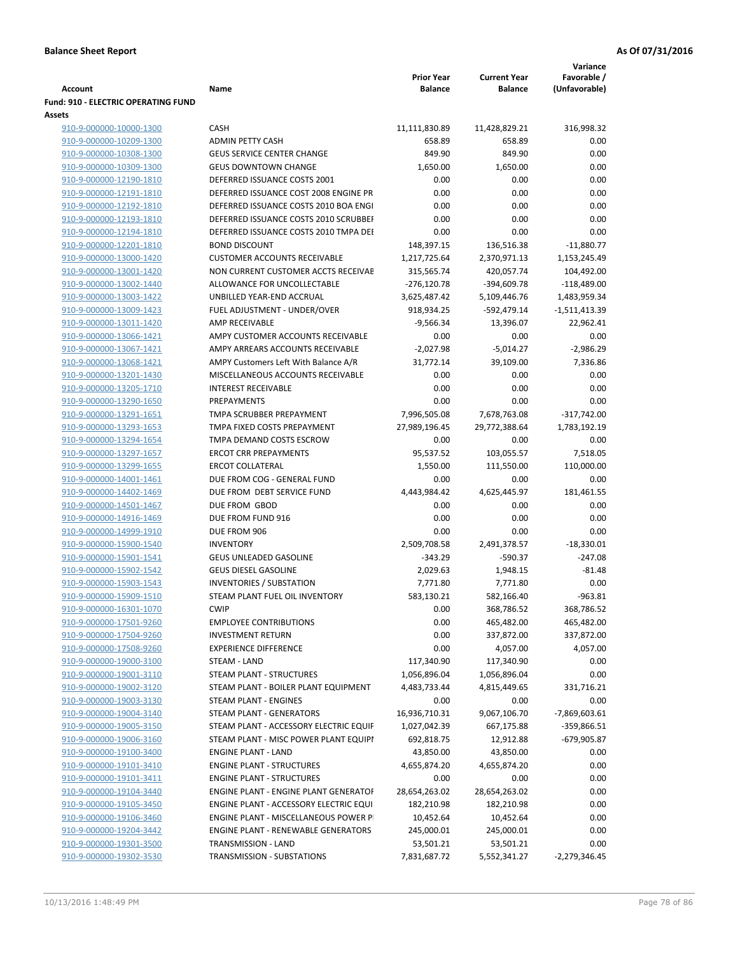|                                                    |                                                              | <b>Prior Year</b> | <b>Current Year</b>    | Variance<br>Favorable /  |
|----------------------------------------------------|--------------------------------------------------------------|-------------------|------------------------|--------------------------|
| <b>Account</b>                                     | Name                                                         | <b>Balance</b>    | <b>Balance</b>         | (Unfavorable)            |
| Fund: 910 - ELECTRIC OPERATING FUND                |                                                              |                   |                        |                          |
| Assets                                             |                                                              |                   |                        |                          |
| 910-9-000000-10000-1300                            | CASH                                                         | 11,111,830.89     | 11,428,829.21          | 316,998.32               |
| 910-9-000000-10209-1300                            | <b>ADMIN PETTY CASH</b>                                      | 658.89            | 658.89                 | 0.00                     |
| 910-9-000000-10308-1300                            | <b>GEUS SERVICE CENTER CHANGE</b>                            | 849.90            | 849.90                 | 0.00                     |
| 910-9-000000-10309-1300                            | <b>GEUS DOWNTOWN CHANGE</b>                                  | 1,650.00          | 1,650.00               | 0.00                     |
| 910-9-000000-12190-1810                            | DEFERRED ISSUANCE COSTS 2001                                 | 0.00              | 0.00                   | 0.00                     |
| 910-9-000000-12191-1810                            | DEFERRED ISSUANCE COST 2008 ENGINE PR                        | 0.00              | 0.00                   | 0.00                     |
| 910-9-000000-12192-1810                            | DEFERRED ISSUANCE COSTS 2010 BOA ENGI                        | 0.00              | 0.00                   | 0.00                     |
| 910-9-000000-12193-1810                            | DEFERRED ISSUANCE COSTS 2010 SCRUBBEI                        | 0.00              | 0.00                   | 0.00                     |
| 910-9-000000-12194-1810                            | DEFERRED ISSUANCE COSTS 2010 TMPA DEI                        | 0.00              | 0.00                   | 0.00                     |
| 910-9-000000-12201-1810                            | <b>BOND DISCOUNT</b>                                         | 148,397.15        | 136,516.38             | $-11,880.77$             |
| 910-9-000000-13000-1420                            | <b>CUSTOMER ACCOUNTS RECEIVABLE</b>                          | 1,217,725.64      | 2,370,971.13           | 1,153,245.49             |
| 910-9-000000-13001-1420                            | NON CURRENT CUSTOMER ACCTS RECEIVAE                          | 315,565.74        | 420,057.74             | 104,492.00               |
| 910-9-000000-13002-1440                            | ALLOWANCE FOR UNCOLLECTABLE                                  | $-276,120.78$     | $-394,609.78$          | $-118,489.00$            |
| 910-9-000000-13003-1422                            | UNBILLED YEAR-END ACCRUAL                                    | 3,625,487.42      | 5,109,446.76           | 1,483,959.34             |
| 910-9-000000-13009-1423                            | FUEL ADJUSTMENT - UNDER/OVER                                 | 918,934.25        | -592,479.14            | $-1,511,413.39$          |
| 910-9-000000-13011-1420                            | AMP RECEIVABLE                                               | $-9,566.34$       | 13,396.07              | 22,962.41                |
| 910-9-000000-13066-1421                            | AMPY CUSTOMER ACCOUNTS RECEIVABLE                            | 0.00              | 0.00                   | 0.00                     |
| 910-9-000000-13067-1421                            | AMPY ARREARS ACCOUNTS RECEIVABLE                             | $-2,027.98$       | $-5,014.27$            | $-2,986.29$              |
| 910-9-000000-13068-1421                            | AMPY Customers Left With Balance A/R                         | 31,772.14         | 39,109.00              | 7,336.86                 |
| 910-9-000000-13201-1430                            | MISCELLANEOUS ACCOUNTS RECEIVABLE                            | 0.00              | 0.00                   | 0.00                     |
| 910-9-000000-13205-1710                            | <b>INTEREST RECEIVABLE</b>                                   | 0.00              | 0.00                   | 0.00                     |
| 910-9-000000-13290-1650                            | PREPAYMENTS                                                  | 0.00              | 0.00                   | 0.00                     |
| 910-9-000000-13291-1651                            | TMPA SCRUBBER PREPAYMENT                                     | 7,996,505.08      | 7,678,763.08           | $-317,742.00$            |
| 910-9-000000-13293-1653                            | TMPA FIXED COSTS PREPAYMENT                                  | 27,989,196.45     | 29,772,388.64          | 1,783,192.19             |
| 910-9-000000-13294-1654                            | TMPA DEMAND COSTS ESCROW                                     | 0.00              | 0.00                   | 0.00                     |
| 910-9-000000-13297-1657                            | <b>ERCOT CRR PREPAYMENTS</b>                                 | 95,537.52         | 103,055.57             | 7,518.05                 |
| 910-9-000000-13299-1655                            | <b>ERCOT COLLATERAL</b>                                      | 1,550.00          | 111,550.00             | 110,000.00               |
| 910-9-000000-14001-1461                            | DUE FROM COG - GENERAL FUND                                  | 0.00              | 0.00                   | 0.00                     |
| 910-9-000000-14402-1469                            | DUE FROM DEBT SERVICE FUND                                   | 4,443,984.42      | 4,625,445.97           | 181,461.55               |
| 910-9-000000-14501-1467                            | DUE FROM GBOD                                                | 0.00              | 0.00                   | 0.00                     |
| 910-9-000000-14916-1469                            | DUE FROM FUND 916                                            | 0.00              | 0.00                   | 0.00                     |
| 910-9-000000-14999-1910                            | DUE FROM 906                                                 | 0.00              | 0.00                   | 0.00                     |
| 910-9-000000-15900-1540                            | <b>INVENTORY</b>                                             | 2,509,708.58      | 2,491,378.57           | $-18,330.01$             |
| 910-9-000000-15901-1541                            | <b>GEUS UNLEADED GASOLINE</b><br><b>GEUS DIESEL GASOLINE</b> | $-343.29$         | -590.37                | $-247.08$<br>$-81.48$    |
| 910-9-000000-15902-1542                            | <b>INVENTORIES / SUBSTATION</b>                              | 2,029.63          | 1,948.15               | 0.00                     |
| 910-9-000000-15903-1543<br>910-9-000000-15909-1510 | STEAM PLANT FUEL OIL INVENTORY                               | 7,771.80          | 7,771.80<br>582,166.40 | $-963.81$                |
|                                                    | <b>CWIP</b>                                                  | 583,130.21        | 368,786.52             |                          |
| 910-9-000000-16301-1070<br>910-9-000000-17501-9260 | <b>EMPLOYEE CONTRIBUTIONS</b>                                | 0.00<br>0.00      | 465,482.00             | 368,786.52<br>465,482.00 |
| 910-9-000000-17504-9260                            | <b>INVESTMENT RETURN</b>                                     | 0.00              | 337,872.00             | 337,872.00               |
| 910-9-000000-17508-9260                            | <b>EXPERIENCE DIFFERENCE</b>                                 | 0.00              | 4,057.00               | 4,057.00                 |
| 910-9-000000-19000-3100                            | STEAM - LAND                                                 | 117,340.90        | 117,340.90             | 0.00                     |
| 910-9-000000-19001-3110                            | STEAM PLANT - STRUCTURES                                     | 1,056,896.04      | 1,056,896.04           | 0.00                     |
| 910-9-000000-19002-3120                            | STEAM PLANT - BOILER PLANT EQUIPMENT                         | 4,483,733.44      | 4,815,449.65           | 331,716.21               |
| 910-9-000000-19003-3130                            | STEAM PLANT - ENGINES                                        | 0.00              | 0.00                   | 0.00                     |
| 910-9-000000-19004-3140                            | STEAM PLANT - GENERATORS                                     | 16,936,710.31     | 9,067,106.70           | -7,869,603.61            |
| 910-9-000000-19005-3150                            | STEAM PLANT - ACCESSORY ELECTRIC EQUIF                       | 1,027,042.39      | 667,175.88             | -359,866.51              |
| 910-9-000000-19006-3160                            | STEAM PLANT - MISC POWER PLANT EQUIPI                        | 692,818.75        | 12,912.88              | -679,905.87              |
| 910-9-000000-19100-3400                            | <b>ENGINE PLANT - LAND</b>                                   | 43,850.00         | 43,850.00              | 0.00                     |
| 910-9-000000-19101-3410                            | <b>ENGINE PLANT - STRUCTURES</b>                             | 4,655,874.20      | 4,655,874.20           | 0.00                     |
| 910-9-000000-19101-3411                            | <b>ENGINE PLANT - STRUCTURES</b>                             | 0.00              | 0.00                   | 0.00                     |
| 910-9-000000-19104-3440                            | ENGINE PLANT - ENGINE PLANT GENERATOF                        | 28,654,263.02     | 28,654,263.02          | 0.00                     |
| 910-9-000000-19105-3450                            | ENGINE PLANT - ACCESSORY ELECTRIC EQUI                       | 182,210.98        | 182,210.98             | 0.00                     |
| 910-9-000000-19106-3460                            | ENGINE PLANT - MISCELLANEOUS POWER P                         | 10,452.64         | 10,452.64              | 0.00                     |
| 910-9-000000-19204-3442                            | <b>ENGINE PLANT - RENEWABLE GENERATORS</b>                   | 245,000.01        | 245,000.01             | 0.00                     |
| 910-9-000000-19301-3500                            | TRANSMISSION - LAND                                          | 53,501.21         | 53,501.21              | 0.00                     |
| 910-9-000000-19302-3530                            | TRANSMISSION - SUBSTATIONS                                   | 7,831,687.72      | 5,552,341.27           | -2,279,346.45            |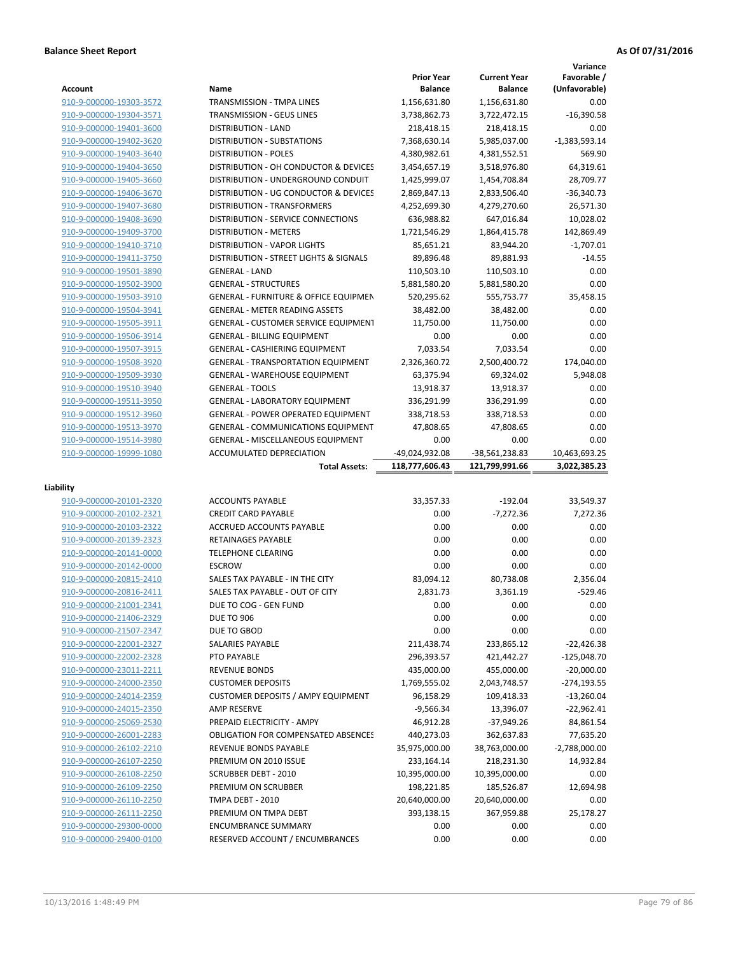|                                                    |                                                               |                                     |                                       | Variance                     |
|----------------------------------------------------|---------------------------------------------------------------|-------------------------------------|---------------------------------------|------------------------------|
| Account                                            | Name                                                          | <b>Prior Year</b><br><b>Balance</b> | <b>Current Year</b><br><b>Balance</b> | Favorable /<br>(Unfavorable) |
| 910-9-000000-19303-3572                            | TRANSMISSION - TMPA LINES                                     | 1,156,631.80                        | 1,156,631.80                          | 0.00                         |
| 910-9-000000-19304-3571                            | TRANSMISSION - GEUS LINES                                     | 3,738,862.73                        | 3,722,472.15                          | $-16,390.58$                 |
| 910-9-000000-19401-3600                            | <b>DISTRIBUTION - LAND</b>                                    | 218,418.15                          | 218,418.15                            | 0.00                         |
| 910-9-000000-19402-3620                            | <b>DISTRIBUTION - SUBSTATIONS</b>                             | 7,368,630.14                        | 5,985,037.00                          | $-1,383,593.14$              |
| 910-9-000000-19403-3640                            | <b>DISTRIBUTION - POLES</b>                                   | 4,380,982.61                        | 4,381,552.51                          | 569.90                       |
| 910-9-000000-19404-3650                            | DISTRIBUTION - OH CONDUCTOR & DEVICES                         | 3,454,657.19                        | 3,518,976.80                          | 64,319.61                    |
| 910-9-000000-19405-3660                            | DISTRIBUTION - UNDERGROUND CONDUIT                            | 1,425,999.07                        | 1,454,708.84                          | 28,709.77                    |
| 910-9-000000-19406-3670                            | DISTRIBUTION - UG CONDUCTOR & DEVICES                         | 2,869,847.13                        | 2,833,506.40                          | $-36,340.73$                 |
| 910-9-000000-19407-3680                            | DISTRIBUTION - TRANSFORMERS                                   | 4,252,699.30                        | 4,279,270.60                          | 26,571.30                    |
| 910-9-000000-19408-3690                            | <b>DISTRIBUTION - SERVICE CONNECTIONS</b>                     | 636,988.82                          | 647,016.84                            | 10,028.02                    |
| 910-9-000000-19409-3700                            | <b>DISTRIBUTION - METERS</b>                                  | 1,721,546.29                        | 1,864,415.78                          | 142,869.49                   |
| 910-9-000000-19410-3710                            | <b>DISTRIBUTION - VAPOR LIGHTS</b>                            | 85,651.21                           | 83,944.20                             | $-1,707.01$                  |
| 910-9-000000-19411-3750                            | DISTRIBUTION - STREET LIGHTS & SIGNALS                        | 89,896.48                           | 89,881.93                             | $-14.55$                     |
| 910-9-000000-19501-3890                            | <b>GENERAL - LAND</b>                                         | 110,503.10                          | 110,503.10                            | 0.00                         |
| 910-9-000000-19502-3900                            | <b>GENERAL - STRUCTURES</b>                                   | 5,881,580.20                        | 5,881,580.20                          | 0.00                         |
| 910-9-000000-19503-3910                            | <b>GENERAL - FURNITURE &amp; OFFICE EQUIPMEN</b>              | 520,295.62                          | 555,753.77                            | 35,458.15                    |
| 910-9-000000-19504-3941                            | <b>GENERAL - METER READING ASSETS</b>                         | 38,482.00                           | 38,482.00                             | 0.00                         |
| 910-9-000000-19505-3911                            | <b>GENERAL - CUSTOMER SERVICE EQUIPMENT</b>                   | 11,750.00                           | 11.750.00                             | 0.00                         |
| 910-9-000000-19506-3914                            | <b>GENERAL - BILLING EQUIPMENT</b>                            | 0.00                                | 0.00                                  | 0.00                         |
| 910-9-000000-19507-3915                            | <b>GENERAL - CASHIERING EQUIPMENT</b>                         | 7,033.54                            | 7,033.54                              | 0.00                         |
| 910-9-000000-19508-3920                            | <b>GENERAL - TRANSPORTATION EQUIPMENT</b>                     | 2,326,360.72                        | 2,500,400.72                          | 174,040.00                   |
| 910-9-000000-19509-3930                            | <b>GENERAL - WAREHOUSE EQUIPMENT</b>                          | 63,375.94                           | 69,324.02                             | 5,948.08                     |
| 910-9-000000-19510-3940                            | <b>GENERAL - TOOLS</b>                                        | 13,918.37                           | 13,918.37                             | 0.00                         |
| 910-9-000000-19511-3950                            | <b>GENERAL - LABORATORY EQUIPMENT</b>                         | 336,291.99                          | 336,291.99                            | 0.00                         |
| 910-9-000000-19512-3960                            | <b>GENERAL - POWER OPERATED EQUIPMENT</b>                     | 338,718.53                          | 338,718.53                            | 0.00                         |
| 910-9-000000-19513-3970                            | <b>GENERAL - COMMUNICATIONS EQUIPMENT</b>                     | 47,808.65                           | 47,808.65                             | 0.00                         |
| 910-9-000000-19514-3980                            | <b>GENERAL - MISCELLANEOUS EQUIPMENT</b>                      | 0.00                                | 0.00                                  | 0.00                         |
| 910-9-000000-19999-1080                            | <b>ACCUMULATED DEPRECIATION</b>                               | -49,024,932.08                      | -38,561,238.83                        | 10,463,693.25                |
|                                                    |                                                               |                                     |                                       |                              |
|                                                    | <b>Total Assets:</b>                                          | 118,777,606.43                      | 121,799,991.66                        | 3,022,385.23                 |
|                                                    |                                                               |                                     |                                       |                              |
| Liability                                          |                                                               |                                     |                                       |                              |
| 910-9-000000-20101-2320                            | <b>ACCOUNTS PAYABLE</b>                                       | 33,357.33                           | $-192.04$                             | 33,549.37                    |
| 910-9-000000-20102-2321                            | <b>CREDIT CARD PAYABLE</b>                                    | 0.00                                | $-7,272.36$                           | 7,272.36                     |
| 910-9-000000-20103-2322                            | <b>ACCRUED ACCOUNTS PAYABLE</b>                               | 0.00                                | 0.00                                  | 0.00                         |
| 910-9-000000-20139-2323                            | RETAINAGES PAYABLE                                            | 0.00                                | 0.00                                  | 0.00                         |
| 910-9-000000-20141-0000                            | <b>TELEPHONE CLEARING</b>                                     | 0.00                                | 0.00                                  | 0.00                         |
| 910-9-000000-20142-0000                            | <b>ESCROW</b>                                                 | 0.00                                | 0.00                                  | 0.00                         |
| 910-9-000000-20815-2410                            | SALES TAX PAYABLE - IN THE CITY                               | 83,094.12                           | 80,738.08                             | 2,356.04                     |
| 910-9-000000-20816-2411                            | SALES TAX PAYABLE - OUT OF CITY                               | 2,831.73                            | 3,361.19                              | $-529.46$                    |
| 910-9-000000-21001-2341                            | DUE TO COG - GEN FUND                                         | 0.00                                | 0.00                                  | 0.00                         |
| 910-9-000000-21406-2329                            | <b>DUE TO 906</b>                                             | 0.00                                | 0.00                                  | 0.00                         |
| 910-9-000000-21507-2347                            | DUE TO GBOD                                                   | 0.00                                | 0.00                                  | 0.00                         |
| 910-9-000000-22001-2327                            | SALARIES PAYABLE                                              | 211,438.74                          | 233,865.12                            | $-22,426.38$                 |
| 910-9-000000-22002-2328                            | PTO PAYABLE                                                   | 296,393.57                          | 421,442.27                            | $-125,048.70$                |
| 910-9-000000-23011-2211                            | <b>REVENUE BONDS</b>                                          | 435,000.00                          | 455,000.00                            | $-20,000.00$                 |
| 910-9-000000-24000-2350                            | <b>CUSTOMER DEPOSITS</b>                                      | 1,769,555.02                        | 2,043,748.57                          | $-274,193.55$                |
| 910-9-000000-24014-2359                            | <b>CUSTOMER DEPOSITS / AMPY EQUIPMENT</b>                     | 96,158.29                           | 109,418.33                            | $-13,260.04$                 |
| 910-9-000000-24015-2350                            | AMP RESERVE                                                   | $-9,566.34$                         | 13,396.07                             | $-22,962.41$                 |
| 910-9-000000-25069-2530                            | PREPAID ELECTRICITY - AMPY                                    | 46,912.28                           | $-37,949.26$                          | 84,861.54                    |
| 910-9-000000-26001-2283                            | <b>OBLIGATION FOR COMPENSATED ABSENCES</b>                    | 440,273.03                          | 362,637.83                            | 77,635.20                    |
| 910-9-000000-26102-2210                            | REVENUE BONDS PAYABLE                                         | 35,975,000.00                       | 38,763,000.00                         | $-2,788,000.00$              |
| 910-9-000000-26107-2250                            | PREMIUM ON 2010 ISSUE                                         | 233, 164. 14                        | 218,231.30                            | 14,932.84                    |
| 910-9-000000-26108-2250                            | <b>SCRUBBER DEBT - 2010</b>                                   | 10,395,000.00                       | 10,395,000.00                         | 0.00                         |
| 910-9-000000-26109-2250                            | PREMIUM ON SCRUBBER                                           | 198,221.85                          | 185,526.87                            | 12,694.98                    |
| 910-9-000000-26110-2250                            | TMPA DEBT - 2010                                              | 20,640,000.00                       | 20,640,000.00                         | 0.00                         |
| 910-9-000000-26111-2250                            | PREMIUM ON TMPA DEBT                                          | 393,138.15                          | 367,959.88                            | 25,178.27                    |
| 910-9-000000-29300-0000<br>910-9-000000-29400-0100 | <b>ENCUMBRANCE SUMMARY</b><br>RESERVED ACCOUNT / ENCUMBRANCES | 0.00<br>0.00                        | 0.00<br>0.00                          | 0.00<br>0.00                 |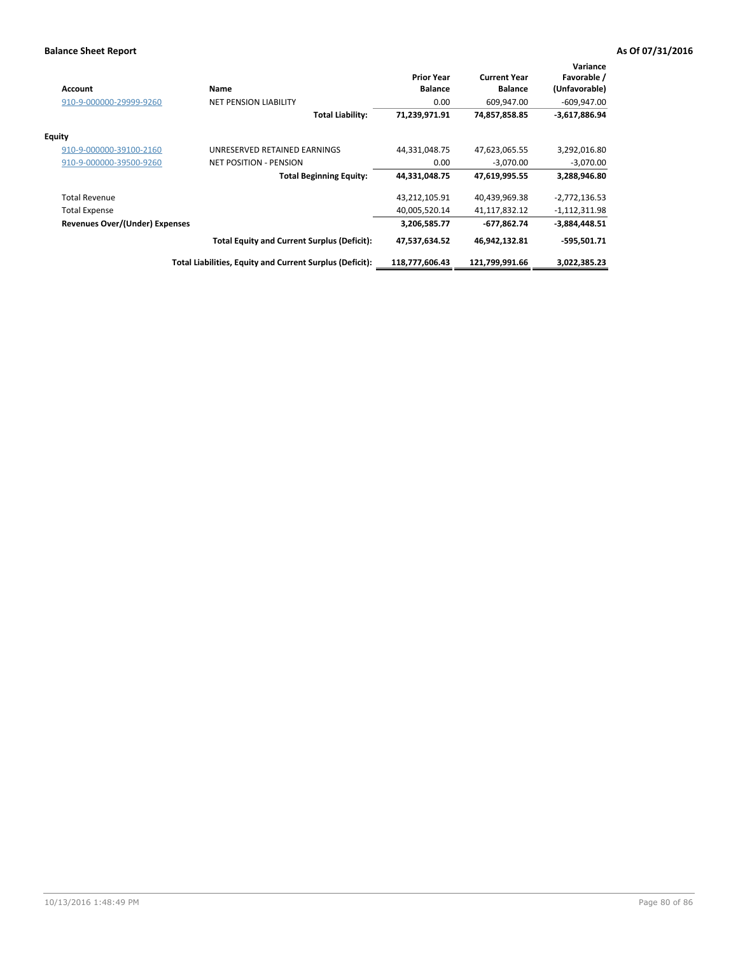| <b>Account</b>                        | <b>Name</b>                                              | <b>Prior Year</b><br><b>Balance</b> | <b>Current Year</b><br><b>Balance</b> | Variance<br>Favorable /<br>(Unfavorable) |
|---------------------------------------|----------------------------------------------------------|-------------------------------------|---------------------------------------|------------------------------------------|
| 910-9-000000-29999-9260               | <b>NET PENSION LIABILITY</b>                             | 0.00                                | 609,947.00                            | $-609,947.00$                            |
|                                       | <b>Total Liability:</b>                                  | 71,239,971.91                       | 74,857,858.85                         | $-3,617,886.94$                          |
| <b>Equity</b>                         |                                                          |                                     |                                       |                                          |
| 910-9-000000-39100-2160               | UNRESERVED RETAINED EARNINGS                             | 44,331,048.75                       | 47,623,065.55                         | 3,292,016.80                             |
| 910-9-000000-39500-9260               | <b>NET POSITION - PENSION</b>                            | 0.00                                | $-3,070.00$                           | $-3,070.00$                              |
|                                       | <b>Total Beginning Equity:</b>                           | 44,331,048.75                       | 47,619,995.55                         | 3,288,946.80                             |
| <b>Total Revenue</b>                  |                                                          | 43,212,105.91                       | 40,439,969.38                         | $-2,772,136.53$                          |
| <b>Total Expense</b>                  |                                                          | 40,005,520.14                       | 41,117,832.12                         | $-1,112,311.98$                          |
| <b>Revenues Over/(Under) Expenses</b> |                                                          | 3,206,585.77                        | -677,862.74                           | -3,884,448.51                            |
|                                       | <b>Total Equity and Current Surplus (Deficit):</b>       | 47,537,634.52                       | 46,942,132.81                         | $-595,501.71$                            |
|                                       | Total Liabilities, Equity and Current Surplus (Deficit): | 118,777,606.43                      | 121,799,991.66                        | 3,022,385.23                             |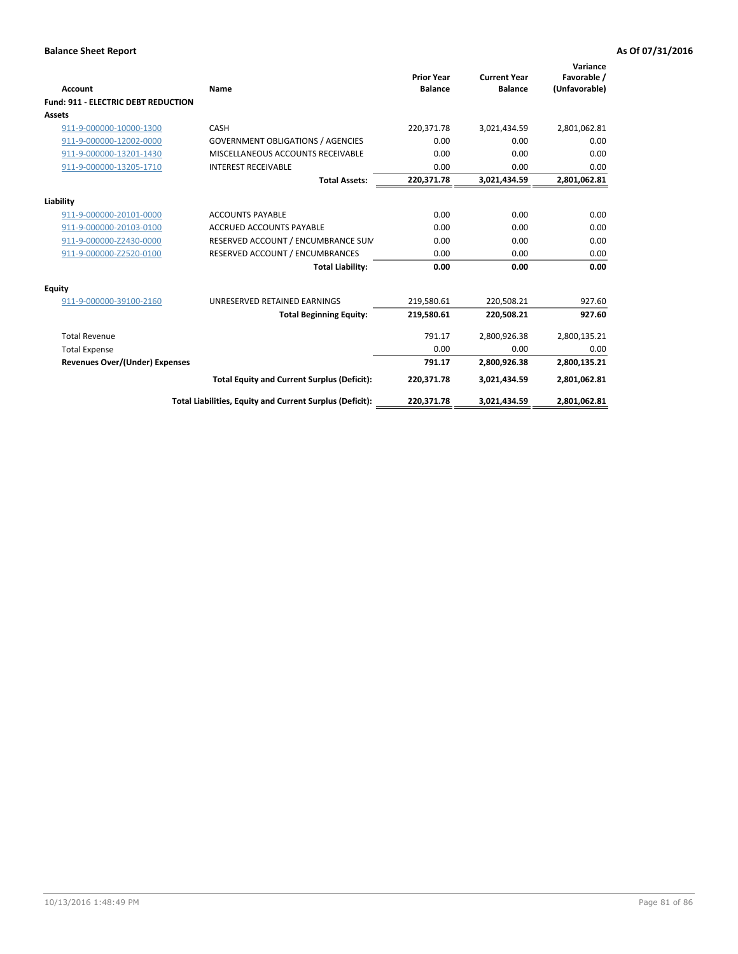| <b>Account</b>                             | Name                                                     | <b>Prior Year</b><br><b>Balance</b> | <b>Current Year</b><br><b>Balance</b> | Variance<br>Favorable /<br>(Unfavorable) |
|--------------------------------------------|----------------------------------------------------------|-------------------------------------|---------------------------------------|------------------------------------------|
| <b>Fund: 911 - ELECTRIC DEBT REDUCTION</b> |                                                          |                                     |                                       |                                          |
| <b>Assets</b>                              |                                                          |                                     |                                       |                                          |
| 911-9-000000-10000-1300                    | CASH                                                     | 220,371.78                          | 3,021,434.59                          | 2,801,062.81                             |
| 911-9-000000-12002-0000                    | <b>GOVERNMENT OBLIGATIONS / AGENCIES</b>                 | 0.00                                | 0.00                                  | 0.00                                     |
| 911-9-000000-13201-1430                    | MISCELLANEOUS ACCOUNTS RECEIVABLE                        | 0.00                                | 0.00                                  | 0.00                                     |
| 911-9-000000-13205-1710                    | <b>INTEREST RECEIVABLE</b>                               | 0.00                                | 0.00                                  | 0.00                                     |
|                                            | <b>Total Assets:</b>                                     | 220,371.78                          | 3,021,434.59                          | 2,801,062.81                             |
| Liability                                  |                                                          |                                     |                                       |                                          |
| 911-9-000000-20101-0000                    | <b>ACCOUNTS PAYABLE</b>                                  | 0.00                                | 0.00                                  | 0.00                                     |
| 911-9-000000-20103-0100                    | ACCRUED ACCOUNTS PAYABLE                                 | 0.00                                | 0.00                                  | 0.00                                     |
| 911-9-000000-Z2430-0000                    | RESERVED ACCOUNT / ENCUMBRANCE SUM                       | 0.00                                | 0.00                                  | 0.00                                     |
| 911-9-000000-Z2520-0100                    | RESERVED ACCOUNT / ENCUMBRANCES                          | 0.00                                | 0.00                                  | 0.00                                     |
|                                            | <b>Total Liability:</b>                                  | 0.00                                | 0.00                                  | 0.00                                     |
| Equity                                     |                                                          |                                     |                                       |                                          |
| 911-9-000000-39100-2160                    | UNRESERVED RETAINED EARNINGS                             | 219,580.61                          | 220,508.21                            | 927.60                                   |
|                                            | <b>Total Beginning Equity:</b>                           | 219,580.61                          | 220,508.21                            | 927.60                                   |
| <b>Total Revenue</b>                       |                                                          | 791.17                              | 2,800,926.38                          | 2,800,135.21                             |
| <b>Total Expense</b>                       |                                                          | 0.00                                | 0.00                                  | 0.00                                     |
| <b>Revenues Over/(Under) Expenses</b>      |                                                          | 791.17                              | 2,800,926.38                          | 2,800,135.21                             |
|                                            | <b>Total Equity and Current Surplus (Deficit):</b>       | 220,371.78                          | 3,021,434.59                          | 2,801,062.81                             |
|                                            | Total Liabilities, Equity and Current Surplus (Deficit): | 220,371.78                          | 3,021,434.59                          | 2,801,062.81                             |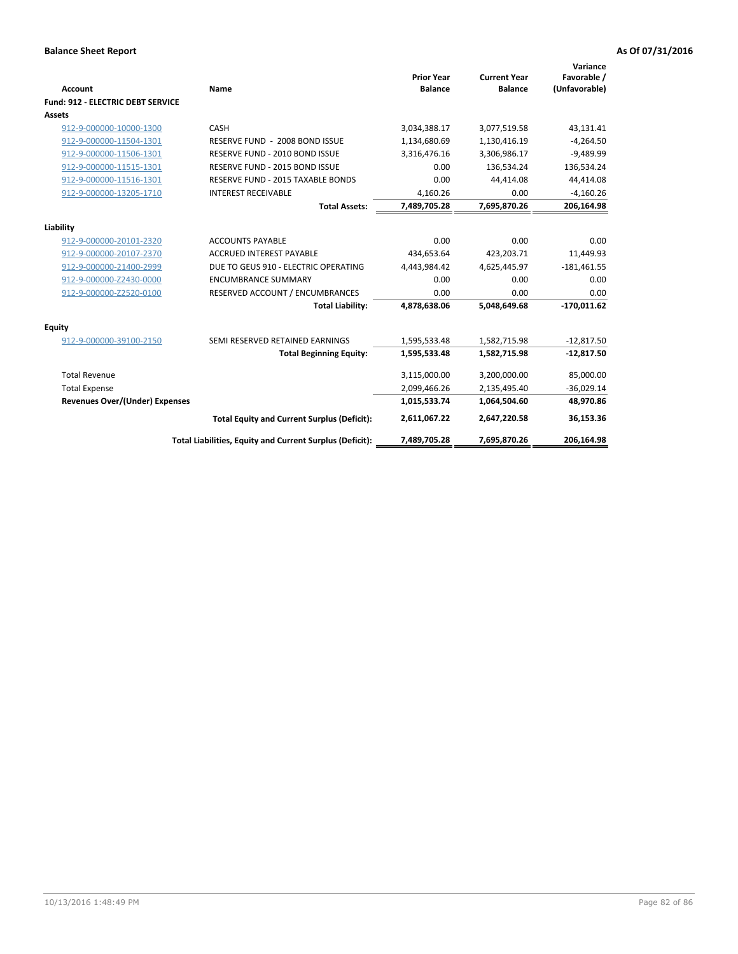| Account                                  | Name                                                     | <b>Prior Year</b><br><b>Balance</b> | <b>Current Year</b><br><b>Balance</b> | Variance<br>Favorable /<br>(Unfavorable) |
|------------------------------------------|----------------------------------------------------------|-------------------------------------|---------------------------------------|------------------------------------------|
| <b>Fund: 912 - ELECTRIC DEBT SERVICE</b> |                                                          |                                     |                                       |                                          |
| <b>Assets</b>                            |                                                          |                                     |                                       |                                          |
| 912-9-000000-10000-1300                  | CASH                                                     | 3,034,388.17                        | 3,077,519.58                          | 43,131.41                                |
| 912-9-000000-11504-1301                  | RESERVE FUND - 2008 BOND ISSUE                           | 1,134,680.69                        | 1,130,416.19                          | $-4,264.50$                              |
| 912-9-000000-11506-1301                  | RESERVE FUND - 2010 BOND ISSUE                           | 3,316,476.16                        | 3,306,986.17                          | $-9,489.99$                              |
| 912-9-000000-11515-1301                  | RESERVE FUND - 2015 BOND ISSUE                           | 0.00                                | 136.534.24                            | 136,534.24                               |
| 912-9-000000-11516-1301                  | <b>RESERVE FUND - 2015 TAXABLE BONDS</b>                 | 0.00                                | 44,414.08                             | 44,414.08                                |
| 912-9-000000-13205-1710                  | <b>INTEREST RECEIVABLE</b>                               | 4,160.26                            | 0.00                                  | $-4,160.26$                              |
|                                          | <b>Total Assets:</b>                                     | 7,489,705.28                        | 7,695,870.26                          | 206,164.98                               |
| Liability                                |                                                          |                                     |                                       |                                          |
| 912-9-000000-20101-2320                  | <b>ACCOUNTS PAYABLE</b>                                  | 0.00                                | 0.00                                  | 0.00                                     |
| 912-9-000000-20107-2370                  | <b>ACCRUED INTEREST PAYABLE</b>                          | 434,653.64                          | 423,203.71                            | 11,449.93                                |
| 912-9-000000-21400-2999                  | DUE TO GEUS 910 - ELECTRIC OPERATING                     | 4,443,984.42                        | 4,625,445.97                          | $-181,461.55$                            |
| 912-9-000000-Z2430-0000                  | <b>ENCUMBRANCE SUMMARY</b>                               | 0.00                                | 0.00                                  | 0.00                                     |
| 912-9-000000-Z2520-0100                  | RESERVED ACCOUNT / ENCUMBRANCES                          | 0.00                                | 0.00                                  | 0.00                                     |
|                                          | <b>Total Liability:</b>                                  | 4,878,638.06                        | 5,048,649.68                          | $-170,011.62$                            |
| Equity                                   |                                                          |                                     |                                       |                                          |
| 912-9-000000-39100-2150                  | SEMI RESERVED RETAINED EARNINGS                          | 1,595,533.48                        | 1,582,715.98                          | $-12,817.50$                             |
|                                          | <b>Total Beginning Equity:</b>                           | 1,595,533.48                        | 1,582,715.98                          | $-12,817.50$                             |
| <b>Total Revenue</b>                     |                                                          | 3,115,000.00                        | 3,200,000.00                          | 85,000.00                                |
| <b>Total Expense</b>                     |                                                          | 2,099,466.26                        | 2,135,495.40                          | $-36,029.14$                             |
| <b>Revenues Over/(Under) Expenses</b>    |                                                          | 1,015,533.74                        | 1,064,504.60                          | 48,970.86                                |
|                                          | <b>Total Equity and Current Surplus (Deficit):</b>       | 2,611,067.22                        | 2,647,220.58                          | 36,153.36                                |
|                                          | Total Liabilities, Equity and Current Surplus (Deficit): | 7,489,705.28                        | 7,695,870.26                          | 206.164.98                               |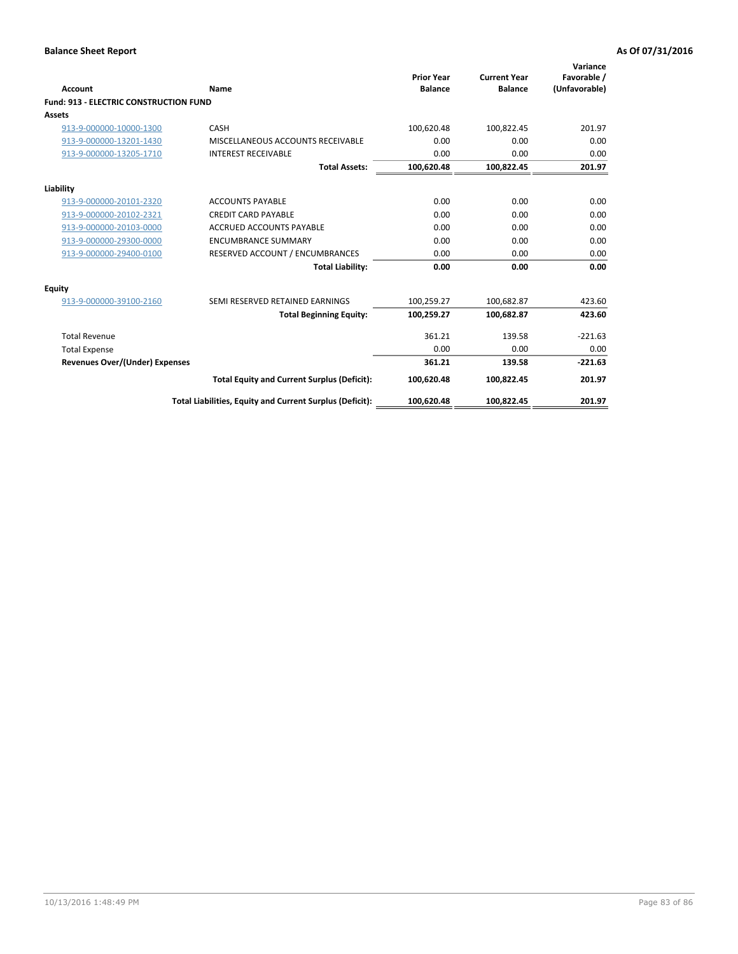| Account                                       | Name                                                     | <b>Prior Year</b><br><b>Balance</b> | <b>Current Year</b><br><b>Balance</b> | Variance<br>Favorable /<br>(Unfavorable) |
|-----------------------------------------------|----------------------------------------------------------|-------------------------------------|---------------------------------------|------------------------------------------|
| <b>Fund: 913 - ELECTRIC CONSTRUCTION FUND</b> |                                                          |                                     |                                       |                                          |
| <b>Assets</b>                                 |                                                          |                                     |                                       |                                          |
| 913-9-000000-10000-1300                       | CASH                                                     | 100,620.48                          | 100,822.45                            | 201.97                                   |
| 913-9-000000-13201-1430                       | MISCELLANEOUS ACCOUNTS RECEIVABLE                        | 0.00                                | 0.00                                  | 0.00                                     |
| 913-9-000000-13205-1710                       | <b>INTEREST RECEIVABLE</b>                               | 0.00                                | 0.00                                  | 0.00                                     |
|                                               | <b>Total Assets:</b>                                     | 100,620.48                          | 100,822.45                            | 201.97                                   |
| Liability                                     |                                                          |                                     |                                       |                                          |
| 913-9-000000-20101-2320                       | <b>ACCOUNTS PAYABLE</b>                                  | 0.00                                | 0.00                                  | 0.00                                     |
| 913-9-000000-20102-2321                       | <b>CREDIT CARD PAYABLE</b>                               | 0.00                                | 0.00                                  | 0.00                                     |
| 913-9-000000-20103-0000                       | <b>ACCRUED ACCOUNTS PAYABLE</b>                          | 0.00                                | 0.00                                  | 0.00                                     |
| 913-9-000000-29300-0000                       | <b>ENCUMBRANCE SUMMARY</b>                               | 0.00                                | 0.00                                  | 0.00                                     |
| 913-9-000000-29400-0100                       | RESERVED ACCOUNT / ENCUMBRANCES                          | 0.00                                | 0.00                                  | 0.00                                     |
|                                               | <b>Total Liability:</b>                                  | 0.00                                | 0.00                                  | 0.00                                     |
| Equity                                        |                                                          |                                     |                                       |                                          |
| 913-9-000000-39100-2160                       | SEMI RESERVED RETAINED EARNINGS                          | 100,259.27                          | 100,682.87                            | 423.60                                   |
|                                               | <b>Total Beginning Equity:</b>                           | 100,259.27                          | 100,682.87                            | 423.60                                   |
| <b>Total Revenue</b>                          |                                                          | 361.21                              | 139.58                                | $-221.63$                                |
| <b>Total Expense</b>                          |                                                          | 0.00                                | 0.00                                  | 0.00                                     |
| <b>Revenues Over/(Under) Expenses</b>         |                                                          | 361.21                              | 139.58                                | $-221.63$                                |
|                                               | <b>Total Equity and Current Surplus (Deficit):</b>       | 100,620.48                          | 100,822.45                            | 201.97                                   |
|                                               | Total Liabilities, Equity and Current Surplus (Deficit): | 100,620.48                          | 100,822.45                            | 201.97                                   |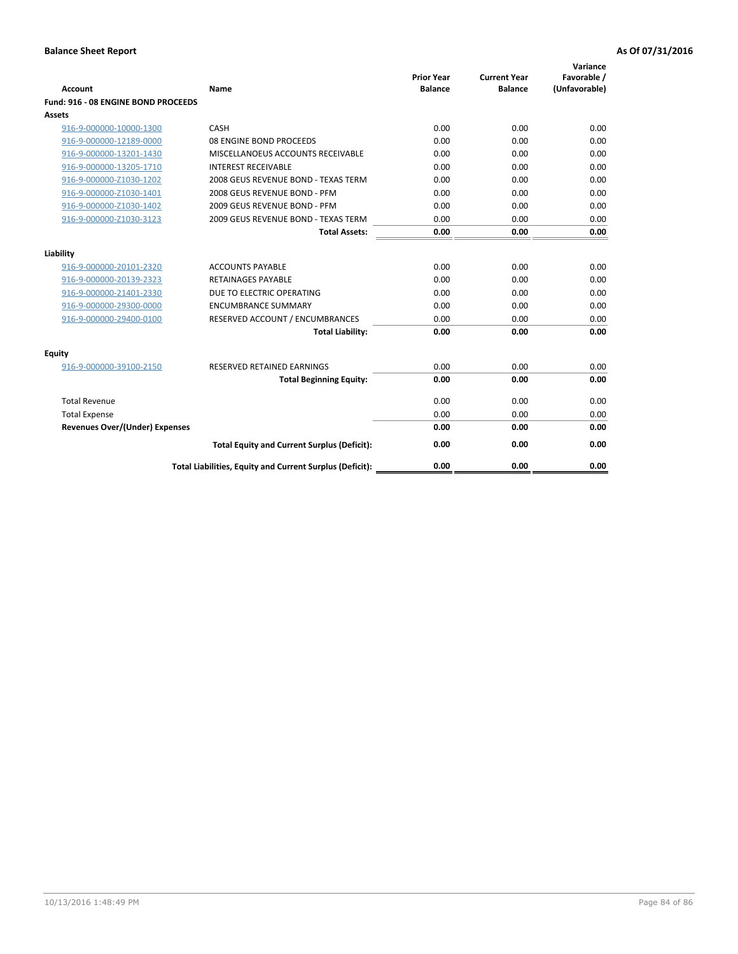| <b>Account</b>                        | Name                                                     | <b>Prior Year</b><br><b>Balance</b> | <b>Current Year</b><br><b>Balance</b> | Variance<br>Favorable /<br>(Unfavorable) |
|---------------------------------------|----------------------------------------------------------|-------------------------------------|---------------------------------------|------------------------------------------|
| Fund: 916 - 08 ENGINE BOND PROCEEDS   |                                                          |                                     |                                       |                                          |
| Assets                                |                                                          |                                     |                                       |                                          |
| 916-9-000000-10000-1300               | CASH                                                     | 0.00                                | 0.00                                  | 0.00                                     |
| 916-9-000000-12189-0000               | 08 ENGINE BOND PROCEEDS                                  | 0.00                                | 0.00                                  | 0.00                                     |
| 916-9-000000-13201-1430               | MISCELLANOEUS ACCOUNTS RECEIVABLE                        | 0.00                                | 0.00                                  | 0.00                                     |
| 916-9-000000-13205-1710               | <b>INTEREST RECEIVABLE</b>                               | 0.00                                | 0.00                                  | 0.00                                     |
| 916-9-000000-Z1030-1202               | 2008 GEUS REVENUE BOND - TEXAS TERM                      | 0.00                                | 0.00                                  | 0.00                                     |
| 916-9-000000-Z1030-1401               | 2008 GEUS REVENUE BOND - PFM                             | 0.00                                | 0.00                                  | 0.00                                     |
| 916-9-000000-Z1030-1402               | 2009 GEUS REVENUE BOND - PFM                             | 0.00                                | 0.00                                  | 0.00                                     |
| 916-9-000000-Z1030-3123               | 2009 GEUS REVENUE BOND - TEXAS TERM                      | 0.00                                | 0.00                                  | 0.00                                     |
|                                       | <b>Total Assets:</b>                                     | 0.00                                | 0.00                                  | 0.00                                     |
| Liability                             |                                                          |                                     |                                       |                                          |
| 916-9-000000-20101-2320               | <b>ACCOUNTS PAYABLE</b>                                  | 0.00                                | 0.00                                  | 0.00                                     |
| 916-9-000000-20139-2323               | <b>RETAINAGES PAYABLE</b>                                | 0.00                                | 0.00                                  | 0.00                                     |
| 916-9-000000-21401-2330               | DUE TO ELECTRIC OPERATING                                | 0.00                                | 0.00                                  | 0.00                                     |
| 916-9-000000-29300-0000               | <b>ENCUMBRANCE SUMMARY</b>                               | 0.00                                | 0.00                                  | 0.00                                     |
| 916-9-000000-29400-0100               | RESERVED ACCOUNT / ENCUMBRANCES                          | 0.00                                | 0.00                                  | 0.00                                     |
|                                       | <b>Total Liability:</b>                                  | 0.00                                | 0.00                                  | 0.00                                     |
|                                       |                                                          |                                     |                                       |                                          |
| Equity                                |                                                          |                                     |                                       |                                          |
| 916-9-000000-39100-2150               | <b>RESERVED RETAINED EARNINGS</b>                        | 0.00                                | 0.00                                  | 0.00                                     |
|                                       | <b>Total Beginning Equity:</b>                           | 0.00                                | 0.00                                  | 0.00                                     |
| <b>Total Revenue</b>                  |                                                          | 0.00                                | 0.00                                  | 0.00                                     |
| <b>Total Expense</b>                  |                                                          | 0.00                                | 0.00                                  | 0.00                                     |
| <b>Revenues Over/(Under) Expenses</b> |                                                          | 0.00                                | 0.00                                  | 0.00                                     |
|                                       | <b>Total Equity and Current Surplus (Deficit):</b>       | 0.00                                | 0.00                                  | 0.00                                     |
|                                       | Total Liabilities, Equity and Current Surplus (Deficit): | 0.00                                | 0.00                                  | 0.00                                     |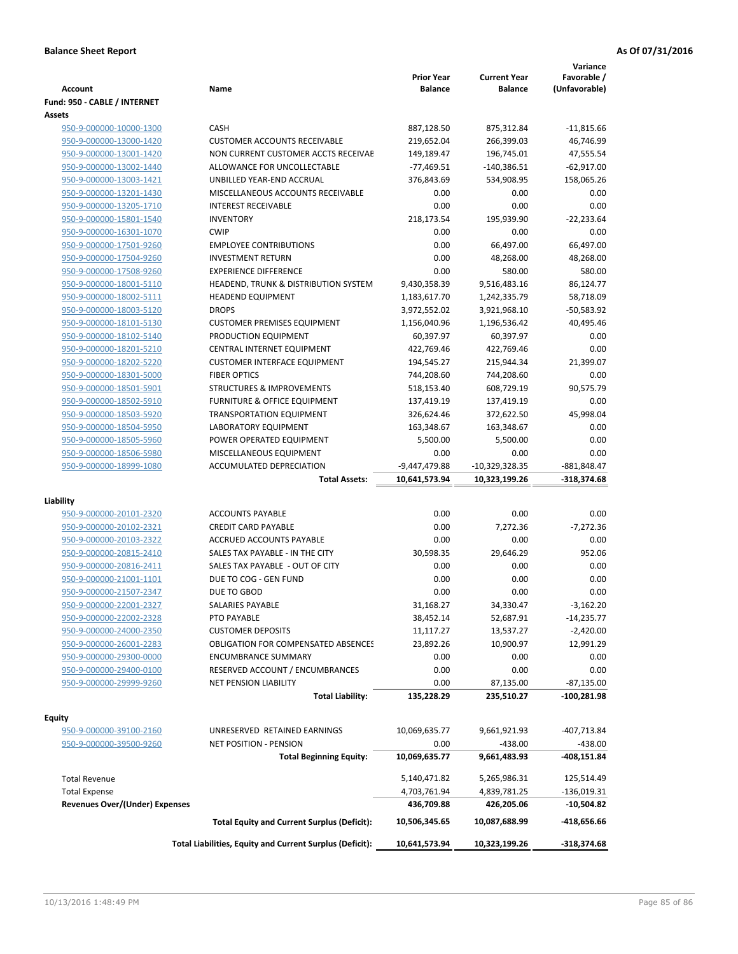| <b>Account</b>                                     | Name                                                     | <b>Prior Year</b><br><b>Balance</b> | <b>Current Year</b><br><b>Balance</b> | Variance<br>Favorable /<br>(Unfavorable) |
|----------------------------------------------------|----------------------------------------------------------|-------------------------------------|---------------------------------------|------------------------------------------|
| Fund: 950 - CABLE / INTERNET                       |                                                          |                                     |                                       |                                          |
| <b>Assets</b>                                      |                                                          |                                     |                                       |                                          |
| 950-9-000000-10000-1300                            | CASH                                                     | 887,128.50                          | 875,312.84                            | $-11,815.66$                             |
| 950-9-000000-13000-1420                            | <b>CUSTOMER ACCOUNTS RECEIVABLE</b>                      | 219,652.04                          | 266,399.03                            | 46,746.99                                |
| 950-9-000000-13001-1420                            | NON CURRENT CUSTOMER ACCTS RECEIVAE                      | 149,189.47                          | 196,745.01                            | 47,555.54                                |
| 950-9-000000-13002-1440                            | ALLOWANCE FOR UNCOLLECTABLE                              | $-77,469.51$                        | -140,386.51                           | $-62,917.00$                             |
| 950-9-000000-13003-1421                            | UNBILLED YEAR-END ACCRUAL                                | 376,843.69                          | 534,908.95                            | 158,065.26                               |
| 950-9-000000-13201-1430                            | MISCELLANEOUS ACCOUNTS RECEIVABLE                        | 0.00                                | 0.00                                  | 0.00                                     |
| 950-9-000000-13205-1710                            | <b>INTEREST RECEIVABLE</b>                               | 0.00                                | 0.00                                  | 0.00                                     |
| 950-9-000000-15801-1540                            | <b>INVENTORY</b>                                         | 218,173.54                          | 195,939.90                            | $-22,233.64$                             |
| 950-9-000000-16301-1070                            | <b>CWIP</b>                                              | 0.00                                | 0.00                                  | 0.00                                     |
| 950-9-000000-17501-9260                            | <b>EMPLOYEE CONTRIBUTIONS</b>                            | 0.00                                | 66,497.00                             | 66,497.00                                |
| 950-9-000000-17504-9260                            | <b>INVESTMENT RETURN</b>                                 | 0.00                                | 48,268.00                             | 48,268.00                                |
| 950-9-000000-17508-9260                            | <b>EXPERIENCE DIFFERENCE</b>                             | 0.00                                | 580.00                                | 580.00                                   |
| 950-9-000000-18001-5110                            | HEADEND, TRUNK & DISTRIBUTION SYSTEM                     | 9,430,358.39                        | 9,516,483.16                          | 86,124.77                                |
| 950-9-000000-18002-5111                            | <b>HEADEND EQUIPMENT</b>                                 | 1,183,617.70                        | 1,242,335.79                          | 58,718.09                                |
| 950-9-000000-18003-5120                            | <b>DROPS</b>                                             | 3,972,552.02                        | 3,921,968.10                          | -50,583.92                               |
| 950-9-000000-18101-5130                            | <b>CUSTOMER PREMISES EQUIPMENT</b>                       | 1,156,040.96                        | 1,196,536.42                          | 40,495.46                                |
| 950-9-000000-18102-5140                            | PRODUCTION EQUIPMENT                                     | 60,397.97                           | 60,397.97                             | 0.00                                     |
| 950-9-000000-18201-5210                            | CENTRAL INTERNET EQUIPMENT                               | 422,769.46                          | 422,769.46                            | 0.00                                     |
| 950-9-000000-18202-5220                            | <b>CUSTOMER INTERFACE EQUIPMENT</b>                      | 194,545.27                          | 215,944.34                            | 21,399.07                                |
| 950-9-000000-18301-5000                            | <b>FIBER OPTICS</b>                                      | 744,208.60                          | 744,208.60                            | 0.00                                     |
| 950-9-000000-18501-5901                            | <b>STRUCTURES &amp; IMPROVEMENTS</b>                     | 518,153.40                          | 608,729.19                            | 90,575.79                                |
| 950-9-000000-18502-5910                            | <b>FURNITURE &amp; OFFICE EQUIPMENT</b>                  | 137,419.19                          | 137,419.19                            | 0.00                                     |
| 950-9-000000-18503-5920                            | <b>TRANSPORTATION EQUIPMENT</b>                          | 326,624.46                          | 372,622.50                            | 45,998.04                                |
| 950-9-000000-18504-5950                            | LABORATORY EQUIPMENT                                     | 163,348.67                          | 163,348.67                            | 0.00                                     |
| 950-9-000000-18505-5960                            | POWER OPERATED EQUIPMENT                                 | 5,500.00                            | 5,500.00                              | 0.00                                     |
| 950-9-000000-18506-5980                            | MISCELLANEOUS EQUIPMENT                                  | 0.00                                | 0.00                                  | 0.00                                     |
| 950-9-000000-18999-1080                            | ACCUMULATED DEPRECIATION                                 | $-9,447,479.88$                     | $-10,329,328.35$                      | -881,848.47                              |
|                                                    | <b>Total Assets:</b>                                     | 10,641,573.94                       | 10,323,199.26                         | -318,374.68                              |
| Liability                                          |                                                          |                                     |                                       |                                          |
| 950-9-000000-20101-2320                            | <b>ACCOUNTS PAYABLE</b>                                  | 0.00                                | 0.00                                  | 0.00                                     |
| 950-9-000000-20102-2321                            | <b>CREDIT CARD PAYABLE</b>                               | 0.00                                | 7,272.36                              | $-7,272.36$                              |
| 950-9-000000-20103-2322                            | ACCRUED ACCOUNTS PAYABLE                                 | 0.00                                | 0.00                                  | 0.00                                     |
| 950-9-000000-20815-2410                            | SALES TAX PAYABLE - IN THE CITY                          | 30,598.35                           | 29,646.29                             | 952.06                                   |
| 950-9-000000-20816-2411                            | SALES TAX PAYABLE - OUT OF CITY                          | 0.00                                | 0.00                                  | 0.00                                     |
| 950-9-000000-21001-1101                            | DUE TO COG - GEN FUND                                    | 0.00                                | 0.00                                  | 0.00                                     |
| 950-9-000000-21507-2347                            | DUE TO GBOD                                              | 0.00                                | 0.00                                  | 0.00                                     |
| 950-9-000000-22001-2327                            | SALARIES PAYABLE                                         | 31,168.27                           | 34,330.47                             | $-3,162.20$                              |
| 950-9-000000-22002-2328                            | PTO PAYABLE                                              | 38,452.14                           | 52,687.91                             | $-14,235.77$                             |
| 950-9-000000-24000-2350                            | <b>CUSTOMER DEPOSITS</b>                                 | 11,117.27                           | 13,537.27                             | $-2,420.00$                              |
| 950-9-000000-26001-2283                            | <b>OBLIGATION FOR COMPENSATED ABSENCES</b>               | 23,892.26                           | 10,900.97                             |                                          |
|                                                    |                                                          | 0.00                                |                                       | 12,991.29                                |
| 950-9-000000-29300-0000                            | <b>ENCUMBRANCE SUMMARY</b>                               |                                     | 0.00                                  | 0.00                                     |
| 950-9-000000-29400-0100<br>950-9-000000-29999-9260 | RESERVED ACCOUNT / ENCUMBRANCES                          | 0.00                                | 0.00                                  | 0.00                                     |
|                                                    | <b>NET PENSION LIABILITY</b>                             | 0.00                                | 87,135.00                             | -87,135.00                               |
|                                                    | <b>Total Liability:</b>                                  | 135,228.29                          | 235,510.27                            | -100,281.98                              |
| Equity                                             |                                                          |                                     |                                       |                                          |
| 950-9-000000-39100-2160                            | UNRESERVED RETAINED EARNINGS                             | 10,069,635.77                       | 9,661,921.93                          | -407,713.84                              |
| 950-9-000000-39500-9260                            | NET POSITION - PENSION                                   | 0.00                                | $-438.00$                             | $-438.00$                                |
|                                                    | <b>Total Beginning Equity:</b>                           | 10,069,635.77                       | 9,661,483.93                          | -408,151.84                              |
|                                                    |                                                          |                                     |                                       |                                          |
| <b>Total Revenue</b>                               |                                                          | 5,140,471.82                        | 5,265,986.31                          | 125,514.49                               |
| <b>Total Expense</b>                               |                                                          | 4,703,761.94                        | 4,839,781.25                          | $-136,019.31$                            |
| Revenues Over/(Under) Expenses                     |                                                          | 436,709.88                          | 426,205.06                            | -10,504.82                               |
|                                                    | <b>Total Equity and Current Surplus (Deficit):</b>       | 10,506,345.65                       | 10,087,688.99                         | -418,656.66                              |
|                                                    | Total Liabilities, Equity and Current Surplus (Deficit): | 10,641,573.94                       | 10,323,199.26                         | -318,374.68                              |